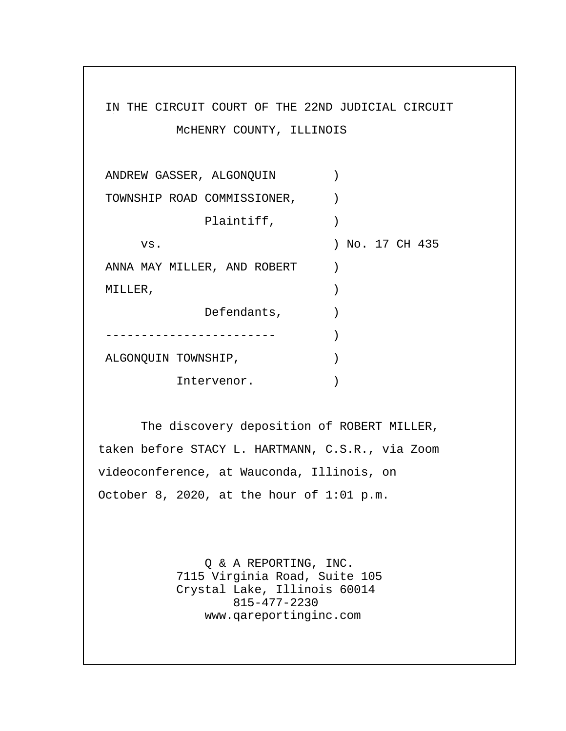# IN THE CIRCUIT COURT OF THE 22ND JUDICIAL CIRCUIT McHENRY COUNTY, ILLINOIS ANDREW GASSER, ALGONQUIN ) TOWNSHIP ROAD COMMISSIONER, ) Plaintiff,  $)$  vs. ) No. 17 CH 435 ANNA MAY MILLER, AND ROBERT ) MILLER, ) Defendants,  $)$  ------------------------ ) ALGONQUIN TOWNSHIP,  $)$ Intervenor.  $)$

 The discovery deposition of ROBERT MILLER, taken before STACY L. HARTMANN, C.S.R., via Zoom videoconference, at Wauconda, Illinois, on October 8, 2020, at the hour of 1:01 p.m.

> Q & A REPORTING, INC. 7115 Virginia Road, Suite 105 Crystal Lake, Illinois 60014 815-477-2230 www.qareportinginc.com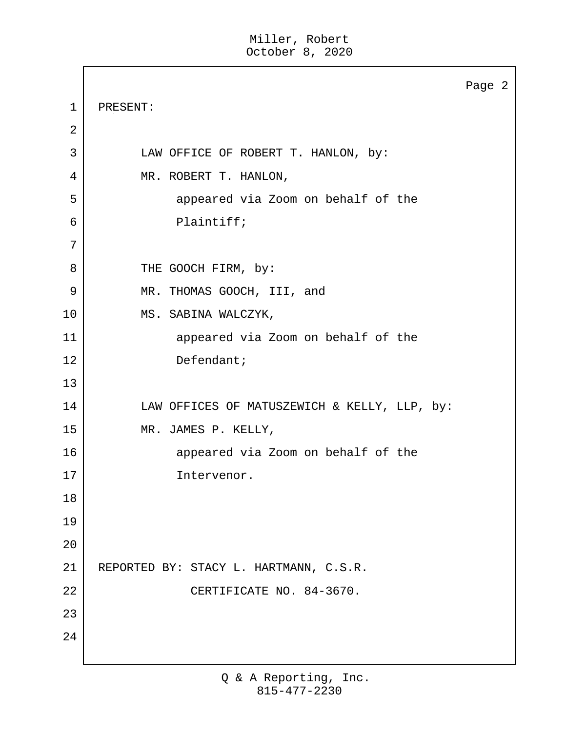|             |                                              | Page 2 |
|-------------|----------------------------------------------|--------|
| $\mathbf 1$ | PRESENT:                                     |        |
| 2           |                                              |        |
| 3           | LAW OFFICE OF ROBERT T. HANLON, by:          |        |
| 4           | MR. ROBERT T. HANLON,                        |        |
| 5           | appeared via Zoom on behalf of the           |        |
| 6           | Plaintiff;                                   |        |
| 7           |                                              |        |
| 8           | THE GOOCH FIRM, by:                          |        |
| 9           | MR. THOMAS GOOCH, III, and                   |        |
| 10          | MS. SABINA WALCZYK,                          |        |
| 11          | appeared via Zoom on behalf of the           |        |
| 12          | Defendant;                                   |        |
| 13          |                                              |        |
| 14          | LAW OFFICES OF MATUSZEWICH & KELLY, LLP, by: |        |
| 15          | MR. JAMES P. KELLY,                          |        |
| 16          | appeared via Zoom on behalf of the           |        |
| 17          | Intervenor.                                  |        |
| 18          |                                              |        |
| 19          |                                              |        |
| 20          |                                              |        |
| 21          | REPORTED BY: STACY L. HARTMANN, C.S.R.       |        |
| 22          | CERTIFICATE NO. 84-3670.                     |        |
| 23          |                                              |        |
| 24          |                                              |        |
|             |                                              |        |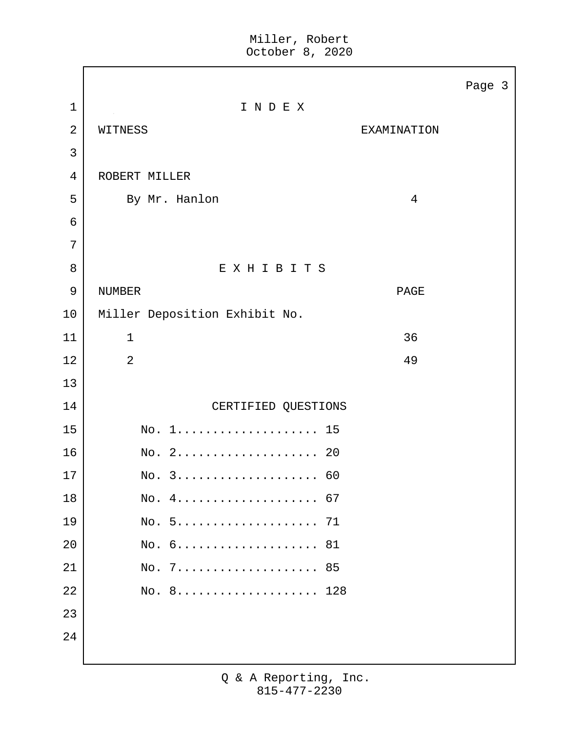|                |                                                          | Page 3         |
|----------------|----------------------------------------------------------|----------------|
| $\mathbf 1$    | INDEX                                                    |                |
| $\overline{2}$ | WITNESS                                                  | EXAMINATION    |
| 3              |                                                          |                |
| 4              | ROBERT MILLER                                            |                |
| 5              | By Mr. Hanlon                                            | $\overline{4}$ |
| $\epsilon$     |                                                          |                |
| 7              |                                                          |                |
| 8              | EXHIBITS                                                 |                |
| 9              | <b>NUMBER</b>                                            | PAGE           |
| 10             | Miller Deposition Exhibit No.                            |                |
| 11             | $\mathbf{1}$                                             | 36             |
| 12             | $\overline{2}$                                           | 49             |
| 13             |                                                          |                |
| 14             | CERTIFIED QUESTIONS                                      |                |
| 15             | $\text{No. } 1 \ldots \ldots \ldots \ldots \ldots$<br>15 |                |
| 16             | $\text{No. } 2 \ldots \ldots \ldots \ldots \ldots$<br>20 |                |
| 17             | No. 3 60                                                 |                |
| 18             | No. 4 67                                                 |                |
| 19             | No. 5 71                                                 |                |
| 20             | No. 6 81                                                 |                |
| 21             | No. 7 85                                                 |                |
| 22             | No. 8 128                                                |                |
| 23             |                                                          |                |
| 24             |                                                          |                |
|                |                                                          |                |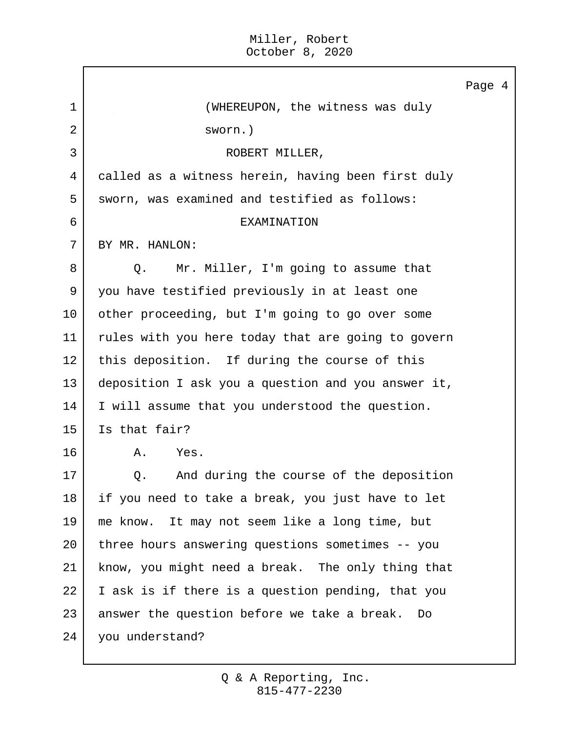|                |                                                    | Page 4 |
|----------------|----------------------------------------------------|--------|
| $\mathbf{1}$   | (WHEREUPON, the witness was duly                   |        |
| $\overline{2}$ | sworn.)                                            |        |
| 3              | ROBERT MILLER,                                     |        |
| 4              | called as a witness herein, having been first duly |        |
| 5              | sworn, was examined and testified as follows:      |        |
| 6              | EXAMINATION                                        |        |
| 7              | BY MR. HANLON:                                     |        |
| 8              | Mr. Miller, I'm going to assume that<br>Q.         |        |
| 9              | you have testified previously in at least one      |        |
| 10             | other proceeding, but I'm going to go over some    |        |
| 11             | rules with you here today that are going to govern |        |
| 12             | this deposition. If during the course of this      |        |
| 13             | deposition I ask you a question and you answer it, |        |
| 14             | I will assume that you understood the question.    |        |
| 15             | Is that fair?                                      |        |
| 16             | Α.<br>Yes.                                         |        |
| 17             | And during the course of the deposition<br>Q.      |        |
| 18             | if you need to take a break, you just have to let  |        |
| 19             | me know. It may not seem like a long time, but     |        |
| 20             | three hours answering questions sometimes -- you   |        |
| 21             | know, you might need a break. The only thing that  |        |
| 22             | I ask is if there is a question pending, that you  |        |
| 23             | answer the question before we take a break. Do     |        |
| 24             | you understand?                                    |        |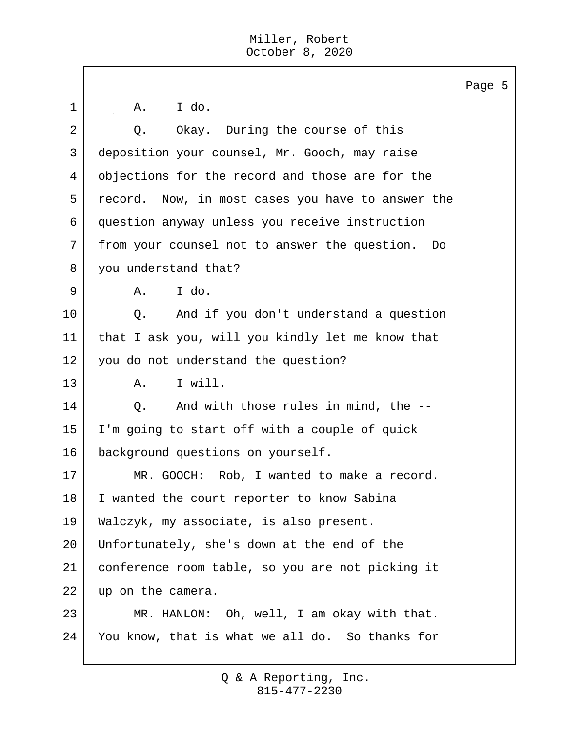|             |                                                   | Page 5 |  |
|-------------|---------------------------------------------------|--------|--|
| $\mathbf 1$ | I do.<br>Α.                                       |        |  |
| 2           | Okay. During the course of this<br>Q.             |        |  |
| 3           | deposition your counsel, Mr. Gooch, may raise     |        |  |
| 4           | objections for the record and those are for the   |        |  |
| 5           | record. Now, in most cases you have to answer the |        |  |
| 6           | question anyway unless you receive instruction    |        |  |
| 7           | from your counsel not to answer the question. Do  |        |  |
| 8           | you understand that?                              |        |  |
| 9           | I do.<br>Α.                                       |        |  |
| 10          | And if you don't understand a question<br>Q.      |        |  |
| 11          | that I ask you, will you kindly let me know that  |        |  |
| 12          | you do not understand the question?               |        |  |
| 13          | I will.<br>Α.                                     |        |  |
| 14          | And with those rules in mind, the --<br>Q.        |        |  |
| 15          | I'm going to start off with a couple of quick     |        |  |
| 16          | background questions on yourself.                 |        |  |
| 17          | Rob, I wanted to make a record.<br>MR. GOOCH:     |        |  |
| 18          | I wanted the court reporter to know Sabina        |        |  |
| 19          | Walczyk, my associate, is also present.           |        |  |
| 20          | Unfortunately, she's down at the end of the       |        |  |
| 21          | conference room table, so you are not picking it  |        |  |
| 22          | up on the camera.                                 |        |  |
| 23          | MR. HANLON: Oh, well, I am okay with that.        |        |  |
| 24          | You know, that is what we all do. So thanks for   |        |  |
|             |                                                   |        |  |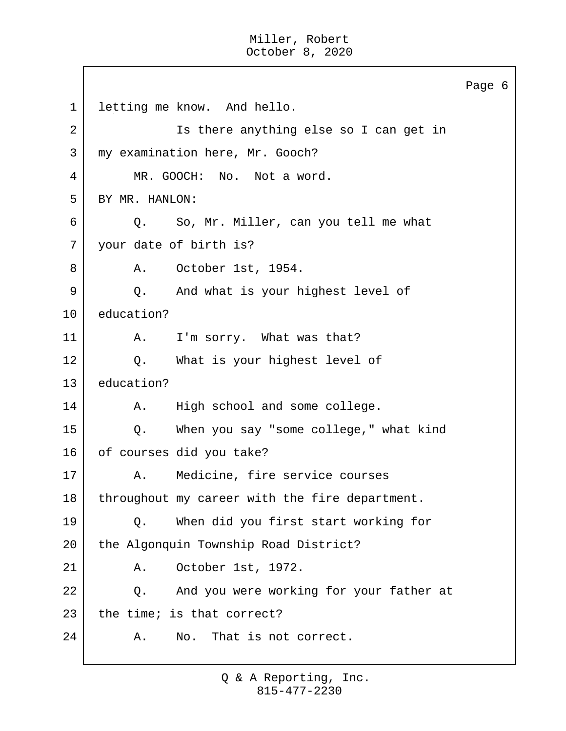Page 6 1 letting me know. And hello. 2 | Ts there anything else so I can get in 3 | my examination here, Mr. Gooch? 4 MR. GOOCH: No. Not a word. 5 BY MR. HANLON: 6 Q. So, Mr. Miller, can you tell me what 7 your date of birth is? 8 | A. October 1st, 1954. 9 Q. And what is your highest level of 10 education? 11 | A. I'm sorry. What was that? 12 | Q. What is your highest level of 13 education? 14 | A. High school and some college. 15 Q. When you say "some college," what kind 16 of courses did you take? 17 | A. Medicine, fire service courses 18 throughout my career with the fire department. 19 Q. When did you first start working for 20 the Algonquin Township Road District? 21 A. October 1st, 1972. 22 Q. And you were working for your father at 23 the time; is that correct? 24 A. No. That is not correct.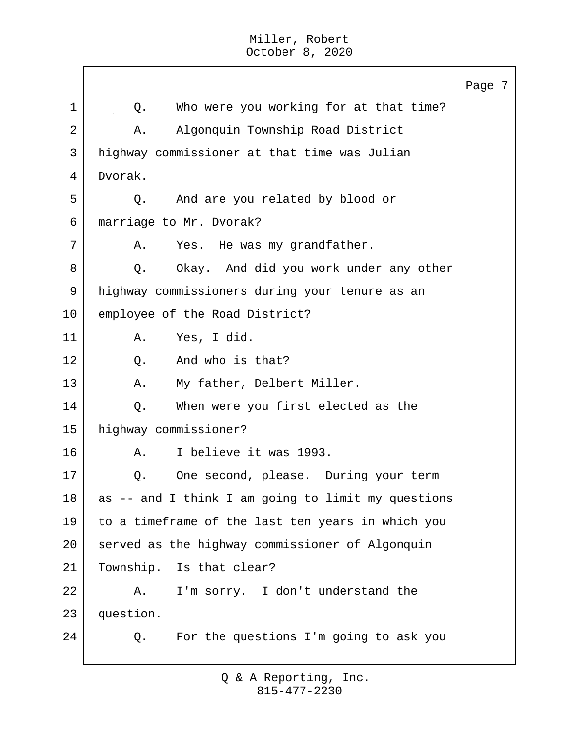$\Gamma$ 

|    |                                                    | Page 7 |
|----|----------------------------------------------------|--------|
| 1  | Who were you working for at that time?<br>Q.       |        |
| 2  | Algonquin Township Road District<br>Α.             |        |
| 3  | highway commissioner at that time was Julian       |        |
| 4  | Dvorak.                                            |        |
| 5  | And are you related by blood or<br>Q.              |        |
| 6  | marriage to Mr. Dvorak?                            |        |
| 7  | Yes. He was my grandfather.<br>Α.                  |        |
| 8  | Okay. And did you work under any other<br>Q.       |        |
| 9  | highway commissioners during your tenure as an     |        |
| 10 | employee of the Road District?                     |        |
| 11 | Yes, I did.<br>Α.                                  |        |
| 12 | And who is that?<br>Q.                             |        |
| 13 | My father, Delbert Miller.<br>Α.                   |        |
| 14 | When were you first elected as the<br>Q.           |        |
| 15 | highway commissioner?                              |        |
| 16 | I believe it was 1993.<br>Α.                       |        |
| 17 | One second, please. During your term<br>Q.         |        |
| 18 | as -- and I think I am going to limit my questions |        |
| 19 | to a timeframe of the last ten years in which you  |        |
| 20 | served as the highway commissioner of Algonquin    |        |
| 21 | Township. Is that clear?                           |        |
| 22 | I'm sorry. I don't understand the<br>Α.            |        |
| 23 | question.                                          |        |
| 24 | For the questions I'm going to ask you<br>Q.       |        |
|    |                                                    |        |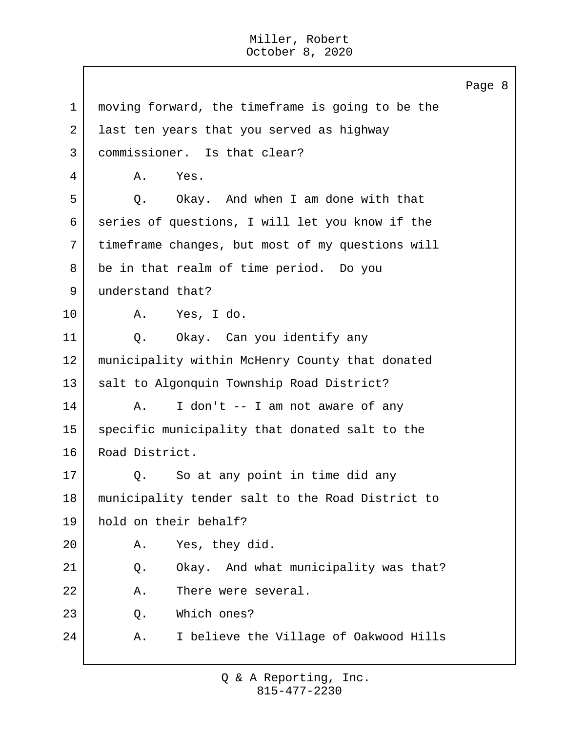Page 8 1 moving forward, the timeframe is going to be the 2 ast ten years that you served as highway 3 commissioner. Is that clear? 4 A. Yes. 5 | O. Okay. And when I am done with that 6 series of questions, I will let you know if the 7 timeframe changes, but most of my questions will 8 be in that realm of time period. Do you 9 understand that? 10 A. Yes, I do. 11 | Q. Okay. Can you identify any 12 municipality within McHenry County that donated 13 salt to Algonquin Township Road District?  $14$  A. I don't  $-$  I am not aware of any 15 specific municipality that donated salt to the 16 Road District. 17 Q. So at any point in time did any 18 municipality tender salt to the Road District to 19 hold on their behalf? 20 A. Yes, they did. 21 | Q. Okay. And what municipality was that? 22 A. There were several. 23 Q. Which ones? 24 A. I believe the Village of Oakwood Hills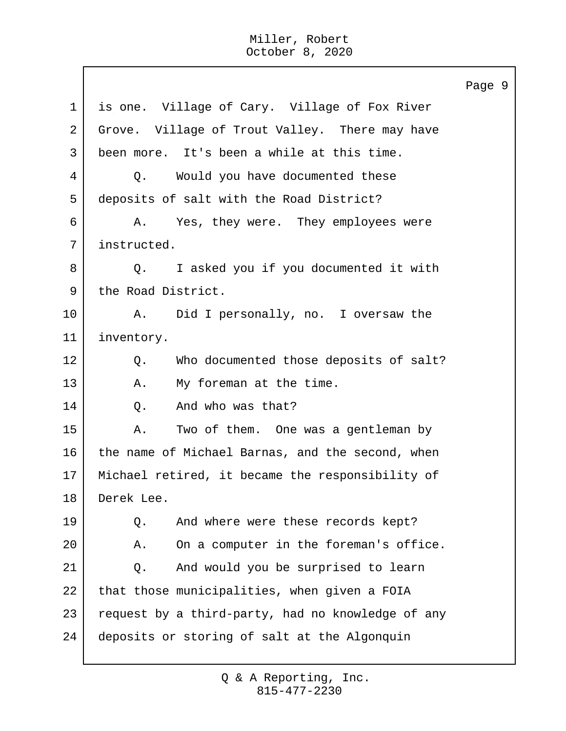Page 9 1 | is one. Village of Cary. Village of Fox River 2 Grove. Village of Trout Valley. There may have 3 been more. It's been a while at this time. 4 Q. Would you have documented these 5 deposits of salt with the Road District? 6 A. Yes, they were. They employees were 7 instructed. 8 Q. I asked you if you documented it with 9 the Road District. 10 | A. Did I personally, no. I oversaw the 11 inventory. 12 | Q. Who documented those deposits of salt? 13 A. My foreman at the time. 14 Q. And who was that? 15 A. Two of them. One was a gentleman by 16 the name of Michael Barnas, and the second, when 17 Michael retired, it became the responsibility of 18 Derek Lee. 19 Q. And where were these records kept? 20 A. On a computer in the foreman's office. 21 Q. And would you be surprised to learn 22 that those municipalities, when given a FOIA 23 request by a third-party, had no knowledge of any 24 deposits or storing of salt at the Algonquin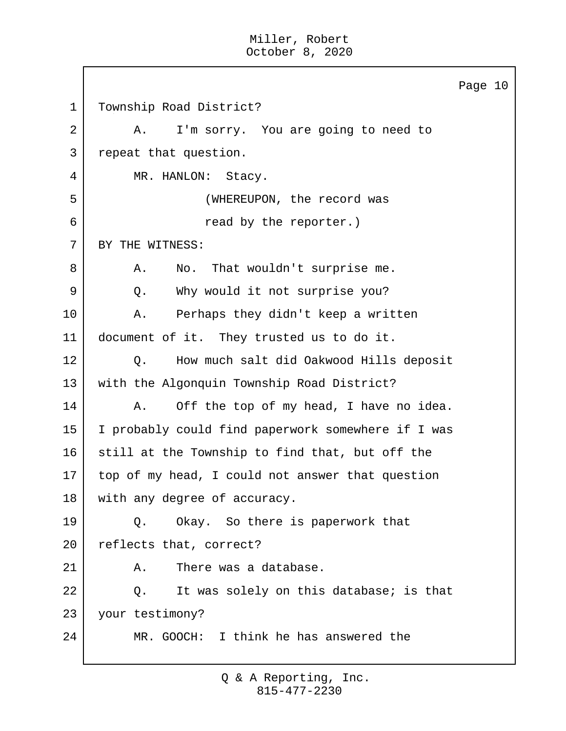$\mathbf{I}$ 

|    |                                                    | Page 10 |
|----|----------------------------------------------------|---------|
| 1  | Township Road District?                            |         |
| 2  | I'm sorry. You are going to need to<br>Α.          |         |
| 3  | repeat that question.                              |         |
| 4  | MR. HANLON: Stacy.                                 |         |
| 5  | (WHEREUPON, the record was                         |         |
| 6  | read by the reporter.)                             |         |
| 7  | BY THE WITNESS:                                    |         |
| 8  | That wouldn't surprise me.<br>Α.<br>No.            |         |
| 9  | Why would it not surprise you?<br>Q.               |         |
| 10 | Α.<br>Perhaps they didn't keep a written           |         |
| 11 | document of it. They trusted us to do it.          |         |
| 12 | How much salt did Oakwood Hills deposit<br>Q.      |         |
| 13 | with the Algonquin Township Road District?         |         |
| 14 | Off the top of my head, I have no idea.<br>Α.      |         |
| 15 | I probably could find paperwork somewhere if I was |         |
| 16 | still at the Township to find that, but off the    |         |
| 17 | top of my head, I could not answer that question   |         |
| 18 | with any degree of accuracy.                       |         |
| 19 | Okay. So there is paperwork that<br>Q.             |         |
| 20 | reflects that, correct?                            |         |
| 21 | There was a database.<br>Α.                        |         |
| 22 | It was solely on this database; is that<br>Q.      |         |
| 23 | your testimony?                                    |         |
| 24 | MR. GOOCH: I think he has answered the             |         |
|    |                                                    |         |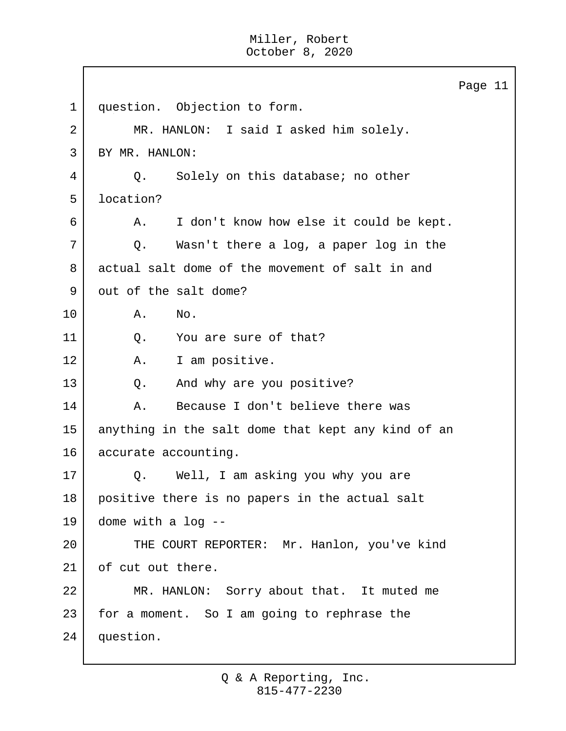Page 11 1 question. Objection to form. 2 MR. HANLON: I said I asked him solely. 3 BY MR. HANLON: 4 Q. Solely on this database; no other 5 location? 6 A. I don't know how else it could be kept. 7 Q. Wasn't there a log, a paper log in the 8 actual salt dome of the movement of salt in and 9 out of the salt dome? 10 A. No. 11 O. You are sure of that? 12 | A. I am positive. 13 Q. And why are you positive? 14 | A. Because I don't believe there was 15 anything in the salt dome that kept any kind of an 16 accurate accounting. 17 | Q. Well, I am asking you why you are 18 positive there is no papers in the actual salt 19 dome with a log -- 20 THE COURT REPORTER: Mr. Hanlon, you've kind 21 of cut out there. 22 MR. HANLON: Sorry about that. It muted me  $23$  for a moment. So I am going to rephrase the 24 question.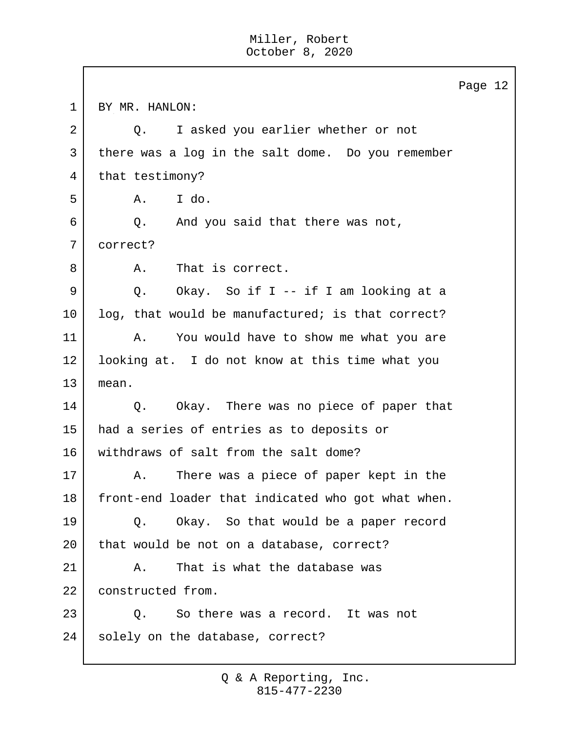Г

|    | Page 12                                            |
|----|----------------------------------------------------|
| 1  | BY MR. HANLON:                                     |
| 2  | I asked you earlier whether or not<br>$Q$ .        |
| 3  | there was a log in the salt dome. Do you remember  |
| 4  | that testimony?                                    |
| 5  | I do.<br>Α.                                        |
| 6  | And you said that there was not,<br>Q.             |
| 7  | correct?                                           |
| 8  | That is correct.<br>Α.                             |
| 9  | Okay. So if I -- if I am looking at a<br>Q.        |
| 10 | log, that would be manufactured; is that correct?  |
| 11 | You would have to show me what you are<br>Α.       |
| 12 | looking at. I do not know at this time what you    |
| 13 | mean.                                              |
| 14 | Okay. There was no piece of paper that<br>Q.       |
| 15 | had a series of entries as to deposits or          |
| 16 | withdraws of salt from the salt dome?              |
| 17 | There was a piece of paper kept in the<br>Α.       |
| 18 | front-end loader that indicated who got what when. |
| 19 | Okay. So that would be a paper record<br>Q.        |
| 20 | that would be not on a database, correct?          |
| 21 | That is what the database was<br>Α.                |
| 22 | constructed from.                                  |
| 23 | So there was a record. It was not<br>Q.            |
| 24 | solely on the database, correct?                   |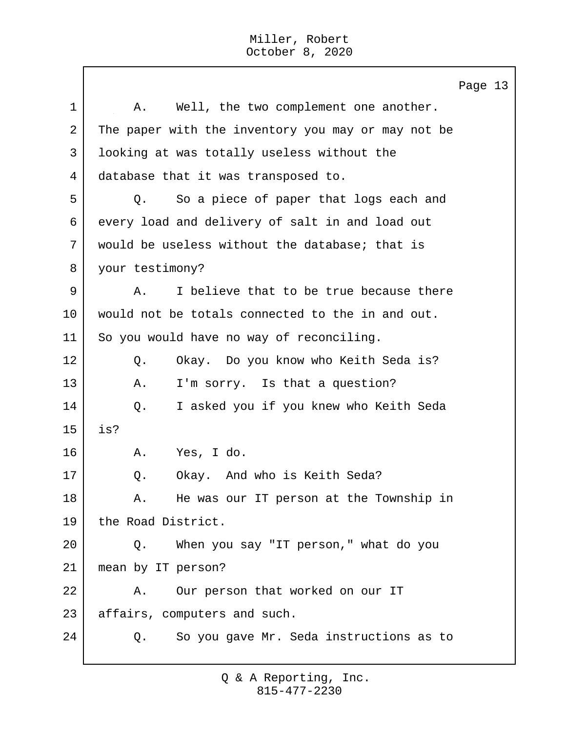Page 13 1 | A. Well, the two complement one another. 2 The paper with the inventory you may or may not be 3 looking at was totally useless without the 4 database that it was transposed to. 5 Q. So a piece of paper that logs each and 6 every load and delivery of salt in and load out 7 would be useless without the database; that is 8 your testimony? 9 A. I believe that to be true because there 10 would not be totals connected to the in and out. 11 So you would have no way of reconciling. 12 Q. Okay. Do you know who Keith Seda is? 13 A. I'm sorry. Is that a question? 14 Q. I asked you if you knew who Keith Seda 15 is? 16 A. Yes, I do. 17 | O. Okay. And who is Keith Seda? 18 A. He was our IT person at the Township in 19 the Road District. 20 Q. When you say "IT person," what do you 21 mean by IT person? 22 A. Our person that worked on our IT 23 | affairs, computers and such. 24 Q. So you gave Mr. Seda instructions as to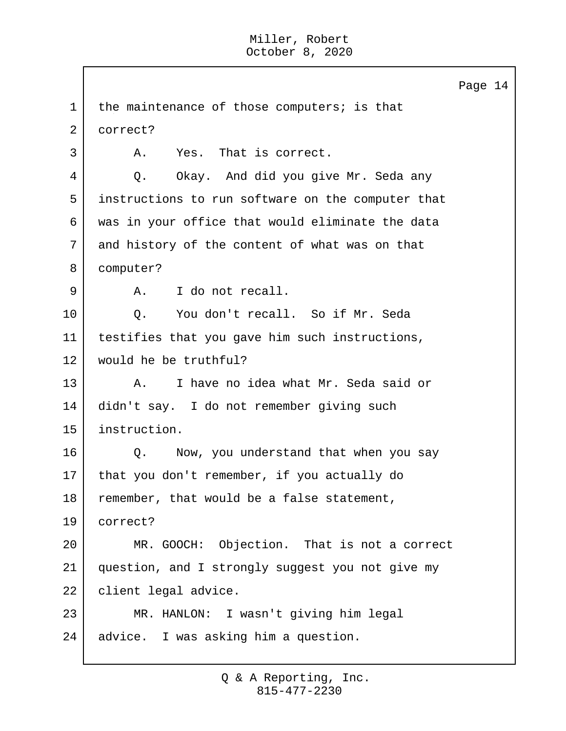Page 14 1 | the maintenance of those computers; is that 2 correct? 3 A. Yes. That is correct. 4 Q. Okay. And did you give Mr. Seda any 5 instructions to run software on the computer that 6 was in your office that would eliminate the data 7 and history of the content of what was on that 8 computer? 9 A. I do not recall. 10 | Q. You don't recall. So if Mr. Seda 11 | testifies that you gave him such instructions, 12 would he be truthful? 13 A. I have no idea what Mr. Seda said or 14 didn't say. I do not remember giving such 15 instruction. 16 | C. Now, you understand that when you say 17 | that you don't remember, if you actually do 18 remember, that would be a false statement, 19 correct? 20 MR. GOOCH: Objection. That is not a correct 21 question, and I strongly suggest you not give my 22 | client legal advice. 23 MR. HANLON: I wasn't giving him legal 24 advice. I was asking him a question.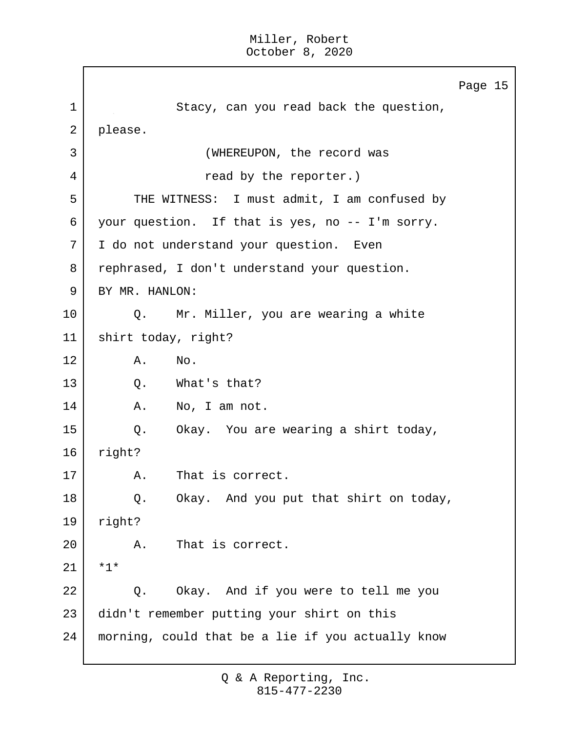Page 15 1 Stacy, can you read back the question, 2 please. 3 (WHEREUPON, the record was 4 a read by the reporter.) 5 THE WITNESS: I must admit, I am confused by 6 your question. If that is yes, no -- I'm sorry. 7 I do not understand your question. Even 8 rephrased, I don't understand your question. 9 BY MR. HANLON: 10 Q. Mr. Miller, you are wearing a white 11 shirt today, right? 12 A. No. 13 O. What's that? 14 | A. No, I am not. 15 Q. Okay. You are wearing a shirt today, 16 right? 17 | A. That is correct. 18 | Q. Okay. And you put that shirt on today, 19 right? 20 A. That is correct.  $21 \times 1*$ 22 Q. Okay. And if you were to tell me you 23 didn't remember putting your shirt on this 24 morning, could that be a lie if you actually know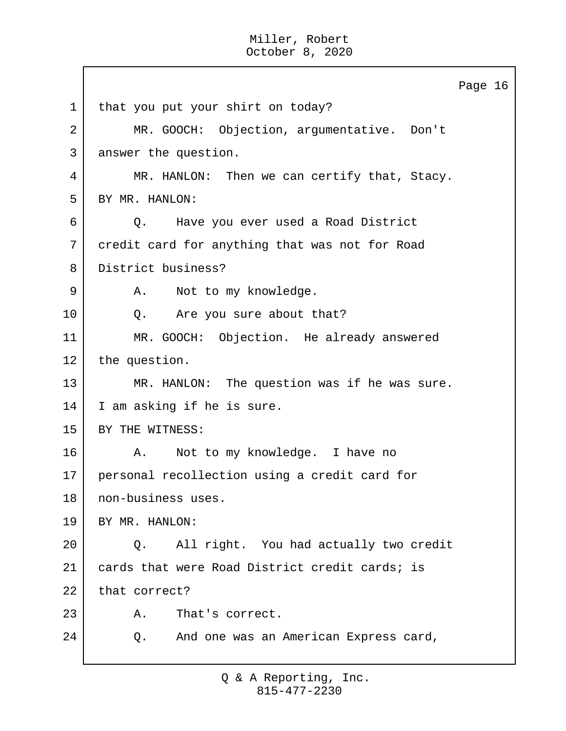Page 16 1 | that you put your shirt on today? 2 MR. GOOCH: Objection, argumentative. Don't 3 answer the question. 4 MR. HANLON: Then we can certify that, Stacy. 5 BY MR. HANLON: 6 Q. Have you ever used a Road District 7 credit card for anything that was not for Road 8 District business? 9 | A. Not to my knowledge. 10 | Q. Are you sure about that? 11 MR. GOOCH: Objection. He already answered 12 the question. 13 MR. HANLON: The question was if he was sure. 14 I am asking if he is sure. 15 BY THE WITNESS: 16 | A. Not to my knowledge. I have no 17 personal recollection using a credit card for 18 non-business uses. 19 BY MR. HANLON: 20 Q. All right. You had actually two credit 21 | cards that were Road District credit cards; is 22 that correct? 23 A. That's correct. 24 Q. And one was an American Express card,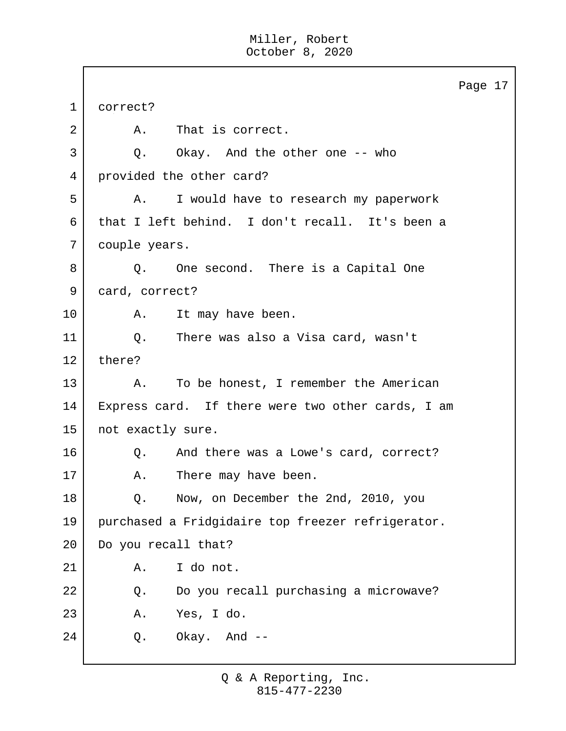|    |                                                   | Page 17 |  |
|----|---------------------------------------------------|---------|--|
| 1  | correct?                                          |         |  |
| 2  | A. That is correct.                               |         |  |
| 3  | Q. Okay. And the other one -- who                 |         |  |
| 4  | provided the other card?                          |         |  |
| 5  | I would have to research my paperwork<br>Α.       |         |  |
| 6  | that I left behind. I don't recall. It's been a   |         |  |
| 7  | couple years.                                     |         |  |
| 8  | Q. One second. There is a Capital One             |         |  |
| 9  | card, correct?                                    |         |  |
| 10 | It may have been.<br>A.                           |         |  |
| 11 | There was also a Visa card, wasn't<br>$Q$ .       |         |  |
| 12 | there?                                            |         |  |
| 13 | To be honest, I remember the American<br>A.       |         |  |
| 14 | Express card. If there were two other cards, I am |         |  |
| 15 | not exactly sure.                                 |         |  |
| 16 | And there was a Lowe's card, correct?<br>Q.       |         |  |
| 17 | There may have been.<br>Α.                        |         |  |
| 18 | Now, on December the 2nd, 2010, you<br>Q.         |         |  |
| 19 | purchased a Fridgidaire top freezer refrigerator. |         |  |
| 20 | Do you recall that?                               |         |  |
| 21 | I do not.<br>Α.                                   |         |  |
| 22 | Do you recall purchasing a microwave?<br>Q.       |         |  |
| 23 | Yes, I do.<br>Α.                                  |         |  |
| 24 | Okay. And --<br>Q.                                |         |  |
|    |                                                   |         |  |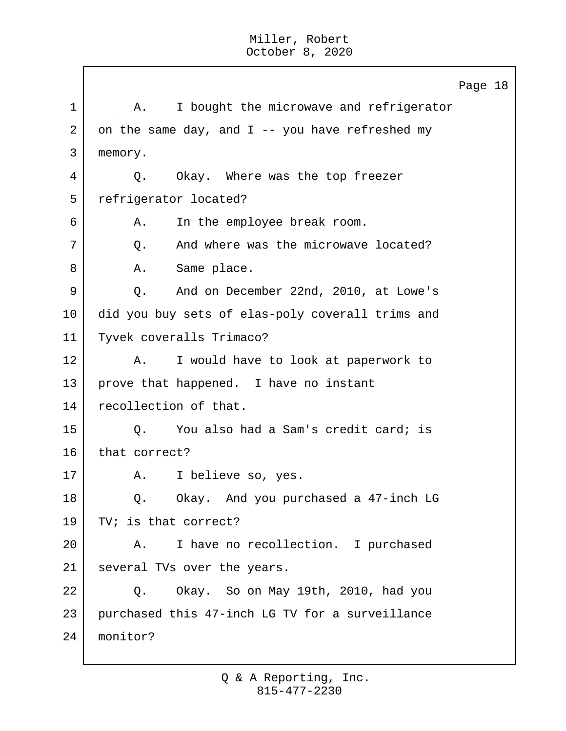Page 18 1 | A. I bought the microwave and refrigerator 2 on the same day, and I -- you have refreshed my 3 memory. 4 Q. Okay. Where was the top freezer 5 refrigerator located? 6 A. In the employee break room. 7 | C. And where was the microwave located? 8 | A. Same place. 9 | Q. And on December 22nd, 2010, at Lowe's 10 did you buy sets of elas-poly coverall trims and 11 Tyvek coveralls Trimaco? 12 | A. I would have to look at paperwork to 13 prove that happened. I have no instant 14 recollection of that. 15 | O. You also had a Sam's credit card; is 16 that correct? 17 | A. I believe so, yes. 18 | O. Okay. And you purchased a 47-inch LG 19 TV; is that correct? 20 A. I have no recollection. I purchased 21 several TVs over the years. 22 Q. Okay. So on May 19th, 2010, had you 23 purchased this 47-inch LG TV for a surveillance 24 monitor?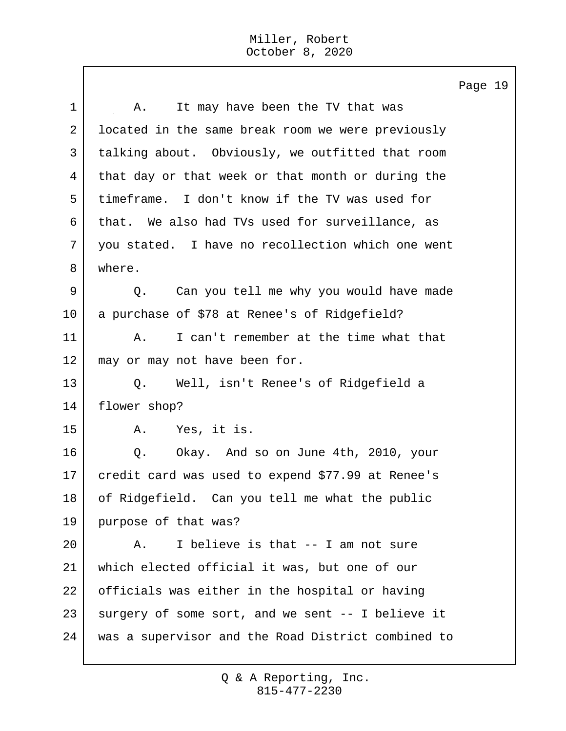Page 19 1 | A. It may have been the TV that was 2 | located in the same break room we were previously 3 talking about. Obviously, we outfitted that room 4 that day or that week or that month or during the 5 timeframe. I don't know if the TV was used for 6 that. We also had TVs used for surveillance, as 7 you stated. I have no recollection which one went 8 where. 9 Q. Can you tell me why you would have made 10 a purchase of \$78 at Renee's of Ridgefield? 11 A. I can't remember at the time what that 12 | may or may not have been for. 13 Q. Well, isn't Renee's of Ridgefield a 14 flower shop? 15 A. Yes, it is. 16 | O. Okay. And so on June 4th, 2010, your 17 credit card was used to expend \$77.99 at Renee's 18 of Ridgefield. Can you tell me what the public 19 purpose of that was? 20  $\vert$  A. I believe is that  $-$  I am not sure 21 which elected official it was, but one of our 22 officials was either in the hospital or having 23 surgery of some sort, and we sent -- I believe it 24 was a supervisor and the Road District combined to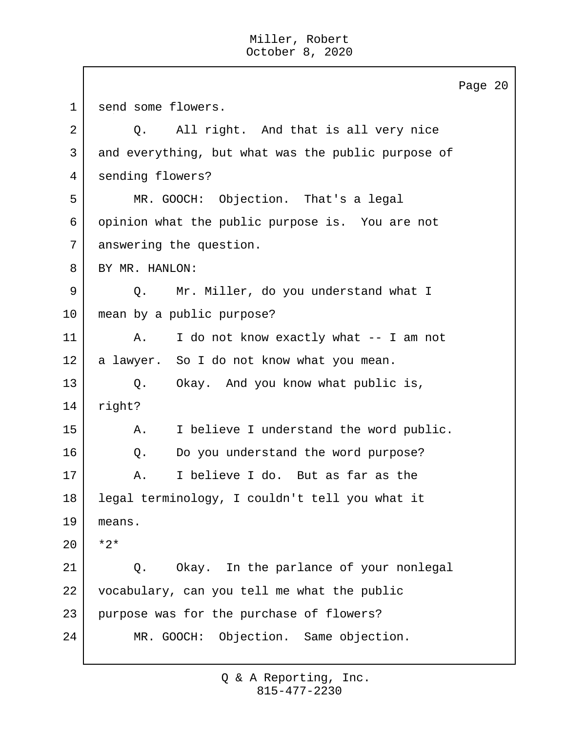Page 20 1 send some flowers. 2 Q. All right. And that is all very nice 3 and everything, but what was the public purpose of 4 sending flowers? 5 MR. GOOCH: Objection. That's a legal 6 opinion what the public purpose is. You are not 7 answering the question. 8 BY MR. HANLON: 9 Q. Mr. Miller, do you understand what I 10 mean by a public purpose? 11 | A. I do not know exactly what -- I am not 12 a lawyer. So I do not know what you mean. 13 Q. Okay. And you know what public is, 14 right? 15 | A. I believe I understand the word public. 16 | O. Do you understand the word purpose? 17 A. I believe I do. But as far as the 18 legal terminology, I couldn't tell you what it 19 means. 20 \*2\* 21 | Q. Okay. In the parlance of your nonlegal 22 vocabulary, can you tell me what the public 23 purpose was for the purchase of flowers? 24 MR. GOOCH: Objection. Same objection.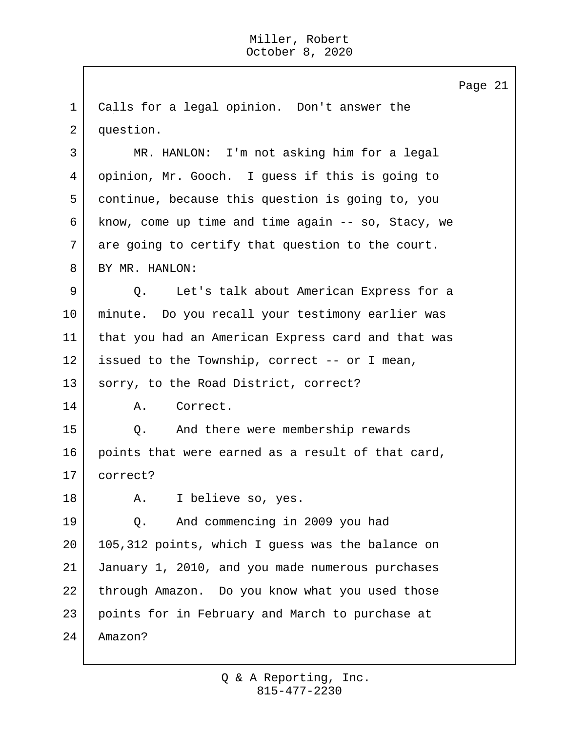1 Calls for a legal opinion. Don't answer the 2 question. 3 MR. HANLON: I'm not asking him for a legal 4 opinion, Mr. Gooch. I guess if this is going to 5 continue, because this question is going to, you 6 know, come up time and time again -- so, Stacy, we 7 are going to certify that question to the court. 8 BY MR. HANLON: 9 Q. Let's talk about American Express for a 10 minute. Do you recall your testimony earlier was 11 that you had an American Express card and that was 12 issued to the Township, correct -- or I mean, 13 | sorry, to the Road District, correct? 14 A. Correct. 15 Q. And there were membership rewards 16 points that were earned as a result of that card, 17 correct? 18 R. I believe so, yes. 19 Q. And commencing in 2009 you had 20 | 105,312 points, which I guess was the balance on 21 January 1, 2010, and you made numerous purchases 22 through Amazon. Do you know what you used those 23 points for in February and March to purchase at 24 Amazon?

Page 21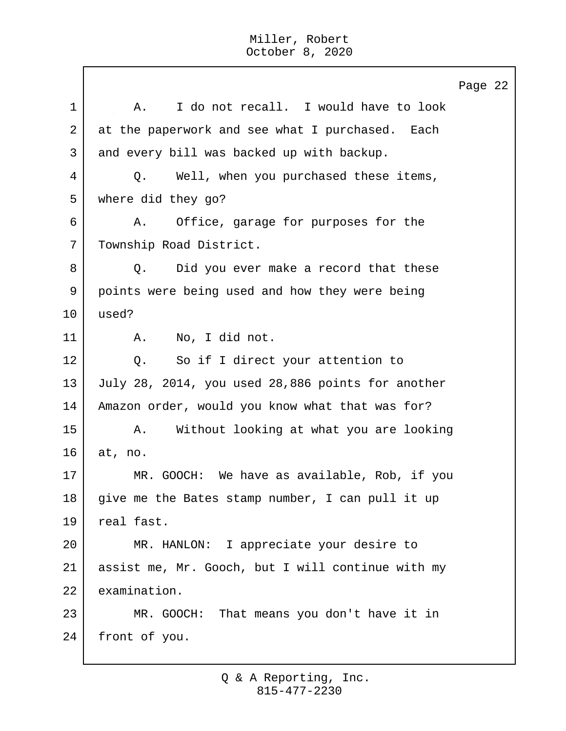Page 22 1 | A. I do not recall. I would have to look 2 at the paperwork and see what I purchased. Each 3 and every bill was backed up with backup. 4 Q. Well, when you purchased these items, 5 where did they go? 6 A. Office, garage for purposes for the 7 | Township Road District. 8 Q. Did you ever make a record that these 9 points were being used and how they were being 10 used? 11 | A. No, I did not. 12 | Q. So if I direct your attention to 13 July 28, 2014, you used 28,886 points for another 14 Amazon order, would you know what that was for? 15 | A. Without looking at what you are looking 16 at, no. 17 MR. GOOCH: We have as available, Rob, if you  $18$  give me the Bates stamp number, I can pull it up 19 | real fast. 20 MR. HANLON: I appreciate your desire to 21 assist me, Mr. Gooch, but I will continue with my 22 examination. 23 MR. GOOCH: That means you don't have it in 24 front of you.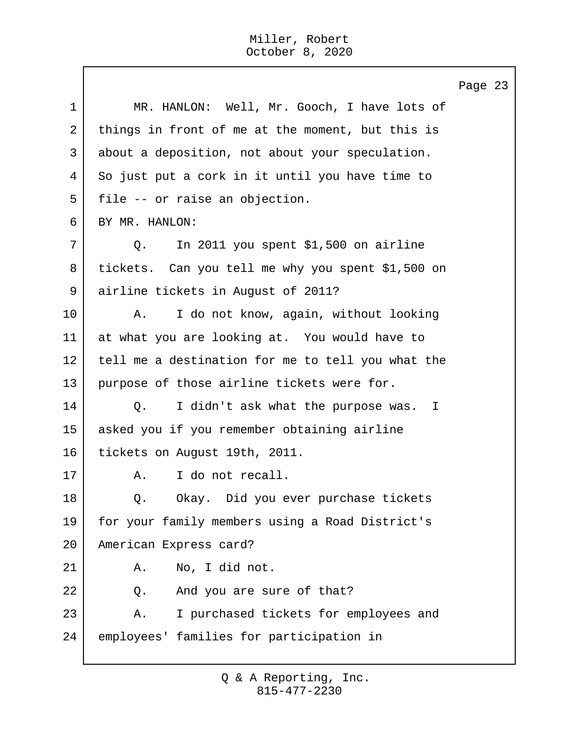Page 23 1 | MR. HANLON: Well, Mr. Gooch, I have lots of 2 things in front of me at the moment, but this is 3 about a deposition, not about your speculation. 4 So just put a cork in it until you have time to 5 file -- or raise an objection. 6 BY MR. HANLON: 7 Q. In 2011 you spent \$1,500 on airline 8 tickets. Can you tell me why you spent \$1,500 on 9 airline tickets in August of 2011? 10 | A. I do not know, again, without looking 11 at what you are looking at. You would have to 12 tell me a destination for me to tell you what the 13 purpose of those airline tickets were for. 14 | Q. I didn't ask what the purpose was. I 15 asked you if you remember obtaining airline 16 tickets on August 19th, 2011. 17 A. I do not recall. 18 | O. Okay. Did you ever purchase tickets 19 for your family members using a Road District's 20 American Express card? 21 | A. No, I did not. 22 | C. And you are sure of that? 23 A. I purchased tickets for employees and 24 employees' families for participation in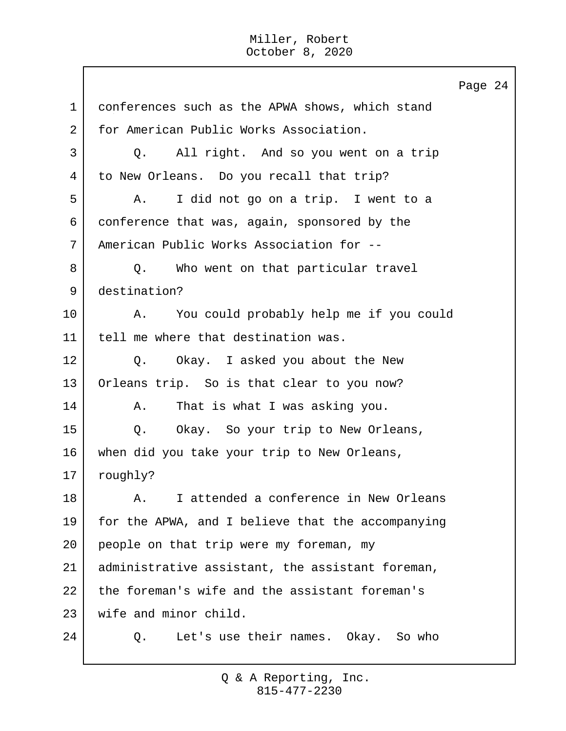Page 24 1 conferences such as the APWA shows, which stand 2 for American Public Works Association. 3 Q. All right. And so you went on a trip 4 to New Orleans. Do you recall that trip? 5 A. I did not go on a trip. I went to a 6 conference that was, again, sponsored by the 7 American Public Works Association for -- 8 Q. Who went on that particular travel 9 destination? 10 | A. You could probably help me if you could 11 tell me where that destination was. 12 | O. Okay. I asked you about the New 13 Orleans trip. So is that clear to you now? 14 | A. That is what I was asking you. 15 | Q. Okay. So your trip to New Orleans, 16 when did you take your trip to New Orleans, 17 | roughly? 18 A. I attended a conference in New Orleans 19 for the APWA, and I believe that the accompanying 20 people on that trip were my foreman, my 21 administrative assistant, the assistant foreman, 22 the foreman's wife and the assistant foreman's 23 Wife and minor child. 24 O. Let's use their names. Okay. So who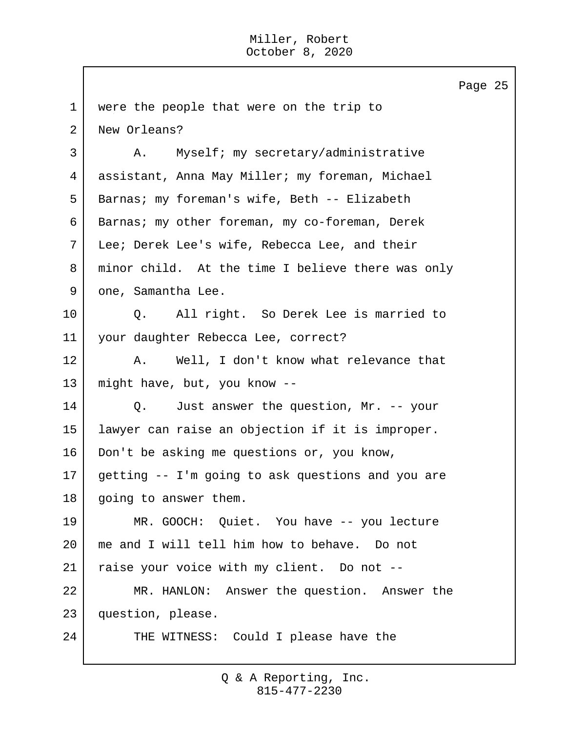|             | Page 25                                           |
|-------------|---------------------------------------------------|
| $\mathbf 1$ | were the people that were on the trip to          |
| 2           | New Orleans?                                      |
| 3           | Myself; my secretary/administrative<br>Α.         |
| 4           | assistant, Anna May Miller; my foreman, Michael   |
| 5           | Barnas; my foreman's wife, Beth -- Elizabeth      |
| 6           | Barnas; my other foreman, my co-foreman, Derek    |
| 7           | Lee; Derek Lee's wife, Rebecca Lee, and their     |
| 8           | minor child. At the time I believe there was only |
| 9           | one, Samantha Lee.                                |
| 10          | Q. All right. So Derek Lee is married to          |
| 11          | your daughter Rebecca Lee, correct?               |
| 12          | Well, I don't know what relevance that<br>A.      |
| 13          | might have, but, you know --                      |
| 14          | Just answer the question, Mr. -- your<br>Q.       |
| 15          | lawyer can raise an objection if it is improper.  |
| 16          | Don't be asking me questions or, you know,        |
| 17          | getting -- I'm going to ask questions and you are |
| 18          | going to answer them.                             |
| 19          | MR. GOOCH: Quiet. You have -- you lecture         |
| 20          | me and I will tell him how to behave. Do not      |
| 21          | raise your voice with my client. Do not --        |
| 22          | MR. HANLON: Answer the question. Answer the       |
| 23          | question, please.                                 |
| 24          | THE WITNESS: Could I please have the              |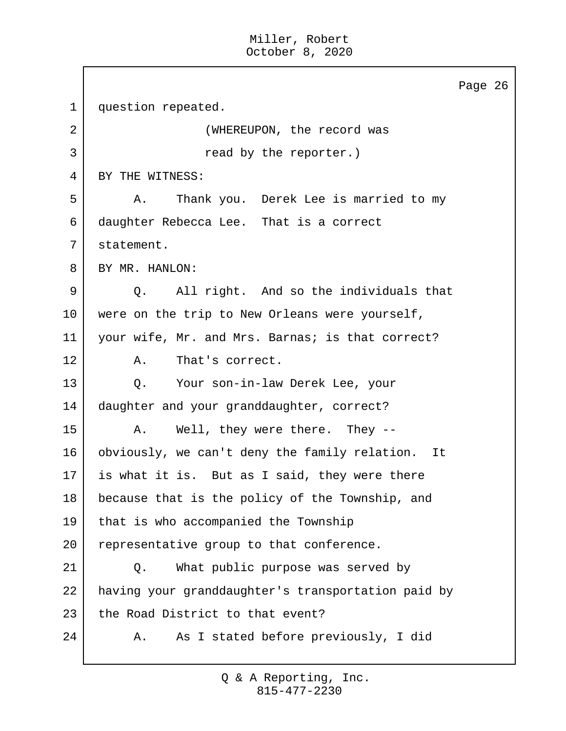Page 26 1 | question repeated. 2 WHEREUPON, the record was 3 a sead by the reporter.) 4 BY THE WITNESS: 5 A. Thank you. Derek Lee is married to my 6 daughter Rebecca Lee. That is a correct 7 statement. 8 BY MR. HANLON: 9 | O. All right. And so the individuals that 10 | were on the trip to New Orleans were yourself, 11 your wife, Mr. and Mrs. Barnas; is that correct? 12 A. That's correct. 13 | O. Your son-in-law Derek Lee, your 14 | daughter and your granddaughter, correct? 15 A. Well, they were there. They --16 obviously, we can't deny the family relation. It 17 is what it is. But as I said, they were there 18 because that is the policy of the Township, and 19 that is who accompanied the Township 20 representative group to that conference. 21 Q. What public purpose was served by 22 having your granddaughter's transportation paid by 23 the Road District to that event? 24 A. As I stated before previously, I did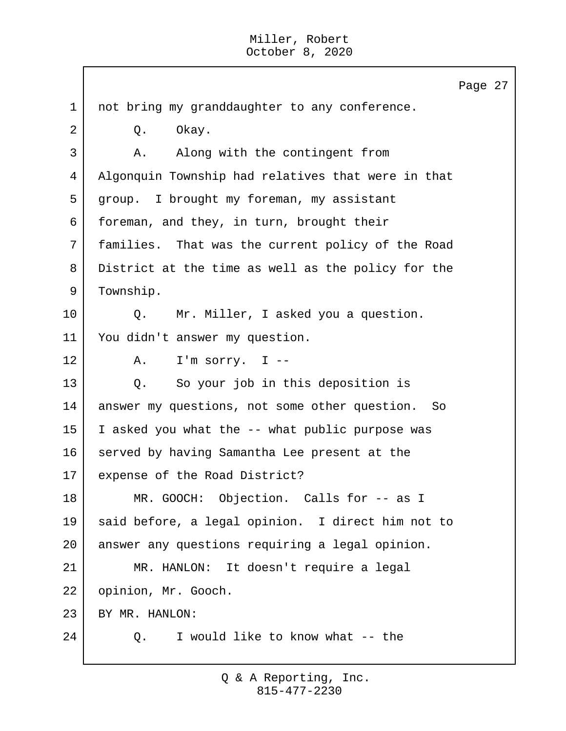|             | Page 27                                             |
|-------------|-----------------------------------------------------|
| $\mathbf 1$ | not bring my granddaughter to any conference.       |
| 2           | Okay.<br>Q.                                         |
| 3           | Along with the contingent from<br>Α.                |
| 4           | Algonquin Township had relatives that were in that  |
| 5           | group. I brought my foreman, my assistant           |
| 6           | foreman, and they, in turn, brought their           |
| 7           | families. That was the current policy of the Road   |
| 8           | District at the time as well as the policy for the  |
| 9           | Township.                                           |
| 10          | Mr. Miller, I asked you a question.<br>Q.           |
| 11          | You didn't answer my question.                      |
| 12          | I'm sorry. I $-$<br>A.                              |
| 13          | So your job in this deposition is<br>Q.             |
| 14          | answer my questions, not some other question.<br>So |
| 15          | I asked you what the -- what public purpose was     |
| 16          | served by having Samantha Lee present at the        |
| 17          | expense of the Road District?                       |
| 18          | MR. GOOCH: Objection. Calls for -- as I             |
| 19          | said before, a legal opinion. I direct him not to   |
| 20          | answer any questions requiring a legal opinion.     |
| 21          | MR. HANLON: It doesn't require a legal              |
| 22          | opinion, Mr. Gooch.                                 |
| 23          | BY MR. HANLON:                                      |
| 24          | I would like to know what -- the<br>Q.              |
|             |                                                     |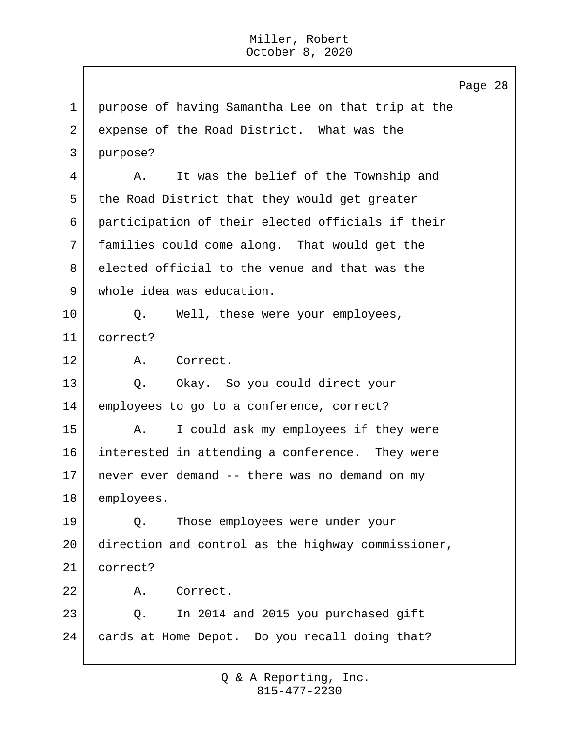Page 28 1 purpose of having Samantha Lee on that trip at the 2 expense of the Road District. What was the 3 purpose? 4 | A. It was the belief of the Township and 5 the Road District that they would get greater 6 participation of their elected officials if their 7 families could come along. That would get the 8 elected official to the venue and that was the 9 whole idea was education. 10 | Q. Well, these were your employees, 11 correct? 12 A. Correct. 13 Q. Okay. So you could direct your 14 employees to go to a conference, correct? 15 | A. I could ask my employees if they were 16 interested in attending a conference. They were 17 never ever demand -- there was no demand on my 18 employees. 19 Q. Those employees were under your 20 direction and control as the highway commissioner, 21 correct? 22 A. Correct. 23 Q. In 2014 and 2015 you purchased gift 24 cards at Home Depot. Do you recall doing that?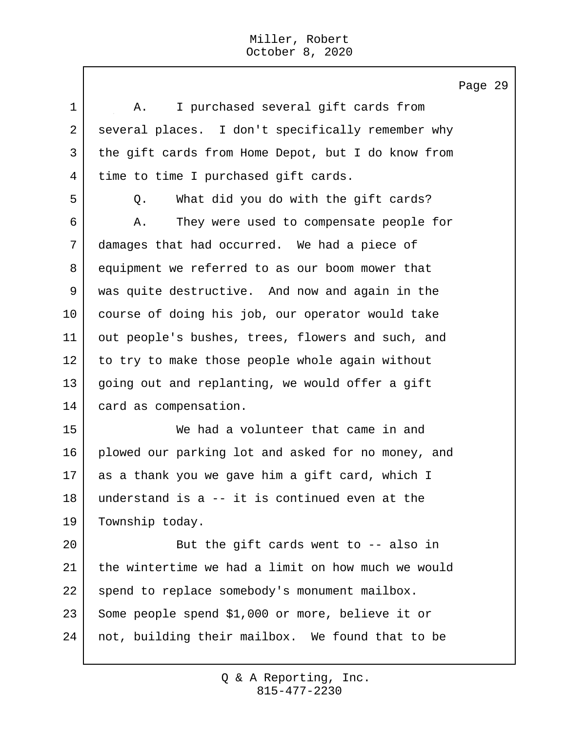1 | A. I purchased several gift cards from 2 several places. I don't specifically remember why 3 the gift cards from Home Depot, but I do know from 4 time to time I purchased gift cards. 5 | C. What did you do with the gift cards? 6 A. They were used to compensate people for 7 damages that had occurred. We had a piece of 8 equipment we referred to as our boom mower that 9 was quite destructive. And now and again in the 10 course of doing his job, our operator would take 11 | out people's bushes, trees, flowers and such, and 12 to try to make those people whole again without 13 going out and replanting, we would offer a gift 14 card as compensation. 15 We had a volunteer that came in and 16 plowed our parking lot and asked for no money, and 17 as a thank you we gave him a gift card, which I 18 understand is a -- it is continued even at the 19 Township today. 20 But the gift cards went to -- also in 21 the wintertime we had a limit on how much we would 22 spend to replace somebody's monument mailbox. 23 Some people spend \$1,000 or more, believe it or 24 not, building their mailbox. We found that to be

Page 29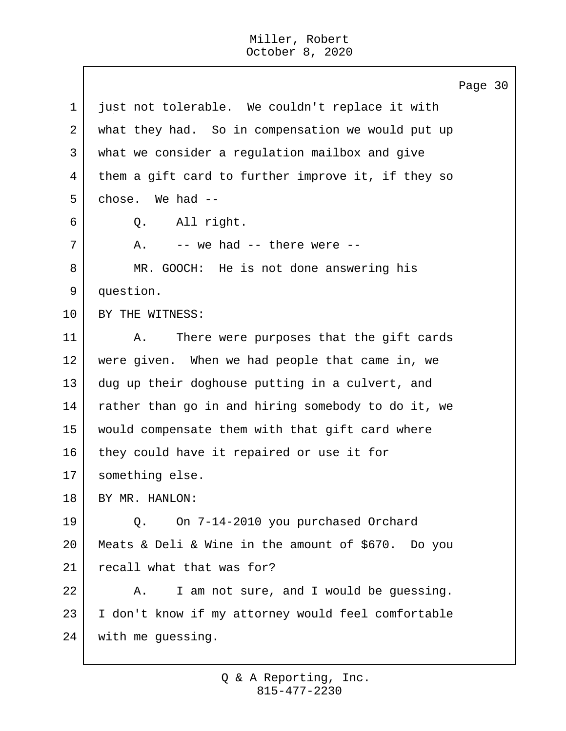$\mathbf{I}$ 

|             | Page 30                                            |
|-------------|----------------------------------------------------|
| $\mathbf 1$ | just not tolerable. We couldn't replace it with    |
| 2           | what they had. So in compensation we would put up  |
| 3           | what we consider a regulation mailbox and give     |
| 4           | them a gift card to further improve it, if they so |
| 5           | chose. We had --                                   |
| 6           | Q. All right.                                      |
| 7           | $--$ we had $--$ there were $--$<br>A.             |
| 8           | MR. GOOCH: He is not done answering his            |
| 9           | question.                                          |
| 10          | BY THE WITNESS:                                    |
| 11          | There were purposes that the gift cards<br>Α.      |
| 12          | were given. When we had people that came in, we    |
| 13          | dug up their doghouse putting in a culvert, and    |
| 14          | rather than go in and hiring somebody to do it, we |
| 15          | would compensate them with that gift card where    |
| 16          | they could have it repaired or use it for          |
| 17          | something else.                                    |
| 18          | BY MR. HANLON:                                     |
| 19          | On 7-14-2010 you purchased Orchard<br>Q.           |
| 20          | Meats & Deli & Wine in the amount of \$670. Do you |
| 21          | recall what that was for?                          |
| 22          | I am not sure, and I would be guessing.<br>Α.      |
| 23          | I don't know if my attorney would feel comfortable |
| 24          | with me guessing.                                  |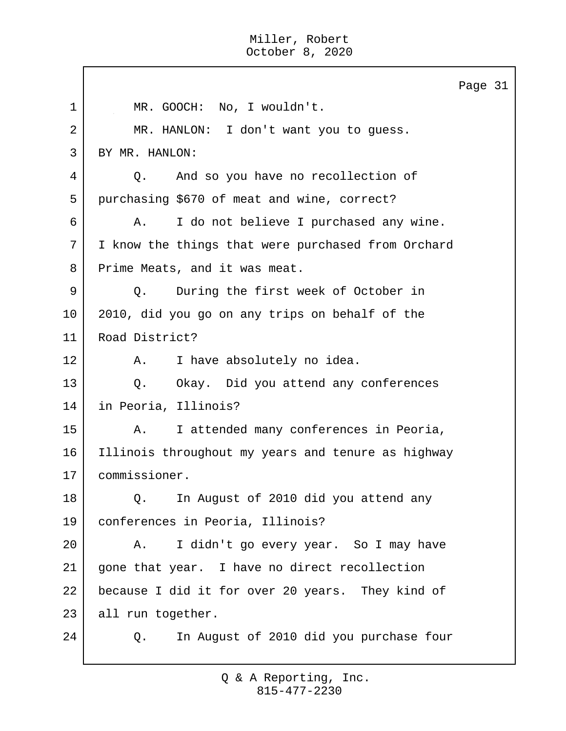|    | Page 31                                            |
|----|----------------------------------------------------|
| 1  | MR. GOOCH: No, I wouldn't.                         |
| 2  | MR. HANLON: I don't want you to guess.             |
| 3  | BY MR. HANLON:                                     |
| 4  | And so you have no recollection of<br>Q.           |
| 5  | purchasing \$670 of meat and wine, correct?        |
| 6  | I do not believe I purchased any wine.<br>Α.       |
| 7  | I know the things that were purchased from Orchard |
| 8  | Prime Meats, and it was meat.                      |
| 9  | During the first week of October in<br>Q.          |
| 10 | 2010, did you go on any trips on behalf of the     |
| 11 | Road District?                                     |
| 12 | I have absolutely no idea.<br>Α.                   |
| 13 | Okay. Did you attend any conferences<br>$Q$ .      |
| 14 | in Peoria, Illinois?                               |
| 15 | I attended many conferences in Peoria,<br>Α.       |
| 16 | Illinois throughout my years and tenure as highway |
| 17 | commissioner.                                      |
| 18 | In August of 2010 did you attend any<br>Q.         |
| 19 | conferences in Peoria, Illinois?                   |
| 20 | I didn't go every year. So I may have<br>Α.        |
| 21 | gone that year. I have no direct recollection      |
| 22 | because I did it for over 20 years. They kind of   |
| 23 | all run together.                                  |
| 24 | In August of 2010 did you purchase four<br>Q.      |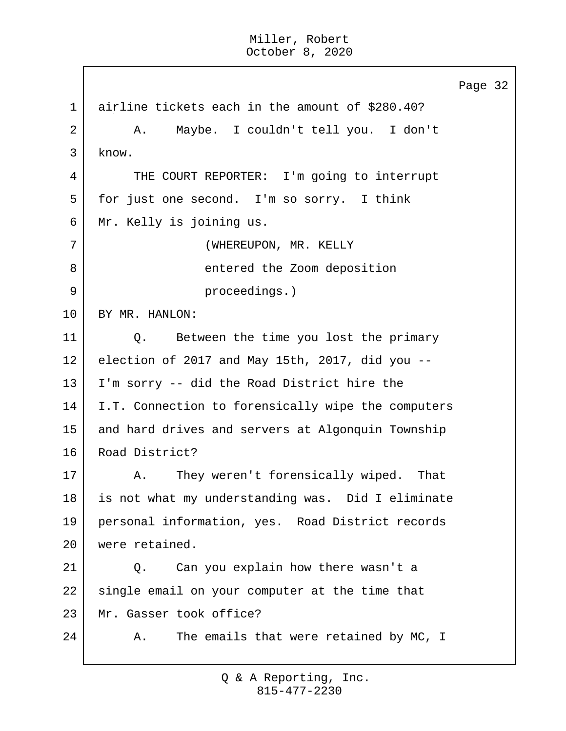Page 32 1 airline tickets each in the amount of \$280.40? 2 A. Maybe. I couldn't tell you. I don't 3 know. 4 THE COURT REPORTER: I'm going to interrupt 5 for just one second. I'm so sorry. I think 6 Mr. Kelly is joining us. 7 | (WHEREUPON, MR. KELLY 8 a separator of the Zoom deposition 9 proceedings.) 10 BY MR. HANLON: 11 |  $\qquad$  O. Between the time you lost the primary 12 election of 2017 and May 15th, 2017, did you -- 13 I'm sorry -- did the Road District hire the 14 I.T. Connection to forensically wipe the computers 15 and hard drives and servers at Algonquin Township 16 Road District? 17 | A. They weren't forensically wiped. That 18 is not what my understanding was. Did I eliminate 19 personal information, yes. Road District records 20 were retained. 21 Q. Can you explain how there wasn't a 22 single email on your computer at the time that 23 Mr. Gasser took office? 24 A. The emails that were retained by MC, I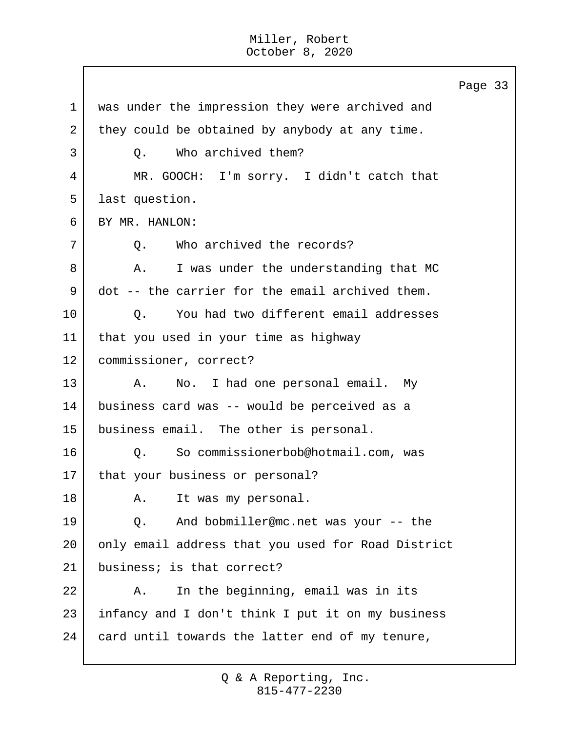Page 33 1 was under the impression they were archived and 2 they could be obtained by anybody at any time. 3 | O. Who archived them? 4 MR. GOOCH: I'm sorry. I didn't catch that 5 last question. 6 BY MR. HANLON: 7 | O. Who archived the records? 8 A. I was under the understanding that MC 9 dot -- the carrier for the email archived them. 10 | Q. You had two different email addresses 11 that you used in your time as highway 12 | commissioner, correct? 13 A. No. I had one personal email. My 14 business card was -- would be perceived as a 15 business email. The other is personal. 16 | O. So commissionerbob@hotmail.com, was 17 | that your business or personal? 18 A. It was my personal. 19 Q. And bobmiller@mc.net was your -- the 20 only email address that you used for Road District 21 business; is that correct? 22 A. In the beginning, email was in its 23 | infancy and I don't think I put it on my business 24 card until towards the latter end of my tenure,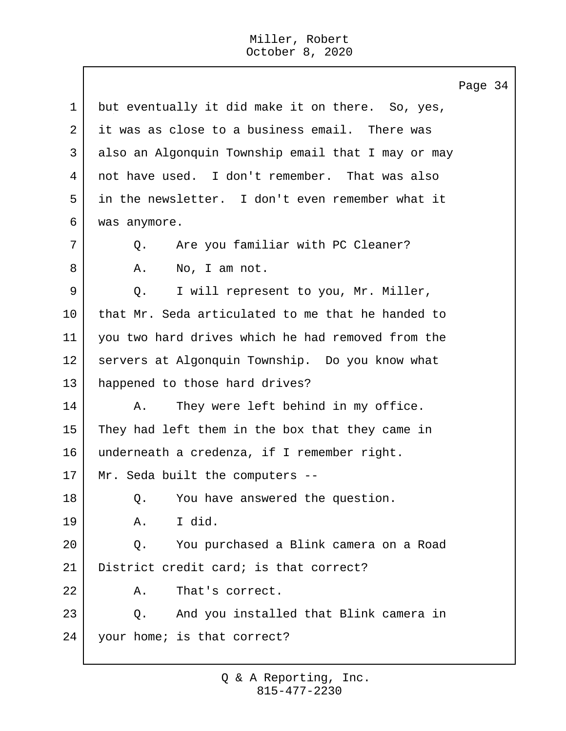$\mathbf{I}$ 

|             | Page 34                                            |  |
|-------------|----------------------------------------------------|--|
| $\mathbf 1$ | but eventually it did make it on there. So, yes,   |  |
| 2           | it was as close to a business email. There was     |  |
| 3           | also an Algonquin Township email that I may or may |  |
| 4           | not have used. I don't remember. That was also     |  |
| 5           | in the newsletter. I don't even remember what it   |  |
| 6           | was anymore.                                       |  |
| 7           | Are you familiar with PC Cleaner?<br>Q.            |  |
| 8           | Α.<br>No, I am not.                                |  |
| 9           | I will represent to you, Mr. Miller,<br>Q.         |  |
| 10          | that Mr. Seda articulated to me that he handed to  |  |
| 11          | you two hard drives which he had removed from the  |  |
| 12          | servers at Algonquin Township. Do you know what    |  |
| 13          | happened to those hard drives?                     |  |
| 14          | They were left behind in my office.<br>Α.          |  |
| 15          | They had left them in the box that they came in    |  |
| 16          | underneath a credenza, if I remember right.        |  |
| 17          | Mr. Seda built the computers --                    |  |
| 18          | You have answered the question.<br>Q.              |  |
| 19          | I did.<br>Α.                                       |  |
| 20          | You purchased a Blink camera on a Road<br>Q.       |  |
| 21          | District credit card; is that correct?             |  |
| 22          | That's correct.<br>Α.                              |  |
| 23          | And you installed that Blink camera in<br>Q.       |  |
| 24          | your home; is that correct?                        |  |
|             |                                                    |  |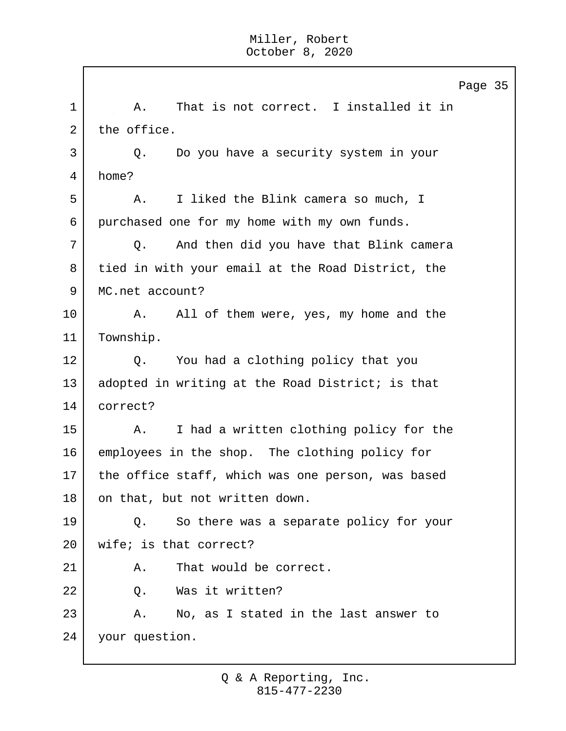Page 35 1 | A. That is not correct. I installed it in 2 the office. 3 Q. Do you have a security system in your 4 home? 5 A. I liked the Blink camera so much, I 6 purchased one for my home with my own funds. 7 Q. And then did you have that Blink camera 8 tied in with your email at the Road District, the 9 MC.net account? 10 A. All of them were, yes, my home and the 11 | Township. 12 | Q. You had a clothing policy that you 13 adopted in writing at the Road District; is that 14 correct? 15 | A. I had a written clothing policy for the 16 employees in the shop. The clothing policy for 17 the office staff, which was one person, was based 18 on that, but not written down. 19 Q. So there was a separate policy for your 20 wife; is that correct? 21 A. That would be correct. 22 Q. Was it written? 23 A. No, as I stated in the last answer to 24 your question.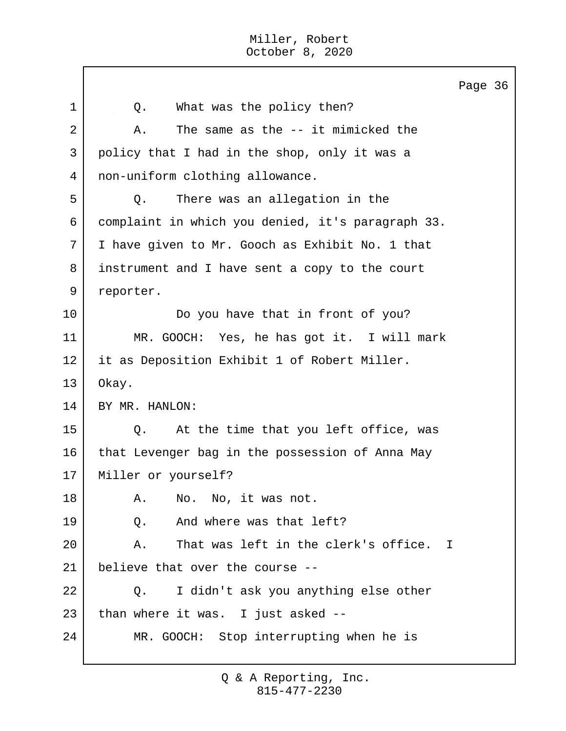Page 36 1 | 0. What was the policy then? 2 A. The same as the -- it mimicked the 3 policy that I had in the shop, only it was a 4 non-uniform clothing allowance. 5 Q. There was an allegation in the 6 complaint in which you denied, it's paragraph 33. 7 I have given to Mr. Gooch as Exhibit No. 1 that 8 instrument and I have sent a copy to the court 9 reporter. 10 Do you have that in front of you? 11 MR. GOOCH: Yes, he has got it. I will mark 12 it as Deposition Exhibit 1 of Robert Miller. 13 Okay. 14 BY MR. HANLON: 15 | Q. At the time that you left office, was 16 that Levenger bag in the possession of Anna May 17 Miller or yourself? 18 A. No. No, it was not. 19 O. And where was that left? 20 A. That was left in the clerk's office. I 21 believe that over the course -- 22 Q. I didn't ask you anything else other  $23$  than where it was. I just asked  $-$ 24 MR. GOOCH: Stop interrupting when he is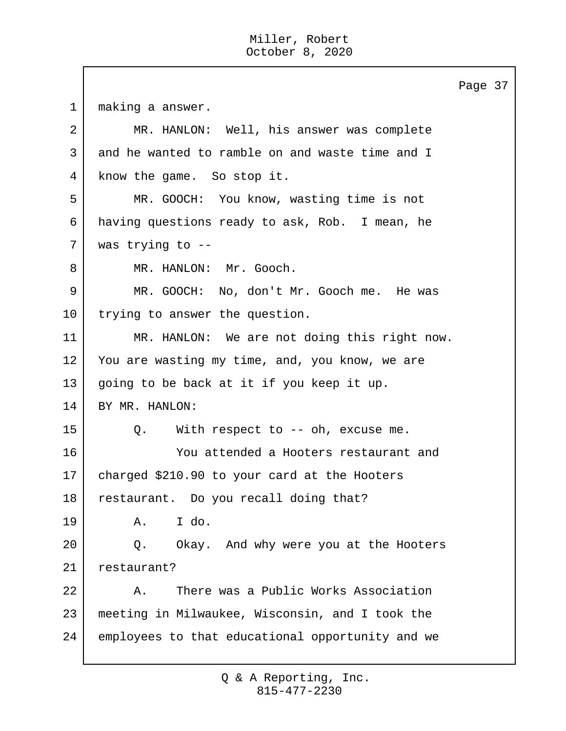Page 37 1 making a answer. 2 MR. HANLON: Well, his answer was complete 3 and he wanted to ramble on and waste time and I 4 know the game. So stop it. 5 MR. GOOCH: You know, wasting time is not 6 having questions ready to ask, Rob. I mean, he 7 was trying to -- 8 | MR. HANLON: Mr. Gooch. 9 MR. GOOCH: No, don't Mr. Gooch me. He was 10 trying to answer the question. 11 MR. HANLON: We are not doing this right now. 12 You are wasting my time, and, you know, we are 13 going to be back at it if you keep it up. 14 BY MR. HANLON: 15 | Q. With respect to -- oh, excuse me. 16 You attended a Hooters restaurant and 17 charged \$210.90 to your card at the Hooters 18 restaurant. Do you recall doing that? 19 A. I do. 20 Q. Okay. And why were you at the Hooters 21 restaurant? 22 A. There was a Public Works Association 23 meeting in Milwaukee, Wisconsin, and I took the 24 employees to that educational opportunity and we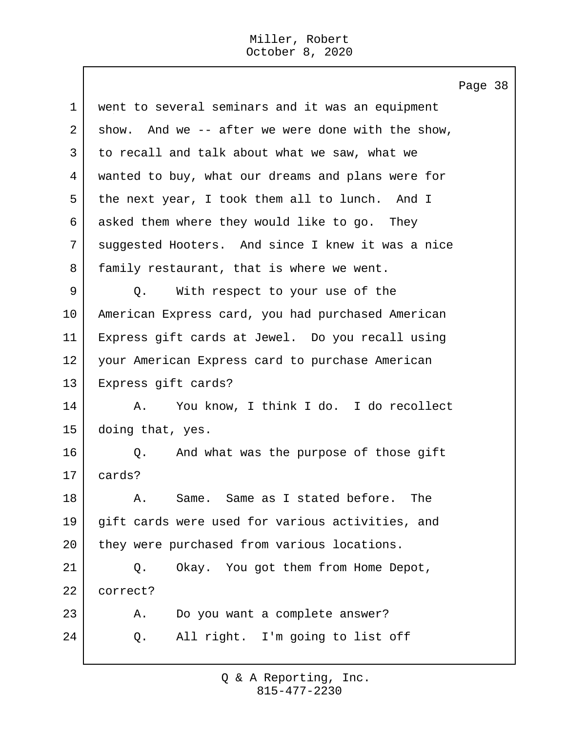Page 38 1 went to several seminars and it was an equipment 2 show. And we  $-$  after we were done with the show, 3 to recall and talk about what we saw, what we 4 wanted to buy, what our dreams and plans were for 5 the next year, I took them all to lunch. And I 6 asked them where they would like to go. They 7 suggested Hooters. And since I knew it was a nice 8 | family restaurant, that is where we went. 9 Q. With respect to your use of the 10 American Express card, you had purchased American 11 Express gift cards at Jewel. Do you recall using 12 your American Express card to purchase American 13 Express gift cards? 14 | A. You know, I think I do. I do recollect 15 doing that, yes. 16 | O. And what was the purpose of those gift 17 cards? 18 A. Same. Same as I stated before. The 19 gift cards were used for various activities, and 20 they were purchased from various locations. 21 Q. Okay. You got them from Home Depot, 22 correct? 23 A. Do you want a complete answer? 24 Q. All right. I'm going to list off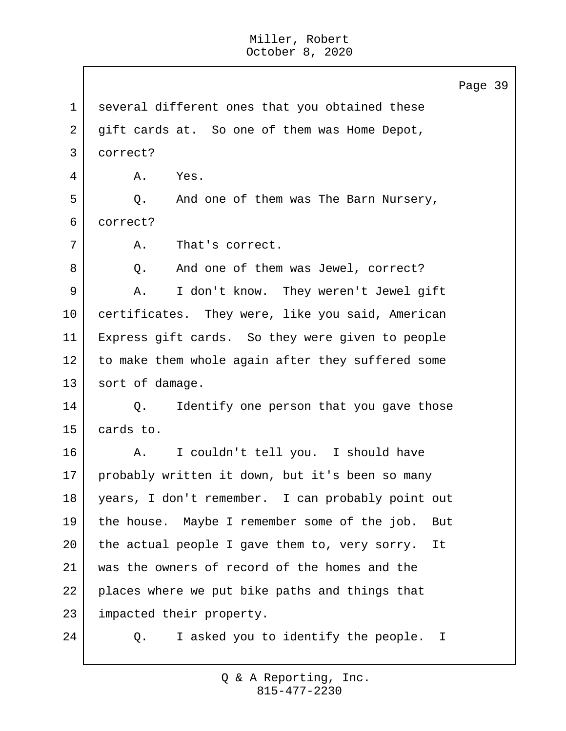Page 39 1 several different ones that you obtained these 2 gift cards at. So one of them was Home Depot, 3 correct? 4 A. Yes. 5 Q. And one of them was The Barn Nursery, 6 correct? 7 | A. That's correct. 8 Q. And one of them was Jewel, correct? 9 | A. I don't know. They weren't Jewel gift 10 certificates. They were, like you said, American 11 Express gift cards. So they were given to people 12 to make them whole again after they suffered some 13 sort of damage. 14 Q. Identify one person that you gave those 15 cards to. 16 A. I couldn't tell you. I should have 17 probably written it down, but it's been so many 18 years, I don't remember. I can probably point out 19 the house. Maybe I remember some of the job. But 20 the actual people I gave them to, very sorry. It 21 was the owners of record of the homes and the 22 places where we put bike paths and things that 23 impacted their property. 24 Q. I asked you to identify the people. I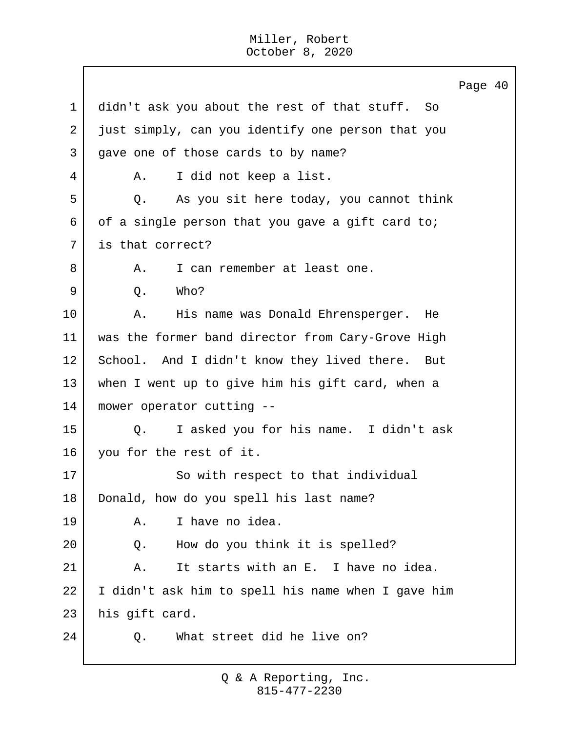Page 40 1 didn't ask you about the rest of that stuff. So 2 just simply, can you identify one person that you 3 gave one of those cards to by name? 4 | A. I did not keep a list. 5 Q. As you sit here today, you cannot think 6 of a single person that you gave a gift card to; 7 is that correct? 8 A. I can remember at least one.  $9 \mid 0.$  Who? 10 | A. His name was Donald Ehrensperger. He 11 was the former band director from Cary-Grove High 12 School. And I didn't know they lived there. But 13 when I went up to give him his gift card, when a 14 mower operator cutting -- 15 Q. I asked you for his name. I didn't ask 16 you for the rest of it. 17 So with respect to that individual 18 Donald, how do you spell his last name? 19 A. I have no idea. 20 Q. How do you think it is spelled? 21 | A. It starts with an E. I have no idea. 22 I didn't ask him to spell his name when I gave him 23 his gift card. 24 | O. What street did he live on?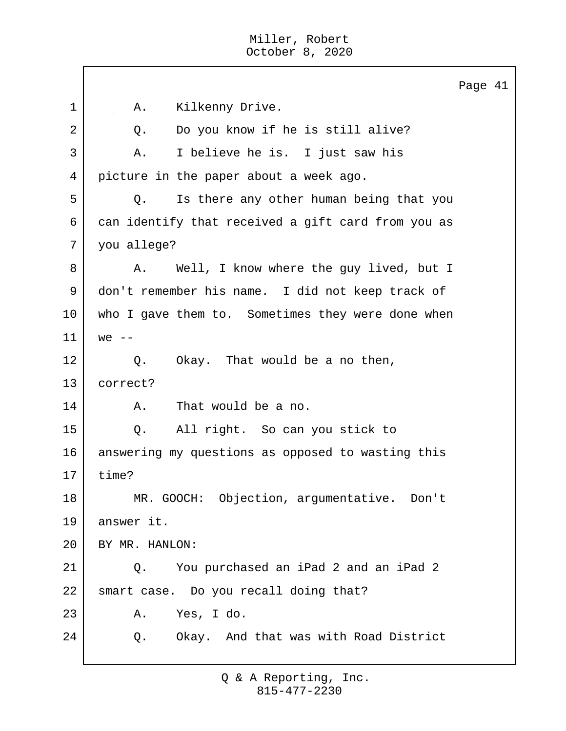|             |                                                    | Page 41 |  |
|-------------|----------------------------------------------------|---------|--|
| $\mathbf 1$ | Kilkenny Drive.<br>Α.                              |         |  |
| 2           | Do you know if he is still alive?<br>Q.            |         |  |
| 3           | I believe he is. I just saw his<br>Α.              |         |  |
| 4           | picture in the paper about a week ago.             |         |  |
| 5           | Is there any other human being that you<br>Q.      |         |  |
| 6           | can identify that received a gift card from you as |         |  |
| 7           | you allege?                                        |         |  |
| 8           | Well, I know where the guy lived, but I<br>Α.      |         |  |
| 9           | don't remember his name. I did not keep track of   |         |  |
| 10          | who I gave them to. Sometimes they were done when  |         |  |
| 11          | $we$ --                                            |         |  |
| 12          | Okay. That would be a no then,<br>Q.               |         |  |
| 13          | correct?                                           |         |  |
| 14          | That would be a no.<br>Α.                          |         |  |
| 15          | All right. So can you stick to<br>Q.               |         |  |
| 16          | answering my questions as opposed to wasting this  |         |  |
| 17          | time?                                              |         |  |
| 18          | MR. GOOCH: Objection, argumentative. Don't         |         |  |
| 19          | answer it.                                         |         |  |
| 20          | BY MR. HANLON:                                     |         |  |
| 21          | You purchased an iPad 2 and an iPad 2<br>Q.        |         |  |
| 22          | smart case. Do you recall doing that?              |         |  |
| 23          | A. Yes, I do.                                      |         |  |
| 24          | Q. Okay. And that was with Road District           |         |  |
|             |                                                    |         |  |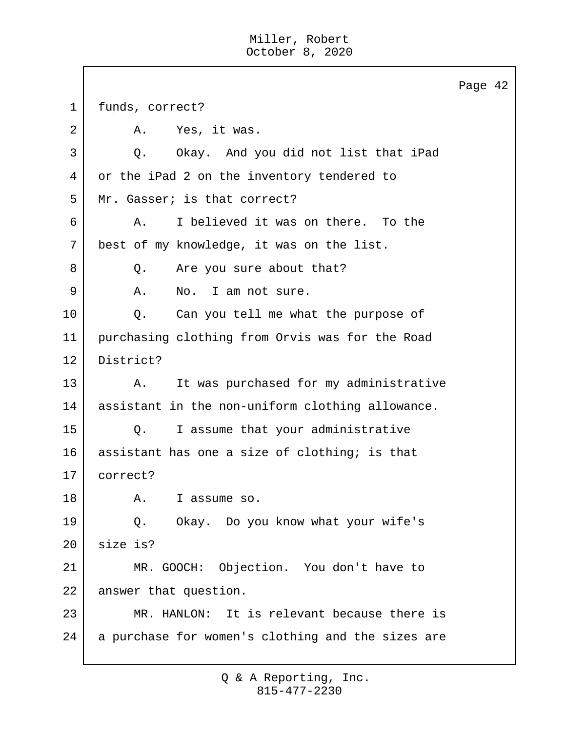$\Gamma$ 

|             |                                                   | Page 42 |  |
|-------------|---------------------------------------------------|---------|--|
| $\mathbf 1$ | funds, correct?                                   |         |  |
| 2           | Yes, it was.<br>Α.                                |         |  |
| 3           | Okay. And you did not list that iPad<br>Q.        |         |  |
| 4           | or the iPad 2 on the inventory tendered to        |         |  |
| 5           | Mr. Gasser; is that correct?                      |         |  |
| 6           | I believed it was on there. To the<br>Α.          |         |  |
| 7           | best of my knowledge, it was on the list.         |         |  |
| 8           | Are you sure about that?<br>Q.                    |         |  |
| 9           | Α.<br>No. I am not sure.                          |         |  |
| 10          | Can you tell me what the purpose of<br>Q.         |         |  |
| 11          | purchasing clothing from Orvis was for the Road   |         |  |
| 12          | District?                                         |         |  |
| 13          | It was purchased for my administrative<br>Α.      |         |  |
| 14          | assistant in the non-uniform clothing allowance.  |         |  |
| 15          | I assume that your administrative<br>Q.           |         |  |
| 16          | assistant has one a size of clothing; is that     |         |  |
| 17          | correct?                                          |         |  |
| 18          | I assume so.<br>Α.                                |         |  |
| 19          | Okay. Do you know what your wife's<br>Q.          |         |  |
| 20          | size is?                                          |         |  |
| 21          | MR. GOOCH: Objection. You don't have to           |         |  |
| 22          | answer that question.                             |         |  |
| 23          | MR. HANLON: It is relevant because there is       |         |  |
| 24          | a purchase for women's clothing and the sizes are |         |  |
|             |                                                   |         |  |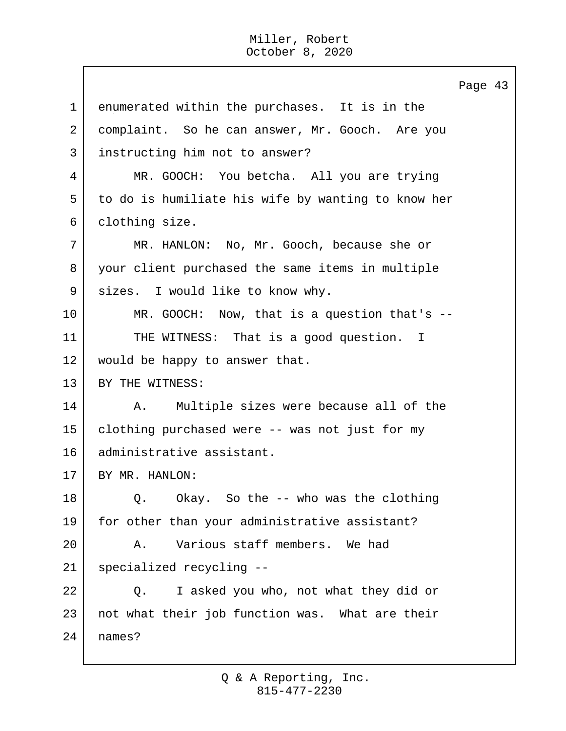Page 43 1 enumerated within the purchases. It is in the 2 | complaint. So he can answer, Mr. Gooch. Are you 3 instructing him not to answer? 4 MR. GOOCH: You betcha. All you are trying 5 to do is humiliate his wife by wanting to know her 6 clothing size. 7 MR. HANLON: No, Mr. Gooch, because she or 8 your client purchased the same items in multiple 9 | sizes. I would like to know why. 10 MR. GOOCH: Now, that is a question that's -- 11 THE WITNESS: That is a good question. I 12 would be happy to answer that. 13 BY THE WITNESS: 14 | A. Multiple sizes were because all of the 15 clothing purchased were -- was not just for my 16 administrative assistant. 17 BY MR. HANLON: 18 | O. Okay. So the -- who was the clothing 19 | for other than your administrative assistant? 20 A. Various staff members. We had 21 specialized recycling -- 22 Q. I asked you who, not what they did or 23 | not what their job function was. What are their 24 names?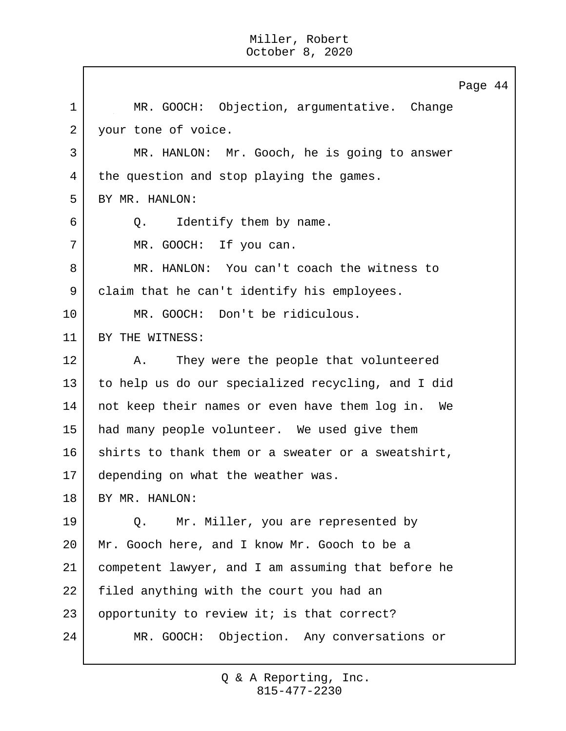$\mathbf{I}$ 

|    | Page 44                                            |
|----|----------------------------------------------------|
| 1  | MR. GOOCH: Objection, argumentative. Change        |
| 2  | your tone of voice.                                |
| 3  | MR. HANLON: Mr. Gooch, he is going to answer       |
| 4  | the question and stop playing the games.           |
| 5  | BY MR. HANLON:                                     |
| 6  | Identify them by name.<br>Q.                       |
| 7  | MR. GOOCH: If you can.                             |
| 8  | MR. HANLON: You can't coach the witness to         |
| 9  | claim that he can't identify his employees.        |
| 10 | MR. GOOCH: Don't be ridiculous.                    |
| 11 | BY THE WITNESS:                                    |
| 12 | They were the people that volunteered<br>Α.        |
| 13 | to help us do our specialized recycling, and I did |
| 14 | not keep their names or even have them log in. We  |
| 15 | had many people volunteer. We used give them       |
| 16 | shirts to thank them or a sweater or a sweatshirt, |
| 17 | depending on what the weather was.                 |
| 18 | BY MR. HANLON:                                     |
| 19 | Mr. Miller, you are represented by<br>Q.           |
| 20 | Mr. Gooch here, and I know Mr. Gooch to be a       |
| 21 | competent lawyer, and I am assuming that before he |
| 22 | filed anything with the court you had an           |
| 23 | opportunity to review it; is that correct?         |
| 24 | MR. GOOCH: Objection. Any conversations or         |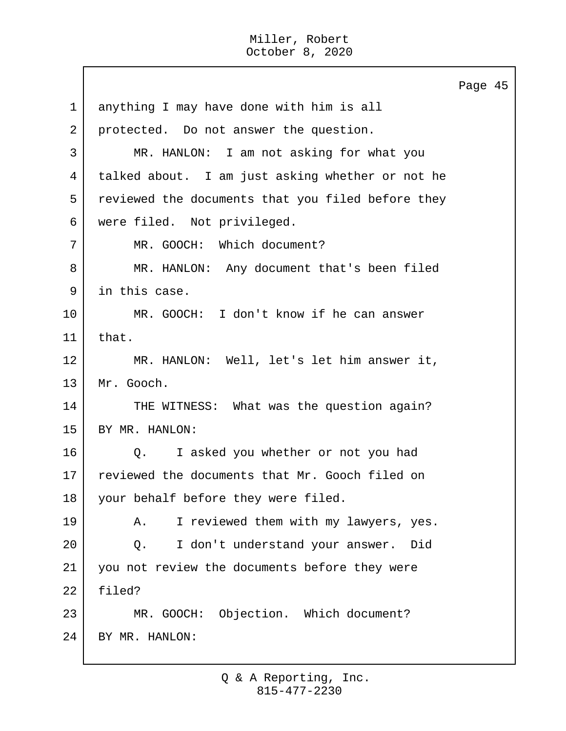Page 45 1 anything I may have done with him is all 2 protected. Do not answer the question. 3 MR. HANLON: I am not asking for what you 4 talked about. I am just asking whether or not he 5 reviewed the documents that you filed before they 6 were filed. Not privileged. 7 MR. GOOCH: Which document? 8 | MR. HANLON: Any document that's been filed 9 | in this case. 10 MR. GOOCH: I don't know if he can answer 11 that. 12 MR. HANLON: Well, let's let him answer it, 13 Mr. Gooch. 14 THE WITNESS: What was the question again? 15 BY MR. HANLON: 16 | O. I asked you whether or not you had 17 reviewed the documents that Mr. Gooch filed on 18 your behalf before they were filed. 19 | A. I reviewed them with my lawyers, yes. 20 Q. I don't understand your answer. Did 21 you not review the documents before they were 22 filed? 23 MR. GOOCH: Objection. Which document? 24 BY MR. HANLON: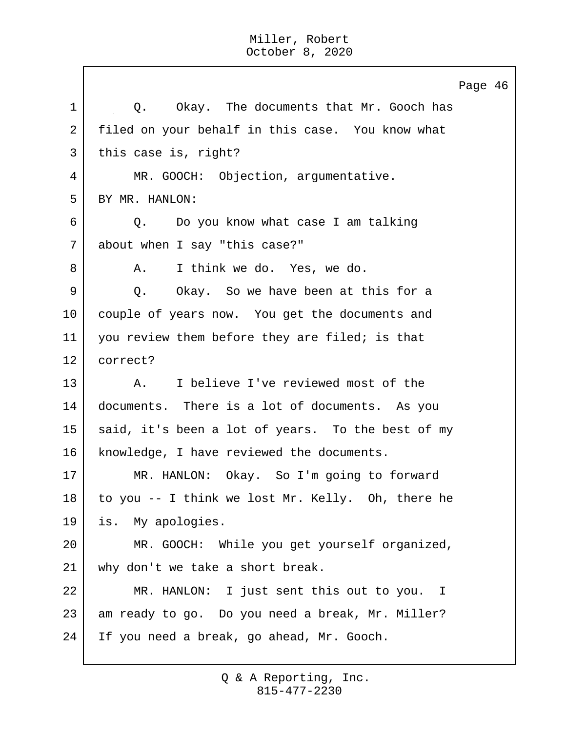Page 46 1 | O. Okay. The documents that Mr. Gooch has 2 filed on your behalf in this case. You know what 3 this case is, right? 4 MR. GOOCH: Objection, argumentative. 5 BY MR. HANLON: 6 Q. Do you know what case I am talking 7 about when I say "this case?" 8 A. I think we do. Yes, we do. 9 Q. Okay. So we have been at this for a 10 couple of years now. You get the documents and 11 you review them before they are filed; is that 12 correct? 13 A. I believe I've reviewed most of the 14 documents. There is a lot of documents. As you 15 said, it's been a lot of years. To the best of my 16 | knowledge, I have reviewed the documents. 17 MR. HANLON: Okay. So I'm going to forward 18 to you -- I think we lost Mr. Kelly. Oh, there he 19 is. My apologies. 20 MR. GOOCH: While you get yourself organized, 21 why don't we take a short break. 22 MR. HANLON: I just sent this out to you. I 23 am ready to go. Do you need a break, Mr. Miller? 24 If you need a break, go ahead, Mr. Gooch.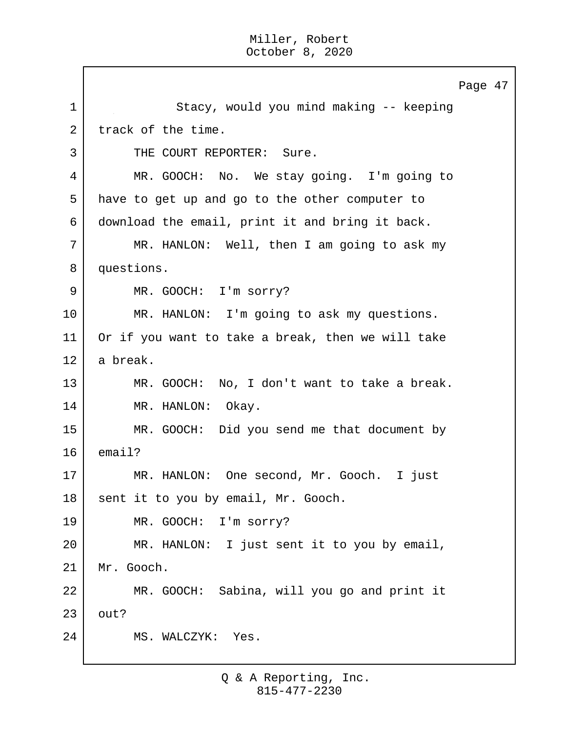$\mathbf{I}$ 

|             | Page 47                                           |
|-------------|---------------------------------------------------|
| $\mathbf 1$ | Stacy, would you mind making -- keeping           |
| 2           | track of the time.                                |
| 3           | THE COURT REPORTER: Sure.                         |
| 4           | MR. GOOCH: No. We stay going. I'm going to        |
| 5           | have to get up and go to the other computer to    |
| 6           | download the email, print it and bring it back.   |
| 7           | MR. HANLON: Well, then I am going to ask my       |
| 8           | questions.                                        |
| 9           | MR. GOOCH: I'm sorry?                             |
| 10          | MR. HANLON: I'm going to ask my questions.        |
| 11          | Or if you want to take a break, then we will take |
| 12          | a break.                                          |
| 13          | MR. GOOCH: No, I don't want to take a break.      |
| 14          | MR. HANLON: Okay.                                 |
| 15          | MR. GOOCH: Did you send me that document by       |
| 16          | email?                                            |
| 17          | MR. HANLON: One second, Mr. Gooch. I just         |
| 18          | sent it to you by email, Mr. Gooch.               |
| 19          | MR. GOOCH: I'm sorry?                             |
| 20          | MR. HANLON: I just sent it to you by email,       |
| 21          | Mr. Gooch.                                        |
| 22          | MR. GOOCH: Sabina, will you go and print it       |
| 23          | out?                                              |
| 24          | MS. WALCZYK: Yes.                                 |
|             |                                                   |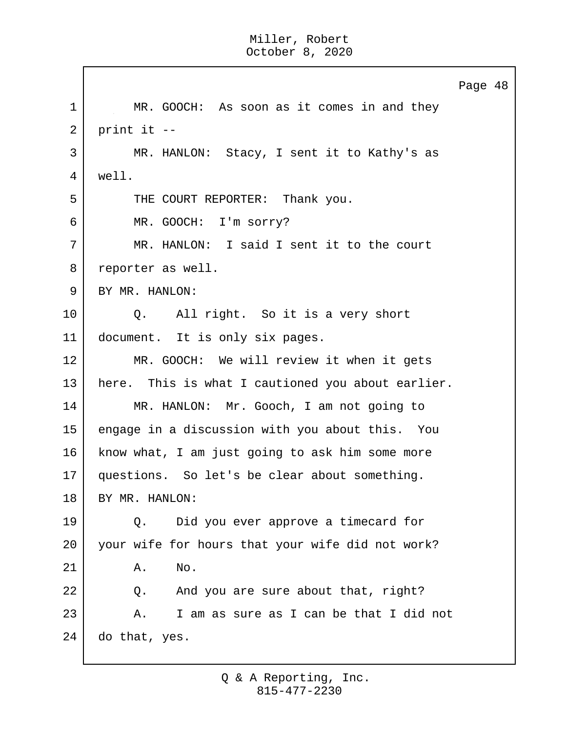Page 48 1 MR. GOOCH: As soon as it comes in and they  $2$  print it  $-$ 3 MR. HANLON: Stacy, I sent it to Kathy's as 4 well. 5 THE COURT REPORTER: Thank you. 6 MR. GOOCH: I'm sorry? 7 MR. HANLON: I said I sent it to the court 8 reporter as well. 9 BY MR. HANLON: 10 | Q. All right. So it is a very short 11 document. It is only six pages. 12 MR. GOOCH: We will review it when it gets 13 | here. This is what I cautioned you about earlier. 14 MR. HANLON: Mr. Gooch, I am not going to 15 engage in a discussion with you about this. You 16 know what, I am just going to ask him some more 17 questions. So let's be clear about something. 18 BY MR. HANLON: 19 Q. Did you ever approve a timecard for 20 your wife for hours that your wife did not work? 21 A. No. 22 |  $\qquad$  0. And you are sure about that, right? 23 A. I am as sure as I can be that I did not 24 do that, yes.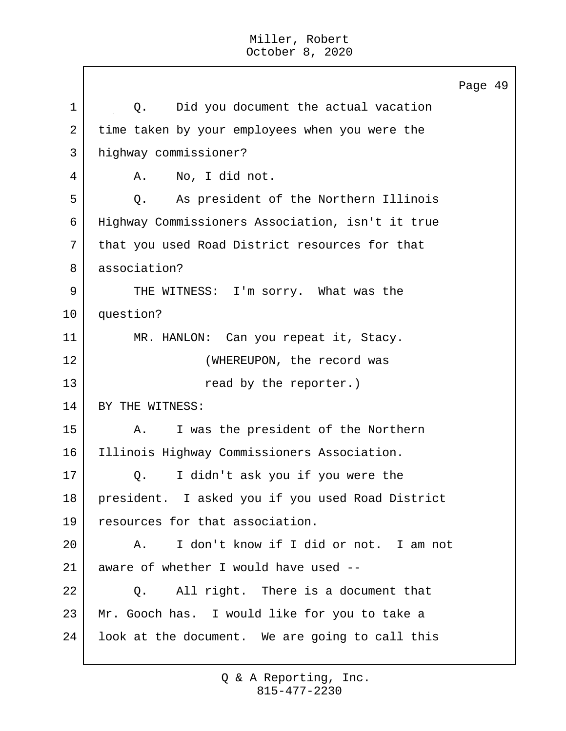Page 49 1 1 Q. Did you document the actual vacation 2 time taken by your employees when you were the 3 highway commissioner? 4 A. No, I did not. 5 Q. As president of the Northern Illinois 6 Highway Commissioners Association, isn't it true 7 | that you used Road District resources for that 8 association? 9 THE WITNESS: I'm sorry. What was the 10 question? 11 MR. HANLON: Can you repeat it, Stacy. 12 | (WHEREUPON, the record was 13 and the reporter.) 14 BY THE WITNESS: 15 A. I was the president of the Northern 16 Illinois Highway Commissioners Association. 17 Q. I didn't ask you if you were the 18 president. I asked you if you used Road District 19 resources for that association. 20 A. I don't know if I did or not. I am not 21 aware of whether I would have used -- 22 | O. All right. There is a document that 23 Mr. Gooch has. I would like for you to take a 24 | look at the document. We are going to call this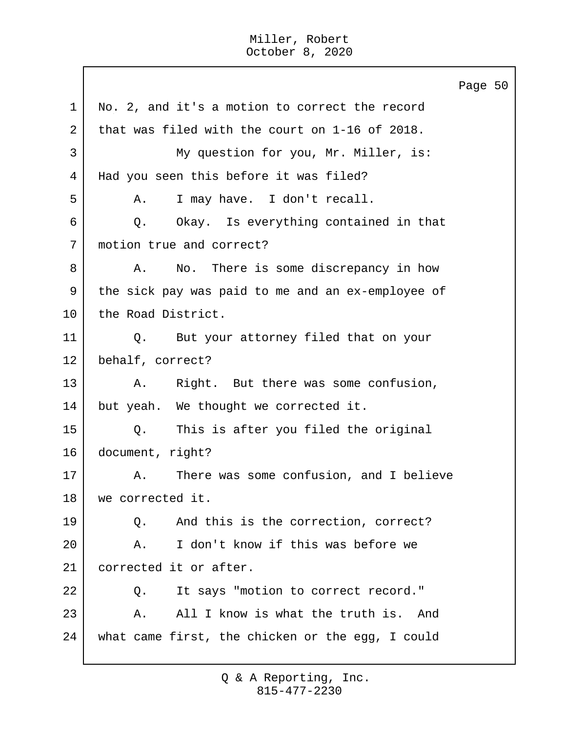Page 50 1 No. 2, and it's a motion to correct the record 2 that was filed with the court on 1-16 of 2018. 3 My question for you, Mr. Miller, is: 4 Had you seen this before it was filed? 5 A. I may have. I don't recall. 6 Q. Okay. Is everything contained in that 7 | motion true and correct? 8 A. No. There is some discrepancy in how 9 the sick pay was paid to me and an ex-employee of 10 the Road District. 11 | Q. But your attorney filed that on your 12 behalf, correct? 13 A. Right. But there was some confusion, 14 but yeah. We thought we corrected it. 15 Q. This is after you filed the original 16 document, right? 17 A. There was some confusion, and I believe 18 we corrected it. 19 | O. And this is the correction, correct? 20 A. I don't know if this was before we 21 corrected it or after. 22 | O. It says "motion to correct record." 23 A. All I know is what the truth is. And 24 what came first, the chicken or the egg, I could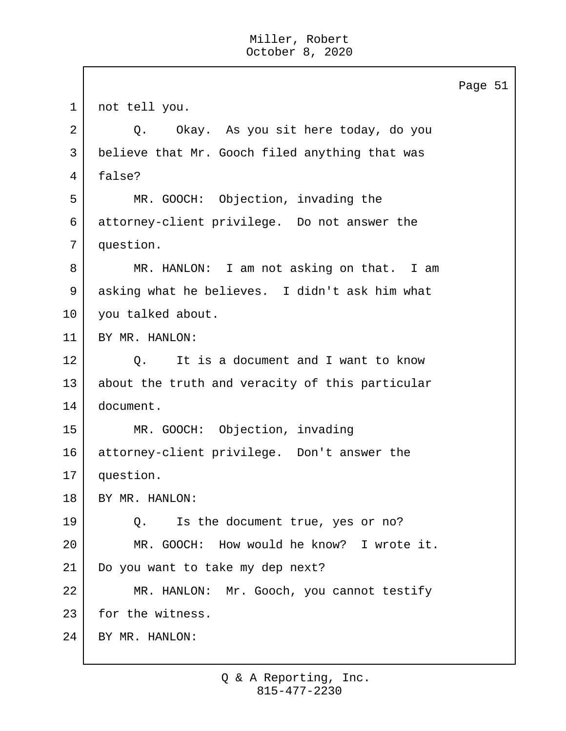Page 51 1 not tell you. 2 Q. Okay. As you sit here today, do you 3 believe that Mr. Gooch filed anything that was 4 false? 5 MR. GOOCH: Objection, invading the 6 attorney-client privilege. Do not answer the 7 question. 8 MR. HANLON: I am not asking on that. I am 9 asking what he believes. I didn't ask him what 10 | you talked about. 11 BY MR. HANLON: 12 | O. It is a document and I want to know 13 about the truth and veracity of this particular 14 document. 15 MR. GOOCH: Objection, invading 16 attorney-client privilege. Don't answer the 17 question. 18 BY MR. HANLON: 19 Q. Is the document true, yes or no? 20 MR. GOOCH: How would he know? I wrote it. 21 Do you want to take my dep next? 22 MR. HANLON: Mr. Gooch, you cannot testify 23 for the witness. 24 BY MR. HANLON: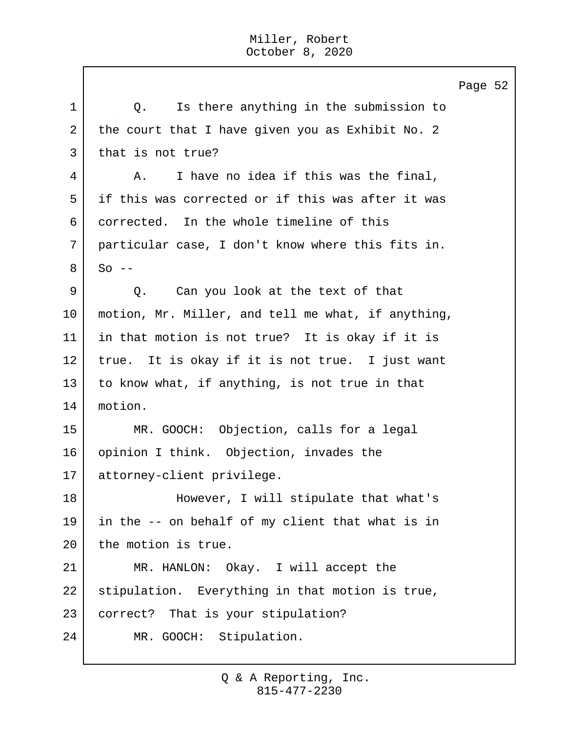Page 52 1 | O. Is there anything in the submission to 2 the court that I have given you as Exhibit No. 2 3 | that is not true? 4 A. I have no idea if this was the final, 5 if this was corrected or if this was after it was 6 corrected. In the whole timeline of this 7 particular case, I don't know where this fits in.  $8$  So  $-$ 9 Q. Can you look at the text of that 10 motion, Mr. Miller, and tell me what, if anything, 11 in that motion is not true? It is okay if it is 12 true. It is okay if it is not true. I just want 13 to know what, if anything, is not true in that 14 motion. 15 MR. GOOCH: Objection, calls for a legal 16 opinion I think. Objection, invades the 17 attorney-client privilege. 18 However, I will stipulate that what's 19 in the -- on behalf of my client that what is in 20 the motion is true. 21 MR. HANLON: Okay. I will accept the 22 stipulation. Everything in that motion is true, 23 | correct? That is your stipulation? 24 MR. GOOCH: Stipulation.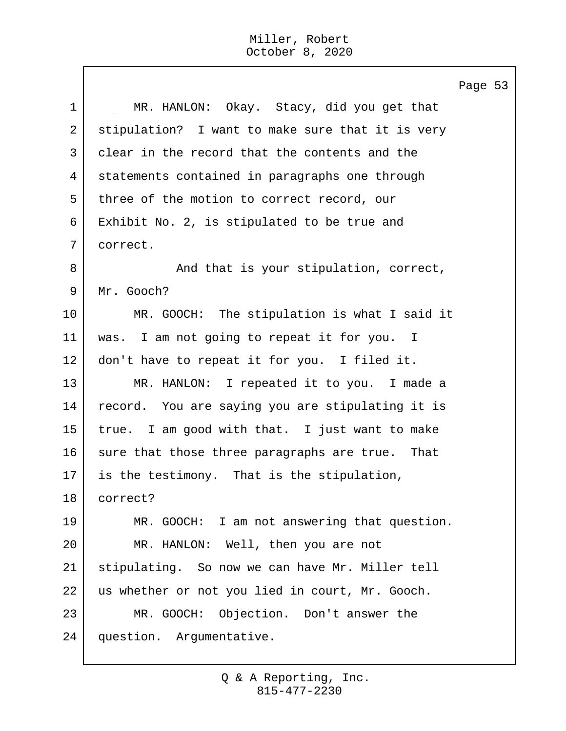$\mathbf{I}$ 

|             | Page                                             |  |
|-------------|--------------------------------------------------|--|
| $\mathbf 1$ | MR. HANLON: Okay. Stacy, did you get that        |  |
| 2           | stipulation? I want to make sure that it is very |  |
| 3           | clear in the record that the contents and the    |  |
| 4           | statements contained in paragraphs one through   |  |
| 5           | three of the motion to correct record, our       |  |
| 6           | Exhibit No. 2, is stipulated to be true and      |  |
| 7           | correct.                                         |  |
| 8           | And that is your stipulation, correct,           |  |
| 9           | Mr. Gooch?                                       |  |
| 10          | MR. GOOCH: The stipulation is what I said it     |  |
| 11          | was. I am not going to repeat it for you. I      |  |
| 12          | don't have to repeat it for you. I filed it.     |  |
| 13          | MR. HANLON: I repeated it to you. I made a       |  |
| 14          | record. You are saying you are stipulating it is |  |
| 15          | true. I am good with that. I just want to make   |  |
| 16          | sure that those three paragraphs are true. That  |  |
| 17          | is the testimony. That is the stipulation,       |  |
| 18          | correct?                                         |  |
| 19          | MR. GOOCH: I am not answering that question.     |  |
| 20          | MR. HANLON: Well, then you are not               |  |
| 21          | stipulating. So now we can have Mr. Miller tell  |  |
| 22          | us whether or not you lied in court, Mr. Gooch.  |  |
| 23          | Objection. Don't answer the<br>MR. GOOCH:        |  |
| 24          | question. Argumentative.                         |  |

Page 53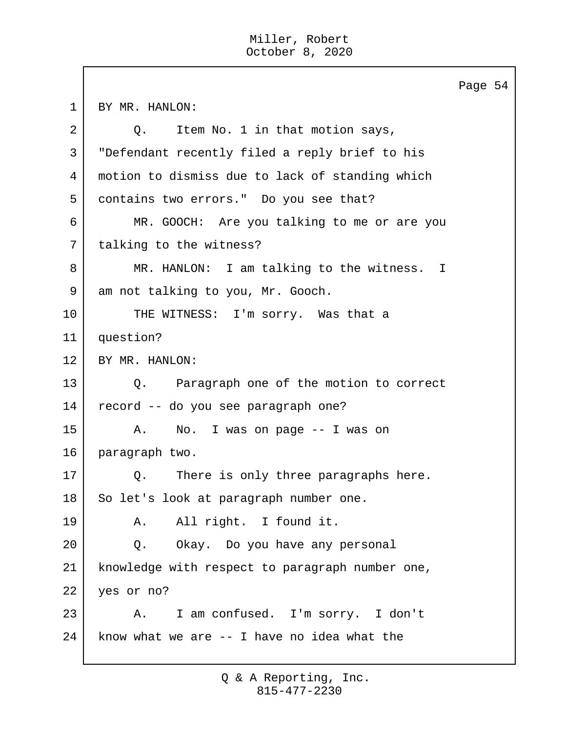Page 54 1 BY MR. HANLON: 2 Q. Item No. 1 in that motion says, 3 "Defendant recently filed a reply brief to his 4 motion to dismiss due to lack of standing which 5 contains two errors." Do you see that? 6 MR. GOOCH: Are you talking to me or are you 7 | talking to the witness? 8 | MR. HANLON: I am talking to the witness. I 9 am not talking to you, Mr. Gooch. 10 THE WITNESS: I'm sorry. Was that a 11 question? 12 BY MR. HANLON: 13 Q. Paragraph one of the motion to correct 14 record -- do you see paragraph one? 15 A. No. I was on page -- I was on 16 paragraph two. 17 | Q. There is only three paragraphs here. 18 So let's look at paragraph number one. 19 A. All right. I found it. 20 Q. Okay. Do you have any personal 21 knowledge with respect to paragraph number one, 22 yes or no? 23 A. I am confused. I'm sorry. I don't  $24$  know what we are  $-$  I have no idea what the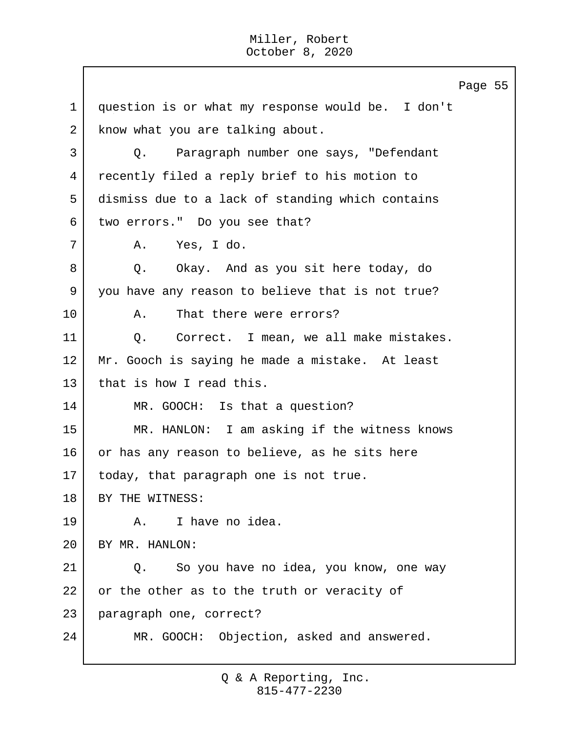Page 55 1 question is or what my response would be. I don't 2 know what you are talking about. 3 Q. Paragraph number one says, "Defendant 4 recently filed a reply brief to his motion to 5 dismiss due to a lack of standing which contains 6 | two errors." Do you see that? 7 A. Yes, I do. 8 Q. Okay. And as you sit here today, do 9 you have any reason to believe that is not true? 10 A. That there were errors? 11 | Q. Correct. I mean, we all make mistakes. 12 Mr. Gooch is saying he made a mistake. At least 13 that is how I read this. 14 MR. GOOCH: Is that a question? 15 MR. HANLON: I am asking if the witness knows 16 or has any reason to believe, as he sits here 17 | today, that paragraph one is not true. 18 | BY THE WITNESS: 19 A. I have no idea. 20 BY MR. HANLON: 21 | Q. So you have no idea, you know, one way 22 or the other as to the truth or veracity of 23 paragraph one, correct? 24 MR. GOOCH: Objection, asked and answered.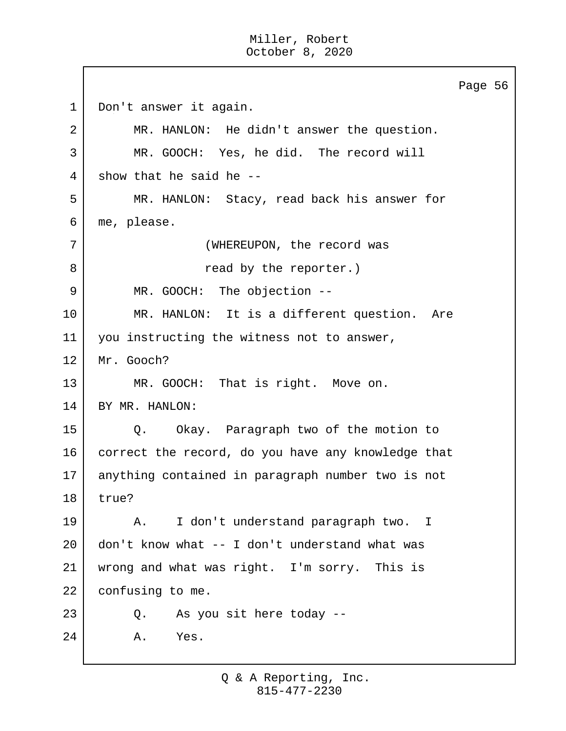Page 56 1 | Don't answer it again. 2 MR. HANLON: He didn't answer the question. 3 MR. GOOCH: Yes, he did. The record will  $4$  show that he said he  $-$ 5 MR. HANLON: Stacy, read back his answer for 6 me, please. 7 (WHEREUPON, the record was 8 a 8 read by the reporter.) 9 MR. GOOCH: The objection --10 MR. HANLON: It is a different question. Are 11 you instructing the witness not to answer, 12 Mr. Gooch? 13 MR. GOOCH: That is right. Move on. 14 BY MR. HANLON: 15 Q. Okay. Paragraph two of the motion to 16 correct the record, do you have any knowledge that 17 anything contained in paragraph number two is not 18 true? 19 A. I don't understand paragraph two. I 20 don't know what  $-$  I don't understand what was 21 wrong and what was right. I'm sorry. This is 22 confusing to me. 23 Q. As you sit here today -- 24 A. Yes.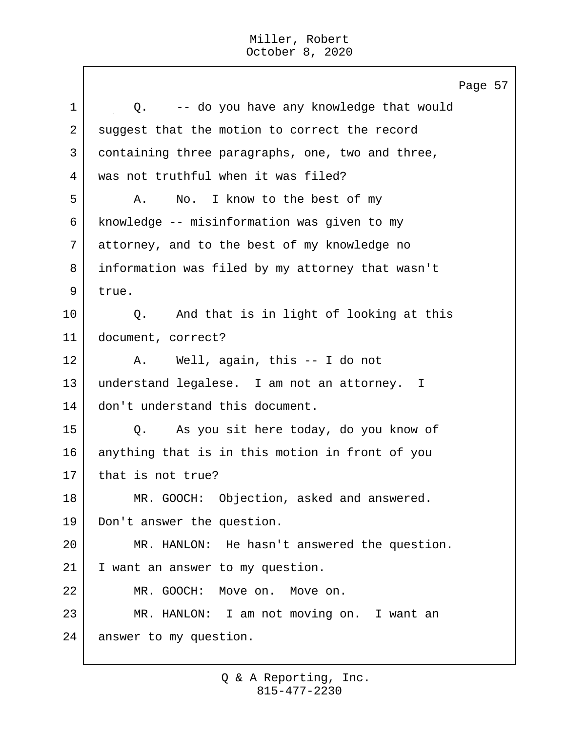Page 57 1 co. -- do you have any knowledge that would 2 suggest that the motion to correct the record 3 containing three paragraphs, one, two and three, 4 was not truthful when it was filed? 5 A. No. I know to the best of my 6 knowledge -- misinformation was given to my 7 attorney, and to the best of my knowledge no 8 information was filed by my attorney that wasn't 9 true. 10 Q. And that is in light of looking at this 11 document, correct? 12 | A. Well, again, this -- I do not 13 understand legalese. I am not an attorney. I 14 | don't understand this document. 15 Q. As you sit here today, do you know of 16 anything that is in this motion in front of you 17 that is not true? 18 MR. GOOCH: Objection, asked and answered. 19 Don't answer the question. 20 MR. HANLON: He hasn't answered the question. 21 I want an answer to my question. 22 MR. GOOCH: Move on. Move on. 23 MR. HANLON: I am not moving on. I want an 24 answer to my question.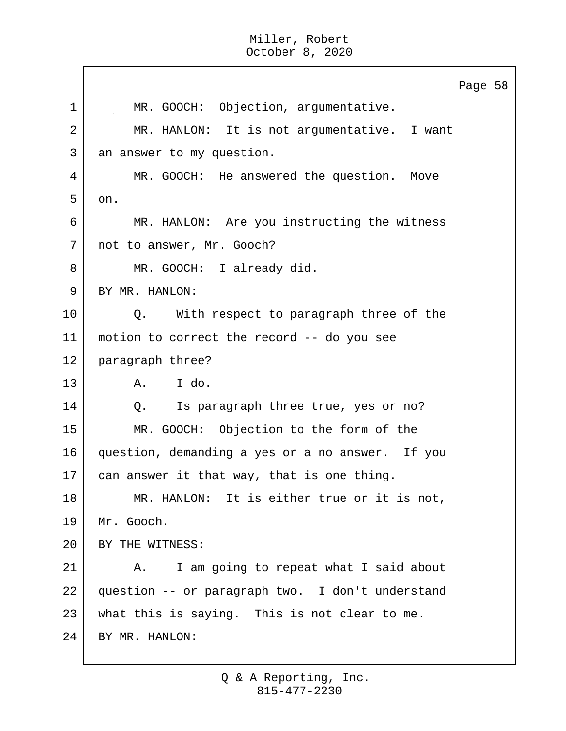|             | Page 58                                          |
|-------------|--------------------------------------------------|
| $\mathbf 1$ | MR. GOOCH: Objection, argumentative.             |
| 2           | MR. HANLON: It is not argumentative. I want      |
| 3           | an answer to my question.                        |
| 4           | MR. GOOCH: He answered the question. Move        |
| 5           | on.                                              |
| 6           | MR. HANLON: Are you instructing the witness      |
| 7           | not to answer, Mr. Gooch?                        |
| 8           | MR. GOOCH: I already did.                        |
| 9           | BY MR. HANLON:                                   |
| 10          | Q. With respect to paragraph three of the        |
| 11          | motion to correct the record -- do you see       |
| 12          | paragraph three?                                 |
| 13          | A. I do.                                         |
| 14          | Is paragraph three true, yes or no?<br>$Q$ .     |
| 15          | MR. GOOCH: Objection to the form of the          |
| 16          | question, demanding a yes or a no answer. If you |
| 17          | can answer it that way, that is one thing.       |
| 18          | MR. HANLON: It is either true or it is not,      |
| 19          | Mr. Gooch.                                       |
| 20          | BY THE WITNESS:                                  |
| 21          | I am going to repeat what I said about<br>A.     |
| 22          | question -- or paragraph two. I don't understand |
| 23          | what this is saying. This is not clear to me.    |
| 24          | BY MR. HANLON:                                   |
|             |                                                  |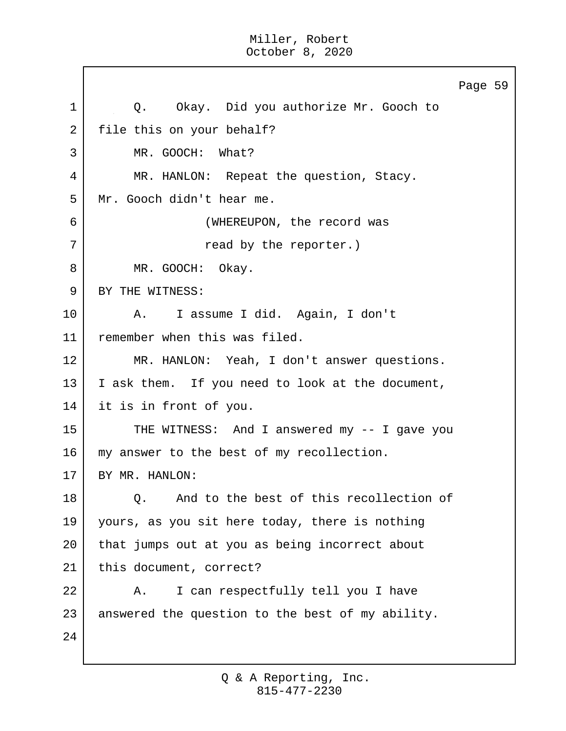Page 59 1 0. Okay. Did you authorize Mr. Gooch to 2 file this on your behalf? 3 MR. GOOCH: What? 4 MR. HANLON: Repeat the question, Stacy. 5 Mr. Gooch didn't hear me. 6 (WHEREUPON, the record was 7 | Tread by the reporter.) 8 MR. GOOCH: Okay. 9 BY THE WITNESS: 10 | A. I assume I did. Again, I don't 11 remember when this was filed. 12 MR. HANLON: Yeah, I don't answer questions. 13 | I ask them. If you need to look at the document, 14 it is in front of you. 15 THE WITNESS: And I answered my -- I gave you 16 | my answer to the best of my recollection. 17 BY MR. HANLON: 18 | O. And to the best of this recollection of 19 yours, as you sit here today, there is nothing 20 that jumps out at you as being incorrect about 21 | this document, correct? 22 A. I can respectfully tell you I have 23 answered the question to the best of my ability. 24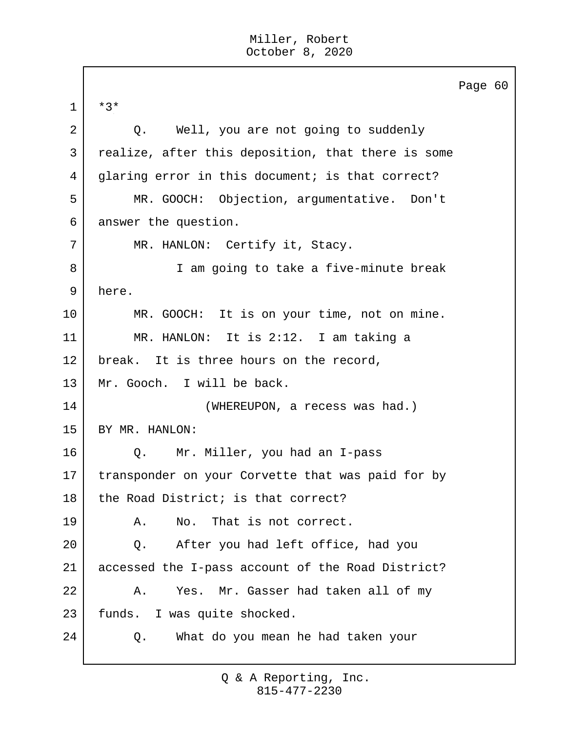$\Box$ 

|             |                                                    | Page 60 |  |
|-------------|----------------------------------------------------|---------|--|
| $\mathbf 1$ | $*3*$                                              |         |  |
| 2           | Well, you are not going to suddenly<br>Q.          |         |  |
| 3           | realize, after this deposition, that there is some |         |  |
| 4           | glaring error in this document; is that correct?   |         |  |
| 5           | MR. GOOCH: Objection, argumentative. Don't         |         |  |
| 6           | answer the question.                               |         |  |
| 7           | MR. HANLON: Certify it, Stacy.                     |         |  |
| 8           | I am going to take a five-minute break             |         |  |
| 9           | here.                                              |         |  |
| 10          | MR. GOOCH: It is on your time, not on mine.        |         |  |
| 11          | MR. HANLON: It is 2:12. I am taking a              |         |  |
| 12          | break. It is three hours on the record,            |         |  |
| 13          | Mr. Gooch. I will be back.                         |         |  |
| 14          | (WHEREUPON, a recess was had.)                     |         |  |
| 15          | BY MR. HANLON:                                     |         |  |
| 16          | Mr. Miller, you had an I-pass<br>Q.                |         |  |
| 17          | transponder on your Corvette that was paid for by  |         |  |
| 18          | the Road District; is that correct?                |         |  |
| 19          | That is not correct.<br>Α.<br>No.                  |         |  |
| 20          | After you had left office, had you<br>Q.           |         |  |
| 21          | accessed the I-pass account of the Road District?  |         |  |
| 22          | Yes. Mr. Gasser had taken all of my<br>Α.          |         |  |
| 23          | funds. I was quite shocked.                        |         |  |
| 24          | What do you mean he had taken your<br>Q.           |         |  |
|             |                                                    |         |  |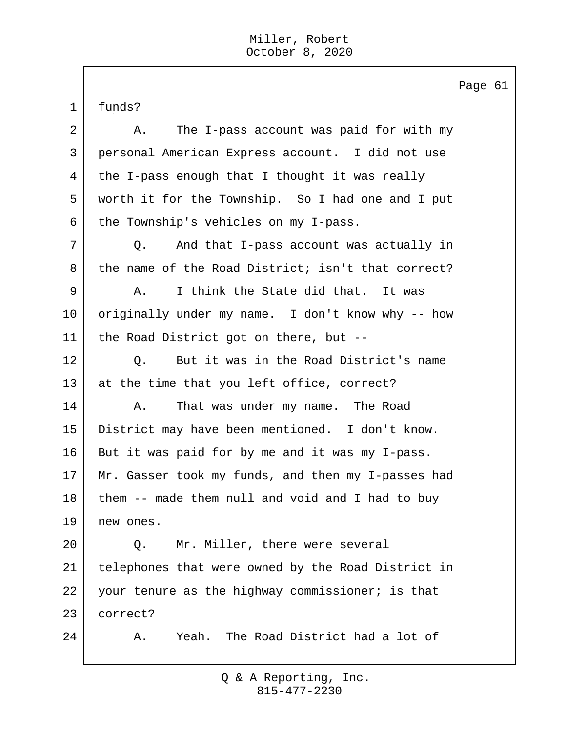1 funds? 2 A. The I-pass account was paid for with my 3 personal American Express account. I did not use 4 the I-pass enough that I thought it was really 5 worth it for the Township. So I had one and I put  $6$  the Township's vehicles on my I-pass. 7 Q. And that I-pass account was actually in 8 | the name of the Road District; isn't that correct? 9 A. I think the State did that. It was 10 originally under my name. I don't know why -- how 11 | the Road District got on there, but --12 | O. But it was in the Road District's name 13 at the time that you left office, correct? 14 A. That was under my name. The Road 15 District may have been mentioned. I don't know. 16 But it was paid for by me and it was my I-pass. 17 Mr. Gasser took my funds, and then my I-passes had 18 them -- made them null and void and I had to buy 19 new ones. 20 | C. Mr. Miller, there were several 21 telephones that were owned by the Road District in 22 your tenure as the highway commissioner; is that 23 correct? 24 A. Yeah. The Road District had a lot of

> 815-477-2230 Q & A Reporting, Inc.

Page 61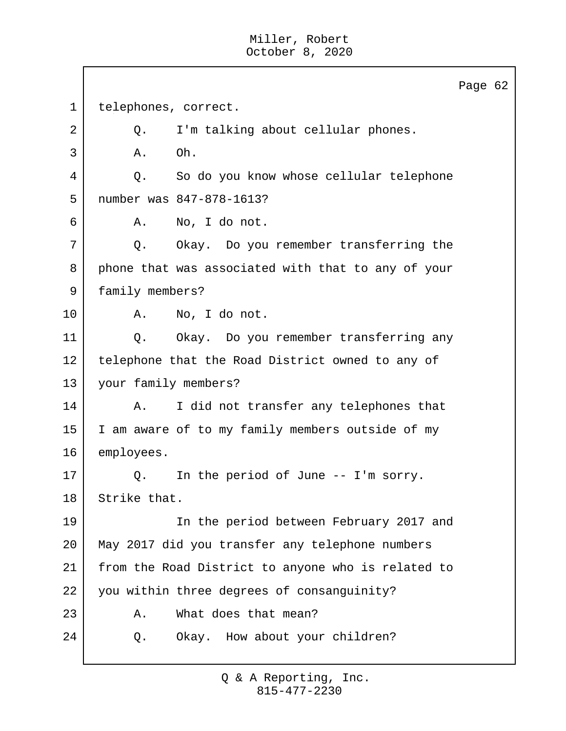Page 62 1 | telephones, correct. 2 Q. I'm talking about cellular phones.  $3$  A. Oh. 4 Q. So do you know whose cellular telephone 5 number was 847-878-1613? 6 A. No, I do not. 7 Q. Okay. Do you remember transferring the 8 phone that was associated with that to any of your 9 family members? 10 A. No, I do not. 11 | Q. Okay. Do you remember transferring any 12 | telephone that the Road District owned to any of 13 your family members? 14 | A. I did not transfer any telephones that 15 I am aware of to my family members outside of my 16 employees. 17 Q. In the period of June -- I'm sorry. 18 Strike that. 19 | The period between February 2017 and 20 May 2017 did you transfer any telephone numbers 21 from the Road District to anyone who is related to 22 you within three degrees of consanguinity? 23 A. What does that mean? 24 Q. Okay. How about your children?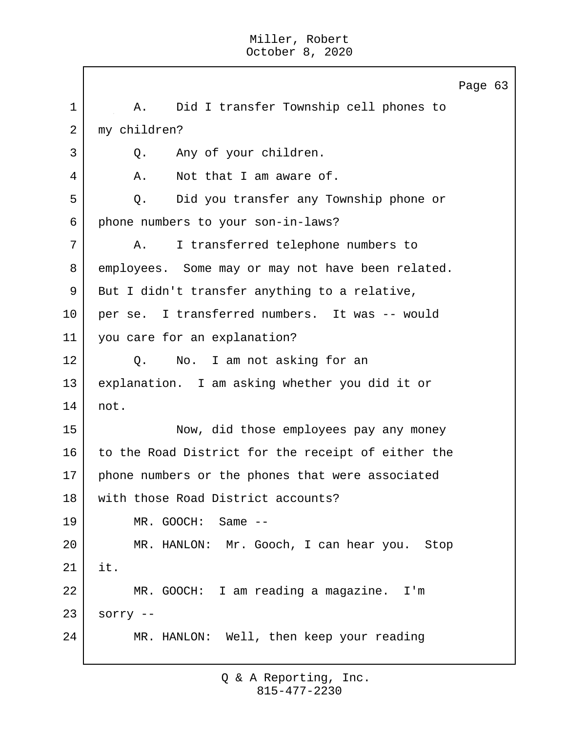Page 63 1 | A. Did I transfer Township cell phones to 2 my children? 3 Q. Any of your children. 4 A. Not that I am aware of. 5 Q. Did you transfer any Township phone or 6 phone numbers to your son-in-laws? 7 A. I transferred telephone numbers to 8 employees. Some may or may not have been related. 9 But I didn't transfer anything to a relative, 10 per se. I transferred numbers. It was -- would 11 you care for an explanation? 12 | Q. No. I am not asking for an 13 explanation. I am asking whether you did it or 14 not. 15 Now, did those employees pay any money 16 to the Road District for the receipt of either the 17 | phone numbers or the phones that were associated 18 with those Road District accounts? 19 MR. GOOCH: Same -- 20 MR. HANLON: Mr. Gooch, I can hear you. Stop 21 it. 22 MR. GOOCH: I am reading a magazine. I'm  $23$  sorry  $-$ 24 MR. HANLON: Well, then keep your reading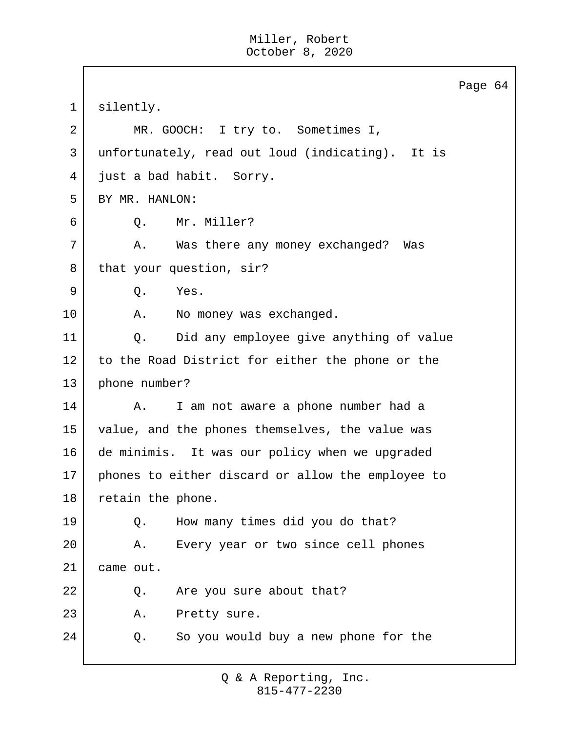|             | Page 64                                           |
|-------------|---------------------------------------------------|
| $\mathbf 1$ | silently.                                         |
| 2           | MR. GOOCH: I try to. Sometimes I,                 |
| 3           | unfortunately, read out loud (indicating). It is  |
| 4           | just a bad habit. Sorry.                          |
| 5           | BY MR. HANLON:                                    |
| 6           | Mr. Miller?<br>Q.                                 |
| 7           | Was there any money exchanged? Was<br>Α.          |
| 8           | that your question, sir?                          |
| 9           | Q.<br>Yes.                                        |
| 10          | No money was exchanged.<br>Α.                     |
| 11          | Did any employee give anything of value<br>Q.     |
| 12          | to the Road District for either the phone or the  |
| 13          | phone number?                                     |
| 14          | I am not aware a phone number had a<br>Α.         |
| 15          | value, and the phones themselves, the value was   |
| 16          | de minimis. It was our policy when we upgraded    |
| 17          | phones to either discard or allow the employee to |
| 18          | retain the phone.                                 |
| 19          | How many times did you do that?<br>Q.             |
| 20          | Every year or two since cell phones<br>Α.         |
| 21          | came out.                                         |
| 22          | Are you sure about that?<br>Q.                    |
| 23          | Pretty sure.<br>Α.                                |
| 24          | So you would buy a new phone for the<br>Q.        |
|             |                                                   |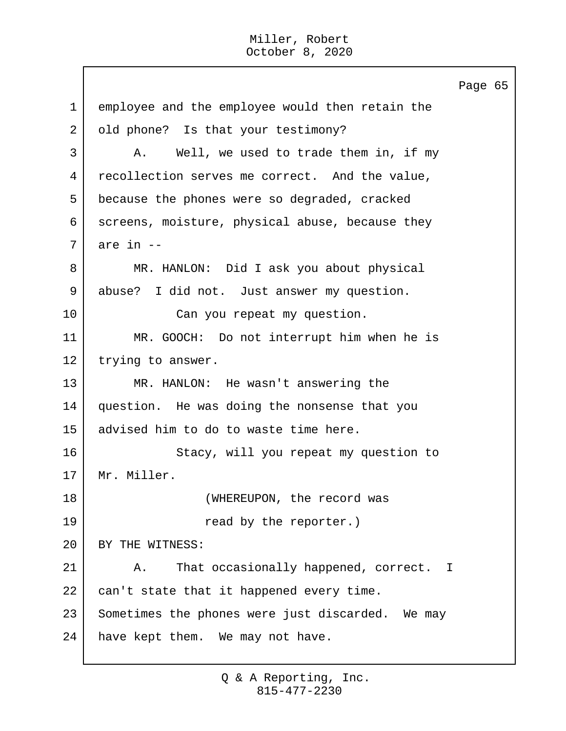Page 65 1 employee and the employee would then retain the 2 old phone? Is that your testimony? 3 A. Well, we used to trade them in, if my 4 recollection serves me correct. And the value, 5 because the phones were so degraded, cracked 6 screens, moisture, physical abuse, because they  $7$  are in  $-$ 8 MR. HANLON: Did I ask you about physical 9 abuse? I did not. Just answer my question. 10 Can you repeat my question. 11 MR. GOOCH: Do not interrupt him when he is 12 | trying to answer. 13 MR. HANLON: He wasn't answering the 14 question. He was doing the nonsense that you 15 advised him to do to waste time here. 16 Stacy, will you repeat my question to 17 Mr. Miller. 18 WHEREUPON, the record was 19 and by the reporter.) 20 BY THE WITNESS: 21 | A. That occasionally happened, correct. I 22 can't state that it happened every time. 23 Sometimes the phones were just discarded. We may 24 have kept them. We may not have.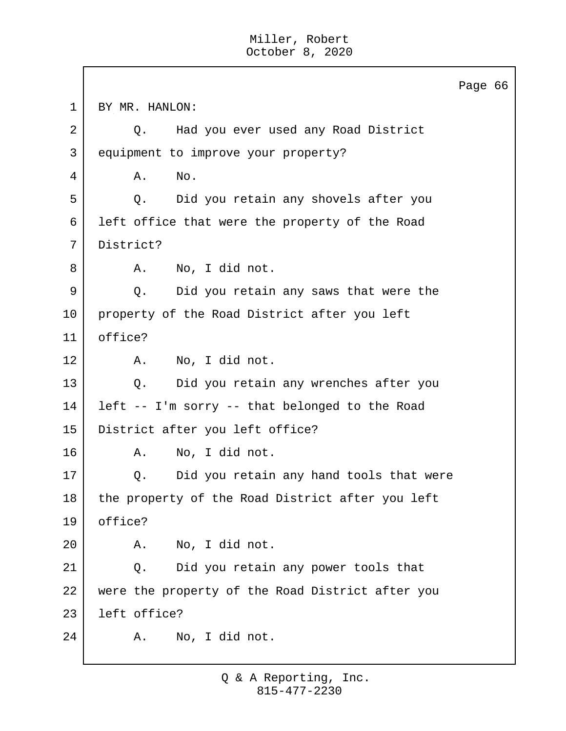Page 66 1 BY MR. HANLON: 2 Q. Had you ever used any Road District 3 equipment to improve your property? 4 A. No. 5 Q. Did you retain any shovels after you 6 left office that were the property of the Road 7 District? 8 A. No, I did not. 9 Q. Did you retain any saws that were the 10 property of the Road District after you left 11 office? 12 A. No, I did not. 13 Q. Did you retain any wrenches after you 14 left -- I'm sorry -- that belonged to the Road 15 District after you left office? 16 A. No, I did not. 17 | Q. Did you retain any hand tools that were 18 the property of the Road District after you left 19 office? 20 A. No, I did not. 21 | Q. Did you retain any power tools that 22 were the property of the Road District after you 23 left office? 24 A. No, I did not.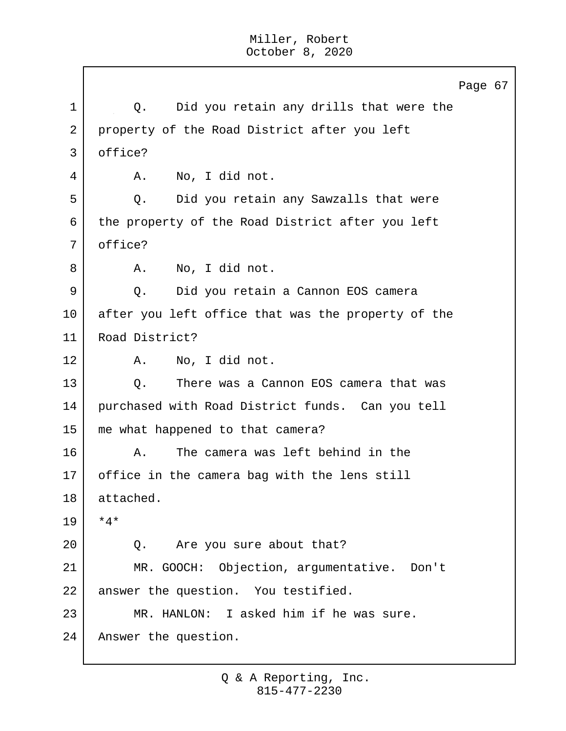Page 67 1 | Q. Did you retain any drills that were the 2 property of the Road District after you left 3 office? 4 A. No, I did not. 5 | C. Did you retain any Sawzalls that were 6 the property of the Road District after you left 7 office? 8 A. No, I did not. 9 Q. Did you retain a Cannon EOS camera 10 after you left office that was the property of the 11 Road District? 12 A. No, I did not. 13 | O. There was a Cannon EOS camera that was 14 purchased with Road District funds. Can you tell 15 me what happened to that camera? 16 A. The camera was left behind in the 17 office in the camera bag with the lens still 18 attached. 19 \*4\* 20 Q. Are you sure about that? 21 MR. GOOCH: Objection, argumentative. Don't 22 answer the question. You testified. 23 MR. HANLON: I asked him if he was sure. 24 Answer the question.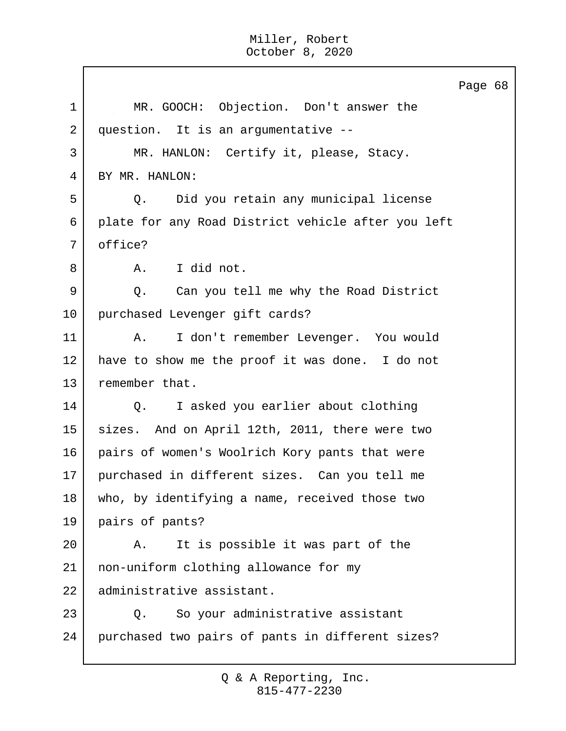Page 68 1 MR. GOOCH: Objection. Don't answer the 2 question. It is an argumentative --3 MR. HANLON: Certify it, please, Stacy. 4 BY MR. HANLON: 5 Q. Did you retain any municipal license 6 plate for any Road District vehicle after you left 7 office? 8 A. I did not. 9 Q. Can you tell me why the Road District 10 purchased Levenger gift cards? 11 | A. I don't remember Levenger. You would 12 have to show me the proof it was done. I do not 13 remember that. 14 Q. I asked you earlier about clothing 15 sizes. And on April 12th, 2011, there were two 16 pairs of women's Woolrich Kory pants that were 17 purchased in different sizes. Can you tell me 18 who, by identifying a name, received those two 19 pairs of pants? 20 A. It is possible it was part of the 21 non-uniform clothing allowance for my 22 administrative assistant. 23 | Q. So your administrative assistant 24 purchased two pairs of pants in different sizes?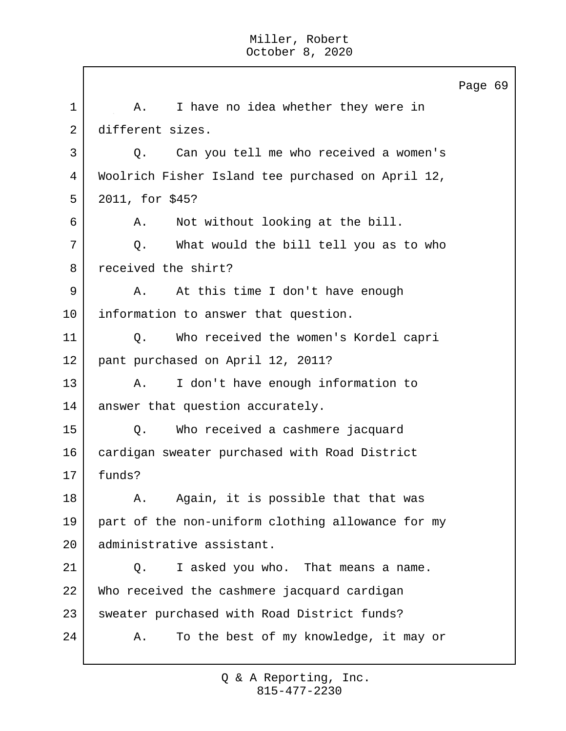Page 69 1 A. I have no idea whether they were in 2 different sizes. 3 Q. Can you tell me who received a women's 4 Woolrich Fisher Island tee purchased on April 12, 5 2011, for \$45? 6 A. Not without looking at the bill. 7 Q. What would the bill tell you as to who 8 received the shirt? 9 | A. At this time I don't have enough 10 information to answer that question. 11 Q. Who received the women's Kordel capri 12 pant purchased on April 12, 2011? 13 A. I don't have enough information to 14 | answer that question accurately. 15 Q. Who received a cashmere jacquard 16 cardigan sweater purchased with Road District 17 funds? 18 | A. Again, it is possible that that was 19 part of the non-uniform clothing allowance for my 20 administrative assistant. 21 | Q. I asked you who. That means a name. 22 Who received the cashmere jacquard cardigan 23 sweater purchased with Road District funds? 24 A. To the best of my knowledge, it may or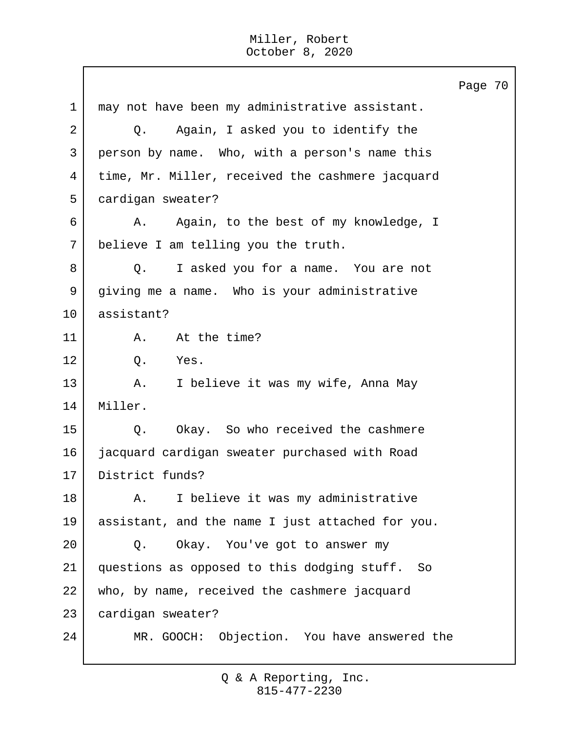Page 70 1 may not have been my administrative assistant. 2 Q. Again, I asked you to identify the 3 person by name. Who, with a person's name this 4 time, Mr. Miller, received the cashmere jacquard 5 cardigan sweater? 6 A. Again, to the best of my knowledge, I 7 believe I am telling you the truth. 8 Q. I asked you for a name. You are not 9 giving me a name. Who is your administrative 10 assistant? 11 A. At the time? 12 0. Yes. 13 A. I believe it was my wife, Anna May 14 Miller. 15 |  $\qquad$  O. Okay. So who received the cashmere 16 jacquard cardigan sweater purchased with Road 17 District funds? 18 | A. I believe it was my administrative 19 assistant, and the name I just attached for you. 20 Q. Okay. You've got to answer my 21 questions as opposed to this dodging stuff. So 22 who, by name, received the cashmere jacquard 23 cardigan sweater? 24 MR. GOOCH: Objection. You have answered the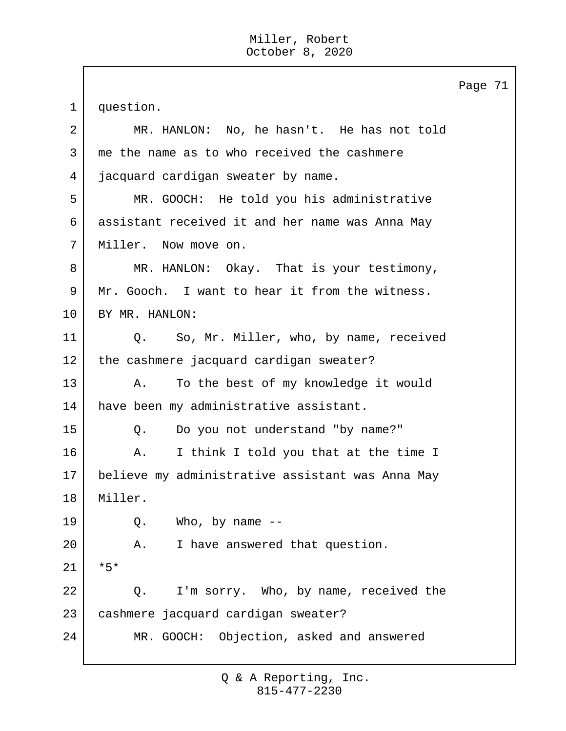Page 71 1 question. 2 MR. HANLON: No, he hasn't. He has not told 3 me the name as to who received the cashmere 4 jacquard cardigan sweater by name. 5 MR. GOOCH: He told you his administrative 6 assistant received it and her name was Anna May 7 | Miller. Now move on. 8 MR. HANLON: Okay. That is your testimony, 9 Mr. Gooch. I want to hear it from the witness. 10 BY MR. HANLON: 11 Q. So, Mr. Miller, who, by name, received 12 | the cashmere jacquard cardigan sweater? 13 A. To the best of my knowledge it would 14 have been my administrative assistant. 15 Q. Do you not understand "by name?" 16 A. I think I told you that at the time I 17 believe my administrative assistant was Anna May 18 Miller.  $19$  Q. Who, by name  $-$ 20 A. I have answered that question. 21 \*5\* 22 Q. I'm sorry. Who, by name, received the 23 cashmere jacquard cardigan sweater? 24 MR. GOOCH: Objection, asked and answered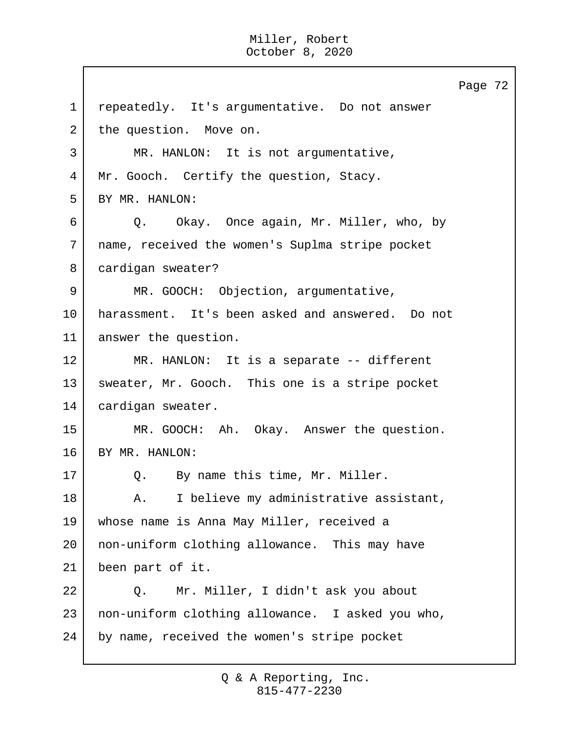Page 72 1 repeatedly. It's argumentative. Do not answer 2 the question. Move on. 3 | MR. HANLON: It is not argumentative, 4 Mr. Gooch. Certify the question, Stacy. 5 BY MR. HANLON: 6 Q. Okay. Once again, Mr. Miller, who, by 7 name, received the women's Suplma stripe pocket 8 cardigan sweater? 9 MR. GOOCH: Objection, argumentative, 10 harassment. It's been asked and answered. Do not 11 answer the question. 12 MR. HANLON: It is a separate -- different 13 sweater, Mr. Gooch. This one is a stripe pocket 14 cardigan sweater. 15 MR. GOOCH: Ah. Okay. Answer the question. 16 BY MR. HANLON: 17 | Q. By name this time, Mr. Miller. 18 | A. I believe my administrative assistant, 19 whose name is Anna May Miller, received a 20 | non-uniform clothing allowance. This may have 21 been part of it. 22 Q. Mr. Miller, I didn't ask you about 23 non-uniform clothing allowance. I asked you who, 24 by name, received the women's stripe pocket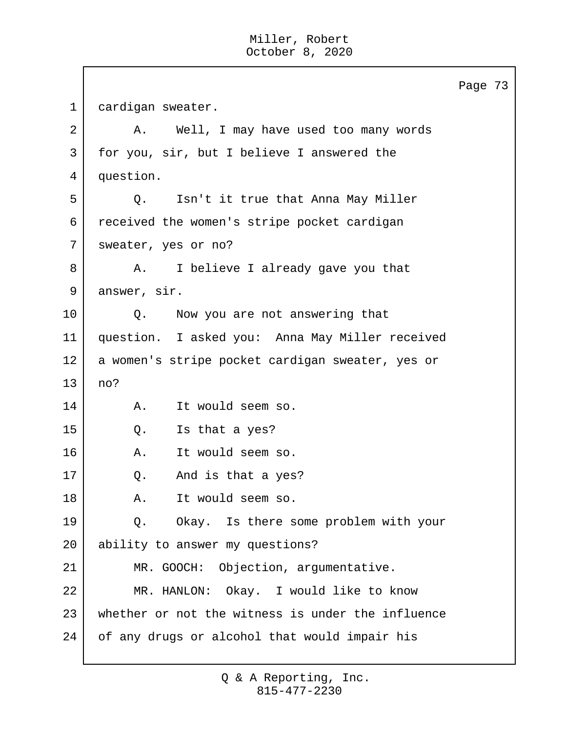Page 73 1 cardigan sweater. 2 A. Well, I may have used too many words 3 for you, sir, but I believe I answered the 4 question. 5 Q. Isn't it true that Anna May Miller 6 received the women's stripe pocket cardigan 7 sweater, yes or no? 8 A. I believe I already gave you that 9 answer, sir. 10 | Q. Now you are not answering that 11 question. I asked you: Anna May Miller received 12 | a women's stripe pocket cardigan sweater, yes or 13 no? 14 A. It would seem so. 15 Q. Is that a yes? 16 A. It would seem so. 17 Q. And is that a yes? 18 A. It would seem so. 19 Q. Okay. Is there some problem with your 20 ability to answer my questions? 21 MR. GOOCH: Objection, argumentative. 22 MR. HANLON: Okay. I would like to know 23 whether or not the witness is under the influence 24 of any drugs or alcohol that would impair his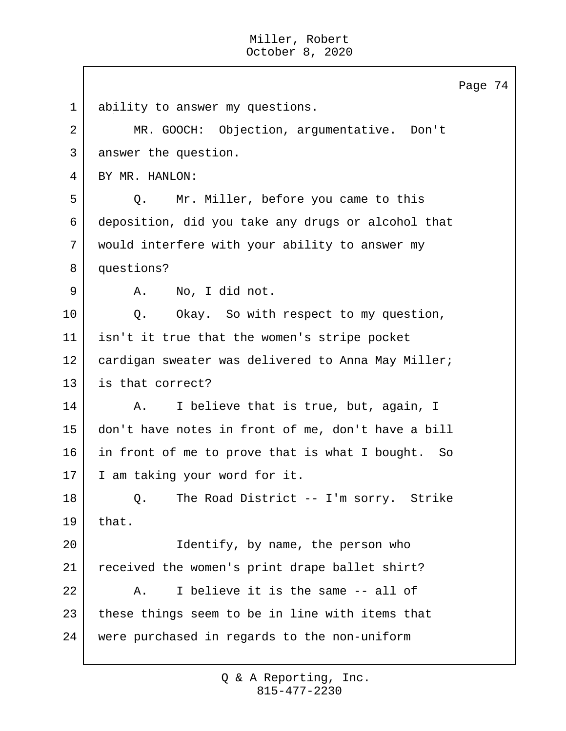Page 74 1 ability to answer my questions. 2 MR. GOOCH: Objection, argumentative. Don't 3 answer the question. 4 BY MR. HANLON: 5 O. Mr. Miller, before you came to this 6 deposition, did you take any drugs or alcohol that 7 would interfere with your ability to answer my 8 questions? 9 | A. No, I did not. 10 | Q. Okay. So with respect to my question, 11 isn't it true that the women's stripe pocket 12 | cardigan sweater was delivered to Anna May Miller; 13 is that correct? 14 A. I believe that is true, but, again, I 15 don't have notes in front of me, don't have a bill 16 in front of me to prove that is what I bought. So 17 I am taking your word for it. 18 | Q. The Road District -- I'm sorry. Strike  $19$  that. 20 | Tdentify, by name, the person who 21 received the women's print drape ballet shirt? 22 A. I believe it is the same -- all of 23 these things seem to be in line with items that 24 were purchased in regards to the non-uniform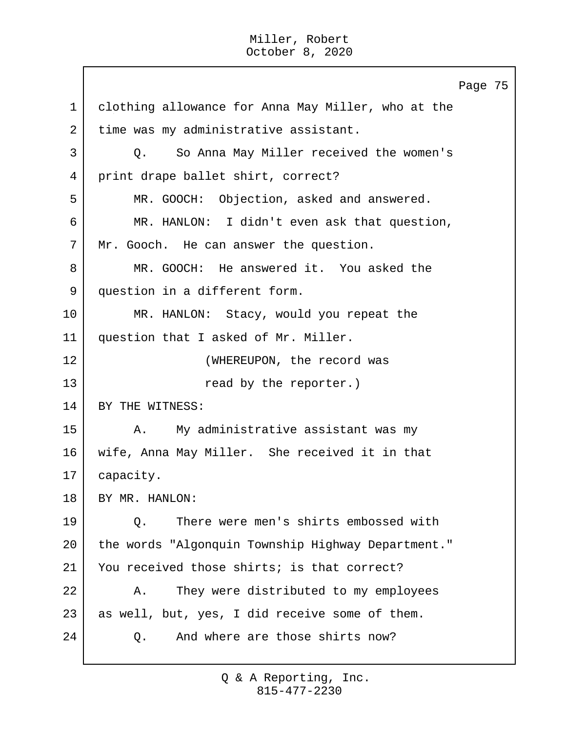Page 75 1 clothing allowance for Anna May Miller, who at the 2 time was my administrative assistant. 3 Q. So Anna May Miller received the women's 4 print drape ballet shirt, correct? 5 MR. GOOCH: Objection, asked and answered. 6 MR. HANLON: I didn't even ask that question, 7 Mr. Gooch. He can answer the question. 8 MR. GOOCH: He answered it. You asked the 9 question in a different form. 10 MR. HANLON: Stacy, would you repeat the 11 question that I asked of Mr. Miller. 12 WHEREUPON, the record was 13 and the reporter.) 14 BY THE WITNESS: 15 | A. My administrative assistant was my 16 wife, Anna May Miller. She received it in that 17 | capacity. 18 BY MR. HANLON: 19 Q. There were men's shirts embossed with 20 the words "Algonquin Township Highway Department." 21 You received those shirts; is that correct? 22 A. They were distributed to my employees 23 as well, but, yes, I did receive some of them. 24 | C. And where are those shirts now?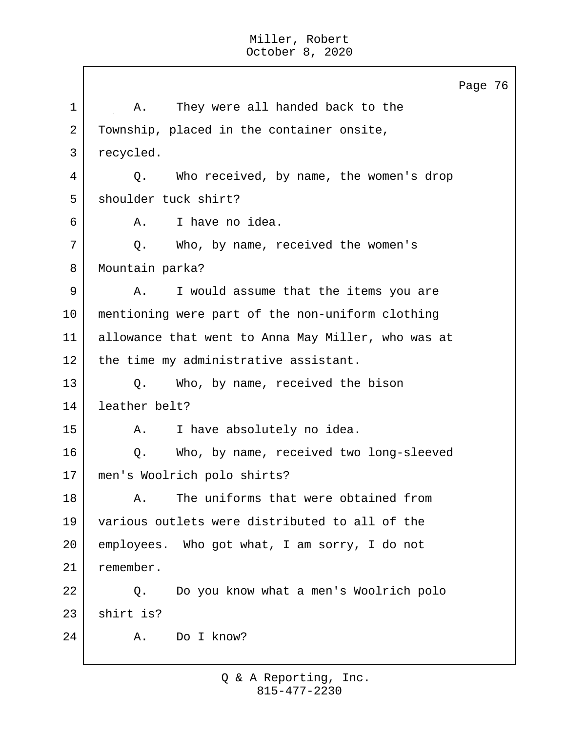Page 76 1 | A. They were all handed back to the 2 Township, placed in the container onsite, 3 recycled. 4 Q. Who received, by name, the women's drop 5 shoulder tuck shirt? 6 A. I have no idea. 7 Q. Who, by name, received the women's 8 Mountain parka? 9 A. I would assume that the items you are 10 mentioning were part of the non-uniform clothing 11 allowance that went to Anna May Miller, who was at 12 | the time my administrative assistant. 13 Q. Who, by name, received the bison 14 leather belt? 15 | A. I have absolutely no idea. 16 | O. Who, by name, received two long-sleeved 17 men's Woolrich polo shirts? 18 A. The uniforms that were obtained from 19 various outlets were distributed to all of the 20 employees. Who got what, I am sorry, I do not 21 remember. 22 Q. Do you know what a men's Woolrich polo  $23$  shirt is? 24 A. Do I know?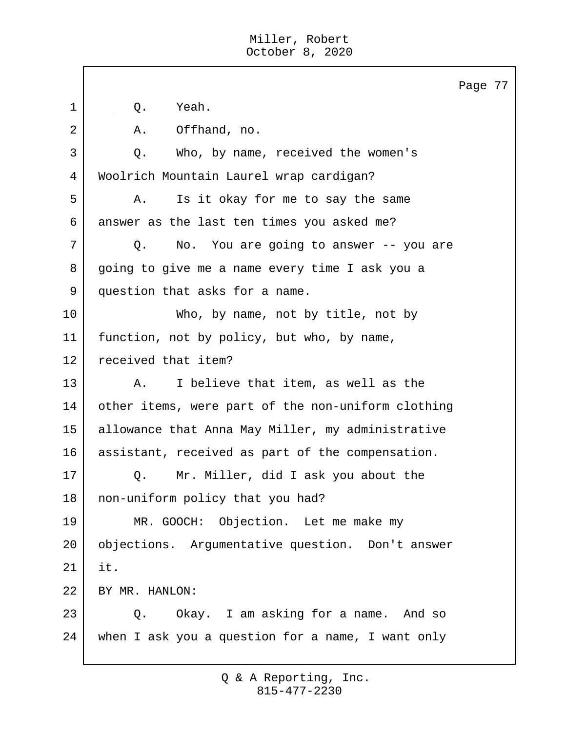|             | Page 77                                            |
|-------------|----------------------------------------------------|
| $\mathbf 1$ | Yeah.<br>Q.                                        |
| 2           | Offhand, no.<br>Α.                                 |
| 3           | Who, by name, received the women's<br>Q.           |
| 4           | Woolrich Mountain Laurel wrap cardigan?            |
| 5           | Is it okay for me to say the same<br>Α.            |
| 6           | answer as the last ten times you asked me?         |
| 7           | No. You are going to answer -- you are<br>Q.       |
| 8           | going to give me a name every time I ask you a     |
| 9           | question that asks for a name.                     |
| 10          | Who, by name, not by title, not by                 |
| 11          | function, not by policy, but who, by name,         |
| 12          | received that item?                                |
| 13          | I believe that item, as well as the<br>Α.          |
| 14          | other items, were part of the non-uniform clothing |
| 15          | allowance that Anna May Miller, my administrative  |
| 16          | assistant, received as part of the compensation.   |
| 17          | Mr. Miller, did I ask you about the<br>Q.          |
| 18          | non-uniform policy that you had?                   |
| 19          | MR. GOOCH: Objection. Let me make my               |
| 20          | objections. Argumentative question. Don't answer   |
| 21          | it.                                                |
| 22          | BY MR. HANLON:                                     |
| 23          | Okay. I am asking for a name. And so<br>Q.         |
| 24          | when I ask you a question for a name, I want only  |
|             |                                                    |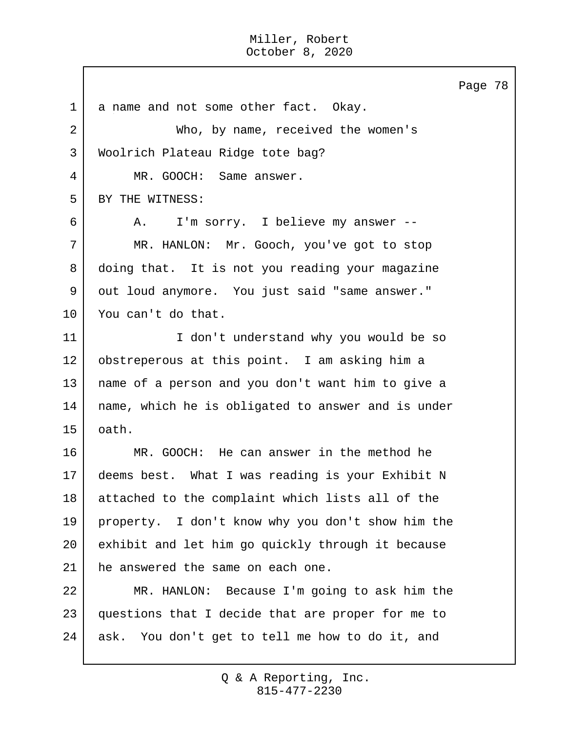Page 78 1 a name and not some other fact. Okay. 2 Who, by name, received the women's 3 | Woolrich Plateau Ridge tote bag? 4 MR. GOOCH: Same answer. 5 BY THE WITNESS: 6 A. I'm sorry. I believe my answer -- 7 MR. HANLON: Mr. Gooch, you've got to stop 8 doing that. It is not you reading your magazine 9 out loud anymore. You just said "same answer." 10 You can't do that. 11 I don't understand why you would be so 12 obstreperous at this point. I am asking him a 13 name of a person and you don't want him to give a 14 name, which he is obligated to answer and is under 15 oath. 16 MR. GOOCH: He can answer in the method he 17 deems best. What I was reading is your Exhibit N 18 attached to the complaint which lists all of the 19 property. I don't know why you don't show him the 20 exhibit and let him go quickly through it because 21 | he answered the same on each one. 22 MR. HANLON: Because I'm going to ask him the 23 questions that I decide that are proper for me to 24 ask. You don't get to tell me how to do it, and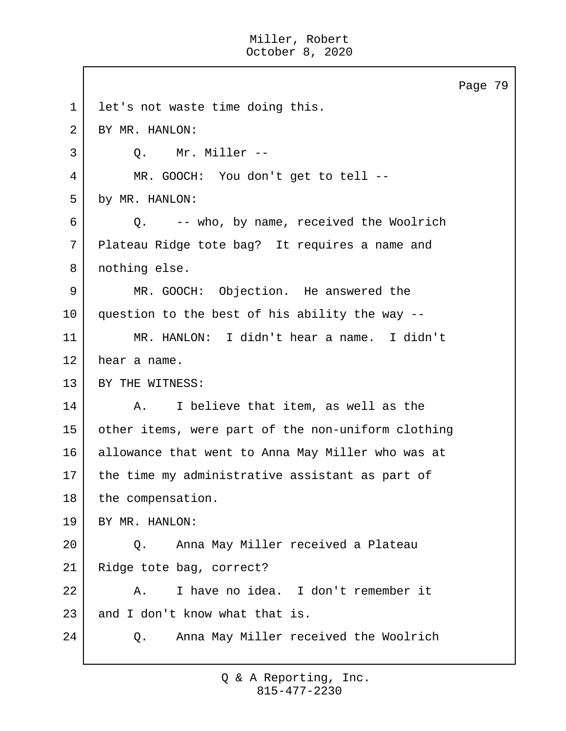Page 79 1 let's not waste time doing this. 2 BY MR. HANLON: 3 | O. Mr. Miller --4 MR. GOOCH: You don't get to tell -- 5 by MR. HANLON: 6 Q. -- who, by name, received the Woolrich 7 Plateau Ridge tote bag? It requires a name and 8 nothing else. 9 MR. GOOCH: Objection. He answered the 10 question to the best of his ability the way -- 11 MR. HANLON: I didn't hear a name. I didn't 12 hear a name. 13 BY THE WITNESS: 14 | A. I believe that item, as well as the 15 other items, were part of the non-uniform clothing 16 allowance that went to Anna May Miller who was at 17 the time my administrative assistant as part of 18 the compensation. 19 BY MR. HANLON: 20 Q. Anna May Miller received a Plateau 21 Ridge tote bag, correct? 22 A. I have no idea. I don't remember it 23 and I don't know what that is. 24 Q. Anna May Miller received the Woolrich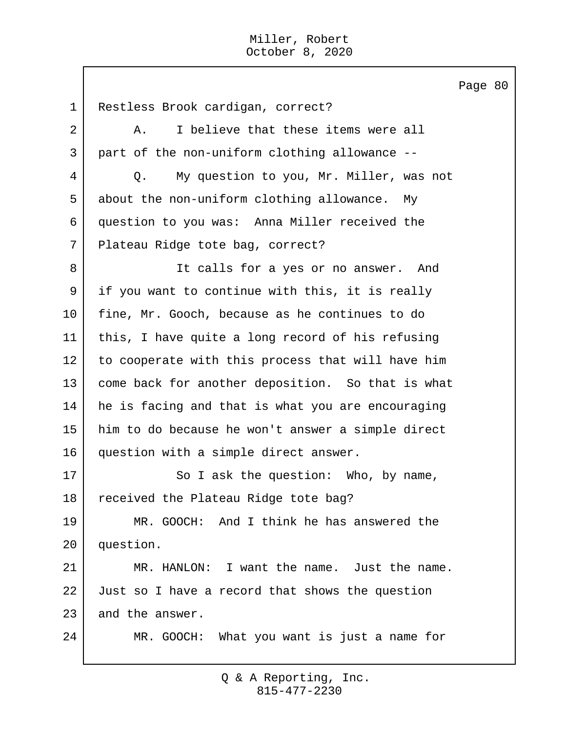Page 80 1 Restless Brook cardigan, correct? 2 A. I believe that these items were all 3 part of the non-uniform clothing allowance -- 4 Q. My question to you, Mr. Miller, was not 5 about the non-uniform clothing allowance. My 6 question to you was: Anna Miller received the 7 Plateau Ridge tote bag, correct? 8 | The calls for a yes or no answer. And 9 if you want to continue with this, it is really 10 fine, Mr. Gooch, because as he continues to do 11 this, I have quite a long record of his refusing 12 to cooperate with this process that will have him 13 come back for another deposition. So that is what 14 he is facing and that is what you are encouraging 15 him to do because he won't answer a simple direct 16 question with a simple direct answer. 17 So I ask the question: Who, by name, 18 received the Plateau Ridge tote bag? 19 MR. GOOCH: And I think he has answered the 20 question. 21 MR. HANLON: I want the name. Just the name. 22 Just so I have a record that shows the question 23 and the answer. 24 MR. GOOCH: What you want is just a name for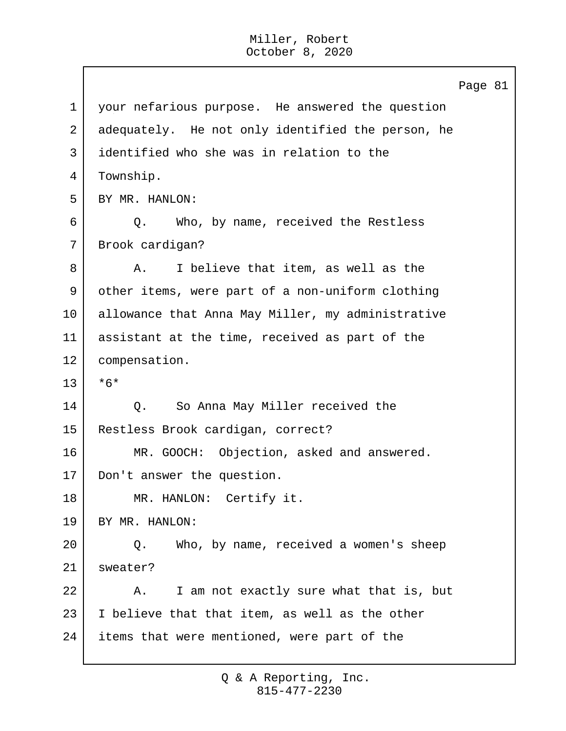Page 81 1 your nefarious purpose. He answered the question 2 adequately. He not only identified the person, he 3 identified who she was in relation to the 4 Township. 5 BY MR. HANLON: 6 Q. Who, by name, received the Restless 7 Brook cardigan? 8 A. I believe that item, as well as the 9 other items, were part of a non-uniform clothing 10 allowance that Anna May Miller, my administrative 11 assistant at the time, received as part of the 12 compensation. 13 \*6\* 14 Q. So Anna May Miller received the 15 Restless Brook cardigan, correct? 16 MR. GOOCH: Objection, asked and answered. 17 Don't answer the question. 18 MR. HANLON: Certify it. 19 BY MR. HANLON: 20 Q. Who, by name, received a women's sheep 21 sweater? 22 A. I am not exactly sure what that is, but  $23$  I believe that that item, as well as the other 24 items that were mentioned, were part of the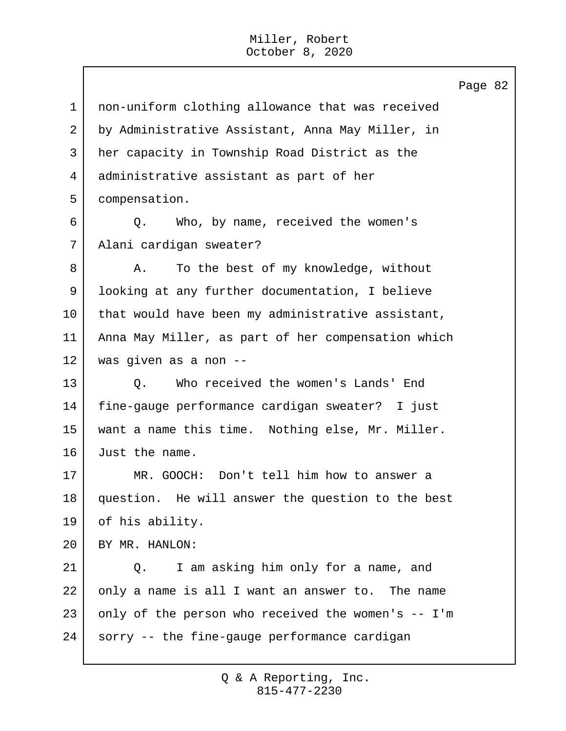non-uniform clothing allowance that was received by Administrative Assistant, Anna May Miller, in her capacity in Township Road District as the administrative assistant as part of her compensation. 6 Q. Who, by name, received the women's Alani cardigan sweater? 8 A. To the best of my knowledge, without looking at any further documentation, I believe 10 | that would have been my administrative assistant, Anna May Miller, as part of her compensation which was given as a non -- 13 | O. Who received the women's Lands' End fine-gauge performance cardigan sweater? I just want a name this time. Nothing else, Mr. Miller. Just the name. 17 MR. GOOCH: Don't tell him how to answer a question. He will answer the question to the best of his ability. BY MR. HANLON: 21 | Q. I am asking him only for a name, and 22 only a name is all I want an answer to. The name only of the person who received the women's  $-$  I'm sorry -- the fine-gauge performance cardigan

Page 82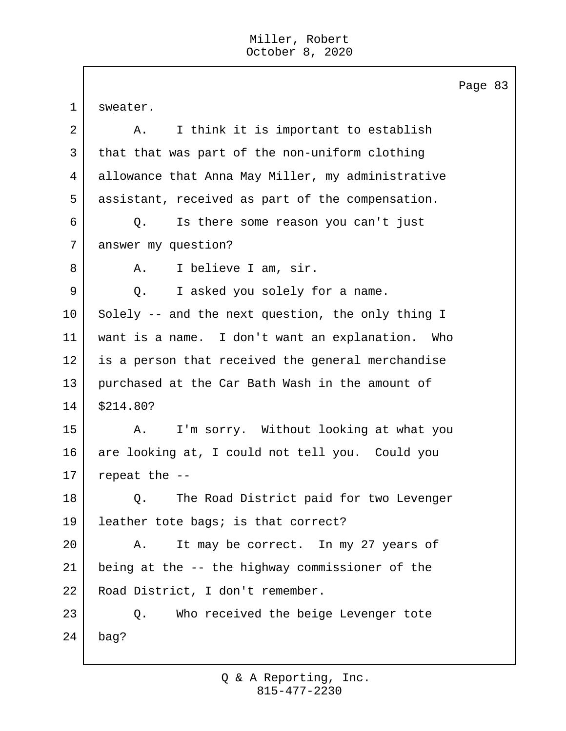$\mathbf{I}$ 

|             | Page 8                                            |
|-------------|---------------------------------------------------|
| $\mathbf 1$ | sweater.                                          |
| 2           | I think it is important to establish<br>Α.        |
| 3           | that that was part of the non-uniform clothing    |
| 4           | allowance that Anna May Miller, my administrative |
| 5           | assistant, received as part of the compensation.  |
| 6           | Is there some reason you can't just<br>Q.         |
| 7           | answer my question?                               |
| 8           | I believe I am, sir.<br>Α.                        |
| 9           | I asked you solely for a name.<br>Q.              |
| 10          | Solely -- and the next question, the only thing I |
| 11          | want is a name. I don't want an explanation. Who  |
| 12          | is a person that received the general merchandise |
| 13          | purchased at the Car Bath Wash in the amount of   |
| 14          | \$214.80?                                         |
| 15          | I'm sorry. Without looking at what you<br>Α.      |
| 16          | are looking at, I could not tell you. Could you   |
| 17          | repeat the --                                     |
| 18          | The Road District paid for two Levenger<br>Q.     |
| 19          | leather tote bags; is that correct?               |
| 20          | It may be correct. In my 27 years of<br>Α.        |
| 21          | being at the -- the highway commissioner of the   |
| 22          | Road District, I don't remember.                  |
| 23          | Who received the beige Levenger tote<br>Q.        |
| 24          | bag?                                              |

 $\overline{3}$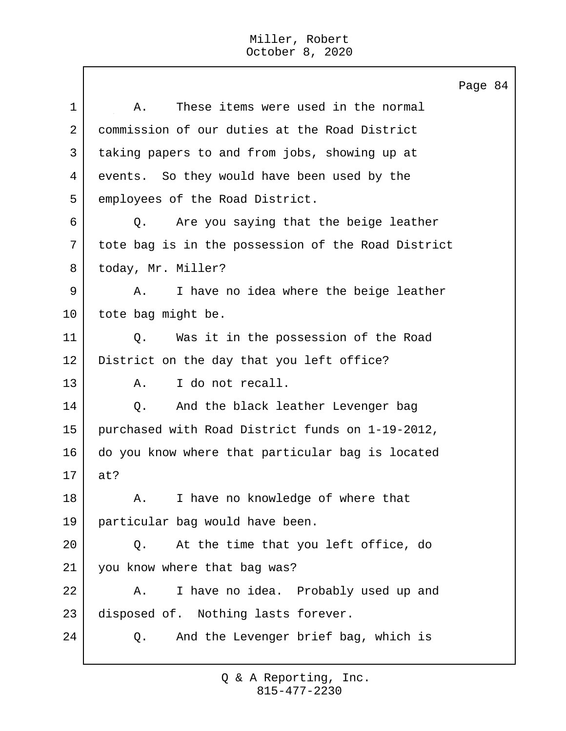Page 84 1 A. These items were used in the normal 2 commission of our duties at the Road District 3 taking papers to and from jobs, showing up at 4 events. So they would have been used by the 5 employees of the Road District. 6 Q. Are you saying that the beige leather 7 tote bag is in the possession of the Road District 8 today, Mr. Miller? 9 A. I have no idea where the beige leather 10 | tote bag might be. 11 | O. Was it in the possession of the Road 12 District on the day that you left office? 13 A. I do not recall. 14 | Q. And the black leather Levenger bag 15 purchased with Road District funds on 1-19-2012, 16 do you know where that particular bag is located 17 at? 18 A. I have no knowledge of where that 19 particular bag would have been. 20 Q. At the time that you left office, do 21 you know where that bag was? 22 A. I have no idea. Probably used up and 23 disposed of. Nothing lasts forever. 24 Q. And the Levenger brief bag, which is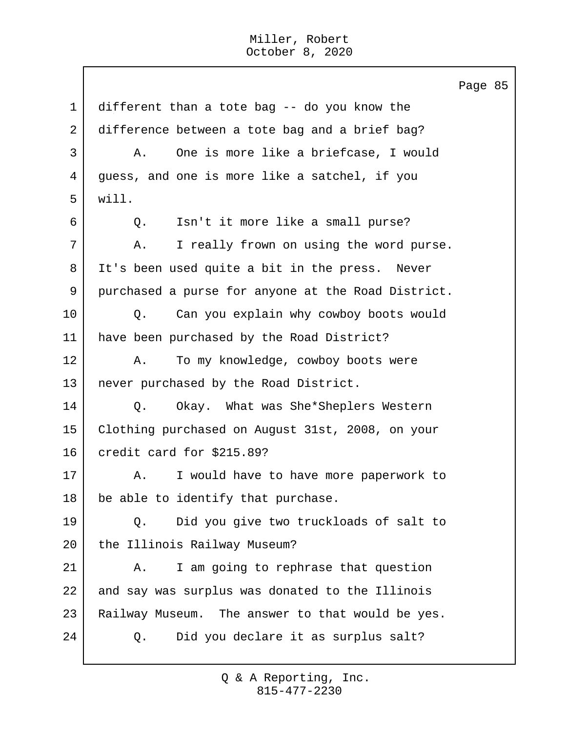Page 85 1 different than a tote bag -- do you know the 2 difference between a tote bag and a brief bag? 3 A. One is more like a briefcase, I would 4 guess, and one is more like a satchel, if you 5 will. 6 | O. Isn't it more like a small purse? 7 A. I really frown on using the word purse. 8 It's been used quite a bit in the press. Never 9 purchased a purse for anyone at the Road District. 10 Q. Can you explain why cowboy boots would 11 have been purchased by the Road District? 12 A. To my knowledge, cowboy boots were 13 never purchased by the Road District. 14 Q. Okay. What was She\*Sheplers Western 15 Clothing purchased on August 31st, 2008, on your 16 credit card for \$215.89? 17 | A. I would have to have more paperwork to 18 be able to identify that purchase. 19 Q. Did you give two truckloads of salt to 20 the Illinois Railway Museum? 21 | A. I am going to rephrase that question 22 and say was surplus was donated to the Illinois 23 | Railway Museum. The answer to that would be yes. 24 Q. Did you declare it as surplus salt?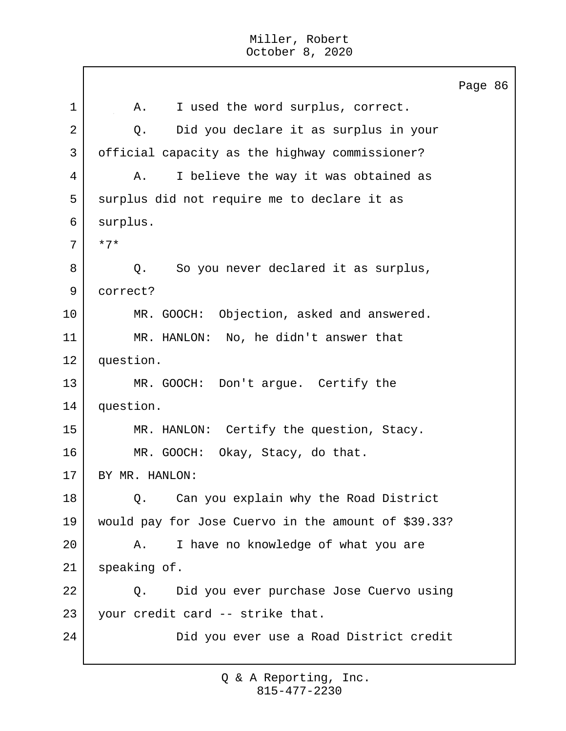Page 86 1 | A. I used the word surplus, correct. 2 Q. Did you declare it as surplus in your 3 official capacity as the highway commissioner? 4 | A. I believe the way it was obtained as 5 surplus did not require me to declare it as 6 surplus. 7 \*7\* 8 Q. So you never declared it as surplus, 9 correct? 10 | MR. GOOCH: Objection, asked and answered. 11 MR. HANLON: No, he didn't answer that 12 question. 13 MR. GOOCH: Don't argue. Certify the 14 question. 15 | MR. HANLON: Certify the question, Stacy. 16 MR. GOOCH: Okay, Stacy, do that. 17 BY MR. HANLON: 18 | Q. Can you explain why the Road District 19 would pay for Jose Cuervo in the amount of \$39.33? 20 A. I have no knowledge of what you are 21 speaking of. 22 | Q. Did you ever purchase Jose Cuervo using 23 your credit card -- strike that. 24 Did you ever use a Road District credit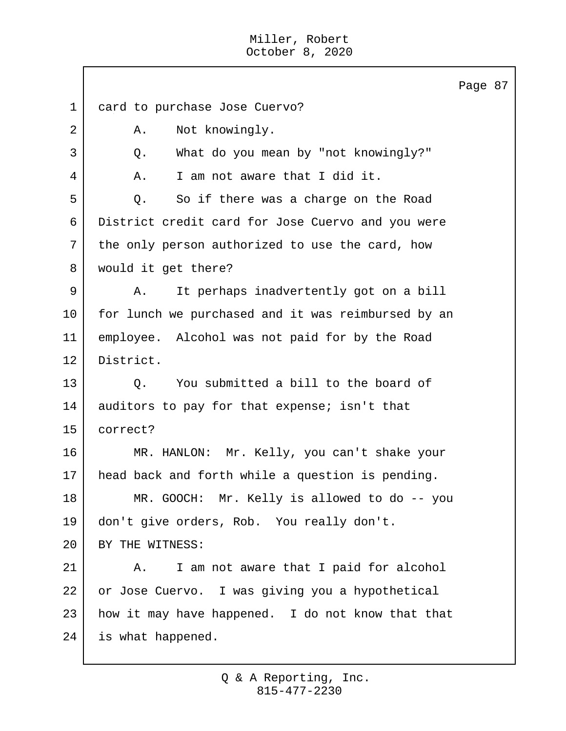Page 87 1 card to purchase Jose Cuervo? 2 | A. Not knowingly. 3 Q. What do you mean by "not knowingly?" 4 A. I am not aware that I did it. 5 Q. So if there was a charge on the Road 6 District credit card for Jose Cuervo and you were 7 the only person authorized to use the card, how 8 would it get there? 9 A. It perhaps inadvertently got on a bill 10 | for lunch we purchased and it was reimbursed by an 11 employee. Alcohol was not paid for by the Road 12 District. 13 | C. You submitted a bill to the board of 14 auditors to pay for that expense; isn't that 15 correct? 16 MR. HANLON: Mr. Kelly, you can't shake your 17 | head back and forth while a question is pending. 18 MR. GOOCH: Mr. Kelly is allowed to do -- you 19 don't give orders, Rob. You really don't. 20 BY THE WITNESS: 21 | A. I am not aware that I paid for alcohol 22 or Jose Cuervo. I was giving you a hypothetical  $23$  how it may have happened. I do not know that that 24 is what happened.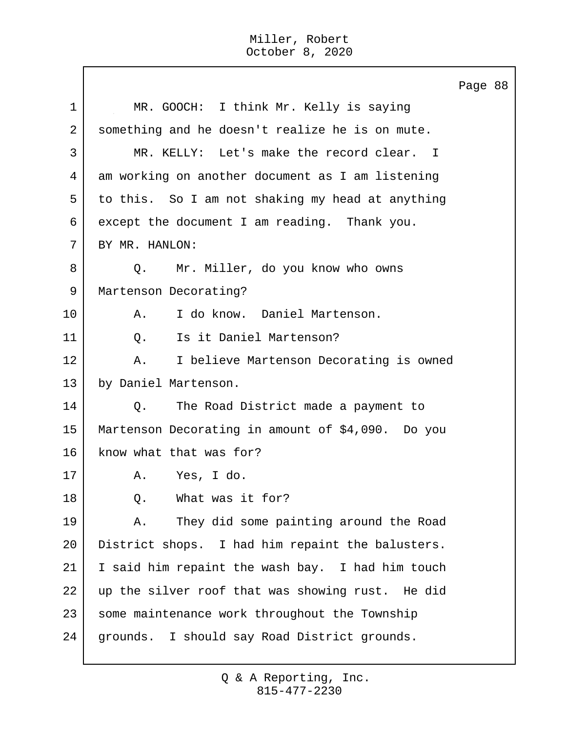$\mathbf{I}$ 

|                |                                                   | Page 88 |  |
|----------------|---------------------------------------------------|---------|--|
| 1              | MR. GOOCH: I think Mr. Kelly is saying            |         |  |
| $\overline{2}$ | something and he doesn't realize he is on mute.   |         |  |
| 3              | MR. KELLY: Let's make the record clear. I         |         |  |
| 4              | am working on another document as I am listening  |         |  |
| 5              | to this. So I am not shaking my head at anything  |         |  |
| 6              | except the document I am reading. Thank you.      |         |  |
| 7              | BY MR. HANLON:                                    |         |  |
| 8              | Mr. Miller, do you know who owns<br>Q.            |         |  |
| 9              | Martenson Decorating?                             |         |  |
| 10             | I do know. Daniel Martenson.<br>Α.                |         |  |
| 11             | Is it Daniel Martenson?<br>Q.                     |         |  |
| 12             | I believe Martenson Decorating is owned<br>A.     |         |  |
| 13             | by Daniel Martenson.                              |         |  |
| 14             | The Road District made a payment to<br>Q.         |         |  |
| 15             | Martenson Decorating in amount of \$4,090. Do you |         |  |
| 16             | know what that was for?                           |         |  |
| 17             | Yes, I do.<br>Α.                                  |         |  |
| 18             | What was it for?<br>Q.                            |         |  |
| 19             | They did some painting around the Road<br>Α.      |         |  |
| 20             | District shops. I had him repaint the balusters.  |         |  |
| 21             | I said him repaint the wash bay. I had him touch  |         |  |
| 22             | up the silver roof that was showing rust. He did  |         |  |
| 23             | some maintenance work throughout the Township     |         |  |
| 24             | grounds. I should say Road District grounds.      |         |  |
|                |                                                   |         |  |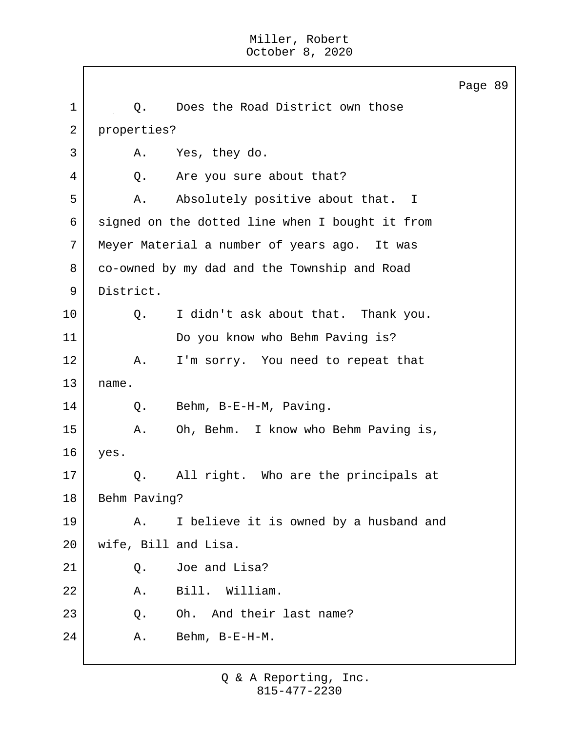Page 89 1 | Q. Does the Road District own those 2 properties? 3 A. Yes, they do. 4 Q. Are you sure about that? 5 A. Absolutely positive about that. I 6 signed on the dotted line when I bought it from 7 Meyer Material a number of years ago. It was 8 co-owned by my dad and the Township and Road 9 District. 10 Q. I didn't ask about that. Thank you. 11 Do you know who Behm Paving is? 12 | A. I'm sorry. You need to repeat that  $13$  name. 14 Q. Behm, B-E-H-M, Paving. 15 A. Oh, Behm. I know who Behm Paving is, 16 yes. 17 Q. All right. Who are the principals at 18 Behm Paving? 19 | A. I believe it is owned by a husband and 20 wife, Bill and Lisa. 21 Q. Joe and Lisa? 22 A. Bill. William. 23 Q. Oh. And their last name? 24 A. Behm, B-E-H-M.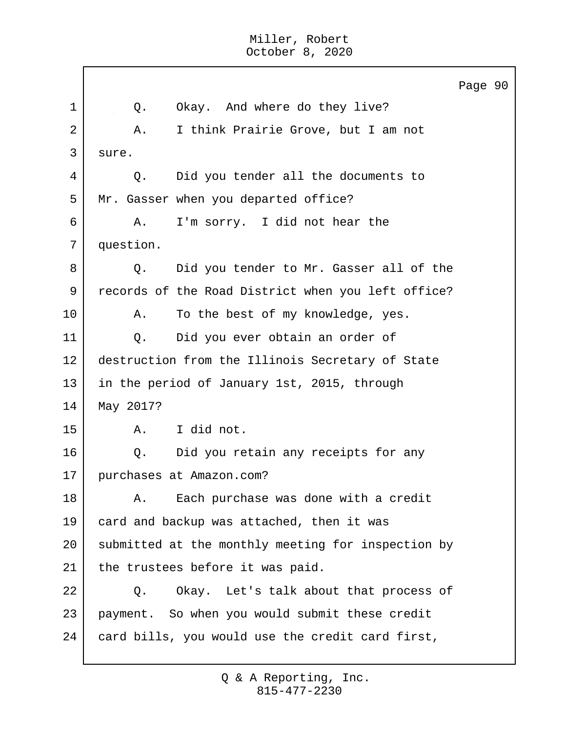|    | Page 90                                            |
|----|----------------------------------------------------|
| 1  | Okay. And where do they live?<br>Q.                |
| 2  | I think Prairie Grove, but I am not<br>Α.          |
| 3  | sure.                                              |
| 4  | Did you tender all the documents to<br>Q.          |
| 5  | Mr. Gasser when you departed office?               |
| 6  | I'm sorry. I did not hear the<br>Α.                |
| 7  | question.                                          |
| 8  | Did you tender to Mr. Gasser all of the<br>Q.      |
| 9  | records of the Road District when you left office? |
| 10 | To the best of my knowledge, yes.<br>Α.            |
| 11 | Did you ever obtain an order of<br>Q.              |
| 12 | destruction from the Illinois Secretary of State   |
| 13 | in the period of January 1st, 2015, through        |
| 14 | May 2017?                                          |
| 15 | I did not.<br>A.                                   |
| 16 | Did you retain any receipts for any<br>Q.          |
| 17 | purchases at Amazon.com?                           |
| 18 | Each purchase was done with a credit<br>Α.         |
| 19 | card and backup was attached, then it was          |
| 20 | submitted at the monthly meeting for inspection by |
| 21 | the trustees before it was paid.                   |
| 22 | Okay. Let's talk about that process of<br>Q.       |
| 23 | payment. So when you would submit these credit     |
| 24 | card bills, you would use the credit card first,   |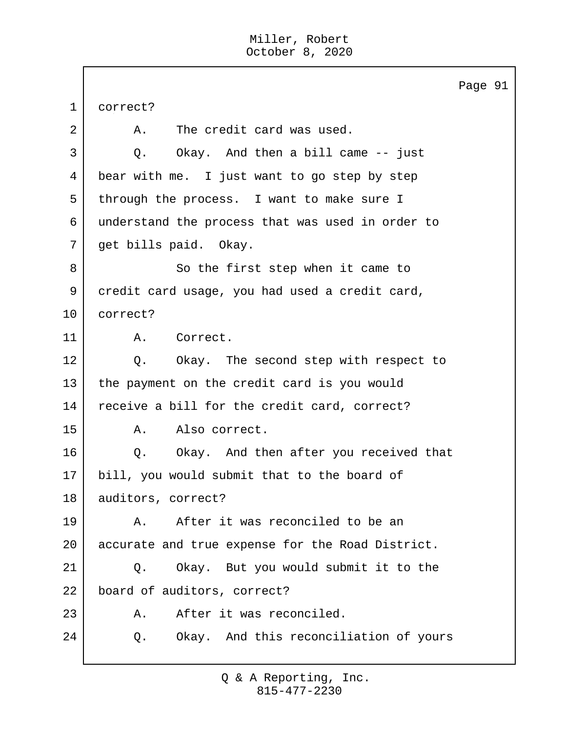|             |                                                  | Page 91 |  |
|-------------|--------------------------------------------------|---------|--|
| $\mathbf 1$ | correct?                                         |         |  |
| 2           | The credit card was used.<br>Α.                  |         |  |
| 3           | Okay. And then a bill came -- just<br>Q.         |         |  |
| 4           | bear with me. I just want to go step by step     |         |  |
| 5           | through the process. I want to make sure I       |         |  |
| 6           | understand the process that was used in order to |         |  |
| 7           | get bills paid. Okay.                            |         |  |
| 8           | So the first step when it came to                |         |  |
| 9           | credit card usage, you had used a credit card,   |         |  |
| 10          | correct?                                         |         |  |
| 11          | Correct.<br>Α.                                   |         |  |
| 12          | Q. Okay. The second step with respect to         |         |  |
| 13          | the payment on the credit card is you would      |         |  |
| 14          | receive a bill for the credit card, correct?     |         |  |
| 15          | Also correct.<br>Α.                              |         |  |
| 16          | Q. Okay. And then after you received that        |         |  |
| 17          | bill, you would submit that to the board of      |         |  |
| 18          | auditors, correct?                               |         |  |
| 19          | After it was reconciled to be an<br>Α.           |         |  |
| 20          | accurate and true expense for the Road District. |         |  |
| 21          | Okay. But you would submit it to the<br>Q.       |         |  |
| 22          | board of auditors, correct?                      |         |  |
| 23          | After it was reconciled.<br>Α.                   |         |  |
| 24          | Okay. And this reconciliation of yours<br>Q.     |         |  |
|             |                                                  |         |  |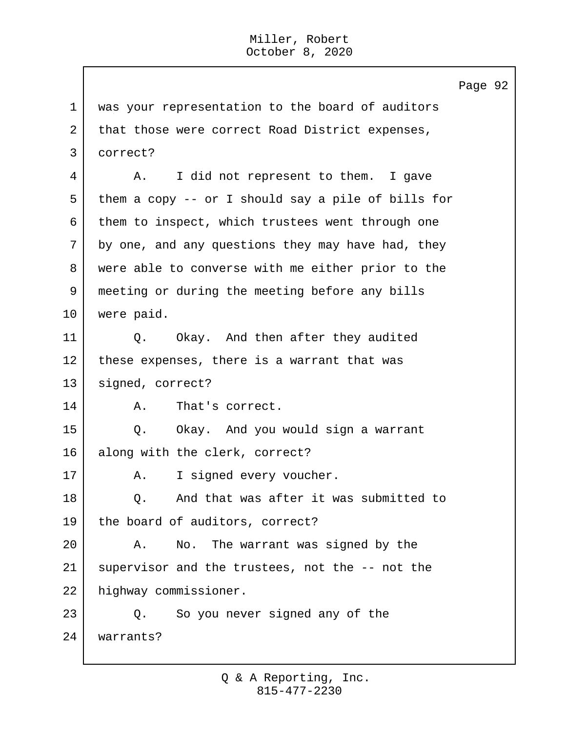1 was your representation to the board of auditors 2 that those were correct Road District expenses, 3 correct? 4 A. I did not represent to them. I gave 5 them a copy -- or I should say a pile of bills for 6 them to inspect, which trustees went through one 7 by one, and any questions they may have had, they 8 were able to converse with me either prior to the 9 meeting or during the meeting before any bills 10 were paid. 11 | O. Okay. And then after they audited 12 these expenses, there is a warrant that was 13 signed, correct? 14 A. That's correct. 15 Q. Okay. And you would sign a warrant 16 along with the clerk, correct? 17 | A. I signed every voucher. 18 | C. And that was after it was submitted to 19 the board of auditors, correct? 20 A. No. The warrant was signed by the 21 supervisor and the trustees, not the -- not the 22 highway commissioner. 23 | Q. So you never signed any of the 24 warrants?

Page 92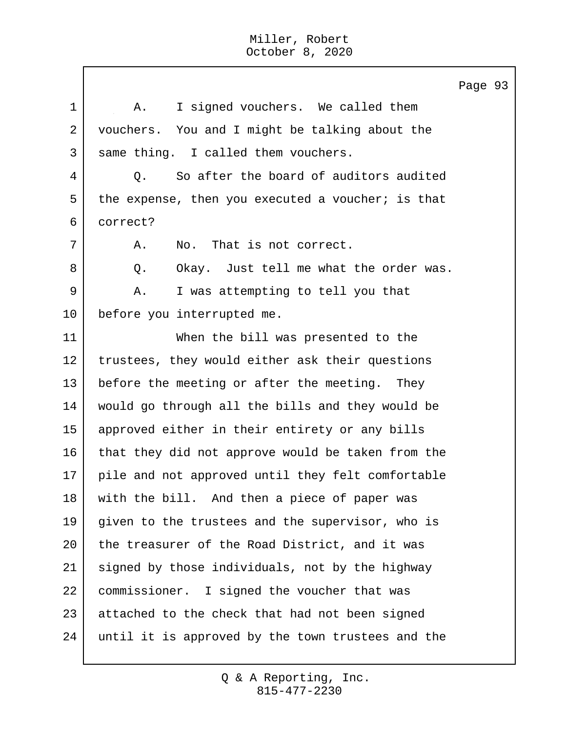1 | A. I signed vouchers. We called them 2 vouchers. You and I might be talking about the 3 same thing. I called them vouchers. 4 | O. So after the board of auditors audited 5 the expense, then you executed a voucher; is that 6 correct? 7 A. No. That is not correct. 8 Q. Okay. Just tell me what the order was. 9 A. I was attempting to tell you that 10 before you interrupted me. 11 When the bill was presented to the 12 | trustees, they would either ask their questions 13 before the meeting or after the meeting. They 14 would go through all the bills and they would be 15 approved either in their entirety or any bills 16 that they did not approve would be taken from the 17 pile and not approved until they felt comfortable 18 with the bill. And then a piece of paper was 19 given to the trustees and the supervisor, who is 20 the treasurer of the Road District, and it was 21 signed by those individuals, not by the highway 22 commissioner. I signed the voucher that was 23 attached to the check that had not been signed 24 until it is approved by the town trustees and the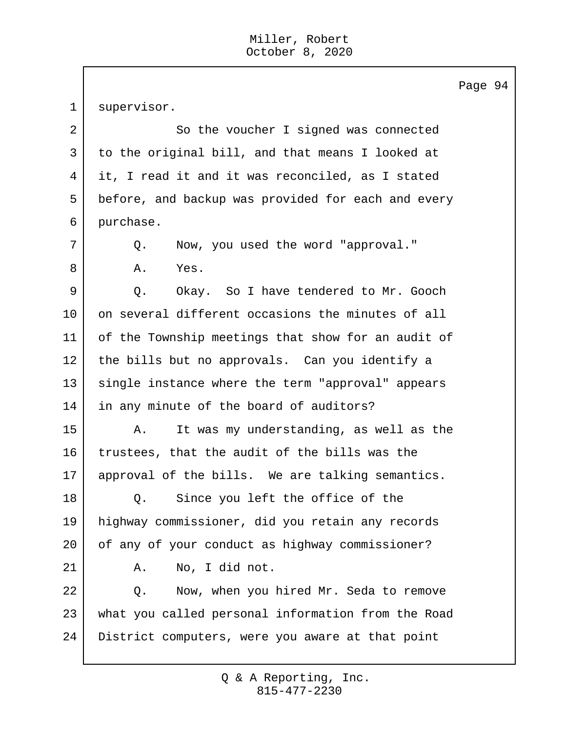1 supervisor. 2 So the voucher I signed was connected 3 to the original bill, and that means I looked at 4 it, I read it and it was reconciled, as I stated 5 before, and backup was provided for each and every 6 purchase. 7 Q. Now, you used the word "approval." 8 A. Yes. 9 | O. Okay. So I have tendered to Mr. Gooch 10 | on several different occasions the minutes of all 11 of the Township meetings that show for an audit of 12 the bills but no approvals. Can you identify a 13 single instance where the term "approval" appears 14 in any minute of the board of auditors? 15 A. It was my understanding, as well as the 16 trustees, that the audit of the bills was the 17 approval of the bills. We are talking semantics. 18 | Q. Since you left the office of the 19 highway commissioner, did you retain any records 20 of any of your conduct as highway commissioner? 21 | A. No, I did not. 22 | Q. Now, when you hired Mr. Seda to remove 23 what you called personal information from the Road 24 District computers, were you aware at that point

> 815-477-2230 Q & A Reporting, Inc.

Page 94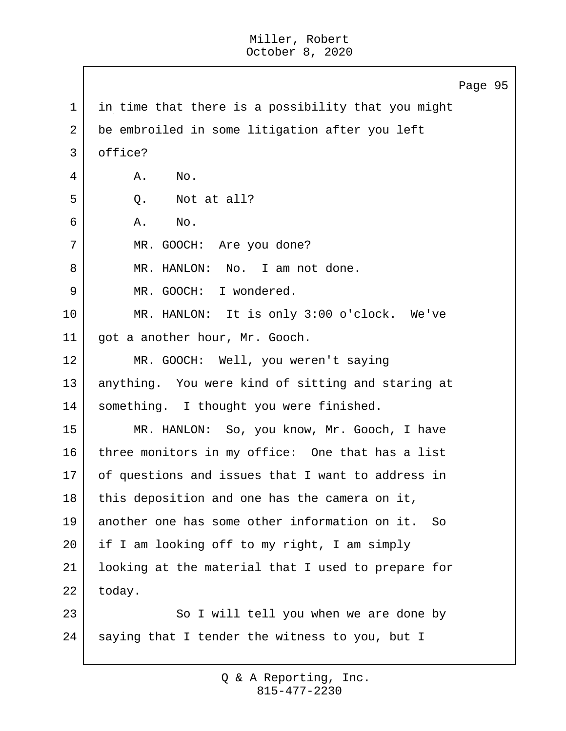Page 95 1 in time that there is a possibility that you might 2 be embroiled in some litigation after you left 3 office? 4 A. No.  $5 \mid 0.$  Not at all? 6 A. No. 7 | MR. GOOCH: Are you done? 8 | MR. HANLON: No. I am not done. 9 MR. GOOCH: I wondered. 10 MR. HANLON: It is only 3:00 o'clock. We've 11 got a another hour, Mr. Gooch. 12 MR. GOOCH: Well, you weren't saying 13 anything. You were kind of sitting and staring at 14 | something. I thought you were finished. 15 MR. HANLON: So, you know, Mr. Gooch, I have 16 three monitors in my office: One that has a list 17 of questions and issues that I want to address in  $18$  this deposition and one has the camera on it, 19 another one has some other information on it. So 20 if I am looking off to my right, I am simply 21 looking at the material that I used to prepare for 22 today. 23 So I will tell you when we are done by 24 saying that I tender the witness to you, but I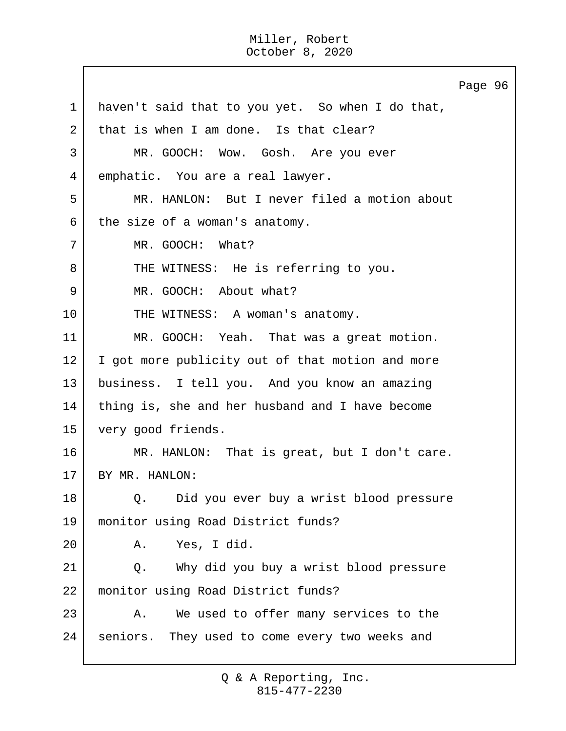Page 96 1 haven't said that to you yet. So when I do that, 2 that is when I am done. Is that clear? 3 MR. GOOCH: Wow. Gosh. Are you ever 4 emphatic. You are a real lawyer. 5 MR. HANLON: But I never filed a motion about  $6$  the size of a woman's anatomy. 7 MR. GOOCH: What? 8 THE WITNESS: He is referring to you. 9 MR. GOOCH: About what? 10 THE WITNESS: A woman's anatomy. 11 MR. GOOCH: Yeah. That was a great motion. 12 | I got more publicity out of that motion and more 13 business. I tell you. And you know an amazing 14 thing is, she and her husband and I have become 15 very good friends. 16 MR. HANLON: That is great, but I don't care. 17 BY MR. HANLON: 18 | O. Did you ever buy a wrist blood pressure 19 monitor using Road District funds? 20 A. Yes, I did. 21 Q. Why did you buy a wrist blood pressure 22 monitor using Road District funds? 23 A. We used to offer many services to the 24 seniors. They used to come every two weeks and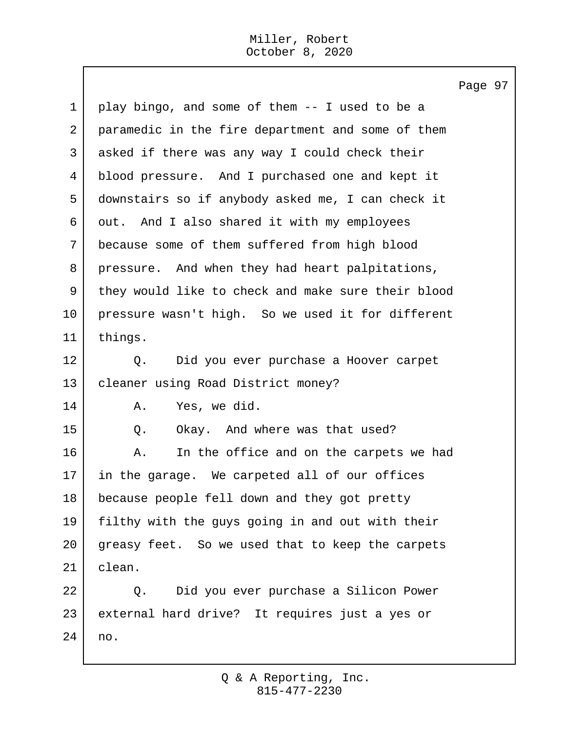$\mathbf{I}$ 

|             | Page 97                                            |
|-------------|----------------------------------------------------|
| $\mathbf 1$ | play bingo, and some of them -- I used to be a     |
| 2           | paramedic in the fire department and some of them  |
| 3           | asked if there was any way I could check their     |
| 4           | blood pressure. And I purchased one and kept it    |
| 5           | downstairs so if anybody asked me, I can check it  |
| 6           | out. And I also shared it with my employees        |
| 7           | because some of them suffered from high blood      |
| 8           | pressure. And when they had heart palpitations,    |
| 9           | they would like to check and make sure their blood |
| 10          | pressure wasn't high. So we used it for different  |
| 11          | things.                                            |
| 12          | Did you ever purchase a Hoover carpet<br>Q.        |
| 13          | cleaner using Road District money?                 |
| 14          | Yes, we did.<br>Α.                                 |
| 15          | Okay. And where was that used?<br>Q.               |
| 16          | In the office and on the carpets we had<br>Α.      |
| 17          | in the garage. We carpeted all of our offices      |
| 18          | because people fell down and they got pretty       |
| 19          | filthy with the guys going in and out with their   |
| 20          | greasy feet. So we used that to keep the carpets   |
| 21          | clean.                                             |
| 22          | Did you ever purchase a Silicon Power<br>Q.        |
| 23          | external hard drive? It requires just a yes or     |
| 24          | no.                                                |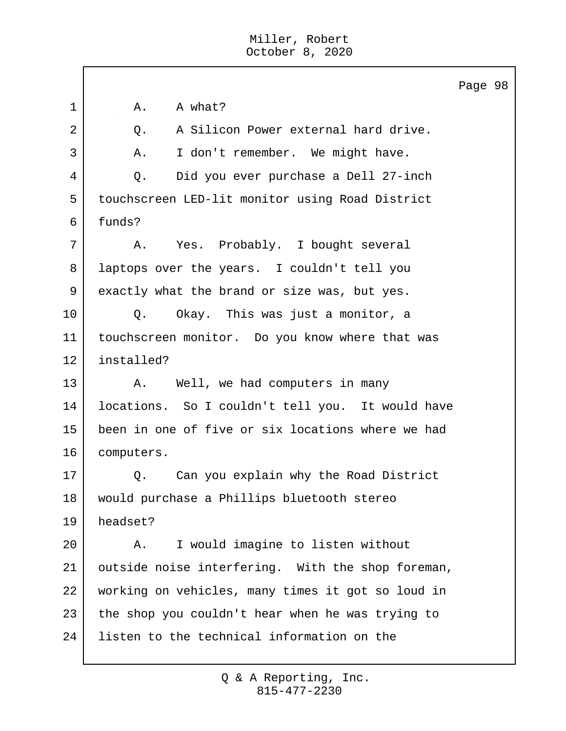|                |                                                    | Page 98 |  |
|----------------|----------------------------------------------------|---------|--|
| 1              | A what?<br>Α.                                      |         |  |
| $\overline{2}$ | A Silicon Power external hard drive.<br>Q.         |         |  |
| 3              | I don't remember. We might have.<br>Α.             |         |  |
| 4              | Did you ever purchase a Dell 27-inch<br>Q.         |         |  |
| 5              | touchscreen LED-lit monitor using Road District    |         |  |
| 6              | funds?                                             |         |  |
| 7              | Yes. Probably. I bought several<br>Α.              |         |  |
| 8              | laptops over the years. I couldn't tell you        |         |  |
| 9              | exactly what the brand or size was, but yes.       |         |  |
| 10             | Okay. This was just a monitor, a<br>Q.             |         |  |
| 11             | touchscreen monitor. Do you know where that was    |         |  |
| 12             | installed?                                         |         |  |
| 13             | Well, we had computers in many<br>A.               |         |  |
| 14             | locations. So I couldn't tell you. It would have   |         |  |
| 15             | been in one of five or six locations where we had  |         |  |
| 16             | computers.                                         |         |  |
| 17             | Can you explain why the Road District<br>$\circ$ . |         |  |
| 18             | would purchase a Phillips bluetooth stereo         |         |  |
| 19             | headset?                                           |         |  |
| 20             | I would imagine to listen without<br>Α.            |         |  |
| 21             | outside noise interfering. With the shop foreman,  |         |  |
| 22             | working on vehicles, many times it got so loud in  |         |  |
| 23             |                                                    |         |  |
|                | the shop you couldn't hear when he was trying to   |         |  |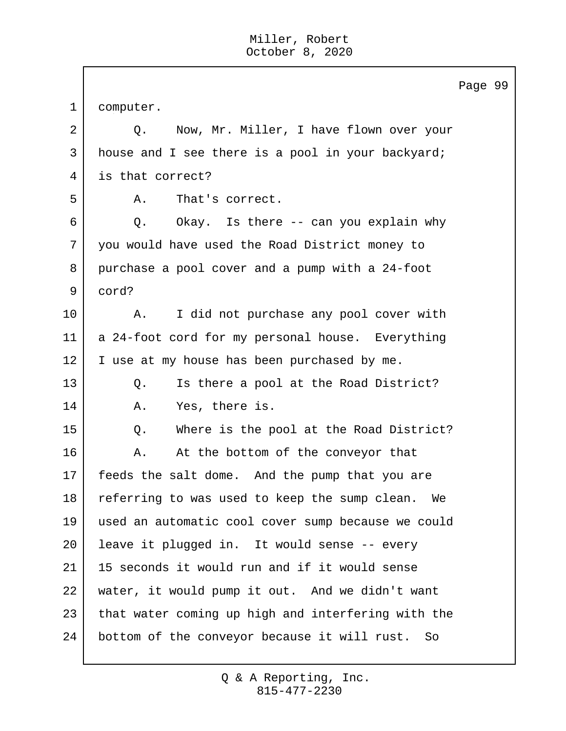|             |                                                    | Page 99 |  |
|-------------|----------------------------------------------------|---------|--|
| $\mathbf 1$ | computer.                                          |         |  |
| 2           | Now, Mr. Miller, I have flown over your<br>Q.      |         |  |
| 3           | house and I see there is a pool in your backyard;  |         |  |
| 4           | is that correct?                                   |         |  |
| 5           | That's correct.<br>Α.                              |         |  |
| 6           | Okay. Is there -- can you explain why<br>Q.        |         |  |
| 7           | you would have used the Road District money to     |         |  |
| 8           | purchase a pool cover and a pump with a 24-foot    |         |  |
| 9           | cord?                                              |         |  |
| 10          | I did not purchase any pool cover with<br>Α.       |         |  |
| 11          | a 24-foot cord for my personal house. Everything   |         |  |
| 12          | I use at my house has been purchased by me.        |         |  |
| 13          | Is there a pool at the Road District?<br>Q.        |         |  |
| 14          | Yes, there is.<br>Α.                               |         |  |
| 15          | Where is the pool at the Road District?<br>Q.      |         |  |
| 16          | At the bottom of the conveyor that<br>Α.           |         |  |
| 17          | feeds the salt dome. And the pump that you are     |         |  |
| 18          | referring to was used to keep the sump clean. We   |         |  |
| 19          | used an automatic cool cover sump because we could |         |  |
| 20          | leave it plugged in. It would sense -- every       |         |  |
| 21          | 15 seconds it would run and if it would sense      |         |  |
| 22          | water, it would pump it out. And we didn't want    |         |  |
| 23          | that water coming up high and interfering with the |         |  |
| 24          | bottom of the conveyor because it will rust.<br>So |         |  |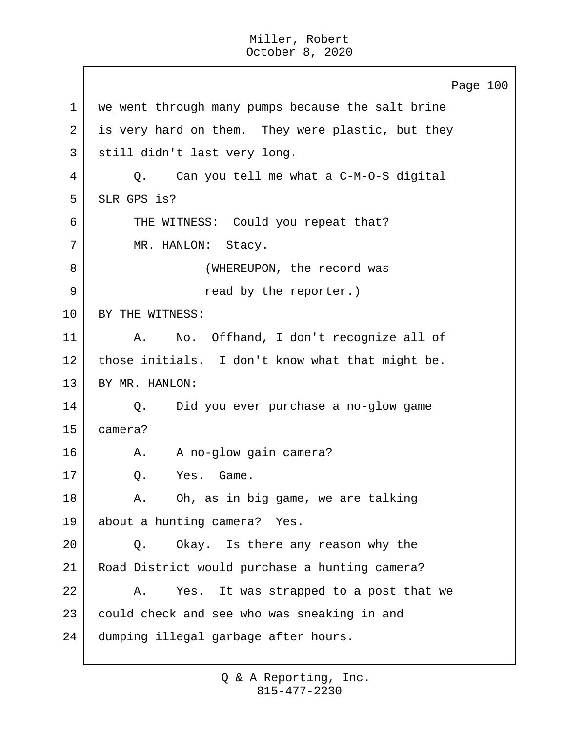Page 100 1 we went through many pumps because the salt brine 2 is very hard on them. They were plastic, but they 3 | still didn't last very long. 4 Q. Can you tell me what a C-M-O-S digital 5 SLR GPS is? 6 THE WITNESS: Could you repeat that? 7 | MR. HANLON: Stacy. 8 | (WHEREUPON, the record was 9 and by the reporter.) 10 | BY THE WITNESS: 11 | A. No. Offhand, I don't recognize all of 12 | those initials. I don't know what that might be. 13 BY MR. HANLON: 14 Q. Did you ever purchase a no-glow game 15 camera? 16 A. A no-glow gain camera? 17 O. Yes. Game. 18 A. Oh, as in big game, we are talking 19 about a hunting camera? Yes. 20 Q. Okay. Is there any reason why the 21 Road District would purchase a hunting camera? 22 A. Yes. It was strapped to a post that we 23 could check and see who was sneaking in and 24 dumping illegal garbage after hours.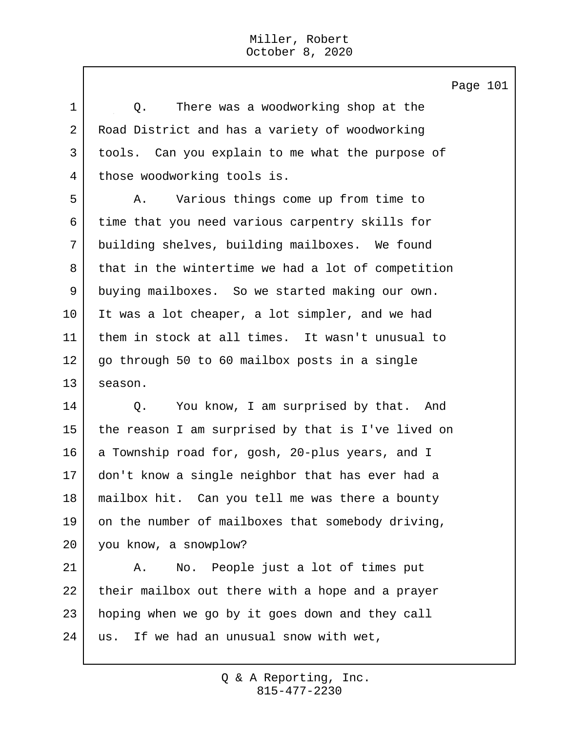1 1 O. There was a woodworking shop at the 2 Road District and has a variety of woodworking 3 tools. Can you explain to me what the purpose of 4 those woodworking tools is. 5 A. Various things come up from time to 6 time that you need various carpentry skills for 7 building shelves, building mailboxes. We found 8 that in the wintertime we had a lot of competition 9 buying mailboxes. So we started making our own. 10 It was a lot cheaper, a lot simpler, and we had 11 them in stock at all times. It wasn't unusual to 12 go through 50 to 60 mailbox posts in a single 13 season. 14 | Q. You know, I am surprised by that. And 15 the reason I am surprised by that is I've lived on 16 a Township road for, gosh, 20-plus years, and I

 don't know a single neighbor that has ever had a mailbox hit. Can you tell me was there a bounty on the number of mailboxes that somebody driving, you know, a snowplow?

21 | A. No. People just a lot of times put 22 their mailbox out there with a hope and a prayer 23 | hoping when we go by it goes down and they call 24 us. If we had an unusual snow with wet,

Page 101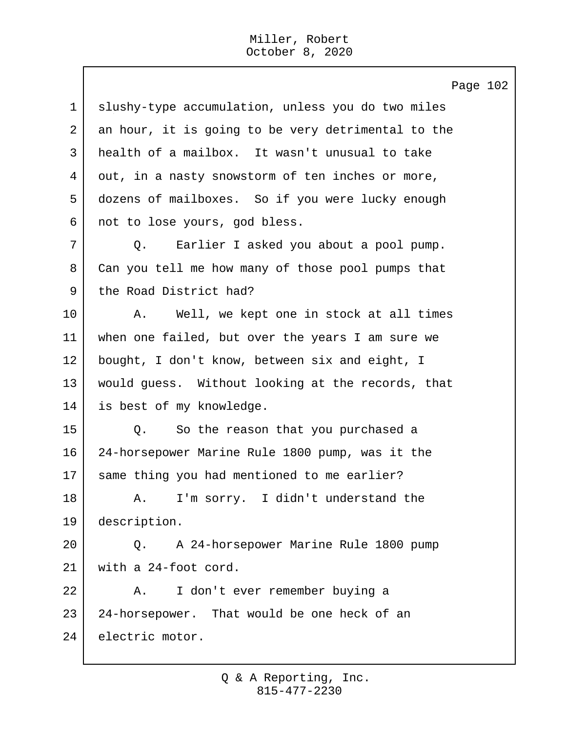|                | Page 102                                           |
|----------------|----------------------------------------------------|
| $\mathbf 1$    | slushy-type accumulation, unless you do two miles  |
| $\overline{a}$ | an hour, it is going to be very detrimental to the |
| 3              | health of a mailbox. It wasn't unusual to take     |
| 4              | out, in a nasty snowstorm of ten inches or more,   |
| 5              | dozens of mailboxes. So if you were lucky enough   |
| 6              | not to lose yours, god bless.                      |
| 7              | Earlier I asked you about a pool pump.<br>Q.       |
| 8              | Can you tell me how many of those pool pumps that  |
| 9              | the Road District had?                             |
| 10             | Well, we kept one in stock at all times<br>Α.      |
| 11             | when one failed, but over the years I am sure we   |
| 12             | bought, I don't know, between six and eight, I     |
| 13             | would guess. Without looking at the records, that  |
| 14             | is best of my knowledge.                           |
| 15             | So the reason that you purchased a<br>Q.           |
| 16             | 24-horsepower Marine Rule 1800 pump, was it the    |
| 17             | same thing you had mentioned to me earlier?        |
| 18             | A. I'm sorry. I didn't understand the              |
| 19             | description.                                       |
| 20             | A 24-horsepower Marine Rule 1800 pump<br>$Q$ .     |
| 21             | with a 24-foot cord.                               |
| 22             | I don't ever remember buying a<br>Α.               |
| 23             | 24-horsepower. That would be one heck of an        |
| 24             | electric motor.                                    |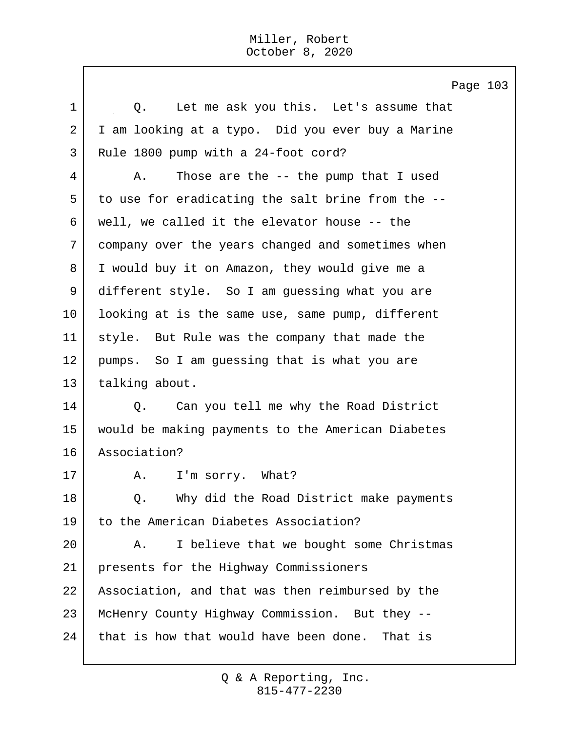Page 103 1 1 O. Let me ask you this. Let's assume that 2 I am looking at a typo. Did you ever buy a Marine 3 Rule 1800 pump with a 24-foot cord? 4 A. Those are the -- the pump that I used 5 to use for eradicating the salt brine from the -- 6 well, we called it the elevator house  $-$ - the 7 company over the years changed and sometimes when 8 I would buy it on Amazon, they would give me a 9 different style. So I am guessing what you are 10 looking at is the same use, same pump, different 11 style. But Rule was the company that made the 12 pumps. So I am guessing that is what you are 13 talking about. 14 | Q. Can you tell me why the Road District 15 would be making payments to the American Diabetes 16 Association? 17 | A. I'm sorry. What? 18 | O. Why did the Road District make payments 19 to the American Diabetes Association? 20 | A. I believe that we bought some Christmas 21 presents for the Highway Commissioners 22 Association, and that was then reimbursed by the 23 McHenry County Highway Commission. But they -- 24 that is how that would have been done. That is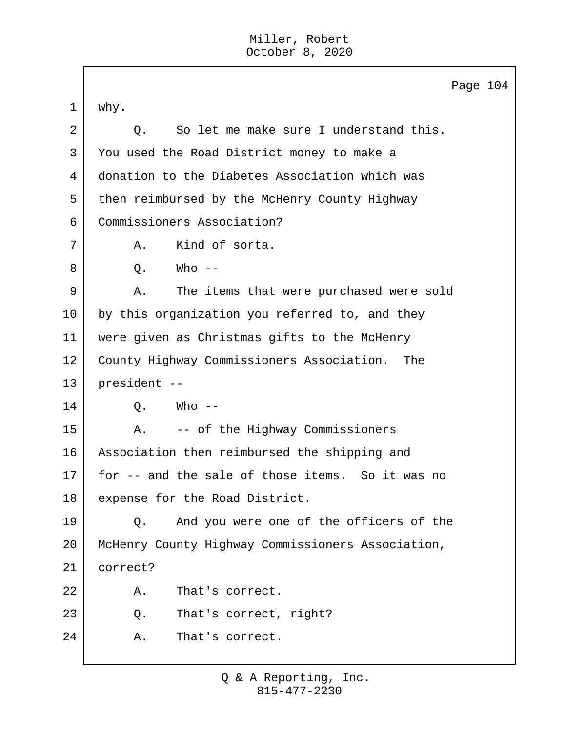|             | Page 104                                          |
|-------------|---------------------------------------------------|
| $\mathbf 1$ | why.                                              |
| 2           | So let me make sure I understand this.<br>Q.      |
| 3           | You used the Road District money to make a        |
| 4           | donation to the Diabetes Association which was    |
| 5           | then reimbursed by the McHenry County Highway     |
| 6           | Commissioners Association?                        |
| 7           | Kind of sorta.<br>Α.                              |
| 8           | Q.<br>Who --                                      |
| 9           | The items that were purchased were sold<br>Α.     |
| 10          | by this organization you referred to, and they    |
| 11          | were given as Christmas gifts to the McHenry      |
| 12          | County Highway Commissioners Association.<br>The  |
| 13          | president --                                      |
| 14          | Who --<br>Q.                                      |
| 15          | -- of the Highway Commissioners<br>Α.             |
| 16          | Association then reimbursed the shipping and      |
| 17          | for -- and the sale of those items. So it was no  |
| 18          | expense for the Road District.                    |
| 19          | And you were one of the officers of the<br>О.     |
| 20          | McHenry County Highway Commissioners Association, |
| 21          | correct?                                          |
| 22          | Α.<br>That's correct.                             |
| 23          | That's correct, right?<br>Q.                      |
| 24          | That's correct.<br>Α.                             |
|             |                                                   |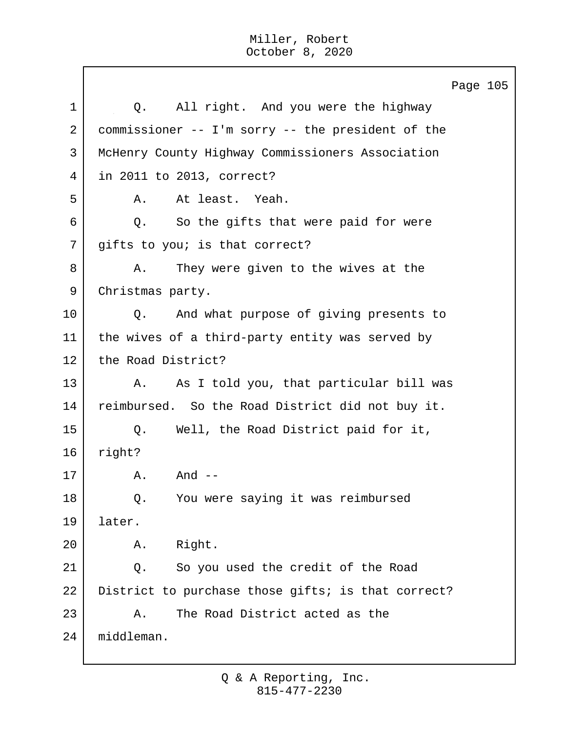Page 105 1 0. All right. And you were the highway 2 commissioner -- I'm sorry -- the president of the 3 McHenry County Highway Commissioners Association 4 in 2011 to 2013, correct? 5 A. At least. Yeah.  $6$  Q. So the gifts that were paid for were 7 | gifts to you; is that correct? 8 A. They were given to the wives at the 9 Christmas party. 10 Q. And what purpose of giving presents to 11 | the wives of a third-party entity was served by 12 the Road District? 13 A. As I told you, that particular bill was 14 reimbursed. So the Road District did not buy it. 15 Q. Well, the Road District paid for it, 16 right? 17 A. And --18 | Q. You were saying it was reimbursed 19 later. 20 A. Right. 21 Q. So you used the credit of the Road 22 District to purchase those gifts; is that correct? 23 A. The Road District acted as the 24 middleman.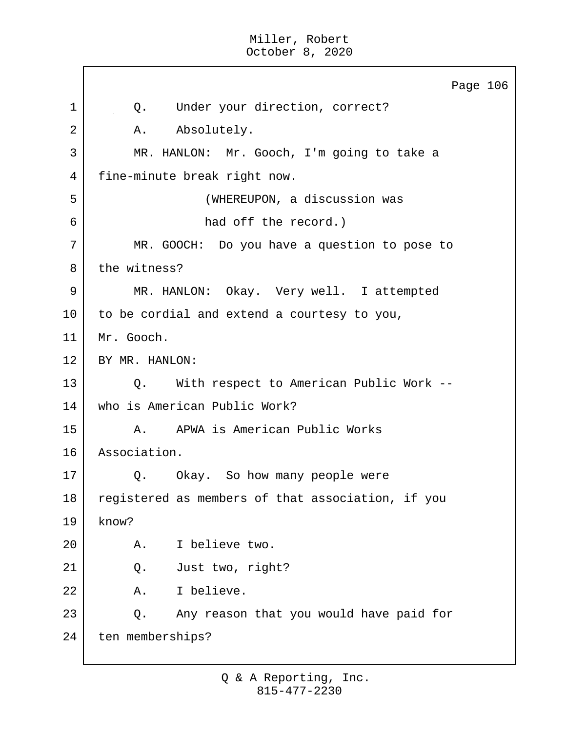Page 106 1 | Q. Under your direction, correct? 2 | A. Absolutely. 3 MR. HANLON: Mr. Gooch, I'm going to take a 4 | fine-minute break right now. 5 (WHEREUPON, a discussion was 6 had off the record.) 7 MR. GOOCH: Do you have a question to pose to 8 the witness? 9 MR. HANLON: Okay. Very well. I attempted 10 to be cordial and extend a courtesy to you, 11 Mr. Gooch. 12 BY MR. HANLON: 13 Q. With respect to American Public Work --14 who is American Public Work? 15 A. APWA is American Public Works 16 Association. 17 Q. Okay. So how many people were 18 registered as members of that association, if you  $19$  know? 20 A. I believe two. 21 Q. Just two, right? 22 A. I believe. 23 Q. Any reason that you would have paid for 24 ten memberships?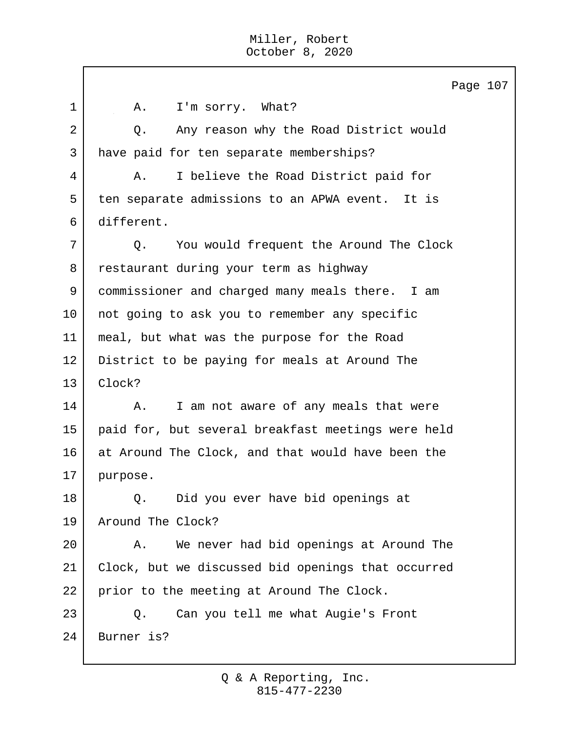$\Box$ 

|                | Page 107                                           |
|----------------|----------------------------------------------------|
| $\mathbf 1$    | I'm sorry. What?<br>Α.                             |
| $\mathbf{2}$   | Any reason why the Road District would<br>Q.       |
| $\mathfrak{Z}$ | have paid for ten separate memberships?            |
| 4              | I believe the Road District paid for<br>Α.         |
| 5              | ten separate admissions to an APWA event. It is    |
| 6              | different.                                         |
| 7              | You would frequent the Around The Clock<br>$Q$ .   |
| 8              | restaurant during your term as highway             |
| 9              | commissioner and charged many meals there. I am    |
| 10             | not going to ask you to remember any specific      |
| 11             | meal, but what was the purpose for the Road        |
| 12             | District to be paying for meals at Around The      |
| 13             | Clock?                                             |
| 14             | I am not aware of any meals that were<br>Α.        |
| 15             | paid for, but several breakfast meetings were held |
| 16             | at Around The Clock, and that would have been the  |
| 17             | purpose.                                           |
| 18             | Did you ever have bid openings at<br>Q.            |
| 19             | Around The Clock?                                  |
| 20             | We never had bid openings at Around The<br>Α.      |
| 21             | Clock, but we discussed bid openings that occurred |
| 22             | prior to the meeting at Around The Clock.          |
| 23             | Can you tell me what Augie's Front<br>Q.           |
| 24             | Burner is?                                         |
|                |                                                    |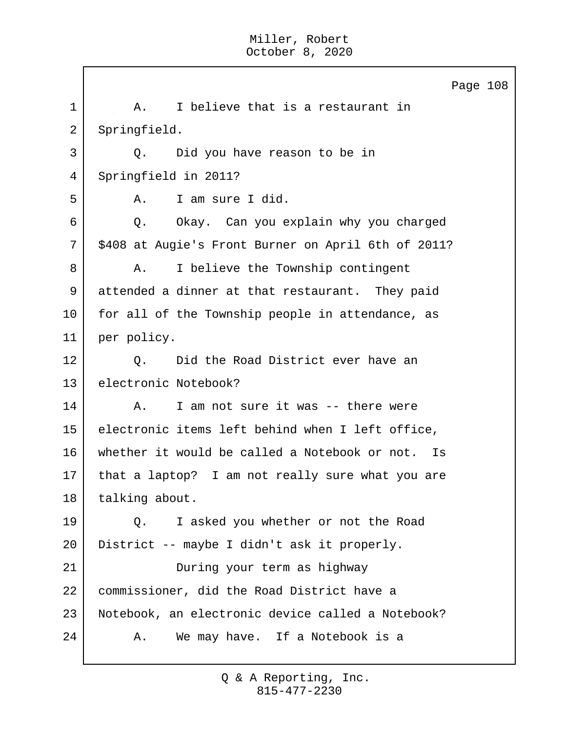Page 108 1 | A. I believe that is a restaurant in 2 Springfield. 3 Q. Did you have reason to be in 4 Springfield in 2011? 5 A. I am sure I did. 6 Q. Okay. Can you explain why you charged 7 | \$408 at Augie's Front Burner on April 6th of 2011? 8 A. I believe the Township contingent 9 attended a dinner at that restaurant. They paid 10 | for all of the Township people in attendance, as 11 per policy. 12 | O. Did the Road District ever have an 13 electronic Notebook? 14 A. I am not sure it was -- there were 15 electronic items left behind when I left office, 16 whether it would be called a Notebook or not. Is 17 that a laptop? I am not really sure what you are 18 talking about. 19 Q. I asked you whether or not the Road 20 District -- maybe I didn't ask it properly. 21 During your term as highway 22 commissioner, did the Road District have a 23 Notebook, an electronic device called a Notebook? 24 A. We may have. If a Notebook is a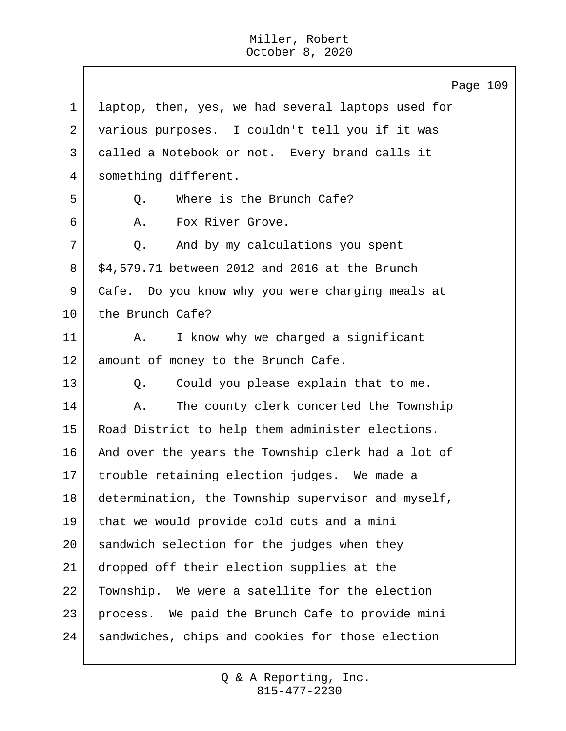Page 109 1 laptop, then, yes, we had several laptops used for 2 various purposes. I couldn't tell you if it was 3 called a Notebook or not. Every brand calls it 4 something different. 5 | C. Where is the Brunch Cafe? 6 A. Fox River Grove. 7 Q. And by my calculations you spent  $8 \mid$  \$4,579.71 between 2012 and 2016 at the Brunch 9 Cafe. Do you know why you were charging meals at 10 the Brunch Cafe? 11 | A. I know why we charged a significant 12 | amount of money to the Brunch Cafe. 13 Q. Could you please explain that to me. 14 A. The county clerk concerted the Township 15 Road District to help them administer elections. 16 And over the years the Township clerk had a lot of 17 trouble retaining election judges. We made a 18 determination, the Township supervisor and myself, 19 that we would provide cold cuts and a mini 20 sandwich selection for the judges when they 21 dropped off their election supplies at the 22 Township. We were a satellite for the election 23 process. We paid the Brunch Cafe to provide mini 24 | sandwiches, chips and cookies for those election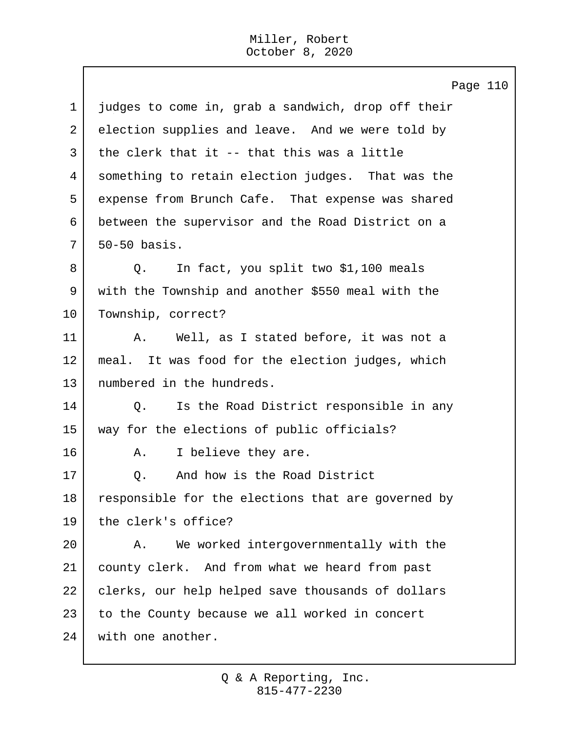$\mathbf{I}$ 

|             | Page 110                                           |
|-------------|----------------------------------------------------|
| $\mathbf 1$ | judges to come in, grab a sandwich, drop off their |
| 2           | election supplies and leave. And we were told by   |
| 3           | the clerk that it -- that this was a little        |
| 4           | something to retain election judges. That was the  |
| 5           | expense from Brunch Cafe. That expense was shared  |
| 6           | between the supervisor and the Road District on a  |
| 7           | 50-50 basis.                                       |
| 8           | In fact, you split two \$1,100 meals<br>Q.         |
| 9           | with the Township and another \$550 meal with the  |
| 10          | Township, correct?                                 |
| 11          | Well, as I stated before, it was not a<br>Α.       |
| 12          | meal. It was food for the election judges, which   |
| 13          | numbered in the hundreds.                          |
| 14          | Is the Road District responsible in any<br>Q.      |
| 15          | way for the elections of public officials?         |
| 16          | I believe they are.<br>Α.                          |
| 17          | And how is the Road District<br>Q.                 |
| 18          | responsible for the elections that are governed by |
| 19          | the clerk's office?                                |
| 20          | We worked intergovernmentally with the<br>Α.       |
| 21          | county clerk. And from what we heard from past     |
| 22          | clerks, our help helped save thousands of dollars  |
| 23          | to the County because we all worked in concert     |
| 24          | with one another.                                  |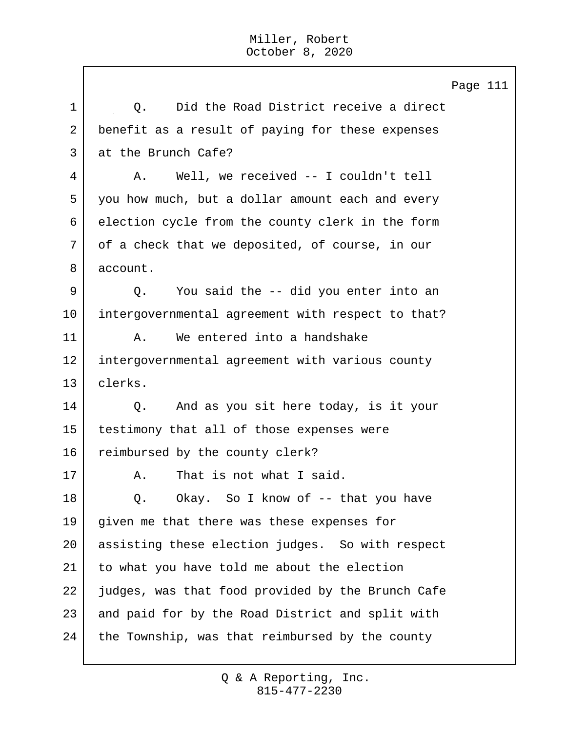Page 111 1 |  $\sqrt{0}$ . Did the Road District receive a direct 2 benefit as a result of paying for these expenses 3 at the Brunch Cafe? 4 | A. Well, we received -- I couldn't tell 5 you how much, but a dollar amount each and every 6 election cycle from the county clerk in the form 7 of a check that we deposited, of course, in our 8 account. 9 Q. You said the -- did you enter into an 10 intergovernmental agreement with respect to that? 11 A. We entered into a handshake 12 intergovernmental agreement with various county 13 clerks. 14 Q. And as you sit here today, is it your 15 testimony that all of those expenses were 16 reimbursed by the county clerk? 17 A. That is not what I said. 18 | O. Okay. So I know of -- that you have 19 given me that there was these expenses for 20 assisting these election judges. So with respect 21 to what you have told me about the election 22 judges, was that food provided by the Brunch Cafe 23 and paid for by the Road District and split with 24 the Township, was that reimbursed by the county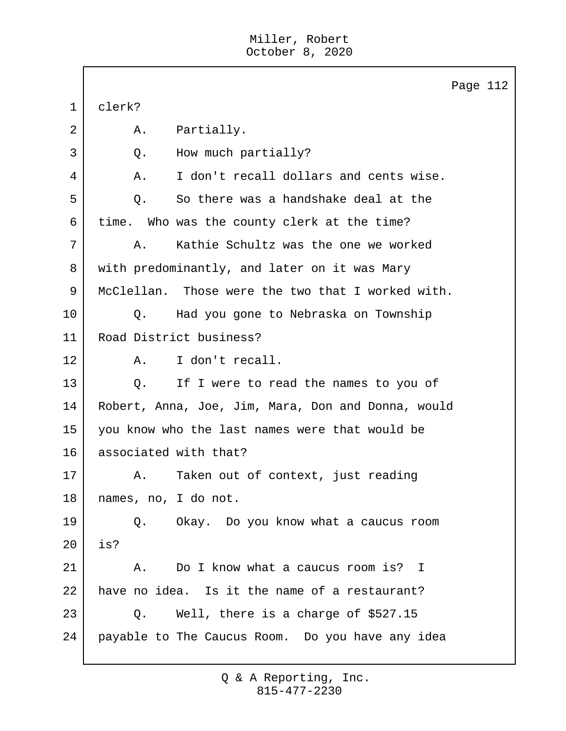|             | Page 112                                           |  |  |  |  |  |  |
|-------------|----------------------------------------------------|--|--|--|--|--|--|
| $\mathbf 1$ | clerk?                                             |  |  |  |  |  |  |
| 2           | Partially.<br>Α.                                   |  |  |  |  |  |  |
| 3           | How much partially?<br>Q.                          |  |  |  |  |  |  |
| 4           | I don't recall dollars and cents wise.<br>Α.       |  |  |  |  |  |  |
| 5           | So there was a handshake deal at the<br>Q.         |  |  |  |  |  |  |
| 6           | time. Who was the county clerk at the time?        |  |  |  |  |  |  |
| 7           | Kathie Schultz was the one we worked<br>Α.         |  |  |  |  |  |  |
| 8           | with predominantly, and later on it was Mary       |  |  |  |  |  |  |
| 9           | McClellan. Those were the two that I worked with.  |  |  |  |  |  |  |
| 10          | Had you gone to Nebraska on Township<br>Q.         |  |  |  |  |  |  |
| 11          | Road District business?                            |  |  |  |  |  |  |
| 12          | I don't recall.<br>Α.                              |  |  |  |  |  |  |
| 13          | If I were to read the names to you of<br>Q.        |  |  |  |  |  |  |
| 14          | Robert, Anna, Joe, Jim, Mara, Don and Donna, would |  |  |  |  |  |  |
| 15          | you know who the last names were that would be     |  |  |  |  |  |  |
| 16          | associated with that?                              |  |  |  |  |  |  |
| 17          | Taken out of context, just reading<br>Α.           |  |  |  |  |  |  |
| 18          | names, no, I do not.                               |  |  |  |  |  |  |
| 19          | Okay. Do you know what a caucus room<br>Q.         |  |  |  |  |  |  |
| 20          | is?                                                |  |  |  |  |  |  |
| 21          | Do I know what a caucus room is? I<br>Α.           |  |  |  |  |  |  |
| 22          | have no idea. Is it the name of a restaurant?      |  |  |  |  |  |  |
| 23          | Well, there is a charge of \$527.15<br>Q.          |  |  |  |  |  |  |
| 24          | payable to The Caucus Room. Do you have any idea   |  |  |  |  |  |  |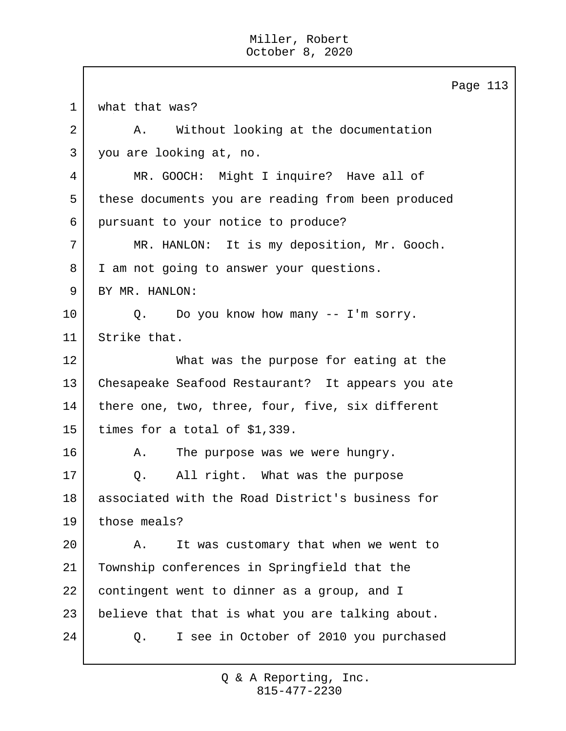Page 113 1 | what that was? 2 A. Without looking at the documentation 3 you are looking at, no. 4 MR. GOOCH: Might I inquire? Have all of 5 these documents you are reading from been produced 6 pursuant to your notice to produce? 7 MR. HANLON: It is my deposition, Mr. Gooch. 8 | I am not going to answer your questions. 9 BY MR. HANLON: 10 Q. Do you know how many -- I'm sorry. 11 Strike that. 12 What was the purpose for eating at the 13 Chesapeake Seafood Restaurant? It appears you ate 14 | there one, two, three, four, five, six different 15 times for a total of \$1,339. 16 A. The purpose was we were hungry. 17 Q. All right. What was the purpose 18 associated with the Road District's business for 19 those meals? 20 A. It was customary that when we went to 21 Township conferences in Springfield that the 22 contingent went to dinner as a group, and I 23 | believe that that is what you are talking about. 24 Q. I see in October of 2010 you purchased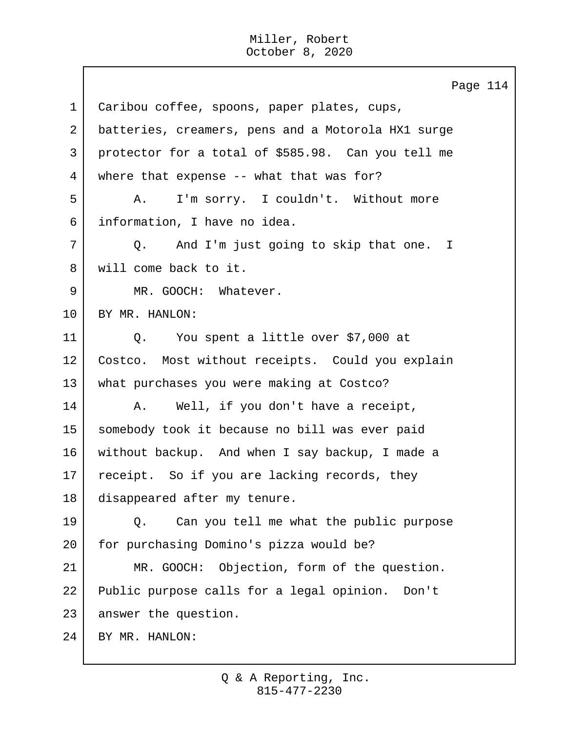$\mathbf{I}$ 

|             | Page 114                                           |
|-------------|----------------------------------------------------|
| $\mathbf 1$ | Caribou coffee, spoons, paper plates, cups,        |
| 2           | batteries, creamers, pens and a Motorola HX1 surge |
| 3           | protector for a total of \$585.98. Can you tell me |
| 4           | where that expense -- what that was for?           |
| 5           | I'm sorry. I couldn't. Without more<br>Α.          |
| 6           | information, I have no idea.                       |
| 7           | Q. And I'm just going to skip that one. I          |
| 8           | will come back to it.                              |
| 9           | MR. GOOCH: Whatever.                               |
| 10          | BY MR. HANLON:                                     |
| 11          | Q. You spent a little over \$7,000 at              |
| 12          | Costco. Most without receipts. Could you explain   |
| 13          | what purchases you were making at Costco?          |
| 14          | Well, if you don't have a receipt,<br>Α.           |
| 15          | somebody took it because no bill was ever paid     |
| 16          | without backup. And when I say backup, I made a    |
| 17          | receipt. So if you are lacking records, they       |
| 18          | disappeared after my tenure.                       |
| 19          | Can you tell me what the public purpose<br>Q.      |
| 20          | for purchasing Domino's pizza would be?            |
| 21          | Objection, form of the question.<br>MR. GOOCH:     |
| 22          | Public purpose calls for a legal opinion. Don't    |
| 23          | answer the question.                               |
| 24          | BY MR. HANLON:                                     |
|             |                                                    |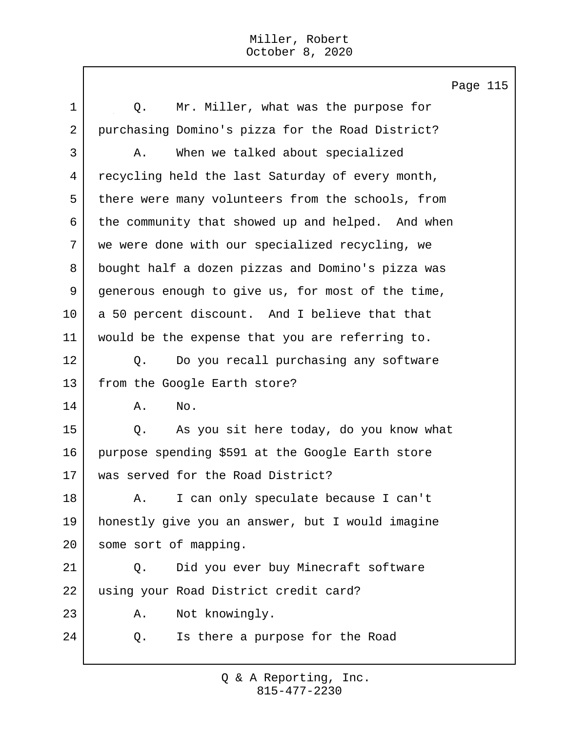Page 115

| 1              | Mr. Miller, what was the purpose for<br>Q.        |  |  |  |  |  |  |  |
|----------------|---------------------------------------------------|--|--|--|--|--|--|--|
| $\overline{a}$ | purchasing Domino's pizza for the Road District?  |  |  |  |  |  |  |  |
| 3              | When we talked about specialized<br>Α.            |  |  |  |  |  |  |  |
| 4              | recycling held the last Saturday of every month,  |  |  |  |  |  |  |  |
| 5              | there were many volunteers from the schools, from |  |  |  |  |  |  |  |
| 6              | the community that showed up and helped. And when |  |  |  |  |  |  |  |
| 7              | we were done with our specialized recycling, we   |  |  |  |  |  |  |  |
| 8              | bought half a dozen pizzas and Domino's pizza was |  |  |  |  |  |  |  |
| 9              | generous enough to give us, for most of the time, |  |  |  |  |  |  |  |
| 10             | a 50 percent discount. And I believe that that    |  |  |  |  |  |  |  |
| 11             | would be the expense that you are referring to.   |  |  |  |  |  |  |  |
| 12             | Do you recall purchasing any software<br>Q.       |  |  |  |  |  |  |  |
| 13             | from the Google Earth store?                      |  |  |  |  |  |  |  |
| 14             | No.<br>Α.                                         |  |  |  |  |  |  |  |
| 15             | As you sit here today, do you know what<br>Q.     |  |  |  |  |  |  |  |
| 16             | purpose spending \$591 at the Google Earth store  |  |  |  |  |  |  |  |
| 17             | was served for the Road District?                 |  |  |  |  |  |  |  |
| 18             | I can only speculate because I can't<br>Α.        |  |  |  |  |  |  |  |
| 19             | honestly give you an answer, but I would imagine  |  |  |  |  |  |  |  |
| 20             | some sort of mapping.                             |  |  |  |  |  |  |  |
| 21             | Did you ever buy Minecraft software<br>Q.         |  |  |  |  |  |  |  |
| 22             | using your Road District credit card?             |  |  |  |  |  |  |  |
| 23             | Not knowingly.<br>Α.                              |  |  |  |  |  |  |  |
| 24             | Is there a purpose for the Road<br>Q.             |  |  |  |  |  |  |  |
|                |                                                   |  |  |  |  |  |  |  |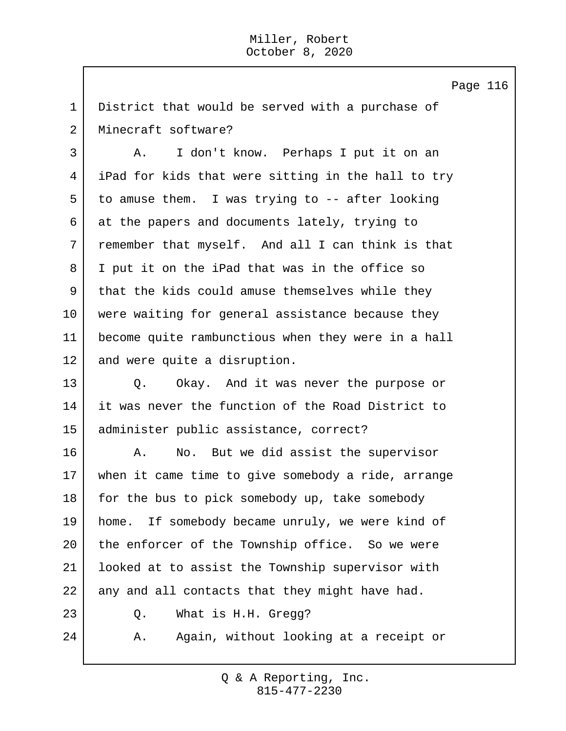Page 116

1 District that would be served with a purchase of 2 Minecraft software?

3 A. I don't know. Perhaps I put it on an iPad for kids that were sitting in the hall to try to amuse them. I was trying to -- after looking at the papers and documents lately, trying to remember that myself. And all I can think is that I put it on the iPad that was in the office so that the kids could amuse themselves while they were waiting for general assistance because they become quite rambunctious when they were in a hall 12 and were quite a disruption.

13 Q. Okay. And it was never the purpose or 14 it was never the function of the Road District to 15 administer public assistance, correct?

16 A. No. But we did assist the supervisor 17 when it came time to give somebody a ride, arrange 18 for the bus to pick somebody up, take somebody 19 home. If somebody became unruly, we were kind of 20 the enforcer of the Township office. So we were 21 looked at to assist the Township supervisor with 22 any and all contacts that they might have had. 23 Q. What is H.H. Gregg? 24 A. Again, without looking at a receipt or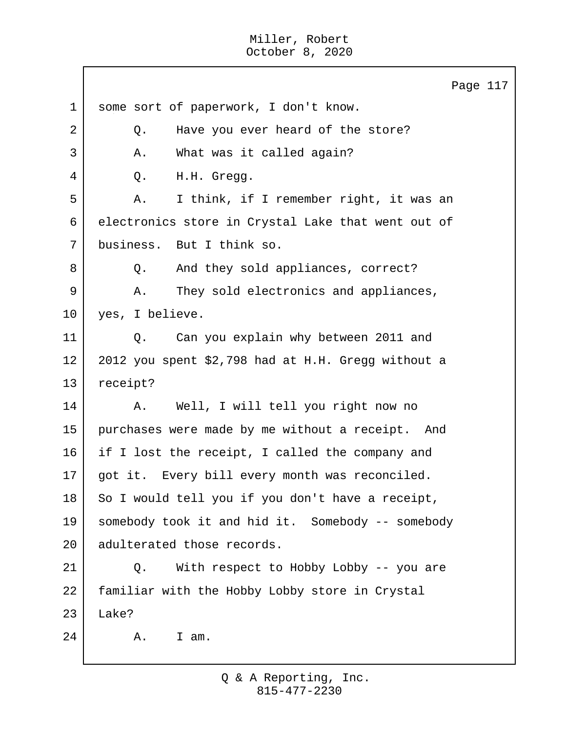|             | Page 117                                           |
|-------------|----------------------------------------------------|
| $\mathbf 1$ | some sort of paperwork, I don't know.              |
| 2           | Have you ever heard of the store?<br>Q.            |
| 3           | What was it called again?<br>Α.                    |
| 4           | H.H. Gregg.<br>Q.                                  |
| 5           | I think, if I remember right, it was an<br>Α.      |
| 6           | electronics store in Crystal Lake that went out of |
| 7           | business. But I think so.                          |
| 8           | And they sold appliances, correct?<br>Q.           |
| 9           | They sold electronics and appliances,<br>Α.        |
| 10          | yes, I believe.                                    |
| 11          | Can you explain why between 2011 and<br>Q.         |
| 12          | 2012 you spent \$2,798 had at H.H. Gregg without a |
| 13          | receipt?                                           |
| 14          | Well, I will tell you right now no<br>Α.           |
| 15          | purchases were made by me without a receipt. And   |
| 16          | if I lost the receipt, I called the company and    |
| 17          | got it. Every bill every month was reconciled.     |
| 18          | So I would tell you if you don't have a receipt,   |
| 19          | somebody took it and hid it. Somebody -- somebody  |
| 20          | adulterated those records.                         |
| 21          | With respect to Hobby Lobby -- you are<br>Q.       |
| 22          | familiar with the Hobby Lobby store in Crystal     |
| 23          | Lake?                                              |
| 24          | Α.<br>I am.                                        |
|             |                                                    |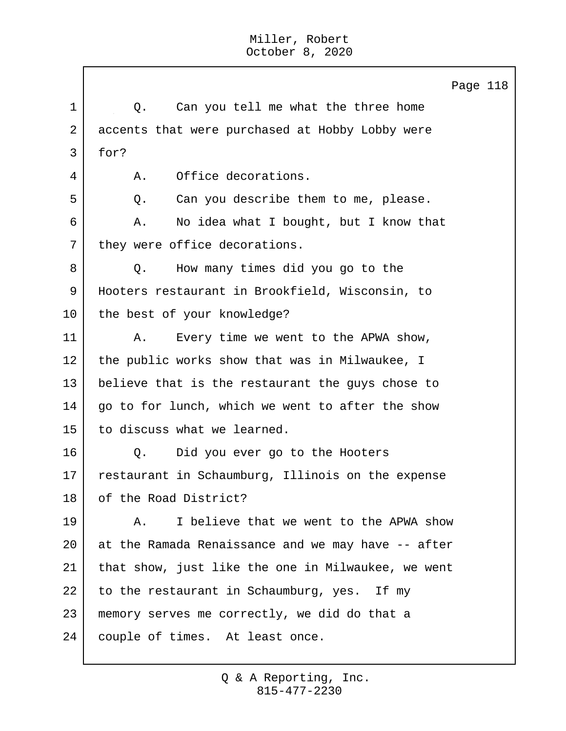Page 118 1 1 Q. Can you tell me what the three home 2 accents that were purchased at Hobby Lobby were 3 for? 4 A. Office decorations. 5 | C. Can you describe them to me, please. 6 A. No idea what I bought, but I know that 7 they were office decorations. 8 Q. How many times did you go to the 9 Hooters restaurant in Brookfield, Wisconsin, to 10 the best of your knowledge? 11 | A. Every time we went to the APWA show, 12 the public works show that was in Milwaukee, I 13 believe that is the restaurant the guys chose to 14 | go to for lunch, which we went to after the show 15 to discuss what we learned. 16 | Q. Did you ever go to the Hooters 17 restaurant in Schaumburg, Illinois on the expense 18 of the Road District? 19 A. I believe that we went to the APWA show 20 at the Ramada Renaissance and we may have -- after 21 that show, just like the one in Milwaukee, we went  $22$  to the restaurant in Schaumburg, yes. If my 23 memory serves me correctly, we did do that a 24 | couple of times. At least once.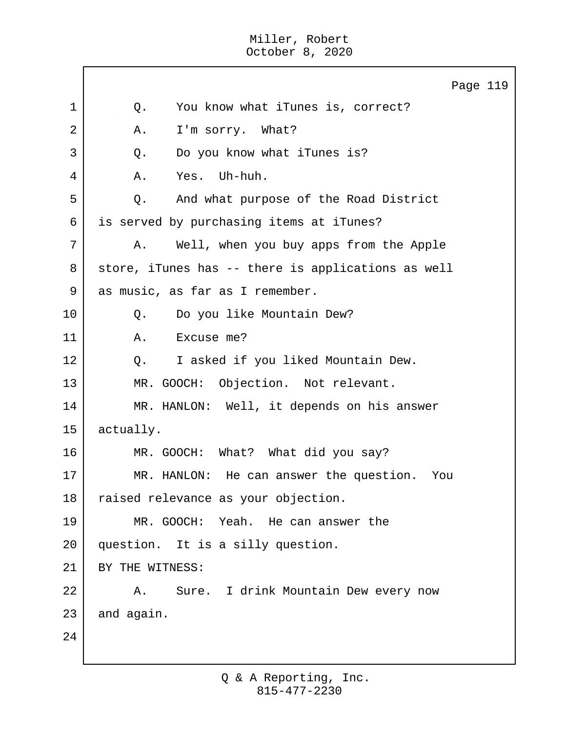|    | Page 119                                           |
|----|----------------------------------------------------|
| 1  | You know what iTunes is, correct?<br>Q.            |
| 2  | I'm sorry. What?<br>Α.                             |
| 3  | Do you know what iTunes is?<br>Q.                  |
| 4  | Yes. Uh-huh.<br>Α.                                 |
| 5  | And what purpose of the Road District<br>Q.        |
| 6  | is served by purchasing items at iTunes?           |
| 7  | Well, when you buy apps from the Apple<br>Α.       |
| 8  | store, iTunes has -- there is applications as well |
| 9  | as music, as far as I remember.                    |
| 10 | Do you like Mountain Dew?<br>Q.                    |
| 11 | Excuse me?<br>Α.                                   |
| 12 | I asked if you liked Mountain Dew.<br>$Q$ .        |
| 13 | MR. GOOCH: Objection. Not relevant.                |
| 14 | MR. HANLON: Well, it depends on his answer         |
| 15 | actually.                                          |
| 16 | MR. GOOCH: What? What did you say?                 |
| 17 | He can answer the question.<br>MR. HANLON:<br>You  |
| 18 | raised relevance as your objection.                |
| 19 | MR. GOOCH: Yeah. He can answer the                 |
| 20 | question. It is a silly question.                  |
| 21 | BY THE WITNESS:                                    |
| 22 | Sure. I drink Mountain Dew every now<br>Α.         |
| 23 | and again.                                         |
| 24 |                                                    |
|    |                                                    |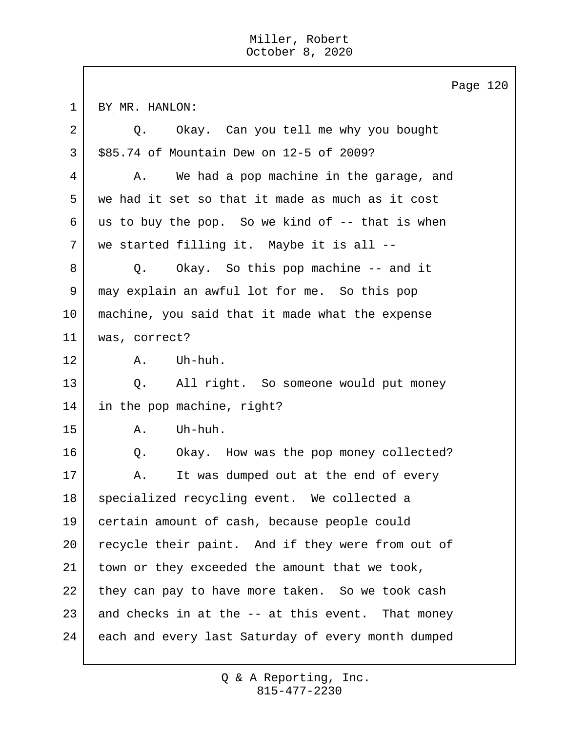1 BY MR. HANLON: 2 Q. Okay. Can you tell me why you bought 3 \$85.74 of Mountain Dew on 12-5 of 2009? 4 A. We had a pop machine in the garage, and 5 we had it set so that it made as much as it cost 6 us to buy the pop. So we kind of  $-$ - that is when 7 we started filling it. Maybe it is all -- 8 Q. Okay. So this pop machine -- and it 9 may explain an awful lot for me. So this pop 10 machine, you said that it made what the expense 11 was, correct? 12 A. Uh-huh. 13 Q. All right. So someone would put money 14 in the pop machine, right?  $15$   $A$ . Uh-huh. 16 | O. Okay. How was the pop money collected? 17 | A. It was dumped out at the end of every 18 specialized recycling event. We collected a 19 certain amount of cash, because people could 20 recycle their paint. And if they were from out of 21 | town or they exceeded the amount that we took, 22 they can pay to have more taken. So we took cash  $23$  and checks in at the  $-$  at this event. That money 24 each and every last Saturday of every month dumped

Page 120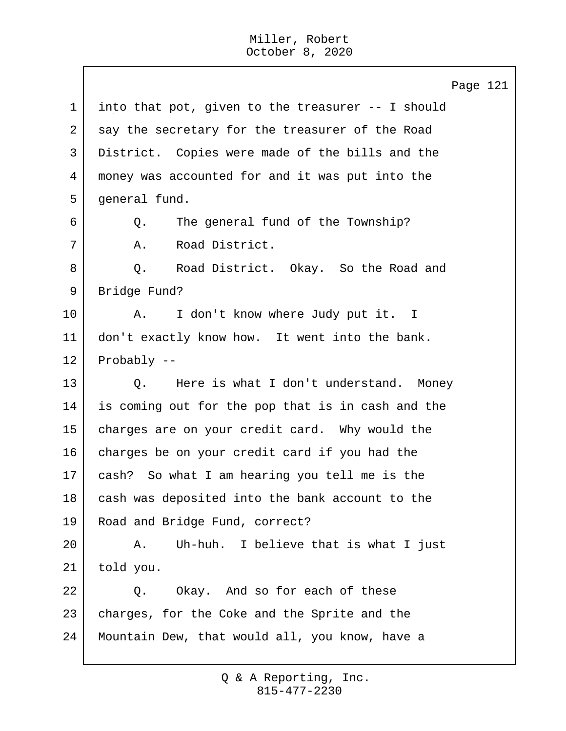Page 121 1 into that pot, given to the treasurer -- I should 2 say the secretary for the treasurer of the Road 3 District. Copies were made of the bills and the 4 money was accounted for and it was put into the 5 | general fund. 6 Q. The general fund of the Township? 7 | A. Road District. 8 Q. Road District. Okay. So the Road and 9 Bridge Fund? 10 | A. I don't know where Judy put it. I 11 | don't exactly know how. It went into the bank. 12 Probably -- 13 Q. Here is what I don't understand. Money 14 is coming out for the pop that is in cash and the 15 charges are on your credit card. Why would the 16 charges be on your credit card if you had the 17 cash? So what I am hearing you tell me is the 18 cash was deposited into the bank account to the 19 Road and Bridge Fund, correct? 20 A. Uh-huh. I believe that is what I just 21 told you. 22 | O. Okay. And so for each of these 23 | charges, for the Coke and the Sprite and the 24 Mountain Dew, that would all, you know, have a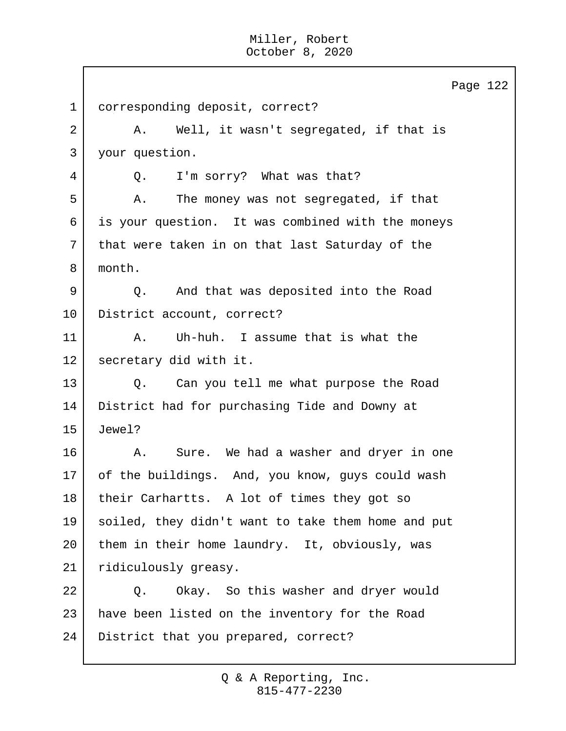Page 122 1 corresponding deposit, correct? 2 A. Well, it wasn't segregated, if that is 3 your question. 4 Q. I'm sorry? What was that? 5 | A. The money was not segregated, if that 6 is your question. It was combined with the moneys 7 | that were taken in on that last Saturday of the 8 month. 9 Q. And that was deposited into the Road 10 District account, correct? 11 A. Uh-huh. I assume that is what the 12 secretary did with it. 13 Q. Can you tell me what purpose the Road 14 District had for purchasing Tide and Downy at 15 Jewel? 16 A. Sure. We had a washer and dryer in one 17 of the buildings. And, you know, guys could wash 18 their Carhartts. A lot of times they got so 19 soiled, they didn't want to take them home and put 20 them in their home laundry. It, obviously, was 21 | ridiculously greasy. 22 | O. Okay. So this washer and dryer would 23 | have been listed on the inventory for the Road 24 | District that you prepared, correct?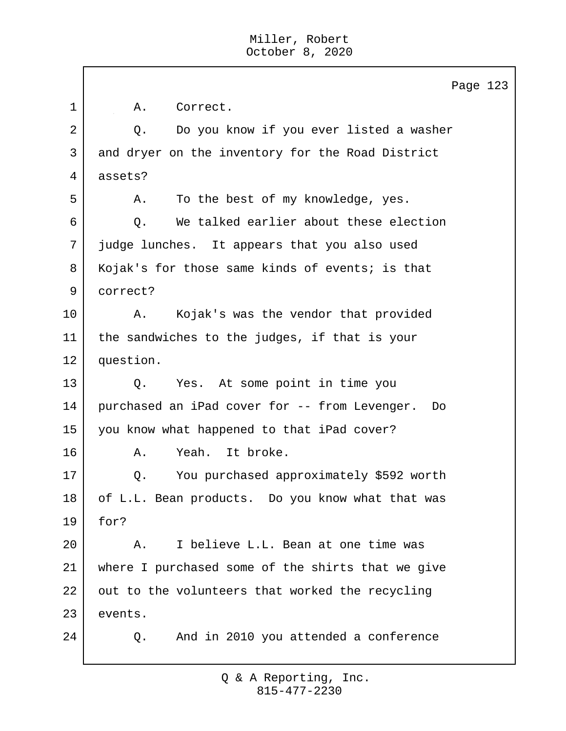|    | Page 123                                            |
|----|-----------------------------------------------------|
| 1  | Correct.<br>Α.                                      |
| 2  | Do you know if you ever listed a washer<br>Q.       |
| 3  | and dryer on the inventory for the Road District    |
| 4  | assets?                                             |
| 5  | To the best of my knowledge, yes.<br>Α.             |
| 6  | We talked earlier about these election<br>Q.        |
| 7  | judge lunches. It appears that you also used        |
| 8  | Kojak's for those same kinds of events; is that     |
| 9  | correct?                                            |
| 10 | Kojak's was the vendor that provided<br>Α.          |
| 11 | the sandwiches to the judges, if that is your       |
| 12 | question.                                           |
| 13 | Yes. At some point in time you<br>Q.                |
| 14 | purchased an iPad cover for -- from Levenger.<br>Do |
| 15 | you know what happened to that iPad cover?          |
| 16 | Yeah.<br>It broke.<br>Α.                            |
| 17 | You purchased approximately \$592 worth<br>Q.       |
| 18 | of L.L. Bean products. Do you know what that was    |
| 19 | for?                                                |
| 20 | I believe L.L. Bean at one time was<br>Α.           |
| 21 | where I purchased some of the shirts that we give   |
| 22 | out to the volunteers that worked the recycling     |
| 23 | events.                                             |
| 24 | And in 2010 you attended a conference<br>Q.         |
|    |                                                     |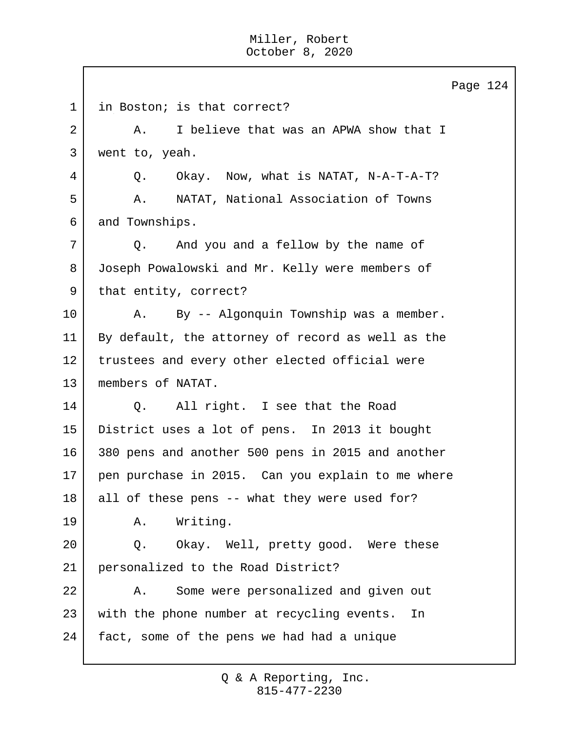Page 124 1 | in Boston; is that correct? 2 A. I believe that was an APWA show that I 3 went to, yeah. 4 Q. Okay. Now, what is NATAT, N-A-T-A-T? 5 A. NATAT, National Association of Towns 6 and Townships. 7 Q. And you and a fellow by the name of 8 Joseph Powalowski and Mr. Kelly were members of 9 | that entity, correct? 10 | A. By -- Algonquin Township was a member. 11 By default, the attorney of record as well as the 12 trustees and every other elected official were 13 members of NATAT. 14 Q. All right. I see that the Road 15 District uses a lot of pens. In 2013 it bought 16 380 pens and another 500 pens in 2015 and another 17 pen purchase in 2015. Can you explain to me where  $18$  all of these pens -- what they were used for? 19 A. Writing. 20 Q. Okay. Well, pretty good. Were these 21 personalized to the Road District? 22 | A. Some were personalized and given out 23 with the phone number at recycling events. In 24 fact, some of the pens we had had a unique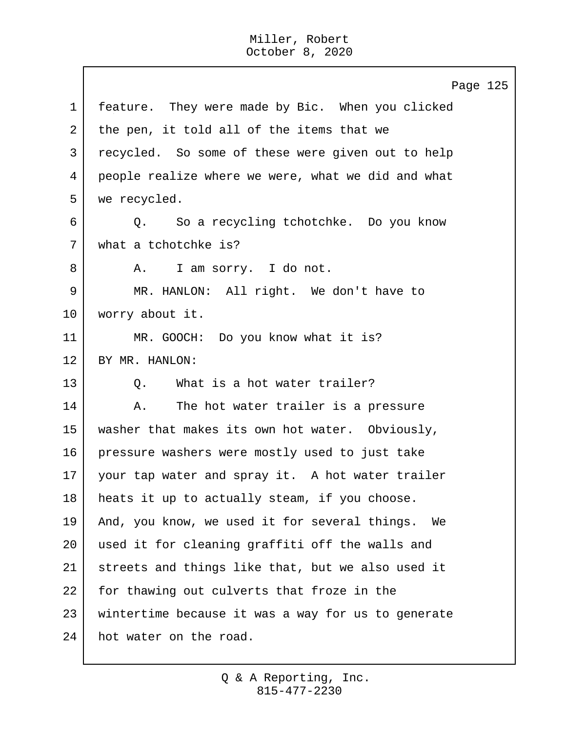$\mathbf{I}$ 

|             | Page 125                                           |  |  |  |  |  |  |  |  |
|-------------|----------------------------------------------------|--|--|--|--|--|--|--|--|
| $\mathbf 1$ | feature. They were made by Bic. When you clicked   |  |  |  |  |  |  |  |  |
| 2           | the pen, it told all of the items that we          |  |  |  |  |  |  |  |  |
| 3           | recycled. So some of these were given out to help  |  |  |  |  |  |  |  |  |
| 4           | people realize where we were, what we did and what |  |  |  |  |  |  |  |  |
| 5           | we recycled.                                       |  |  |  |  |  |  |  |  |
| 6           | Q. So a recycling tchotchke. Do you know           |  |  |  |  |  |  |  |  |
| 7           | what a tchotchke is?                               |  |  |  |  |  |  |  |  |
| 8           | I am sorry. I do not.<br>A.                        |  |  |  |  |  |  |  |  |
| 9           | MR. HANLON: All right. We don't have to            |  |  |  |  |  |  |  |  |
| 10          | worry about it.                                    |  |  |  |  |  |  |  |  |
| 11          | MR. GOOCH: Do you know what it is?                 |  |  |  |  |  |  |  |  |
| 12          | BY MR. HANLON:                                     |  |  |  |  |  |  |  |  |
| 13          | What is a hot water trailer?<br>Q.                 |  |  |  |  |  |  |  |  |
| 14          | The hot water trailer is a pressure<br>Α.          |  |  |  |  |  |  |  |  |
| 15          | washer that makes its own hot water. Obviously,    |  |  |  |  |  |  |  |  |
| 16          | pressure washers were mostly used to just take     |  |  |  |  |  |  |  |  |
| 17          | your tap water and spray it. A hot water trailer   |  |  |  |  |  |  |  |  |
| 18          | heats it up to actually steam, if you choose.      |  |  |  |  |  |  |  |  |
| 19          | And, you know, we used it for several things. We   |  |  |  |  |  |  |  |  |
| 20          | used it for cleaning graffiti off the walls and    |  |  |  |  |  |  |  |  |
| 21          | streets and things like that, but we also used it  |  |  |  |  |  |  |  |  |
| 22          | for thawing out culverts that froze in the         |  |  |  |  |  |  |  |  |
| 23          | wintertime because it was a way for us to generate |  |  |  |  |  |  |  |  |
| 24          | hot water on the road.                             |  |  |  |  |  |  |  |  |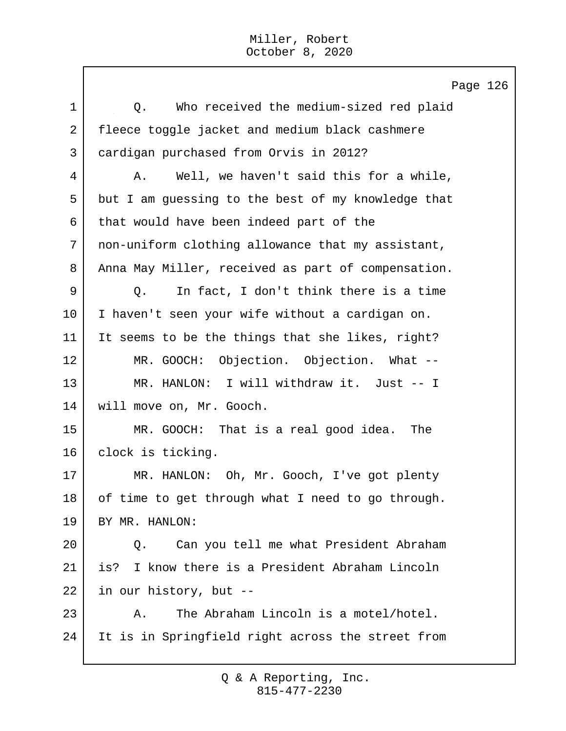Page 126 1 | C. Who received the medium-sized red plaid 2 fleece toggle jacket and medium black cashmere 3 cardigan purchased from Orvis in 2012? 4 A. Well, we haven't said this for a while, 5 but I am guessing to the best of my knowledge that 6 that would have been indeed part of the 7 non-uniform clothing allowance that my assistant, 8 | Anna May Miller, received as part of compensation. 9 Q. In fact, I don't think there is a time 10 I haven't seen your wife without a cardigan on. 11 It seems to be the things that she likes, right? 12 MR. GOOCH: Objection. Objection. What -- 13 MR. HANLON: I will withdraw it. Just -- I 14 will move on, Mr. Gooch. 15 MR. GOOCH: That is a real good idea. The 16 clock is ticking. 17 | MR. HANLON: Oh, Mr. Gooch, I've got plenty 18 of time to get through what I need to go through. 19 BY MR. HANLON: 20 Q. Can you tell me what President Abraham 21 is? I know there is a President Abraham Lincoln 22 in our history, but -- 23 A. The Abraham Lincoln is a motel/hotel. 24 It is in Springfield right across the street from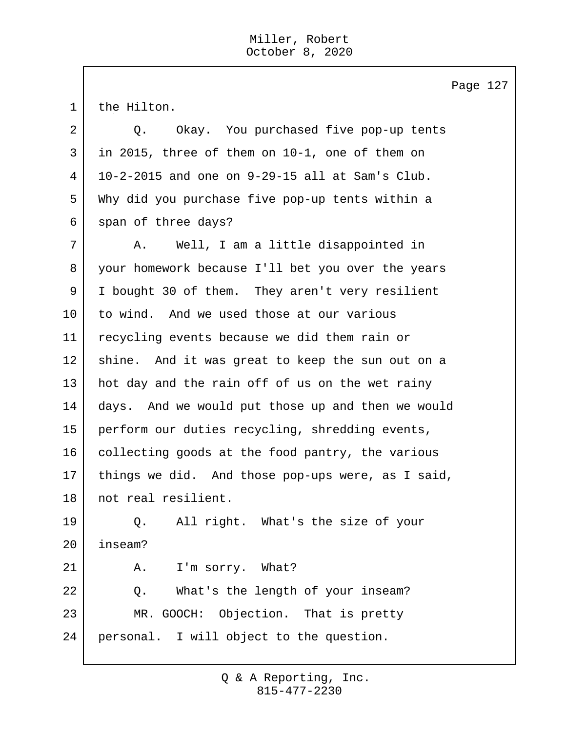1 | the Hilton. 2 Q. Okay. You purchased five pop-up tents 3 in 2015, three of them on 10-1, one of them on 4 10-2-2015 and one on 9-29-15 all at Sam's Club. 5 Why did you purchase five pop-up tents within a 6 span of three days? 7 A. Well, I am a little disappointed in 8 your homework because I'll bet you over the years 9 I bought 30 of them. They aren't very resilient 10 to wind. And we used those at our various 11 recycling events because we did them rain or 12 shine. And it was great to keep the sun out on a 13 | hot day and the rain off of us on the wet rainy 14 days. And we would put those up and then we would 15 perform our duties recycling, shredding events, 16 collecting goods at the food pantry, the various 17 things we did. And those pop-ups were, as I said, 18 not real resilient. 19 Q. All right. What's the size of your 20 inseam? 21 A. I'm sorry. What? 22 Q. What's the length of your inseam? 23 MR. GOOCH: Objection. That is pretty 24 personal. I will object to the question.

Page 127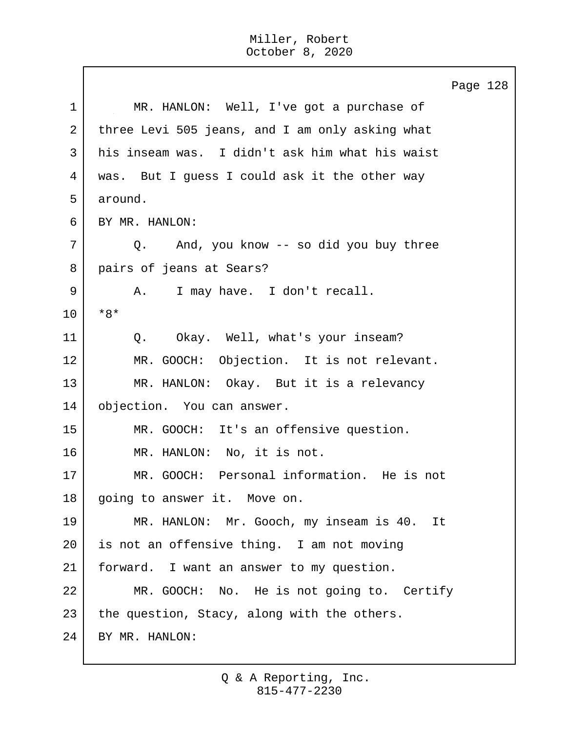Page 128 1 MR. HANLON: Well, I've got a purchase of 2 three Levi 505 jeans, and I am only asking what 3 his inseam was. I didn't ask him what his waist 4 was. But I guess I could ask it the other way 5 around. 6 BY MR. HANLON: 7 Q. And, you know -- so did you buy three 8 pairs of jeans at Sears? 9 | A. I may have. I don't recall. 10 \*8\* 11 | Q. Okay. Well, what's your inseam? 12 MR. GOOCH: Objection. It is not relevant. 13 MR. HANLON: Okay. But it is a relevancy 14 objection. You can answer. 15 MR. GOOCH: It's an offensive question. 16 MR. HANLON: No, it is not. 17 MR. GOOCH: Personal information. He is not 18 | going to answer it. Move on. 19 MR. HANLON: Mr. Gooch, my inseam is 40. It 20 is not an offensive thing. I am not moving 21 forward. I want an answer to my question. 22 MR. GOOCH: No. He is not going to. Certify  $23$  the question, Stacy, along with the others. 24 BY MR. HANLON: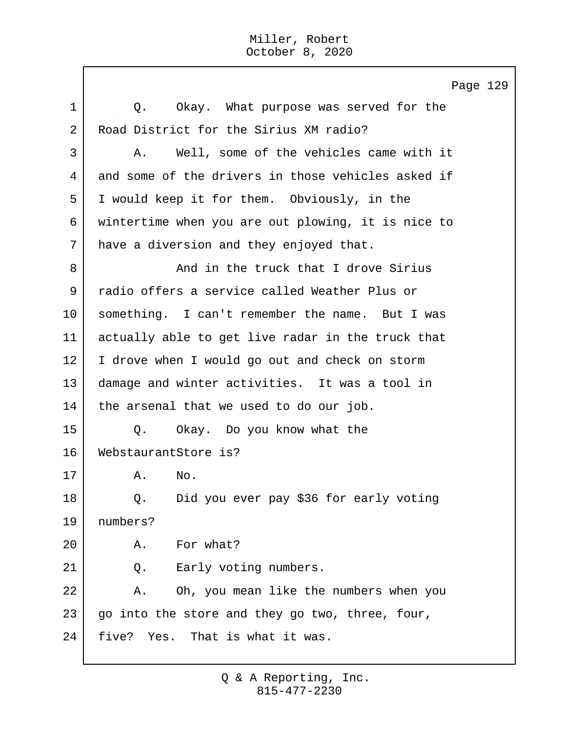Page 129 1 0. Okay. What purpose was served for the 2 Road District for the Sirius XM radio? 3 A. Well, some of the vehicles came with it 4 and some of the drivers in those vehicles asked if 5 I would keep it for them. Obviously, in the 6 wintertime when you are out plowing, it is nice to 7 have a diversion and they enjoyed that. 8 And in the truck that I drove Sirius 9 radio offers a service called Weather Plus or 10 something. I can't remember the name. But I was 11 actually able to get live radar in the truck that 12 | I drove when I would go out and check on storm 13 damage and winter activities. It was a tool in 14 | the arsenal that we used to do our job. 15 Q. Okay. Do you know what the 16 WebstaurantStore is?  $17$   $A.$  No. 18 Q. Did you ever pay \$36 for early voting 19 numbers? 20 A. For what? 21 Q. Early voting numbers. 22 A. Oh, you mean like the numbers when you  $23$  go into the store and they go two, three, four, 24 | five? Yes. That is what it was.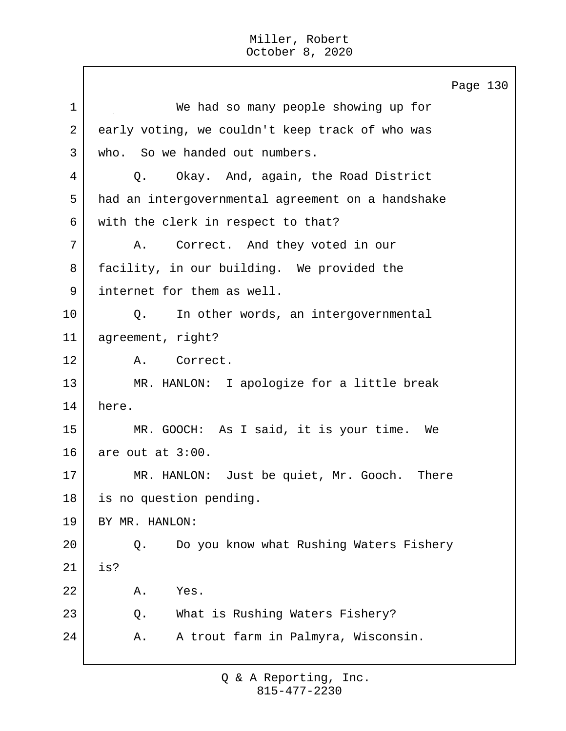Page 130 1 We had so many people showing up for 2 early voting, we couldn't keep track of who was 3 who. So we handed out numbers. 4 Q. Okay. And, again, the Road District 5 had an intergovernmental agreement on a handshake 6 with the clerk in respect to that? 7 A. Correct. And they voted in our 8 | facility, in our building. We provided the 9 internet for them as well. 10 | Q. In other words, an intergovernmental 11 agreement, right? 12 A. Correct. 13 MR. HANLON: I apologize for a little break 14 here. 15 MR. GOOCH: As I said, it is your time. We 16 are out at 3:00. 17 MR. HANLON: Just be quiet, Mr. Gooch. There 18 is no question pending. 19 BY MR. HANLON: 20 Q. Do you know what Rushing Waters Fishery 21 is? 22 A. Yes. 23 Q. What is Rushing Waters Fishery? 24 A. A trout farm in Palmyra, Wisconsin.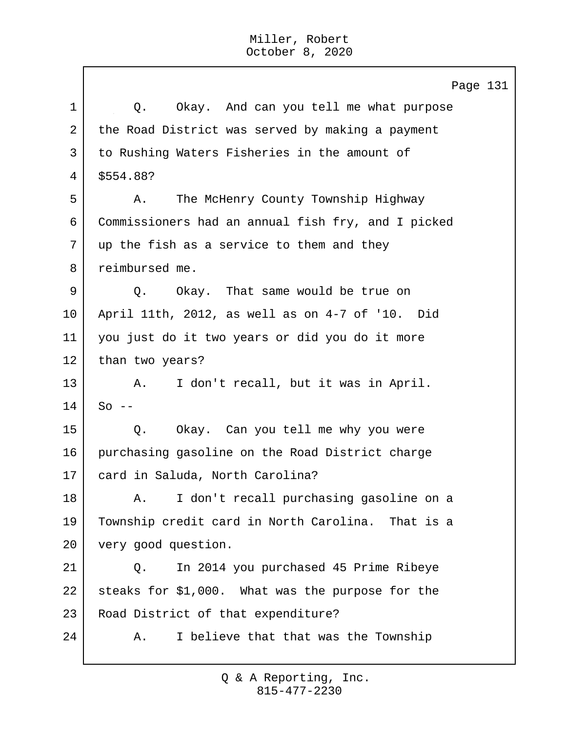Page 131 1 | O. Okay. And can you tell me what purpose 2 the Road District was served by making a payment 3 to Rushing Waters Fisheries in the amount of 4 \$554.88? 5 A. The McHenry County Township Highway 6 Commissioners had an annual fish fry, and I picked 7 up the fish as a service to them and they 8 reimbursed me. 9 | O. Okay. That same would be true on 10 April 11th, 2012, as well as on 4-7 of '10. Did 11 you just do it two years or did you do it more 12 | than two years? 13 | A. I don't recall, but it was in April.  $14$  So  $-$ 15 | Q. Okay. Can you tell me why you were 16 purchasing gasoline on the Road District charge 17 card in Saluda, North Carolina? 18 | A. I don't recall purchasing gasoline on a 19 Township credit card in North Carolina. That is a 20 very good question. 21 Q. In 2014 you purchased 45 Prime Ribeye 22 steaks for \$1,000. What was the purpose for the 23 Road District of that expenditure? 24 A. I believe that that was the Township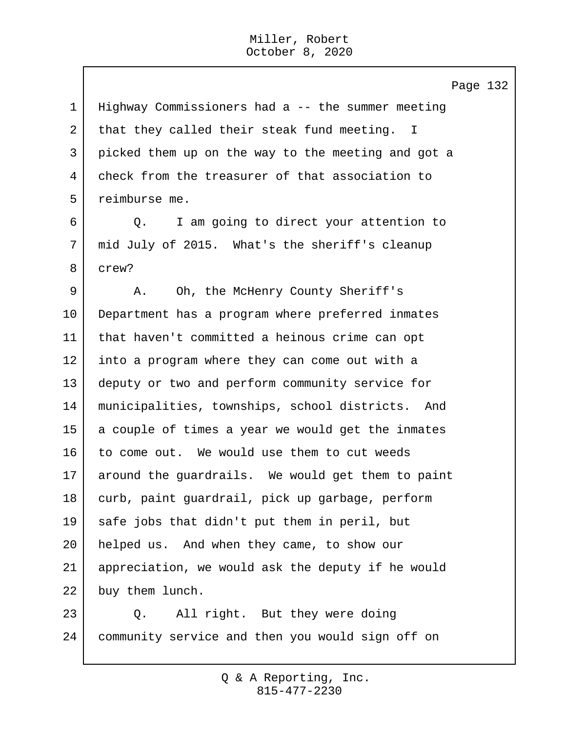Page 132 Highway Commissioners had a -- the summer meeting 2 that they called their steak fund meeting. I picked them up on the way to the meeting and got a check from the treasurer of that association to reimburse me. 6 Q. I am going to direct your attention to mid July of 2015. What's the sheriff's cleanup 8 crew? 9 A. Oh, the McHenry County Sheriff's Department has a program where preferred inmates that haven't committed a heinous crime can opt into a program where they can come out with a deputy or two and perform community service for municipalities, townships, school districts. And 15 a couple of times a year we would get the inmates 16 to come out. We would use them to cut weeds around the guardrails. We would get them to paint curb, paint guardrail, pick up garbage, perform safe jobs that didn't put them in peril, but helped us. And when they came, to show our appreciation, we would ask the deputy if he would 22 buy them lunch. 23 Q. All right. But they were doing community service and then you would sign off on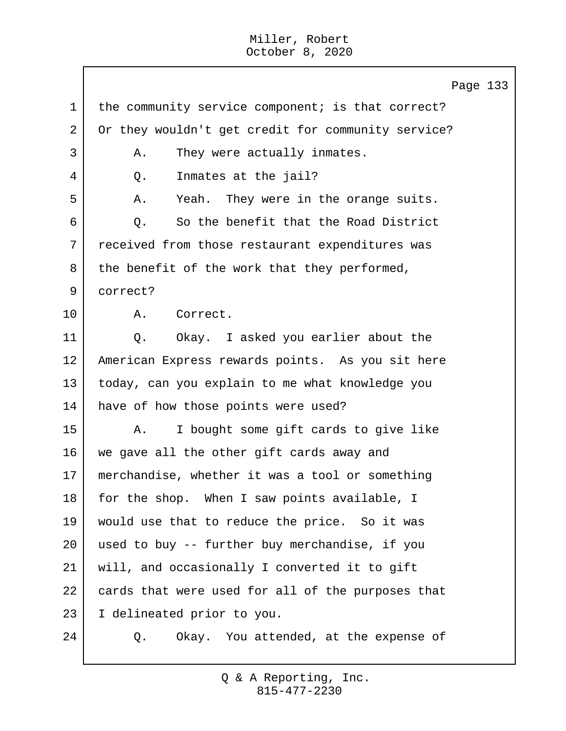Page 133 1 the community service component; is that correct? 2 Or they wouldn't get credit for community service? 3 A. They were actually inmates. 4 Q. Inmates at the jail? 5 A. Yeah. They were in the orange suits. 6 O. So the benefit that the Road District 7 received from those restaurant expenditures was  $8$  the benefit of the work that they performed, 9 correct? 10 A. Correct. 11 | O. Okay. I asked you earlier about the 12 American Express rewards points. As you sit here 13 today, can you explain to me what knowledge you 14 have of how those points were used? 15 | A. I bought some gift cards to give like 16 we gave all the other gift cards away and 17 merchandise, whether it was a tool or something 18 for the shop. When I saw points available, I 19 would use that to reduce the price. So it was  $20$  used to buy  $-$  further buy merchandise, if you 21 will, and occasionally I converted it to gift 22 cards that were used for all of the purposes that 23 I delineated prior to you. 24 Q. Okay. You attended, at the expense of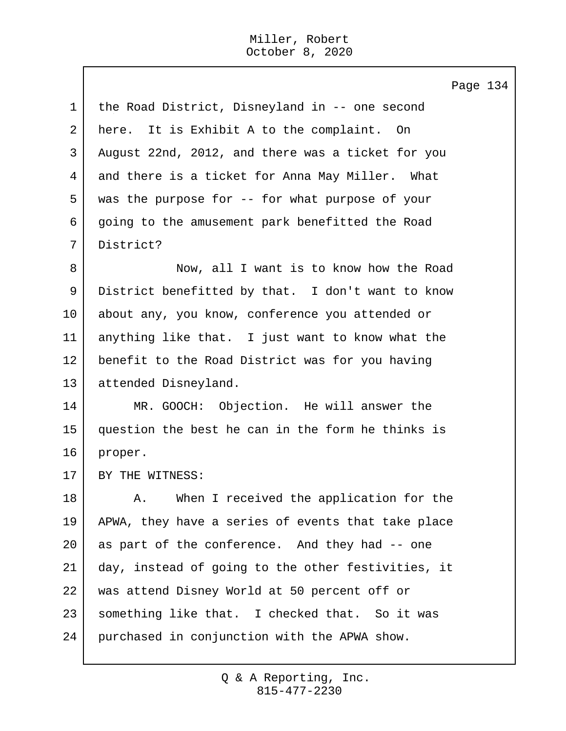Page 134 1 | the Road District, Disneyland in -- one second 2 here. It is Exhibit A to the complaint. On 3 August 22nd, 2012, and there was a ticket for you 4 and there is a ticket for Anna May Miller. What 5 was the purpose for -- for what purpose of your 6 going to the amusement park benefitted the Road 7 District? 8 Now, all I want is to know how the Road 9 District benefitted by that. I don't want to know 10 about any, you know, conference you attended or 11 anything like that. I just want to know what the 12 benefit to the Road District was for you having 13 attended Disneyland. 14 MR. GOOCH: Objection. He will answer the 15 question the best he can in the form he thinks is 16 proper. 17 BY THE WITNESS: 18 A. When I received the application for the 19 APWA, they have a series of events that take place 20 as part of the conference. And they had -- one 21 day, instead of going to the other festivities, it 22 was attend Disney World at 50 percent off or 23 | something like that. I checked that. So it was 24 purchased in conjunction with the APWA show.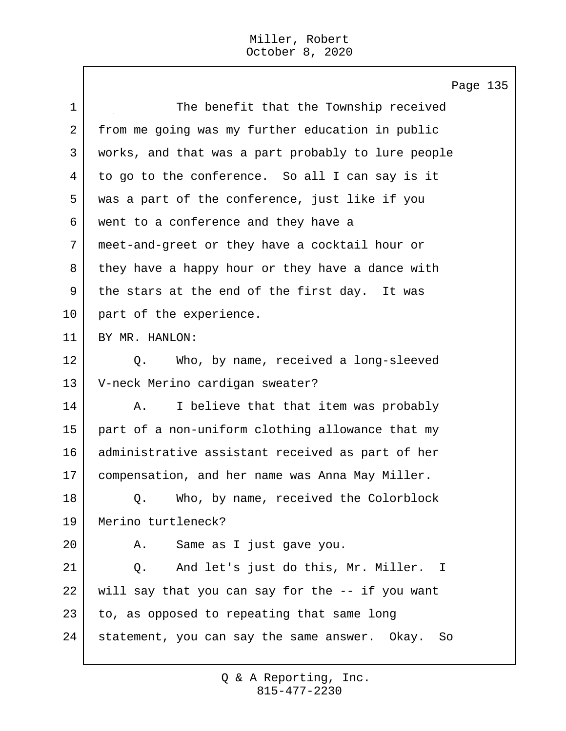$\mathbf{I}$ 

|                | Page 135                                           |
|----------------|----------------------------------------------------|
| 1              | The benefit that the Township received             |
| $\overline{2}$ | from me going was my further education in public   |
| 3              | works, and that was a part probably to lure people |
| 4              | to go to the conference. So all I can say is it    |
| 5              | was a part of the conference, just like if you     |
| 6              | went to a conference and they have a               |
| 7              | meet-and-greet or they have a cocktail hour or     |
| 8              | they have a happy hour or they have a dance with   |
| 9              | the stars at the end of the first day. It was      |
| 10             | part of the experience.                            |
| 11             | BY MR. HANLON:                                     |
| 12             | Who, by name, received a long-sleeved<br>Q.        |
| 13             | V-neck Merino cardigan sweater?                    |
| 14             | I believe that that item was probably<br>Α.        |
| 15             | part of a non-uniform clothing allowance that my   |
| 16             | administrative assistant received as part of her   |
| 17             | compensation, and her name was Anna May Miller.    |
| 18             | Who, by name, received the Colorblock<br>Q.        |
| 19             | Merino turtleneck?                                 |
| 20             | Same as I just gave you.<br>Α.                     |
| 21             | And let's just do this, Mr. Miller. I<br>Q.        |
| 22             | will say that you can say for the -- if you want   |
| 23             | to, as opposed to repeating that same long         |
| 24             | statement, you can say the same answer. Okay. So   |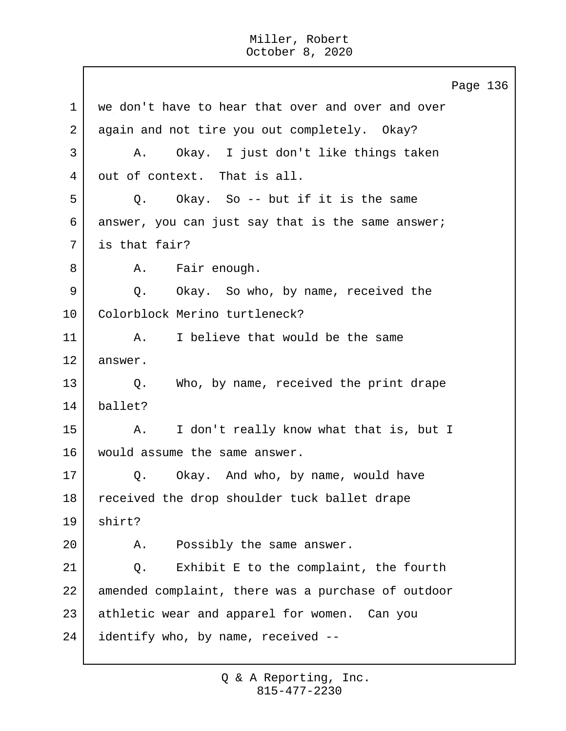Page 136 1 | we don't have to hear that over and over and over 2 again and not tire you out completely. Okay? 3 A. Okay. I just don't like things taken 4 out of context. That is all.  $5$  Q. Okay. So -- but if it is the same 6 answer, you can just say that is the same answer; 7 is that fair? 8 | A. Fair enough. 9 Q. Okay. So who, by name, received the 10 | Colorblock Merino turtleneck? 11 A. I believe that would be the same 12 answer. 13 Q. Who, by name, received the print drape 14 ballet? 15 | A. I don't really know what that is, but I 16 would assume the same answer. 17 | Q. Okay. And who, by name, would have 18 received the drop shoulder tuck ballet drape 19 shirt? 20 A. Possibly the same answer. 21 | Q. Exhibit E to the complaint, the fourth 22 amended complaint, there was a purchase of outdoor 23 athletic wear and apparel for women. Can you 24 identify who, by name, received --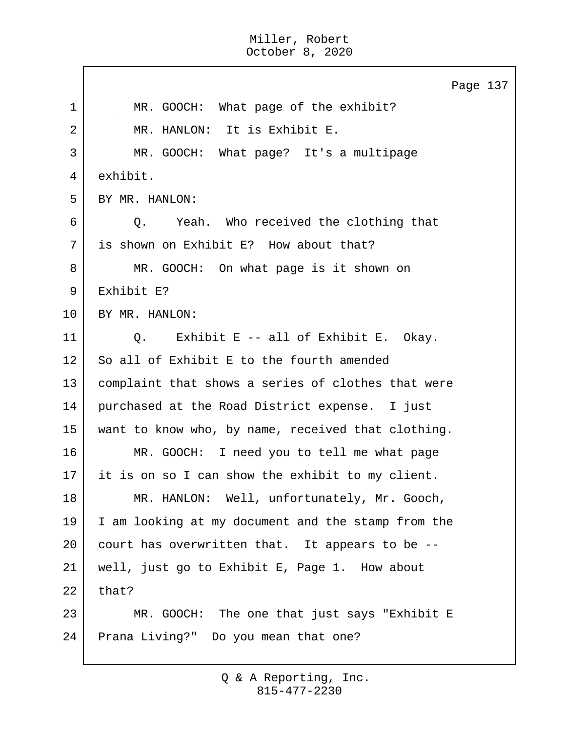Page 137 1 | MR. GOOCH: What page of the exhibit? 2 MR. HANLON: It is Exhibit E. 3 MR. GOOCH: What page? It's a multipage 4 exhibit. 5 BY MR. HANLON: 6 Q. Yeah. Who received the clothing that 7 is shown on Exhibit E? How about that? 8 MR. GOOCH: On what page is it shown on 9 Exhibit E? 10 BY MR. HANLON: 11 | O. Exhibit E -- all of Exhibit E. Okay.  $12$  So all of Exhibit E to the fourth amended 13 | complaint that shows a series of clothes that were 14 purchased at the Road District expense. I just 15 want to know who, by name, received that clothing. 16 MR. GOOCH: I need you to tell me what page 17 it is on so I can show the exhibit to my client. 18 | MR. HANLON: Well, unfortunately, Mr. Gooch, 19 I am looking at my document and the stamp from the 20 court has overwritten that. It appears to be --21 well, just go to Exhibit E, Page 1. How about  $22$  that? 23 MR. GOOCH: The one that just says "Exhibit E 24 Prana Living?" Do you mean that one?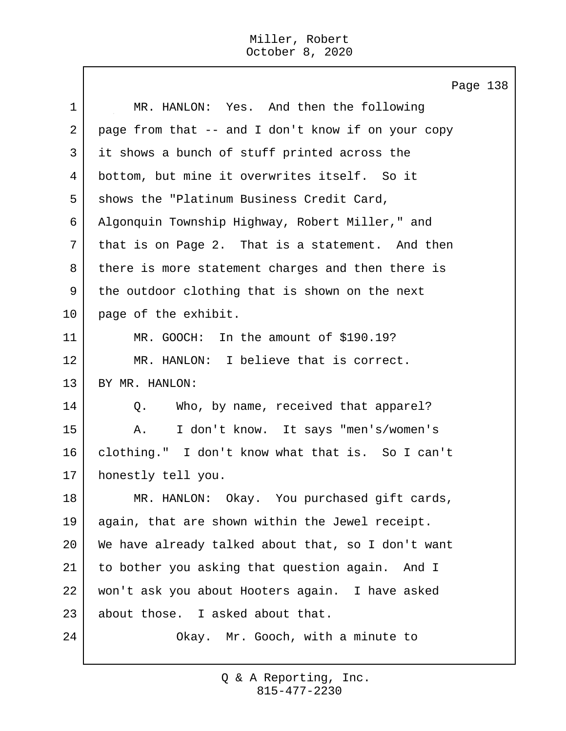$\mathbf{I}$ 

|             | Page 138                                           |
|-------------|----------------------------------------------------|
| $\mathbf 1$ | MR. HANLON: Yes. And then the following            |
| 2           | page from that -- and I don't know if on your copy |
| 3           | it shows a bunch of stuff printed across the       |
| 4           | bottom, but mine it overwrites itself. So it       |
| 5           | shows the "Platinum Business Credit Card,          |
| 6           | Algonquin Township Highway, Robert Miller," and    |
| 7           | that is on Page 2. That is a statement. And then   |
| 8           | there is more statement charges and then there is  |
| 9           | the outdoor clothing that is shown on the next     |
| 10          | page of the exhibit.                               |
| 11          | MR. GOOCH: In the amount of \$190.19?              |
| 12          | MR. HANLON: I believe that is correct.             |
| 13          | BY MR. HANLON:                                     |
| 14          | Who, by name, received that apparel?<br>$Q$ .      |
| 15          | I don't know. It says "men's/women's<br>Α.         |
| 16          | clothing." I don't know what that is. So I can't   |
| 17          | honestly tell you.                                 |
| 18          | MR. HANLON: Okay. You purchased gift cards,        |
| 19          | again, that are shown within the Jewel receipt.    |
| 20          | We have already talked about that, so I don't want |
| 21          | to bother you asking that question again. And I    |
| 22          | won't ask you about Hooters again. I have asked    |
| 23          | about those. I asked about that.                   |
| 24          | Okay. Mr. Gooch, with a minute to                  |
|             |                                                    |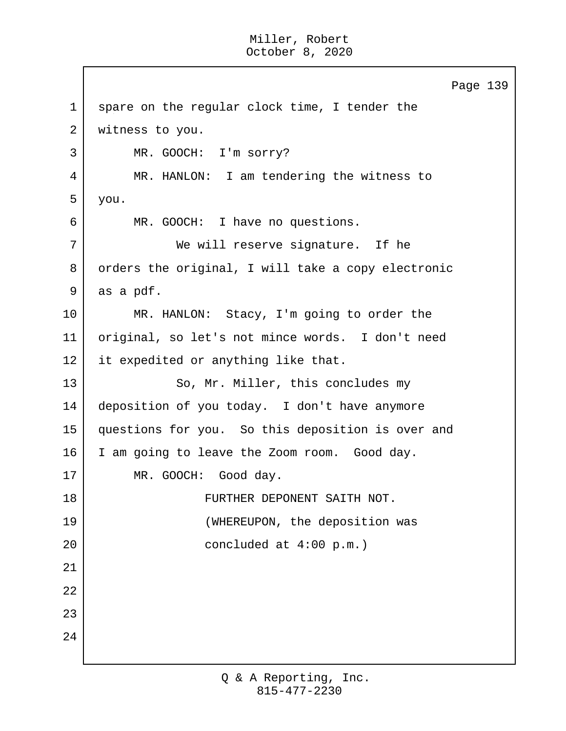Page 139 1 spare on the regular clock time, I tender the 2 | witness to you. 3 MR. GOOCH: I'm sorry? 4 MR. HANLON: I am tendering the witness to 5 you. 6 MR. GOOCH: I have no questions. 7 We will reserve signature. If he 8 | orders the original, I will take a copy electronic 9 as a pdf. 10 MR. HANLON: Stacy, I'm going to order the 11 original, so let's not mince words. I don't need 12 it expedited or anything like that. 13 So, Mr. Miller, this concludes my 14 deposition of you today. I don't have anymore 15 questions for you. So this deposition is over and 16 I am going to leave the Zoom room. Good day. 17 MR. GOOCH: Good day. 18 FURTHER DEPONENT SAITH NOT. 19 | (WHEREUPON, the deposition was 20 concluded at 4:00 p.m.) 21 22 23 24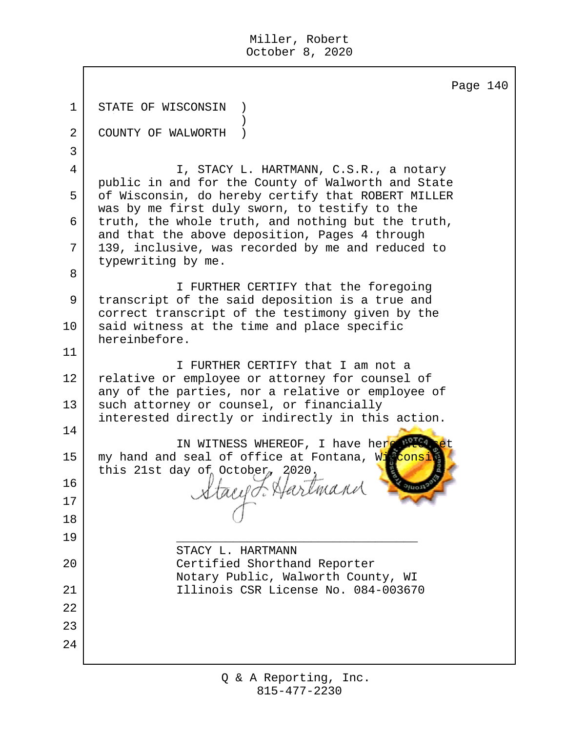|                | Page 140                                                                                                                                  |
|----------------|-------------------------------------------------------------------------------------------------------------------------------------------|
| $\mathbf 1$    | STATE OF WISCONSIN                                                                                                                        |
| $\overline{2}$ | COUNTY OF WALWORTH                                                                                                                        |
| $\mathsf{3}$   |                                                                                                                                           |
| 4              | I, STACY L. HARTMANN, C.S.R., a notary                                                                                                    |
| 5              | public in and for the County of Walworth and State<br>of Wisconsin, do hereby certify that ROBERT MILLER                                  |
| 6              | was by me first duly sworn, to testify to the<br>truth, the whole truth, and nothing but the truth,                                       |
| 7              | and that the above deposition, Pages 4 through<br>139, inclusive, was recorded by me and reduced to                                       |
| 8              | typewriting by me.                                                                                                                        |
| 9              | I FURTHER CERTIFY that the foregoing<br>transcript of the said deposition is a true and                                                   |
| 10             | correct transcript of the testimony given by the<br>said witness at the time and place specific<br>hereinbefore.                          |
| 11             |                                                                                                                                           |
| 12             | I FURTHER CERTIFY that I am not a<br>relative or employee or attorney for counsel of<br>any of the parties, nor a relative or employee of |
| 13             | such attorney or counsel, or financially<br>interested directly or indirectly in this action.                                             |
| 14             | IN WITNESS WHEREOF, I have here perc                                                                                                      |
| 15             | my hand and seal of office at Fontana, Wisconsi<br>this 21st day of October, $2020$ ,                                                     |
| 16             |                                                                                                                                           |
| 17             | Stacy F. Hartmand                                                                                                                         |
| 18             |                                                                                                                                           |
| 19             |                                                                                                                                           |
| 20             | STACY L. HARTMANN<br>Certified Shorthand Reporter                                                                                         |
|                | Notary Public, Walworth County, WI                                                                                                        |
| 21             | Illinois CSR License No. 084-003670                                                                                                       |
| 22             |                                                                                                                                           |
| 23             |                                                                                                                                           |
| 24             |                                                                                                                                           |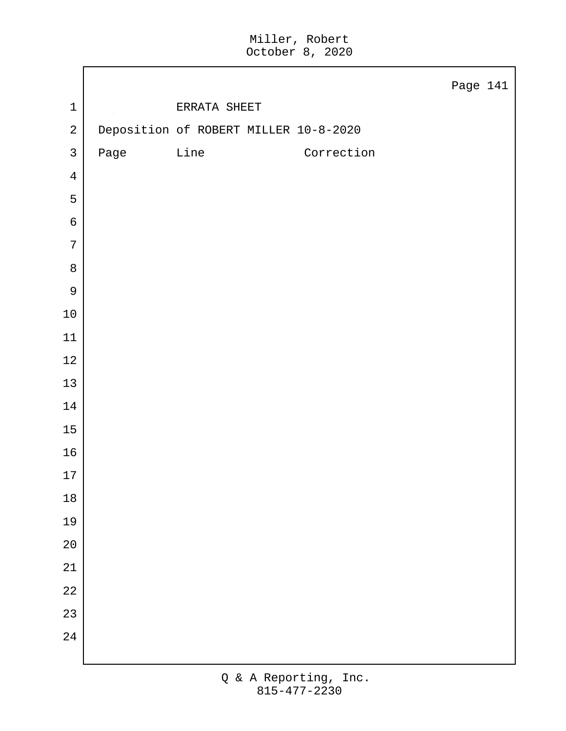|                |                                       |              |            | Page 141 |  |
|----------------|---------------------------------------|--------------|------------|----------|--|
| $\mathbf 1$    |                                       | ERRATA SHEET |            |          |  |
| $\sqrt{2}$     | Deposition of ROBERT MILLER 10-8-2020 |              |            |          |  |
| $\mathsf{3}$   | Page                                  | Line         | Correction |          |  |
| $\overline{4}$ |                                       |              |            |          |  |
| 5              |                                       |              |            |          |  |
| $\epsilon$     |                                       |              |            |          |  |
| $\overline{7}$ |                                       |              |            |          |  |
| $\,8\,$        |                                       |              |            |          |  |
| $\mathsf 9$    |                                       |              |            |          |  |
| $10\,$         |                                       |              |            |          |  |
| $11\,$         |                                       |              |            |          |  |
| $12\,$         |                                       |              |            |          |  |
| 13             |                                       |              |            |          |  |
| $14\,$         |                                       |              |            |          |  |
| $15\,$         |                                       |              |            |          |  |
| $16$           |                                       |              |            |          |  |
| $17\,$         |                                       |              |            |          |  |
| $18\,$         |                                       |              |            |          |  |
| 19             |                                       |              |            |          |  |
| $20\,$         |                                       |              |            |          |  |
| 21             |                                       |              |            |          |  |
| 22             |                                       |              |            |          |  |
| 23             |                                       |              |            |          |  |
| 24             |                                       |              |            |          |  |
|                |                                       |              |            |          |  |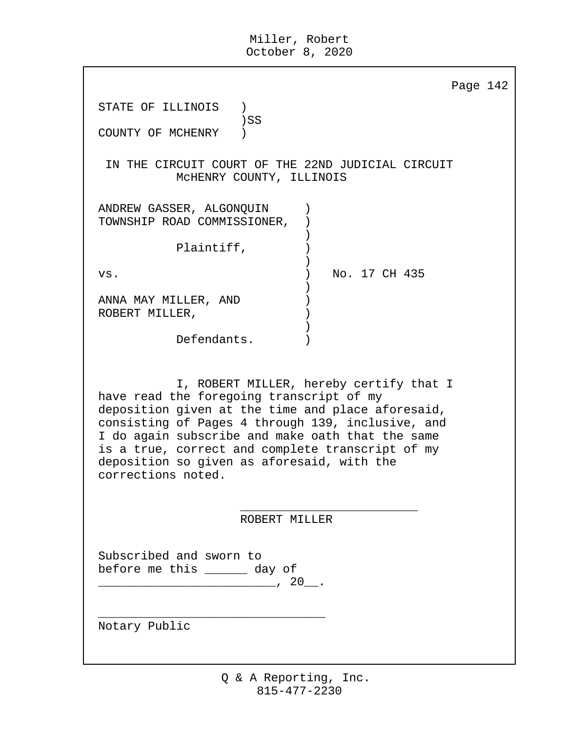|                                                                                                              | Page 142                                                                                                                                                                                                                                                  |
|--------------------------------------------------------------------------------------------------------------|-----------------------------------------------------------------------------------------------------------------------------------------------------------------------------------------------------------------------------------------------------------|
| STATE OF ILLINOIS                                                                                            |                                                                                                                                                                                                                                                           |
| $)$ SS<br>COUNTY OF MCHENRY                                                                                  |                                                                                                                                                                                                                                                           |
|                                                                                                              | IN THE CIRCUIT COURT OF THE 22ND JUDICIAL CIRCUIT<br>MCHENRY COUNTY, ILLINOIS                                                                                                                                                                             |
| ANDREW GASSER, ALGONQUIN<br>TOWNSHIP ROAD COMMISSIONER,                                                      |                                                                                                                                                                                                                                                           |
| Plaintiff,                                                                                                   |                                                                                                                                                                                                                                                           |
| VS.                                                                                                          | No. 17 CH 435                                                                                                                                                                                                                                             |
| ANNA MAY MILLER, AND<br>ROBERT MILLER,                                                                       |                                                                                                                                                                                                                                                           |
| Defendants.                                                                                                  |                                                                                                                                                                                                                                                           |
| have read the foregoing transcript of my<br>deposition so given as aforesaid, with the<br>corrections noted. | I, ROBERT MILLER, hereby certify that I<br>deposition given at the time and place aforesaid,<br>consisting of Pages 4 through 139, inclusive, and<br>I do again subscribe and make oath that the same<br>is a true, correct and complete transcript of my |
|                                                                                                              | ROBERT MILLER                                                                                                                                                                                                                                             |
| Subscribed and sworn to<br>before me this _______ day of                                                     |                                                                                                                                                                                                                                                           |
| Notary Public                                                                                                |                                                                                                                                                                                                                                                           |
|                                                                                                              |                                                                                                                                                                                                                                                           |
|                                                                                                              |                                                                                                                                                                                                                                                           |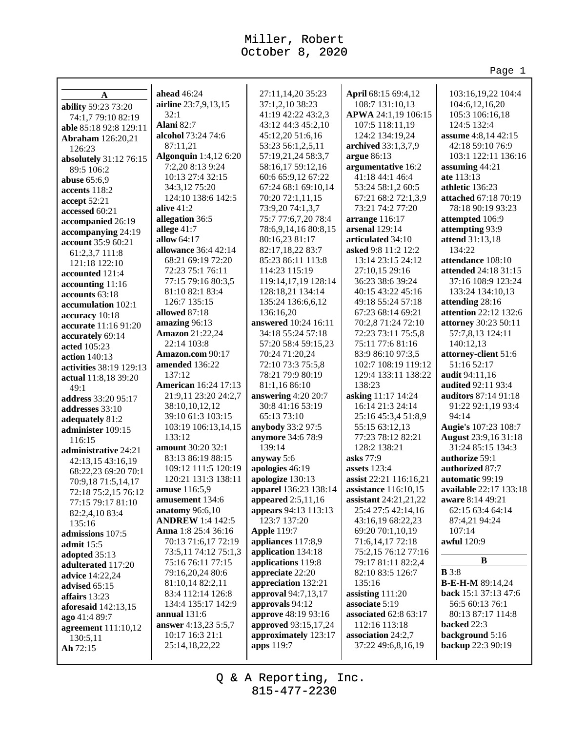Page 1

| A                                         | ahead 46:24                        | 27:11,14,20 35:23                     | April 68:15 69:4,12                      | 103:16,19,22 104:4                       |
|-------------------------------------------|------------------------------------|---------------------------------------|------------------------------------------|------------------------------------------|
| ability 59:23 73:20                       | airline 23:7,9,13,15               | 37:1,2,10 38:23                       | 108:7 131:10,13                          | 104:6,12,16,20                           |
| 74:1,7 79:10 82:19                        | 32:1                               | 41:19 42:22 43:2,3                    | APWA 24:1,19 106:15                      | 105:3 106:16,18                          |
| able 85:18 92:8 129:11                    | Alani 82:7                         | 43:12 44:3 45:2,10                    | 107:5 118:11,19                          | 124:5 132:4                              |
| <b>Abraham</b> 126:20,21                  | alcohol 73:24 74:6                 | 45:12,20 51:6,16                      | 124:2 134:19,24                          | <b>assume</b> 4:8,14 42:15               |
| 126:23                                    | 87:11,21                           | 53:23 56:1,2,5,11                     | archived 33:1,3,7,9                      | 42:18 59:10 76:9                         |
| absolutely 31:12 76:15                    | Algonquin 1:4,12 6:20              | 57:19,21,24 58:3,7                    | argue 86:13                              | 103:1 122:11 136:16                      |
| 89:5 106:2                                | 7:2,20 8:13 9:24                   | 58:16,17 59:12,16                     | argumentative 16:2                       | assuming 44:21                           |
| <b>abuse</b> 65:6,9                       | 10:13 27:4 32:15                   | 60:6 65:9,12 67:22                    | 41:18 44:1 46:4                          | ate 113:13                               |
| accents 118:2                             | 34:3,12 75:20                      | 67:24 68:1 69:10,14                   | 53:24 58:1,2 60:5                        | athletic 136:23                          |
| accept 52:21                              | 124:10 138:6 142:5                 | 70:20 72:1,11,15                      | 67:21 68:2 72:1,3,9                      | attached 67:18 70:19                     |
| accessed 60:21                            | alive $41:2$                       | 73:9,20 74:1,3,7                      | 73:21 74:2 77:20                         | 78:18 90:19 93:23                        |
| accompanied 26:19                         | allegation 36:5                    | 75:7 77:6,7,20 78:4                   | arrange 116:17                           | attempted 106:9                          |
| accompanying 24:19                        | allege 41:7                        | 78:6,9,14,16 80:8,15                  | arsenal 129:14                           | attempting 93:9                          |
| account 35:9 60:21                        | allow $64:17$                      | 80:16,23 81:17                        | articulated 34:10                        | attend 31:13,18<br>134:22                |
| 61:2,3,7 111:8                            | allowance 36:4 42:14               | 82:17,18,22 83:7                      | asked 9:8 11:2 12:2                      |                                          |
| 121:18 122:10                             | 68:21 69:19 72:20                  | 85:23 86:11 113:8                     | 13:14 23:15 24:12                        | attendance 108:10                        |
| accounted 121:4                           | 72:23 75:1 76:11                   | 114:23 115:19                         | 27:10,15 29:16                           | attended 24:18 31:15                     |
| accounting 11:16                          | 77:15 79:16 80:3,5                 | 119:14, 17, 19 128:14                 | 36:23 38:6 39:24                         | 37:16 108:9 123:24<br>133:24 134:10,13   |
| accounts 63:18                            | 81:10 82:1 83:4                    | 128:18,21 134:14                      | 40:15 43:22 45:16                        |                                          |
| accumulation 102:1                        | 126:7 135:15<br>allowed 87:18      | 135:24 136:6,6,12<br>136:16,20        | 49:18 55:24 57:18<br>67:23 68:14 69:21   | attending 28:16<br>attention 22:12 132:6 |
| accuracy 10:18                            | amazing 96:13                      | answered 10:24 16:11                  |                                          | attorney 30:23 50:11                     |
| accurate 11:16 91:20                      |                                    | 34:18 55:24 57:18                     | 70:2,8 71:24 72:10<br>72:23 73:11 75:5,8 |                                          |
| accurately 69:14                          | <b>Amazon</b> 21:22,24             |                                       |                                          | 57:7,8,13 124:11                         |
| acted 105:23                              | 22:14 103:8                        | 57:20 58:4 59:15,23<br>70:24 71:20,24 | 75:11 77:6 81:16<br>83:9 86:10 97:3,5    | 140:12,13                                |
| action $140:13$                           | Amazon.com 90:17<br>amended 136:22 | 72:10 73:3 75:5,8                     | 102:7 108:19 119:12                      | attorney-client 51:6<br>51:16 52:17      |
| activities 38:19 129:13                   | 137:12                             | 78:21 79:9 80:19                      | 129:4 133:11 138:22                      | <b>audit</b> 94:11,16                    |
| actual 11:8,18 39:20                      | <b>American</b> 16:24 17:13        | 81:1,16 86:10                         | 138:23                                   | <b>audited 92:11 93:4</b>                |
| 49:1                                      | 21:9,11 23:20 24:2,7               | answering 4:20 20:7                   | asking 11:17 14:24                       | <b>auditors</b> 87:14 91:18              |
| address 33:20 95:17                       | 38:10,10,12,12                     | 30:8 41:16 53:19                      | 16:14 21:3 24:14                         | 91:22 92:1,19 93:4                       |
| addresses 33:10                           | 39:10 61:3 103:15                  | 65:13 73:10                           | 25:16 45:3,4 51:8,9                      | 94:14                                    |
| adequately 81:2                           | 103:19 106:13,14,15                | anybody 33:2 97:5                     | 55:15 63:12,13                           | Augie's 107:23 108:7                     |
| administer 109:15                         | 133:12                             | anymore 34:6 78:9                     | 77:23 78:12 82:21                        | <b>August 23:9,16 31:18</b>              |
| 116:15                                    | amount 30:20 32:1                  | 139:14                                | 128:2 138:21                             | 31:24 85:15 134:3                        |
| administrative 24:21                      | 83:13 86:19 88:15                  | anyway 5:6                            | asks 77:9                                | authorize 59:1                           |
| 42:13,15 43:16,19                         | 109:12 111:5 120:19                | apologies 46:19                       | assets 123:4                             | authorized 87:7                          |
| 68:22,23 69:20 70:1                       | 120:21 131:3 138:11                | apologize 130:13                      | assist 22:21 116:16,21                   | automatic 99:19                          |
| 70:9,18 71:5,14,17<br>72:18 75:2,15 76:12 | amuse 116:5,9                      | apparel 136:23 138:14                 | assistance 116:10,15                     | <b>available</b> 22:17 133:18            |
| 77:15 79:17 81:10                         | amusement 134:6                    | appeared 2:5,11,16                    | assistant $24:21,21,22$                  | aware 8:14 49:21                         |
| 82:2,4,10 83:4                            | anatomy 96:6,10                    | appears 94:13 113:13                  | 25:4 27:5 42:14,16                       | 62:15 63:4 64:14                         |
| 135:16                                    | <b>ANDREW 1:4 142:5</b>            | 123:7 137:20                          | 43:16,19 68:22,23                        | 87:4,21 94:24                            |
| admissions 107:5                          | Anna 1:8 25:4 36:16                | <b>Apple 119:7</b>                    | 69:20 70:1,10,19                         | 107:14                                   |
| admit 15:5                                | 70:13 71:6,17 72:19                | appliances 117:8,9                    | 71:6,14,1772:18                          | awful 120:9                              |
| adopted 35:13                             | 73:5,11 74:12 75:1,3               | application 134:18                    | 75:2,15 76:12 77:16                      |                                          |
| adulterated 117:20                        | 75:16 76:11 77:15                  | applications 119:8                    | 79:17 81:11 82:2,4                       | B                                        |
| advice 14:22,24                           | 79:16,20,24 80:6                   | appreciate 22:20                      | 82:10 83:5 126:7                         | B3:8                                     |
| advised 65:15                             | 81:10,14 82:2,11                   | appreciation 132:21                   | 135:16                                   | <b>B-E-H-M</b> 89:14,24                  |
| affairs 13:23                             | 83:4 112:14 126:8                  | approval 94:7,13,17                   | assisting 111:20                         | back 15:1 37:13 47:6                     |
| aforesaid 142:13,15                       | 134:4 135:17 142:9                 | approvals 94:12                       | associate 5:19                           | 56:5 60:13 76:1                          |
| ago 41:4 89:7                             | annual $131:6$                     | approve 48:19 93:16                   | associated 62:8 63:17                    | 80:13 87:17 114:8                        |
| agreement 111:10,12                       | answer 4:13,23 5:5,7               | approved 93:15,17,24                  | 112:16 113:18                            | backed 22:3                              |
| 130:5,11                                  | 10:17 16:3 21:1                    | approximately 123:17                  | association 24:2,7                       | background 5:16                          |
| Ah 72:15                                  | 25:14,18,22,22                     | apps 119:7                            | 37:22 49:6,8,16,19                       | backup 22:3 90:19                        |
|                                           |                                    |                                       |                                          |                                          |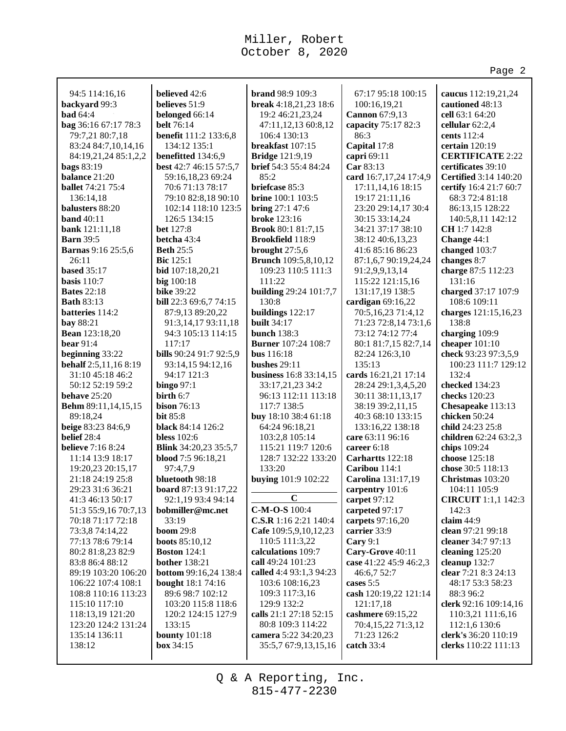|                                           |                                          |                                          |                                | Page 2                                     |
|-------------------------------------------|------------------------------------------|------------------------------------------|--------------------------------|--------------------------------------------|
| 94:5 114:16,16                            | believed 42:6                            | <b>brand</b> 98:9 109:3                  | 67:17 95:18 100:15             |                                            |
| backyard 99:3                             | believes 51:9                            | break 4:18,21,23 18:6                    | 100:16,19,21                   | caucus 112:19,21,24<br>cautioned 48:13     |
| <b>bad</b> 64:4                           | belonged 66:14                           | 19:2 46:21,23,24                         | Cannon 67:9,13                 | cell 63:1 64:20                            |
| bag 36:16 67:17 78:3                      | <b>belt</b> 76:14                        | 47:11,12,13 60:8,12                      | capacity 75:17 82:3            | cellular $62:2,4$                          |
| 79:7,21 80:7,18                           | benefit 111:2 133:6,8                    | 106:4 130:13                             | 86:3                           | cents 112:4                                |
| 83:24 84:7,10,14,16                       | 134:12 135:1                             | breakfast 107:15                         | Capital 17:8                   | certain 120:19                             |
| 84:19,21,24 85:1,2,2                      | benefitted 134:6,9                       | <b>Bridge</b> 121:9,19                   | capri 69:11                    | <b>CERTIFICATE 2:22</b>                    |
| bags 83:19                                | best 42:7 46:15 57:5,7                   | <b>brief</b> 54:3 55:4 84:24             | Car 83:13                      | certificates 39:10                         |
| balance 21:20                             | 59:16,18,23 69:24                        | 85:2                                     | card 16:7,17,24 17:4,9         | <b>Certified</b> 3:14 140:20               |
| <b>ballet</b> 74:21 75:4                  | 70:6 71:13 78:17                         | briefcase 85:3                           | 17:11,14,16 18:15              | certify 16:4 21:7 60:7                     |
| 136:14,18                                 | 79:10 82:8,18 90:10                      | <b>brine</b> 100:1 103:5                 | 19:17 21:11,16                 | 68:3 72:4 81:18                            |
| balusters 88:20                           | 102:14 118:10 123:5                      | bring 27:1 47:6                          | 23:20 29:14,17 30:4            | 86:13,15 128:22                            |
| band $40:11$                              | 126:5 134:15                             | <b>broke</b> 123:16                      | 30:15 33:14,24                 | 140:5,8,11 142:12                          |
| bank 121:11,18                            | <b>bet</b> 127:8                         | <b>Brook 80:1 81:7,15</b>                | 34:21 37:17 38:10              | <b>CH</b> 1:7 142:8                        |
| <b>Barn</b> 39:5                          | betcha 43:4                              | <b>Brookfield</b> 118:9                  | 38:12 40:6,13,23               | Change 44:1                                |
| <b>Barnas</b> 9:16 25:5,6                 | <b>Beth 25:5</b>                         | brought $27:5,6$                         | 41:6 85:16 86:23               | changed 103:7                              |
| 26:11                                     | <b>Bic</b> 125:1                         | <b>Brunch</b> 109:5,8,10,12              | 87:1,6,7 90:19,24,24           | changes 8:7                                |
| <b>based</b> 35:17                        | bid 107:18,20,21                         | 109:23 110:5 111:3                       | 91:2,9,9,13,14                 | charge 87:5 112:23                         |
| <b>basis</b> 110:7                        | big 100:18                               | 111:22                                   | 115:22 121:15,16               | 131:16                                     |
| <b>Bates 22:18</b>                        | <b>bike 39:22</b>                        | building 29:24 101:7,7                   | 131:17,19 138:5                | charged 37:17 107:9                        |
| <b>Bath 83:13</b>                         | bill 22:3 69:6,7 74:15                   | 130:8                                    | cardigan 69:16,22              | 108:6 109:11                               |
| batteries 114:2                           | 87:9,13 89:20,22                         | buildings 122:17                         | 70:5,16,23 71:4,12             | charges 121:15,16,23                       |
| bay 88:21                                 | 91:3,14,17 93:11,18                      | <b>built</b> 34:17                       | 71:23 72:8,14 73:1,6           | 138:8                                      |
| <b>Bean</b> 123:18,20                     | 94:3 105:13 114:15                       | <b>bunch</b> 138:3                       | 73:12 74:12 77:4               | charging 109:9                             |
| <b>bear</b> 91:4                          | 117:17                                   | <b>Burner</b> 107:24 108:7               | 80:1 81:7,15 82:7,14           | cheaper 101:10                             |
| beginning 33:22                           | bills 90:24 91:7 92:5,9                  | <b>bus</b> 116:18<br><b>bushes</b> 29:11 | 82:24 126:3,10<br>135:13       | check 93:23 97:3,5,9                       |
| behalf 2:5,11,16 8:19<br>31:10 45:18 46:2 | 93:14,15 94:12,16<br>94:17 121:3         | business 16:8 33:14,15                   | cards 16:21,21 17:14           | 100:23 111:7 129:12<br>132:4               |
| 50:12 52:19 59:2                          | $\mathbf{bingo}\,97:1$                   | 33:17,21,23 34:2                         | 28:24 29:1,3,4,5,20            | checked 134:23                             |
| behave $25:20$                            | birth 6:7                                | 96:13 112:11 113:18                      | 30:11 38:11,13,17              | checks 120:23                              |
| Behm 89:11,14,15,15                       | bison $76:13$                            | 117:7 138:5                              | 38:19 39:2,11,15               | Chesapeake 113:13                          |
| 89:18,24                                  | <b>bit 85:8</b>                          | buy 18:10 38:4 61:18                     | 40:3 68:10 133:15              | chicken 50:24                              |
| beige 83:23 84:6,9                        | black 84:14 126:2                        | 64:24 96:18,21                           | 133:16,22 138:18               | child 24:23 25:8                           |
| belief 28:4                               | <b>bless</b> 102:6                       | 103:2,8 105:14                           | care 63:11 96:16               | children 62:24 63:2,3                      |
| <b>believe</b> 7:16 8:24                  | Blink 34:20,23 35:5,7                    | 115:21 119:7 120:6                       | career 6:18                    | chips 109:24                               |
| 11:14 13:9 18:17                          | blood 7:5 96:18,21                       | 128:7 132:22 133:20                      | Carhartts 122:18               | choose 125:18                              |
| 19:20,23 20:15,17                         | 97:4,7,9                                 | 133:20                                   | Caribou 114:1                  | chose 30:5 118:13                          |
| 21:18 24:19 25:8                          | bluetooth 98:18                          | buying 101:9 102:22                      | Carolina 131:17,19             | Christmas 103:20                           |
| 29:23 31:6 36:21                          | board 87:13 91:17,22                     |                                          | carpentry 101:6                | 104:11 105:9                               |
| 41:3 46:13 50:17                          | 92:1,19 93:4 94:14                       | $\mathbf C$                              | carpet 97:12                   | <b>CIRCUIT</b> 1:1,1 142:3                 |
| 51:3 55:9,16 70:7,13                      | bobmiller@mc.net                         | C-M-O-S 100:4                            | carpeted 97:17                 | 142:3                                      |
| 70:18 71:17 72:18                         | 33:19                                    | C.S.R 1:16 2:21 140:4                    | carpets 97:16,20               | claim $44:9$                               |
| 73:3,8 74:14,22                           | <b>boom</b> 29:8                         | Cafe 109:5,9,10,12,23                    | carrier 33:9                   | clean 97:21 99:18                          |
| 77:13 78:6 79:14                          | <b>boots</b> 85:10,12                    | 110:5 111:3,22                           | Cary 9:1                       | cleaner 34:7 97:13                         |
| 80:2 81:8,23 82:9                         | <b>Boston</b> 124:1                      | calculations 109:7                       | Cary-Grove 40:11               | cleaning 125:20                            |
| 83:8 86:4 88:12                           | <b>bother</b> 138:21                     | call 49:24 101:23                        | case 41:22 45:9 46:2,3         | cleanup 132:7                              |
| 89:19 103:20 106:20                       | bottom 99:16,24 138:4                    | called 4:4 93:1,3 94:23                  | 46:6,7 52:7                    | clear 7:21 8:3 24:13                       |
| 106:22 107:4 108:1                        | <b>bought</b> 18:1 74:16                 | 103:6 108:16,23                          | cases 5:5                      | 48:17 53:3 58:23                           |
| 108:8 110:16 113:23                       | 89:6 98:7 102:12                         | 109:3 117:3,16<br>129:9 132:2            | cash 120:19,22 121:14          | 88:3 96:2                                  |
| 115:10 117:10<br>118:13,19 121:20         | 103:20 115:8 118:6<br>120:2 124:15 127:9 | calls 21:1 27:18 52:15                   | 121:17,18<br>cashmere 69:15,22 | clerk 92:16 109:14,16<br>110:3,21 111:6,16 |
| 123:20 124:2 131:24                       | 133:15                                   | 80:8 109:3 114:22                        | 70:4,15,22 71:3,12             | 112:1,6 130:6                              |
| 135:14 136:11                             | <b>bounty</b> 101:18                     | camera 5:22 34:20,23                     | 71:23 126:2                    | clerk's 36:20 110:19                       |
| 138:12                                    | box 34:15                                | 35:5,7 67:9,13,15,16                     | catch 33:4                     | clerks 110:22 111:13                       |
|                                           |                                          |                                          |                                |                                            |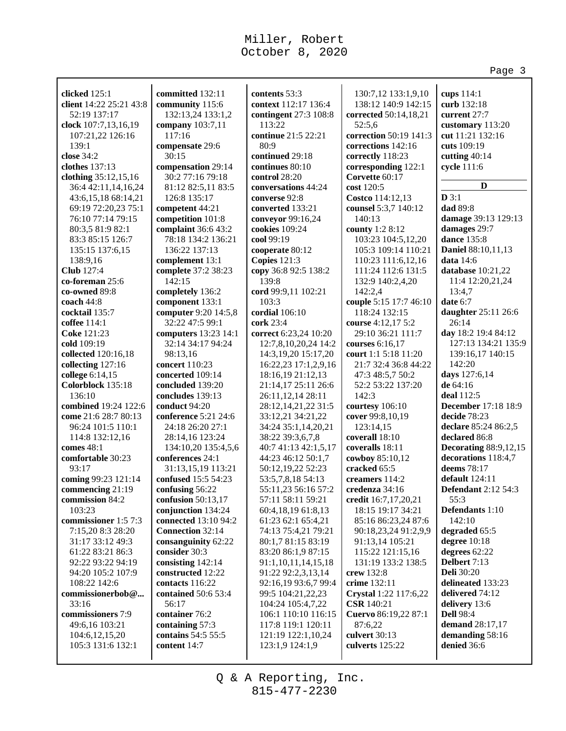|                                      |                                           |                                            |                                       | Page 3                                 |
|--------------------------------------|-------------------------------------------|--------------------------------------------|---------------------------------------|----------------------------------------|
|                                      |                                           |                                            |                                       |                                        |
| clicked 125:1                        | committed 132:11                          | contents 53:3                              | 130:7,12 133:1,9,10                   | cups 114:1                             |
| client 14:22 25:21 43:8              | community 115:6                           | context 112:17 136:4                       | 138:12 140:9 142:15                   | curb 132:18                            |
| 52:19 137:17                         | 132:13,24 133:1,2                         | contingent 27:3 108:8                      | corrected 50:14,18,21                 | current 27:7                           |
| clock 107:7,13,16,19                 | company 103:7,11                          | 113:22                                     | 52:5,6                                | customary 113:20                       |
| 107:21,22 126:16                     | 117:16                                    | continue 21:5 22:21                        | correction 50:19 141:3                | cut 11:21 132:16                       |
| 139:1                                | compensate 29:6                           | 80:9                                       | corrections 142:16                    | cuts 109:19                            |
| close 34:2                           | 30:15                                     | continued 29:18                            | correctly 118:23                      | cutting 40:14                          |
| clothes 137:13                       | compensation 29:14                        | continues 80:10                            | corresponding 122:1                   | cycle 111:6                            |
| clothing 35:12,15,16                 | 30:2 77:16 79:18                          | control 28:20                              | Corvette 60:17                        | D                                      |
| 36:4 42:11,14,16,24                  | 81:12 82:5,11 83:5                        | conversations 44:24                        | cost 120:5                            |                                        |
| 43:6,15,18 68:14,21                  | 126:8 135:17                              | converse 92:8                              | Costco 114:12,13                      | D3:1<br>dad 89:8                       |
| 69:19 72:20,23 75:1                  | competent 44:21                           | converted 133:21                           | counsel 5:3,7 140:12                  |                                        |
| 76:10 77:14 79:15                    | competition 101:8                         | conveyor 99:16,24                          | 140:13                                | damage 39:13 129:13<br>damages 29:7    |
| 80:3,5 81:9 82:1<br>83:3 85:15 126:7 | complaint 36:6 43:2<br>78:18 134:2 136:21 | cookies 109:24<br>cool 99:19               | county 1:2 8:12<br>103:23 104:5,12,20 | <b>dance</b> 135:8                     |
| 135:15 137:6,15                      | 136:22 137:13                             | cooperate 80:12                            | 105:3 109:14 110:21                   | Daniel 88:10,11,13                     |
| 138:9,16                             |                                           | Copies $121:3$                             | 110:23 111:6,12,16                    | data $14:6$                            |
| <b>Club</b> 127:4                    | complement 13:1<br>complete 37:2 38:23    | copy 36:8 92:5 138:2                       | 111:24 112:6 131:5                    | database 10:21,22                      |
| co-foreman 25:6                      | 142:15                                    | 139:8                                      | 132:9 140:2,4,20                      | 11:4 12:20,21,24                       |
| co-owned 89:8                        | completely 136:2                          | cord 99:9,11 102:21                        | 142:2,4                               | 13:4,7                                 |
| coach 44:8                           | component 133:1                           | 103:3                                      | couple 5:15 17:7 46:10                | date 6:7                               |
| cocktail 135:7                       | computer 9:20 14:5,8                      | cordial 106:10                             | 118:24 132:15                         | daughter 25:11 26:6                    |
| coffee 114:1                         | 32:22 47:5 99:1                           | cork 23:4                                  | course 4:12,17 5:2                    | 26:14                                  |
| Coke 121:23                          | computers 13:23 14:1                      | correct 6:23,24 10:20                      | 29:10 36:21 111:7                     | day 18:2 19:4 84:12                    |
| cold 109:19                          | 32:14 34:17 94:24                         | 12:7,8,10,20,24 14:2                       | courses 6:16,17                       | 127:13 134:21 135:9                    |
| collected 120:16,18                  | 98:13,16                                  | 14:3,19,20 15:17,20                        | court 1:1 5:18 11:20                  | 139:16,17 140:15                       |
| collecting 127:16                    | concert 110:23                            | 16:22,23 17:1,2,9,16                       | 21:7 32:4 36:8 44:22                  | 142:20                                 |
| college 6:14,15                      | concerted 109:14                          | 18:16,19 21:12,13                          | 47:3 48:5,7 50:2                      | days 127:6,14                          |
| Colorblock 135:18                    | concluded 139:20                          | 21:14,17 25:11 26:6                        | 52:2 53:22 137:20                     | de 64:16                               |
| 136:10                               | concludes 139:13                          | 26:11,12,14 28:11                          | 142:3                                 | deal 112:5                             |
| combined 19:24 122:6                 | conduct 94:20                             | 28:12, 14, 21, 22 31:5                     | courtesy 106:10                       | <b>December</b> 17:18 18:9             |
| come 21:6 28:7 80:13                 | conference 5:21 24:6                      | 33:12,21 34:21,22                          | cover 99:8,10,19                      | decide 78:23                           |
| 96:24 101:5 110:1                    | 24:18 26:20 27:1                          | 34:24 35:1,14,20,21                        | 123:14,15                             | declare 85:24 86:2,5                   |
| 114:8 132:12,16                      | 28:14,16 123:24                           | 38:22 39:3,6,7,8                           | coverall 18:10                        | declared 86:8                          |
| comes 48:1                           | 134:10,20 135:4,5,6                       | 40:7 41:13 42:1,5,17                       | coveralls 18:11                       | <b>Decorating 88:9,12,15</b>           |
| comfortable 30:23                    | conferences 24:1                          | 44:23 46:12 50:1,7                         | cowboy 85:10,12                       | decorations 118:4,7                    |
| 93:17                                | 31:13,15,19 113:21                        | 50:12,19,22 52:23                          | cracked 65:5                          | deems 78:17                            |
| coming 99:23 121:14                  | confused 15:5 54:23                       | 53:5,7,8,18 54:13                          | creamers $114:2$                      | default 124:11                         |
| commencing 21:19                     | confusing 56:22                           | 55:11,23 56:16 57:2                        | credenza 34:16                        | <b>Defendant</b> 2:12 54:3             |
| commission 84:2                      | confusion 50:13,17                        | 57:11 58:11 59:21                          | credit 16:7,17,20,21                  | 55:3                                   |
| 103:23                               | conjunction 134:24                        | 60:4,18,19 61:8,13                         | 18:15 19:17 34:21                     | Defendants 1:10                        |
| commissioner 1:5 7:3                 | connected 13:10 94:2                      | 61:23 62:1 65:4,21                         | 85:16 86:23,24 87:6                   | 142:10                                 |
| 7:15,20 8:3 28:20                    | Connection 32:14                          | 74:13 75:4,21 79:21                        | 90:18,23,24 91:2,9,9                  | degraded 65:5                          |
| 31:17 33:12 49:3                     | consanguinity 62:22                       | 80:1,7 81:15 83:19                         | 91:13,14 105:21                       | degree 10:18                           |
| 61:22 83:21 86:3                     | consider 30:3                             | 83:20 86:1,9 87:15                         | 115:22 121:15,16                      | degrees 62:22                          |
| 92:22 93:22 94:19                    | consisting 142:14<br>constructed 12:22    | 91:1,10,11,14,15,18                        | 131:19 133:2 138:5                    | Delbert 7:13                           |
| 94:20 105:2 107:9<br>108:22 142:6    | contacts 116:22                           | 91:22 92:2,3,13,14<br>92:16,19 93:6,7 99:4 | crew 132:8<br>crime 132:11            | <b>Deli</b> 30:20<br>delineated 133:23 |
| commissionerbob@                     | contained 50:6 53:4                       | 99:5 104:21,22,23                          | Crystal 1:22 117:6,22                 | delivered 74:12                        |
| 33:16                                | 56:17                                     | 104:24 105:4,7,22                          | <b>CSR</b> 140:21                     | delivery 13:6                          |
| commissioners 7:9                    | container 76:2                            | 106:1 110:10 116:15                        | Cuervo 86:19,22 87:1                  | <b>Dell</b> 98:4                       |
| 49:6,16 103:21                       | containing 57:3                           | 117:8 119:1 120:11                         | 87:6,22                               | demand 28:17,17                        |
| 104:6, 12, 15, 20                    | contains 54:5 55:5                        | 121:19 122:1,10,24                         | culvert 30:13                         | demanding 58:16                        |
| 105:3 131:6 132:1                    | content 14:7                              | 123:1,9 124:1,9                            | culverts 125:22                       | denied 36:6                            |
|                                      |                                           |                                            |                                       |                                        |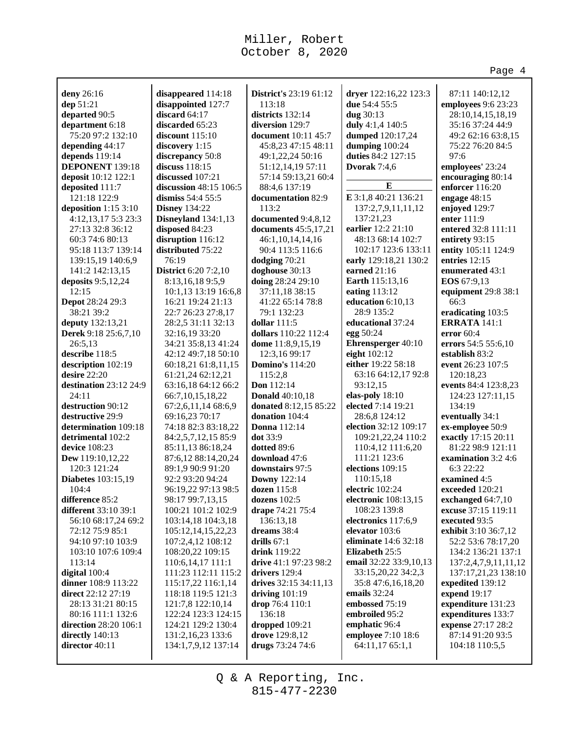|                                    |                                            |                                         |                                 | Page 4                                   |
|------------------------------------|--------------------------------------------|-----------------------------------------|---------------------------------|------------------------------------------|
|                                    |                                            |                                         |                                 |                                          |
| deny 26:16                         | disappeared 114:18                         | District's 23:19 61:12                  | dryer 122:16,22 123:3           | 87:11 140:12,12                          |
| dep 51:21                          | disappointed 127:7                         | 113:18                                  | due 54:4 55:5                   | employees 9:6 23:23                      |
| departed 90:5                      | discard 64:17                              | districts 132:14                        | dug 30:13                       | 28:10,14,15,18,19                        |
| department 6:18                    | discarded 65:23                            | diversion 129:7                         | duly 4:1,4 140:5                | 35:16 37:24 44:9                         |
| 75:20 97:2 132:10                  | discount $115:10$                          | <b>document</b> 10:11 45:7              | dumped 120:17,24                | 49:2 62:16 63:8,15                       |
| depending 44:17                    | discovery 1:15                             | 45:8,23 47:15 48:11                     | dumping 100:24                  | 75:22 76:20 84:5                         |
| depends 119:14                     | discrepancy 50:8                           | 49:1,22,24 50:16                        | duties 84:2 127:15              | 97:6                                     |
| DEPONENT 139:18                    | discuss 118:15                             | 51:12,14,19 57:11                       | Dvorak $7:4,6$                  | employees' 23:24                         |
| deposit 10:12 122:1                | discussed 107:21                           | 57:14 59:13,21 60:4                     | E                               | encouraging 80:14                        |
| deposited 111:7                    | discussion 48:15 106:5                     | 88:4,6 137:19                           |                                 | enforcer 116:20                          |
| 121:18 122:9                       | dismiss $54:455:5$                         | documentation 82:9                      | E 3:1,8 40:21 136:21            | engage 48:15                             |
| deposition $1:153:10$              | <b>Disney 134:22</b>                       | 113:2                                   | 137:2,7,9,11,11,12              | enjoyed 129:7                            |
| 4:12,13,17 5:3 23:3                | Disneyland 134:1,13                        | documented 9:4,8,12                     | 137:21,23                       | enter 111:9                              |
| 27:13 32:8 36:12                   | disposed 84:23                             | documents 45:5,17,21                    | earlier 12:2 21:10              | entered 32:8 111:11                      |
| 60:3 74:6 80:13                    | disruption 116:12                          | 46:1,10,14,14,16                        | 48:13 68:14 102:7               | entirety 93:15                           |
| 95:18 113:7 139:14                 | distributed 75:22                          | 90:4 113:5 116:6                        | 102:17 123:6 133:11             | entity 105:11 124:9                      |
| 139:15,19 140:6,9                  | 76:19                                      | dodging 70:21                           | early 129:18,21 130:2           | entries 12:15                            |
| 141:2 142:13,15                    | <b>District</b> 6:20 7:2,10                | doghouse 30:13                          | earned 21:16                    | enumerated 43:1                          |
| deposits 9:5,12,24                 | 8:13,16,189:5,9                            | doing 28:24 29:10                       | Earth 115:13,16                 | EOS 67:9,13                              |
| 12:15                              | 10:1,13 13:19 16:6,8                       | 37:11,18 38:15                          | eating 113:12                   | equipment 29:8 38:1                      |
| Depot 28:24 29:3<br>38:21 39:2     | 16:21 19:24 21:13                          | 41:22 65:14 78:8<br>79:1 132:23         | education 6:10,13<br>28:9 135:2 | 66:3                                     |
|                                    | 22:7 26:23 27:8,17                         |                                         | educational 37:24               | eradicating 103:5<br><b>ERRATA 141:1</b> |
| deputy 132:13,21                   | 28:2,5 31:11 32:13                         | dollar $111:5$                          |                                 |                                          |
| Derek 9:18 25:6,7,10               | 32:16,19 33:20                             | dollars 110:22 112:4                    | egg 50:24<br>Ehrensperger 40:10 | error $60:4$                             |
| 26:5,13<br>describe 118:5          | 34:21 35:8,13 41:24                        | dome 11:8,9,15,19                       | eight 102:12                    | errors 54:5 55:6,10                      |
|                                    | 42:12 49:7,18 50:10<br>60:18,21 61:8,11,15 | 12:3,16 99:17<br><b>Domino's 114:20</b> | either 19:22 58:18              | establish 83:2<br>event 26:23 107:5      |
| description 102:19<br>desire 22:20 | 61:21,24 62:12,21                          | 115:2,8                                 | 63:16 64:12,17 92:8             | 120:18,23                                |
| destination 23:12 24:9             | 63:16,18 64:12 66:2                        | <b>Don</b> 112:14                       | 93:12,15                        | events 84:4 123:8,23                     |
| 24:11                              | 66:7,10,15,18,22                           | <b>Donald</b> 40:10,18                  | elas-poly 18:10                 | 124:23 127:11,15                         |
| destruction 90:12                  | 67:2,6,11,14 68:6,9                        | donated 8:12,15 85:22                   | elected 7:14 19:21              | 134:19                                   |
| destructive 29:9                   | 69:16,23 70:17                             | donation 104:4                          | 28:6,8 124:12                   | eventually 34:1                          |
| determination 109:18               | 74:18 82:3 83:18,22                        | <b>Donna</b> 112:14                     | election 32:12 109:17           | ex-employee 50:9                         |
| detrimental 102:2                  | 84:2,5,7,12,15 85:9                        | <b>dot</b> 33:9                         | 109:21,22,24 110:2              | exactly 17:15 20:11                      |
| device 108:23                      | 85:11,13 86:18,24                          | dotted 89:6                             | 110:4,12 111:6,20               | 81:22 98:9 121:11                        |
| Dew 119:10,12,22                   | 87:6,12 88:14,20,24                        | download 47:6                           | 111:21 123:6                    | examination 3:2 4:6                      |
| 120:3 121:24                       | 89:1,9 90:9 91:20                          | downstairs 97:5                         | elections 109:15                | 6:3 22:22                                |
| <b>Diabetes</b> 103:15,19          | 92:2 93:20 94:24                           | <b>Downy</b> 122:14                     | 110:15.18                       | examined 4:5                             |
| 104:4                              | 96:19,22 97:13 98:5                        | <b>dozen</b> 115:8                      | electric 102:24                 | exceeded 120:21                          |
| difference 85:2                    | 98:17 99:7,13,15                           | dozens 102:5                            | electronic 108:13,15            | exchanged 64:7,10                        |
| different 33:10 39:1               | 100:21 101:2 102:9                         | drape 74:21 75:4                        | 108:23 139:8                    | excuse 37:15 119:11                      |
| 56:10 68:17,24 69:2                | 103:14,18 104:3,18                         | 136:13,18                               | electronics 117:6,9             | executed 93:5                            |
| 72:12 75:9 85:1                    | 105:12,14,15,22,23                         | dreams 38:4                             | elevator 103:6                  | exhibit 3:10 36:7,12                     |
| 94:10 97:10 103:9                  | 107:2,4,12 108:12                          | drills $67:1$                           | eliminate 14:6 32:18            | 52:2 53:6 78:17,20                       |
| 103:10 107:6 109:4                 | 108:20,22 109:15                           | drink 119:22                            | Elizabeth 25:5                  | 134:2 136:21 137:1                       |
| 113:14                             | 110:6,14,17 111:1                          | drive 41:1 97:23 98:2                   | email 32:22 33:9,10,13          | 137:2,4,7,9,11,11,12                     |
| digital 100:4                      | 111:23 112:11 115:2                        | drivers 129:4                           | 33:15,20,22 34:2,3              | 137:17,21,23 138:10                      |
| dinner 108:9 113:22                | 115:17,22 116:1,14                         | drives 32:15 34:11,13                   | 35:8 47:6,16,18,20              | expedited 139:12                         |
| direct 22:12 27:19                 | 118:18 119:5 121:3                         | driving $101:19$                        | emails $32:24$                  | expend 19:17                             |
| 28:13 31:21 80:15                  | 121:7,8 122:10,14                          | drop 76:4 110:1                         | embossed 75:19                  | expenditure 131:23                       |
| 80:16 111:1 132:6                  | 122:24 123:3 124:15                        | 136:18                                  | embroiled 95:2                  | expenditures 133:7                       |
| direction 28:20 106:1              | 124:21 129:2 130:4                         | dropped 109:21                          | emphatic 96:4                   | expense 27:17 28:2                       |
| directly 140:13                    | 131:2,16,23 133:6                          | drove 129:8,12                          | employee 7:10 18:6              | 87:14 91:20 93:5                         |
| director 40:11                     | 134:1,7,9,12 137:14                        | drugs 73:24 74:6                        | 64:11,17 65:1,1                 | 104:18 110:5,5                           |
|                                    |                                            |                                         |                                 |                                          |
|                                    |                                            |                                         |                                 |                                          |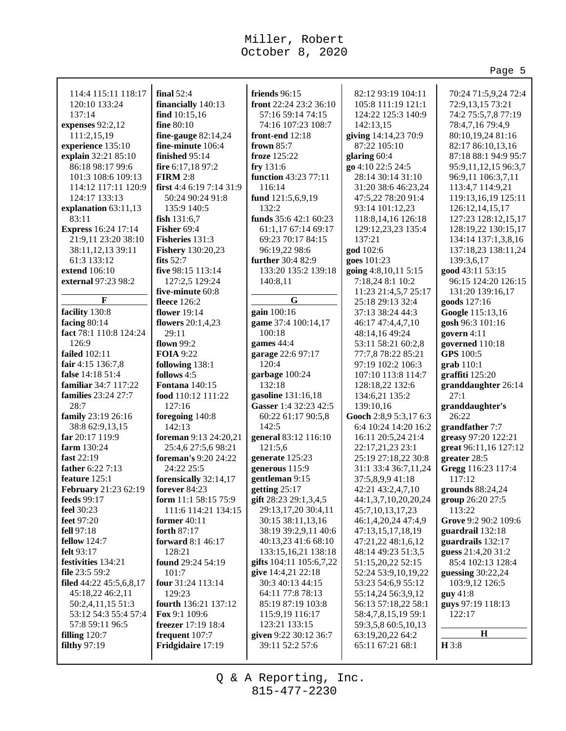|                                            |                                        |                                        |                                             | Page 5                               |
|--------------------------------------------|----------------------------------------|----------------------------------------|---------------------------------------------|--------------------------------------|
| 114:4 115:11 118:17                        | final $52:4$                           | friends 96:15                          | 82:12 93:19 104:11                          | 70:24 71:5,9,24 72:4                 |
| 120:10 133:24                              | financially 140:13                     | front 22:24 23:2 36:10                 | 105:8 111:19 121:1                          | 72:9,13,15 73:21                     |
| 137:14                                     | find $10:15,16$                        | 57:16 59:14 74:15                      | 124:22 125:3 140:9                          | 74:2 75:5,7,8 77:19                  |
| expenses 92:2,12                           | fine 80:10                             | 74:16 107:23 108:7                     | 142:13,15                                   | 78:4,7,16 79:4,9                     |
| 111:2,15,19                                | fine-gauge $82:14,24$                  | front-end 12:18                        | giving 14:14,23 70:9                        | 80:10,19,24 81:16                    |
| experience 135:10                          | fine-minute 106:4                      | frown $85:7$                           | 87:22 105:10                                | 82:17 86:10,13,16                    |
| explain 32:21 85:10                        | finished 95:14                         | froze 125:22                           | glaring 60:4                                | 87:18 88:1 94:9 95:7                 |
| 86:18 98:17 99:6                           | fire 6:17,18 97:2                      | fry 131:6                              | go 4:10 22:5 24:5                           | 95:9, 11, 12, 15 96: 3, 7            |
| 101:3 108:6 109:13                         | <b>FIRM 2:8</b>                        | function 43:23 77:11                   | 28:14 30:14 31:10                           | 96:9,11 106:3,7,11                   |
| 114:12 117:11 120:9                        | first 4:4 6:19 7:14 31:9               | 116:14                                 | 31:20 38:6 46:23,24                         | 113:4,7 114:9,21                     |
| 124:17 133:13                              | 50:24 90:24 91:8                       | fund 121:5,6,9,19                      | 47:5,22 78:20 91:4                          | 119:13,16,19 125:11                  |
| explanation 63:11,13                       | 135:9 140:5                            | 132:2                                  | 93:14 101:12,23                             | 126:12,14,15,17                      |
| 83:11                                      | fish $131:6,7$                         | funds $35:642:160:23$                  | 118:8, 14, 16 126: 18                       | 127:23 128:12,15,17                  |
| <b>Express 16:24 17:14</b>                 | Fisher 69:4                            | 61:1,17 67:14 69:17                    | 129:12,23,23 135:4                          | 128:19,22 130:15,17                  |
| 21:9,11 23:20 38:10                        | Fisheries 131:3                        | 69:23 70:17 84:15                      | 137:21                                      | 134:14 137:1,3,8,16                  |
| 38:11,12,13 39:11                          | <b>Fishery</b> 130:20,23               | 96:19,22 98:6                          | god 102:6                                   | 137:18,23 138:11,24                  |
| 61:3 133:12                                | fits $52:7$                            | further 30:4 82:9                      | goes 101:23                                 | 139:3,6,17                           |
| extend 106:10                              | five 98:15 113:14                      | 133:20 135:2 139:18                    | going 4:8,10,11 5:15                        | good 43:11 53:15                     |
| external 97:23 98:2                        | 127:2,5 129:24                         | 140:8,11                               | 7:18,24 8:1 10:2                            | 96:15 124:20 126:15                  |
|                                            | five-minute 60:8                       |                                        | 11:23 21:4,5,7 25:17                        | 131:20 139:16,17                     |
| F                                          | fleece 126:2                           | G                                      | 25:18 29:13 32:4                            | goods 127:16                         |
| facility 130:8                             | <b>flower</b> 19:14                    | gain 100:16                            | 37:13 38:24 44:3                            | Google 115:13,16                     |
| facing $80:14$                             | flowers $20:1,4,23$                    | game 37:4 100:14,17                    | 46:17 47:4,4,7,10                           | gosh 96:3 101:16                     |
| fact 78:1 110:8 124:24                     | 29:11                                  | 100:18                                 | 48:14,16 49:24                              | govern 4:11                          |
| 126:9                                      | flown $99:2$                           | games 44:4                             | 53:11 58:21 60:2,8                          | governed 110:18                      |
| <b>failed</b> 102:11                       | <b>FOIA</b> 9:22                       | garage 22:6 97:17                      | 77:7,8 78:22 85:21                          | <b>GPS</b> 100:5                     |
| fair 4:15 136:7,8                          | following 138:1                        | 120:4                                  | 97:19 102:2 106:3                           | $grab 110:1$                         |
| false 14:18 51:4                           | follows 4:5                            | garbage 100:24                         | 107:10 113:8 114:7                          | graffiti 125:20                      |
| familiar 34:7 117:22                       | <b>Fontana</b> 140:15                  | 132:18                                 | 128:18,22 132:6                             | granddaughter 26:14                  |
| families 23:24 27:7                        | food 110:12 111:22                     | gasoline 131:16,18                     | 134:6,21 135:2                              | 27:1                                 |
| 28:7                                       | 127:16                                 | Gasser 1:4 32:23 42:5                  | 139:10,16                                   | granddaughter's                      |
| family 23:19 26:16                         | foregoing 140:8                        | 60:22 61:17 90:5,8                     | Gooch 2:8,9 5:3,17 6:3                      | 26:22                                |
| 38:8 62:9,13,15                            | 142:13                                 | 142:5                                  | 6:4 10:24 14:20 16:2                        | grandfather 7:7                      |
| far 20:17 119:9                            | foreman 9:13 24:20,21                  | general 83:12 116:10                   | 16:11 20:5,24 21:4                          | greasy 97:20 122:21                  |
| farm 130:24                                | 25:4,6 27:5,6 98:21                    | 121:5,6                                | 22:17,21,23 23:1                            | great 96:11,16 127:12                |
| fast 22:19                                 | foreman's 9:20 24:22                   | generate 125:23                        | 25:19 27:18,22 30:8                         | greater 28:5                         |
| father 6:22 7:13                           | 24:22 25:5                             | generous 115:9                         | 31:1 33:4 36:7,11,24                        | Gregg 116:23 117:4                   |
| feature 125:1                              | forensically 32:14,17<br>forever 84:23 | gentleman 9:15                         | 37:5,8,9,9 41:18                            | 117:12                               |
| February 21:23 62:19<br><b>feeds</b> 99:17 | form 11:1 58:15 75:9                   | getting 25:17<br>gift 28:23 29:1,3,4,5 | 42:21 43:2,4,7,10                           | grounds 88:24,24<br>group 26:20 27:5 |
| feel 30:23                                 | 111:6 114:21 134:15                    | 29:13,17,20 30:4,11                    | 44:1,3,7,10,20,20,24                        | 113:22                               |
| <b>feet</b> 97:20                          | former $40:11$                         | 30:15 38:11,13,16                      | 45:7, 10, 13, 17, 23<br>46:1,4,20,24 47:4,9 | Grove 9:2 90:2 109:6                 |
| fell 97:18                                 | forth 87:17                            | 38:19 39:2,9,11 40:6                   | 47:13,15,17,18,19                           | guardrail 132:18                     |
| <b>fellow</b> 124:7                        | forward 8:1 46:17                      | 40:13,23 41:6 68:10                    | 47:21,22 48:1,6,12                          | guardrails 132:17                    |
| felt 93:17                                 | 128:21                                 | 133:15, 16, 21 138:18                  | 48:14 49:23 51:3,5                          | guess 21:4,20 31:2                   |
| festivities 134:21                         | found 29:24 54:19                      | gifts 104:11 105:6,7,22                | 51:15,20,22 52:15                           | 85:4 102:13 128:4                    |
| file 23:5 59:2                             | 101:7                                  | give 14:4,21 22:18                     | 52:24 53:9,10,19,22                         | guessing 30:22,24                    |
| filed 44:22 45:5,6,8,17                    | four 31:24 113:14                      | 30:3 40:13 44:15                       | 53:23 54:6,9 55:12                          | 103:9,12 126:5                       |
| 45:18,22 46:2,11                           | 129:23                                 | 64:11 77:8 78:13                       | 55:14,24 56:3,9,12                          | guy 41:8                             |
| 50:2,4,11,15 51:3                          | fourth 136:21 137:12                   | 85:19 87:19 103:8                      | 56:13 57:18,22 58:1                         | guys 97:19 118:13                    |
| 53:12 54:3 55:4 57:4                       | <b>Fox</b> 9:1 109:6                   | 115:9,19 116:17                        | 58:4,7,8,15,19 59:1                         | 122:17                               |
| 57:8 59:11 96:5                            | <b>freezer</b> 17:19 18:4              | 123:21 133:15                          | 59:3,5,8 60:5,10,13                         |                                      |
| filling $120:7$                            | frequent 107:7                         | given 9:22 30:12 36:7                  | 63:19,20,22 64:2                            | $\mathbf H$                          |
| <b>filthy 97:19</b>                        | Fridgidaire 17:19                      | 39:11 52:2 57:6                        | 65:11 67:21 68:1                            | H3:8                                 |
|                                            |                                        |                                        |                                             |                                      |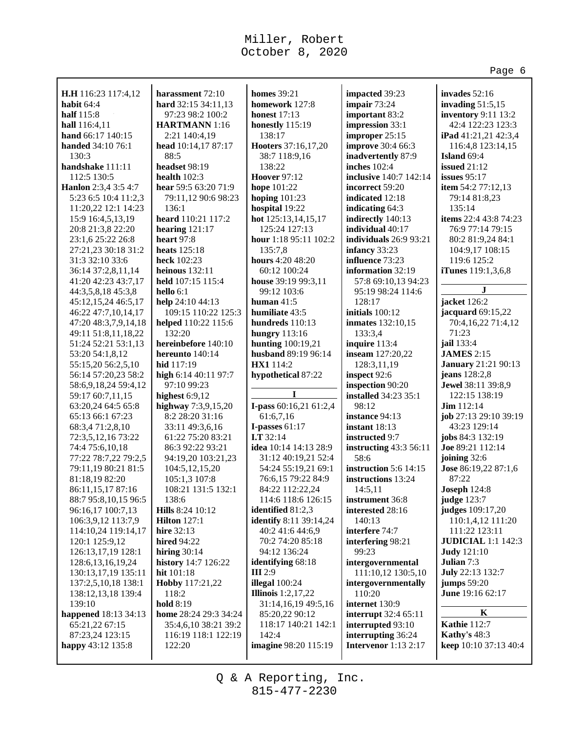|                                         |                                       |                                             |                                    | Page 6                           |
|-----------------------------------------|---------------------------------------|---------------------------------------------|------------------------------------|----------------------------------|
|                                         |                                       |                                             |                                    |                                  |
| H.H 116:23 117:4,12                     | harassment 72:10                      | <b>homes</b> 39:21                          | impacted 39:23                     | invades 52:16                    |
| habit 64:4                              | hard 32:15 34:11,13                   | homework 127:8                              | impair 73:24                       | invading $51:5,15$               |
| half 115:8                              | 97:23 98:2 100:2                      | <b>honest</b> 17:13                         | important 83:2                     | inventory 9:11 13:2              |
| hall 116:4,11                           | <b>HARTMANN</b> 1:16                  | honestly 115:19                             | impression 33:1                    | 42:4 122:23 123:3                |
| hand 66:17 140:15                       | 2:21 140:4,19                         | 138:17                                      | improper 25:15                     | <b>iPad</b> 41:21,21 42:3,4      |
| handed 34:10 76:1                       | head 10:14,17 87:17                   | Hooters 37:16,17,20                         | improve 30:4 66:3                  | 116:4,8 123:14,15                |
| 130:3<br>handshake 111:11               | 88:5<br>headset 98:19                 | 38:7 118:9,16<br>138:22                     | inadvertently 87:9<br>inches 102:4 | Island $69:4$                    |
| 112:5 130:5                             | health $102:3$                        | <b>Hoover 97:12</b>                         | inclusive 140:7 142:14             | issued $21:12$<br>issues $95:17$ |
| Hanlon 2:3,4 3:5 4:7                    | hear 59:5 63:20 71:9                  | hope 101:22                                 | incorrect 59:20                    | item 54:2 77:12,13               |
| 5:23 6:5 10:4 11:2,3                    | 79:11,12 90:6 98:23                   | hoping $101:23$                             | indicated 12:18                    | 79:14 81:8,23                    |
| 11:20,22 12:1 14:23                     | 136:1                                 | hospital 19:22                              | indicating 64:3                    | 135:14                           |
| 15:9 16:4,5,13,19                       | heard 110:21 117:2                    | hot 125:13,14,15,17                         | indirectly 140:13                  | items 22:4 43:8 74:23            |
| 20:8 21:3,8 22:20                       | hearing $121:17$                      | 125:24 127:13                               | individual 40:17                   | 76:9 77:14 79:15                 |
| 23:1,6 25:22 26:8                       | heart 97:8                            | hour 1:18 95:11 102:2                       | individuals $26:993:21$            | 80:2 81:9,24 84:1                |
| 27:21,23 30:18 31:2                     | heats $125:18$                        | 135:7,8                                     | infancy 33:23                      | 104:9,17 108:15                  |
| 31:3 32:10 33:6                         | heck 102:23                           | hours 4:20 48:20                            | influence 73:23                    | 119:6 125:2                      |
| 36:14 37:2,8,11,14                      | heinous $132:11$                      | 60:12 100:24                                | information 32:19                  | <b>iTunes</b> 119:1,3,6,8        |
| 41:20 42:23 43:7,17                     | held 107:15 115:4                     | house 39:19 99:3,11                         | 57:8 69:10,13 94:23                |                                  |
| 44:3,5,8,18 45:3,8                      | hello 6:1                             | 99:12 103:6                                 | 95:19 98:24 114:6                  | J                                |
| 45:12,15,24 46:5,17                     | help 24:10 44:13                      | human $41:5$                                | 128:17                             | jacket 126:2                     |
| 46:22 47:7,10,14,17                     | 109:15 110:22 125:3                   | humiliate 43:5                              | initials 100:12                    | jacquard 69:15,22                |
| 47:20 48:3,7,9,14,18                    | helped 110:22 115:6                   | hundreds 110:13                             | <b>inmates</b> 132:10,15           | 70:4,16,22 71:4,12               |
| 49:11 51:8,11,18,22                     | 132:20                                | <b>hungry</b> 113:16                        | 133:3,4                            | 71:23                            |
| 51:24 52:21 53:1,13                     | hereinbefore 140:10                   | <b>hunting</b> 100:19,21                    | inquire 113:4                      | jail 133:4                       |
| 53:20 54:1,8,12                         | hereunto 140:14                       | husband 89:19 96:14                         | inseam 127:20,22                   | <b>JAMES</b> 2:15                |
| 55:15,20 56:2,5,10                      | hid 117:19                            | HX1 114:2                                   | 128:3,11,19                        | <b>January</b> 21:21 90:13       |
| 56:14 57:20,23 58:2                     | high 6:14 40:11 97:7                  | hypothetical 87:22                          | inspect 92:6                       | jeans 128:2,8                    |
| 58:6,9,18,24 59:4,12                    | 97:10 99:23                           |                                             | inspection 90:20                   | Jewel 38:11 39:8,9               |
| 59:17 60:7,11,15                        | highest $6:9,12$                      | I                                           | installed 34:23 35:1               | 122:15 138:19                    |
| 63:20,24 64:5 65:8                      | highway 7:3,9,15,20                   | I-pass 60:16,21 61:2,4                      | 98:12                              | $Jim$ 112:14                     |
| 65:13 66:1 67:23                        | 8:2 28:20 31:16                       | 61:6,7,16                                   | instance 94:13                     | job 27:13 29:10 39:19            |
| 68:3,471:2,8,10                         | 33:11 49:3,6,16                       | I-passes $61:17$                            | instant $18:13$                    | 43:23 129:14                     |
| 72:3,5,12,16 73:22                      | 61:22 75:20 83:21<br>86:3 92:22 93:21 | <b>I.T</b> $32:14$<br>idea 10:14 14:13 28:9 | instructed 9:7                     | jobs 84:3 132:19                 |
| 74:4 75:6,10,18<br>77:22 78:7,22 79:2,5 | 94:19,20 103:21,23                    | 31:12 40:19,21 52:4                         | instructing 43:3 56:11<br>58:6     | Joe 89:21 112:14<br>joining 32:6 |
| 79:11,19 80:21 81:5                     | 104:5, 12, 15, 20                     | 54:24 55:19,21 69:1                         | instruction 5:6 14:15              | Jose 86:19,22 87:1,6             |
| 81:18,19 82:20                          | 105:1,3 107:8                         | 76:6,15 79:22 84:9                          | instructions 13:24                 | 87:22                            |
| 86:11,15,17 87:16                       | 108:21 131:5 132:1                    | 84:22 112:22,24                             | 14:5,11                            | <b>Joseph 124:8</b>              |
| 88:7 95:8,10,15 96:5                    | 138:6                                 | 114:6 118:6 126:15                          | instrument 36:8                    | judge 123:7                      |
| 96:16,17 100:7,13                       | <b>Hills</b> 8:24 10:12               | identified 81:2,3                           | interested 28:16                   | judges 109:17,20                 |
| 106:3,9,12 113:7,9                      | <b>Hilton</b> 127:1                   | identify 8:11 39:14,24                      | 140:13                             | 110:1,4,12 111:20                |
| 114:10,24 119:14,17                     | hire 32:13                            | 40:2 41:6 44:6,9                            | interfere 74:7                     | 111:22 123:11                    |
| 120:1 125:9,12                          | <b>hired 94:22</b>                    | 70:2 74:20 85:18                            | interfering 98:21                  | <b>JUDICIAL</b> 1:1 142:3        |
| 126:13,17,19 128:1                      | hiring $30:14$                        | 94:12 136:24                                | 99:23                              | <b>Judy</b> 121:10               |
| 128:6, 13, 16, 19, 24                   | history 14:7 126:22                   | identifying 68:18                           | intergovernmental                  | Julian 7:3                       |
| 130:13,17,19 135:11                     | hit 101:18                            | <b>III</b> 2:9                              | 111:10,12 130:5,10                 | July 22:13 132:7                 |
| 137:2,5,10,18 138:1                     | Hobby 117:21,22                       | illegal $100:24$                            | intergovernmentally                | jumps $59:20$                    |
| 138:12,13,18 139:4                      | 118:2                                 | Illinois $1:2,17,22$                        | 110:20                             | June 19:16 62:17                 |
| 139:10                                  | <b>hold</b> 8:19                      | 31:14,16,19 49:5,16                         | internet 130:9                     |                                  |
| happened 18:13 34:13                    | home 28:24 29:3 34:24                 | 85:20,22 90:12                              | interrupt 32:4 65:11               | K                                |
| 65:21,22 67:15                          | 35:4,6,10 38:21 39:2                  | 118:17 140:21 142:1                         | interrupted 93:10                  | <b>Kathie 112:7</b>              |
| 87:23,24 123:15                         | 116:19 118:1 122:19                   | 142:4                                       | interrupting 36:24                 | Kathy's 48:3                     |
| happy 43:12 135:8                       | 122:20                                | imagine 98:20 115:19                        | <b>Intervenor</b> 1:13 2:17        | keep 10:10 37:13 40:4            |
|                                         |                                       |                                             |                                    |                                  |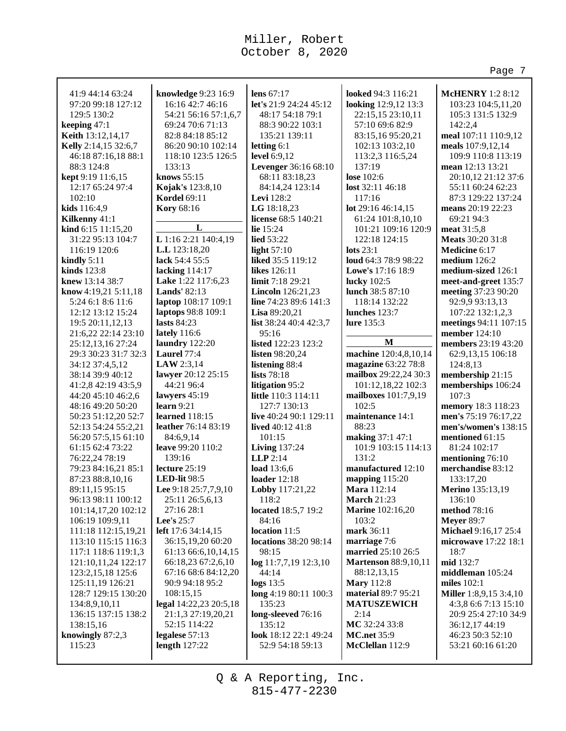**lens** 67:17

**letting** 6:1 **level** 6:9,12

**Levi** 128:2 **LG** 18:18,23

**lie** 15:24 **lied** 53:22 **light** 57:10

**likes** 126:11

**Lisa** 89:20,21

95:16

**lists** 78:18

101:15

**LLP** 2:14 **load** 13:6,6 **loader** 12:18

118:2

84:16 **location** 11:5

98:15

44:14 **logs** 13:5

135:23 **long-sleeved** 76:16 135:12

**locations** 38:20 98:14

**log** 11:7,7,19 12:3,10

**long** 4:19 80:11 100:3

**look** 18:12 22:1 49:24 52:9 54:18 59:13

41:9 44:14 63:24 97:20 99:18 127:12 129:5 130:2 **keeping** 47:1 **Keith** 13:12,14,17 **Kelly** 2:14,15 32:6,7 46:18 87:16,18 88:1 **knowledge** 9:23 16:9 16:16 42:7 46:16 54:21 56:16 57:1,6,7 69:24 70:6 71:13 82:8 84:18 85:12 86:20 90:10 102:14 118:10 123:5 126:5

**L L** 1:16 2:21 140:4,19 **L.L** 123:18,20 **lack** 54:4 55:5 **lacking** 114:17 **Lake** 1:22 117:6,23 **Lands'** 82:13 **laptop** 108:17 109:1 **laptops** 98:8 109:1 **lasts** 84:23 **lately** 116:6 **laundry** 122:20 **Laurel** 77:4 **LAW** 2:3,14 **lawyer** 20:12 25:15 44:21 96:4 **lawyers** 45:19 **learn** 9:21 **learned** 118:15 **leather** 76:14 83:19 84:6,9,14 **leave** 99:20 110:2 139:16 **lecture** 25:19 **LED-lit** 98:5 **Lee** 9:18 25:7,7,9,10 25:11 26:5,6,13 27:16 28:1 **Lee's** 25:7 **left** 17:6 34:14,15 36:15,19,20 60:20 61:13 66:6,10,14,15 66:18,23 67:2,6,10 67:16 68:6 84:12,20 90:9 94:18 95:2 108:15,15 **legal** 14:22,23 20:5,18 21:1,3 27:19,20,21 52:15 114:22 **legalese** 57:13 **length** 127:22

133:13 **knows** 55:15 **Kojak's** 123:8,10 **Kordel** 69:11 **Kory** 68:16

88:3 124:8 **kept** 9:19 11:6,15 12:17 65:24 97:4

102:10 **kids** 116:4,9 **Kilkenny** 41:1 **kind** 6:15 11:15,20 31:22 95:13 104:7 116:19 120:6 **kindly** 5:11 **kinds** 123:8 **knew** 13:14 38:7 **know** 4:19,21 5:11,18 5:24 6:1 8:6 11:6 12:12 13:12 15:24 19:5 20:11,12,13 21:6,22 22:14 23:10 25:12,13,16 27:24 29:3 30:23 31:7 32:3 34:12 37:4,5,12 38:14 39:9 40:12 41:2,8 42:19 43:5,9 44:20 45:10 46:2,6 48:16 49:20 50:20 50:23 51:12,20 52:7 52:13 54:24 55:2,21 56:20 57:5,15 61:10 61:15 62:4 73:22 76:22,24 78:19 79:23 84:16,21 85:1 87:23 88:8,10,16 89:11,15 95:15 96:13 98:11 100:12 101:14,17,20 102:12 106:19 109:9,11 111:18 112:15,19,21 113:10 115:15 116:3 117:1 118:6 119:1,3 121:10,11,24 122:17 123:2,15,18 125:6 125:11,19 126:21 128:7 129:15 130:20 134:8,9,10,11 136:15 137:15 138:2

138:15,16 **knowingly** 87:2,3 115:23

**let's** 21:9 24:24 45:12 48:17 54:18 79:1 88:3 90:22 103:1 135:21 139:11 **Levenger** 36:16 68:10 68:11 83:18,23 84:14,24 123:14 **license** 68:5 140:21 **liked** 35:5 119:12 **limit** 7:18 29:21 **Lincoln** 126:21,23 **line** 74:23 89:6 141:3 **list** 38:24 40:4 42:3,7 **listed** 122:23 123:2 **listen** 98:20,24 **listening** 88:4 **litigation** 95:2 **little** 110:3 114:11 127:7 130:13 **live** 40:24 90:1 129:11 **lived** 40:12 41:8 **Living** 137:24 **Lobby** 117:21,22 **located** 18:5,7 19:2 **looked** 94:3 116:21 137:19 **lose** 102:6 117:16 **lots** 23:1 **lucky** 102:5 **lure** 135:3 102:5 88:23 131:2 **March** 21:23

**looking** 12:9,12 13:3 22:15,15 23:10,11 57:10 69:6 82:9 83:15,16 95:20,21 102:13 103:2,10 113:2,3 116:5,24 **lost** 32:11 46:18 **lot** 29:16 46:14,15 61:24 101:8,10,10 101:21 109:16 120:9 122:18 124:15 **loud** 64:3 78:9 98:22 **Lowe's** 17:16 18:9 **lunch** 38:5 87:10 118:14 132:22 **lunches** 123:7 **M machine** 120:4,8,10,14 **magazine** 63:22 78:8 **mailbox** 29:22,24 30:3 101:12,18,22 102:3 **mailboxes** 101:7,9,19 **maintenance** 14:1 **making** 37:1 47:1 101:9 103:15 114:13 **manufactured** 12:10 **mapping** 115:20 **Mara** 112:14 **Marine** 102:16,20 103:2 **mark** 36:11 **marriage** 7:6 **married** 25:10 26:5 **Martenson** 88:9,10,11 88:12,13,15 **Mary** 112:8 **material** 89:7 95:21 **MATUSZEWICH** 2:14 **MC** 32:24 33:8 **MC.net** 35:9 **McClellan** 112:9

**McHENRY** 1:2 8:12 103:23 104:5,11,20 105:3 131:5 132:9 142:2,4 **meal** 107:11 110:9,12 **meals** 107:9,12,14 109:9 110:8 113:19 **mean** 12:13 13:21 20:10,12 21:12 37:6 55:11 60:24 62:23 87:3 129:22 137:24 **means** 20:19 22:23 69:21 94:3 **meat** 31:5,8 **Meats** 30:20 31:8 **Medicine** 6:17 **medium** 126:2 **medium-sized** 126:1 **meet-and-greet** 135:7 **meeting** 37:23 90:20 92:9,9 93:13,13 107:22 132:1,2,3 **meetings** 94:11 107:15 **member** 124:10 **members** 23:19 43:20 62:9,13,15 106:18 124:8,13 **membership** 21:15 **memberships** 106:24 107:3 **memory** 18:3 118:23 **men's** 75:19 76:17,22 **men's/women's** 138:15 **mentioned** 61:15 81:24 102:17 **mentioning** 76:10 **merchandise** 83:12 133:17,20 **Merino** 135:13,19 136:10 **method** 78:16 **Meyer** 89:7 **Michael** 9:16,17 25:4 **microwave** 17:22 18:1 18:7 **mid** 132:7 **middleman** 105:24 **miles** 102:1 **Miller** 1:8,9,15 3:4,10 4:3,8 6:6 7:13 15:10 20:9 25:4 27:10 34:9 36:12,17 44:19 46:23 50:3 52:10 53:21 60:16 61:20

Page 7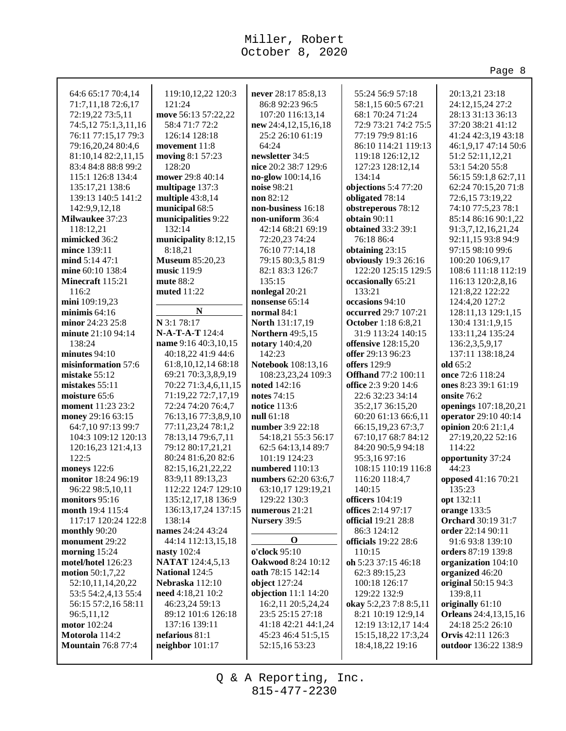|                                          |                                                  |                                                |                                                    | Page 8                                    |
|------------------------------------------|--------------------------------------------------|------------------------------------------------|----------------------------------------------------|-------------------------------------------|
|                                          | 119:10,12,22 120:3                               |                                                |                                                    | 20:13,21 23:18                            |
| 64:6 65:17 70:4,14<br>71:7,11,18 72:6,17 | 121:24                                           | never 28:17 85:8,13<br>86:8 92:23 96:5         | 55:24 56:9 57:18<br>58:1,15 60:5 67:21             | 24:12,15,24 27:2                          |
| 72:19,22 73:5,11                         | move 56:13 57:22,22                              | 107:20 116:13,14                               | 68:1 70:24 71:24                                   | 28:13 31:13 36:13                         |
| 74:5,12 75:1,3,11,16                     | 58:4 71:7 72:2                                   | new 24:4,12,15,16,18                           | 72:9 73:21 74:2 75:5                               | 37:20 38:21 41:12                         |
| 76:11 77:15,17 79:3                      | 126:14 128:18                                    | 25:2 26:10 61:19                               | 77:19 79:9 81:16                                   | 41:24 42:3,19 43:18                       |
| 79:16,20,24 80:4,6                       | movement 11:8                                    | 64:24                                          | 86:10 114:21 119:13                                | 46:1,9,17 47:14 50:6                      |
| 81:10,14 82:2,11,15                      | moving 8:1 57:23                                 | newsletter 34:5                                | 119:18 126:12,12                                   | 51:2 52:11,12,21                          |
| 83:4 84:8 88:8 99:2                      | 128:20                                           | nice 20:2 38:7 129:6                           | 127:23 128:12,14                                   | 53:1 54:20 55:8                           |
| 115:1 126:8 134:4                        | mower 29:8 40:14                                 | no-glow 100:14,16                              | 134:14                                             | 56:15 59:1,8 62:7,11                      |
| 135:17,21 138:6                          | multipage 137:3                                  | noise 98:21                                    | objections 5:4 77:20                               | 62:24 70:15,20 71:8                       |
| 139:13 140:5 141:2                       | multiple 43:8,14                                 | non 82:12                                      | obligated 78:14                                    | 72:6,15 73:19,22                          |
| 142:9,9,12,18                            | municipal 68:5                                   | non-business 16:18                             | obstreperous 78:12                                 | 74:10 77:5,23 78:1                        |
| Milwaukee 37:23                          | municipalities 9:22                              | non-uniform 36:4                               | obtain 90:11                                       | 85:14 86:16 90:1,22                       |
| 118:12,21                                | 132:14                                           | 42:14 68:21 69:19                              | obtained 33:2 39:1                                 | 91:3,7,12,16,21,24                        |
| mimicked 36:2                            | municipality 8:12,15                             | 72:20,23 74:24                                 | 76:18 86:4                                         | 92:11,15 93:8 94:9                        |
| mince 139:11                             | 8:18,21                                          | 76:10 77:14,18                                 | obtaining 23:15                                    | 97:15 98:10 99:6                          |
| mind 5:14 47:1                           | <b>Museum 85:20,23</b>                           | 79:15 80:3,5 81:9                              | obviously 19:3 26:16                               | 100:20 106:9,17                           |
| mine 60:10 138:4                         | music 119:9                                      | 82:1 83:3 126:7                                | 122:20 125:15 129:5                                | 108:6 111:18 112:19                       |
| Minecraft 115:21                         | mute $88:2$                                      | 135:15                                         | occasionally 65:21                                 | 116:13 120:2,8,16                         |
| 116:2                                    | muted 11:22                                      | nonlegal 20:21                                 | 133:21                                             | 121:8,22 122:22                           |
| mini 109:19,23                           |                                                  | nonsense 65:14                                 | occasions 94:10                                    | 124:4,20 127:2                            |
| minimis $64:16$                          | $\mathbf N$                                      | normal 84:1                                    | occurred 29:7 107:21                               | 128:11,13 129:1,15                        |
| minor 24:23 25:8                         | N 3:1 78:17                                      | North 131:17,19                                | <b>October</b> 1:18 6:8,21                         | 130:4 131:1,9,15                          |
| minute 21:10 94:14                       | N-A-T-A-T 124:4                                  | <b>Northern</b> 49:5,15                        | 31:9 113:24 140:15                                 | 133:11,24 135:24                          |
| 138:24                                   | name 9:16 40:3,10,15                             | notary 140:4,20                                | offensive 128:15,20                                | 136:2,3,5,9,17                            |
| minutes 94:10                            | 40:18,22 41:9 44:6                               | 142:23                                         | offer 29:13 96:23                                  | 137:11 138:18,24                          |
| misinformation 57:6<br>mistake 55:12     | 61:8, 10, 12, 14 68: 18<br>69:21 70:3,3,8,9,19   | Notebook 108:13,16                             | offers 129:9                                       | old 65:2<br>once 72:6 118:24              |
| mistakes 55:11                           | 70:22 71:3,4,6,11,15                             | 108:23,23,24 109:3<br>noted 142:16             | <b>Offhand</b> 77:2 100:11<br>office 2:3 9:20 14:6 | ones 8:23 39:1 61:19                      |
| moisture 65:6                            | 71:19,22 72:7,17,19                              | notes 74:15                                    | 22:6 32:23 34:14                                   | onsite 76:2                               |
| <b>moment</b> 11:23 23:2                 | 72:24 74:20 76:4,7                               | <b>notice</b> 113:6                            | 35:2,17 36:15,20                                   | openings 107:18,20,21                     |
| money 29:16 63:15                        | 76:13,16 77:3,8,9,10                             | null 61:18                                     | 60:20 61:13 66:6,11                                | operator 29:10 40:14                      |
| 64:7,10 97:13 99:7                       | 77:11,23,24 78:1,2                               | number 3:9 22:18                               | 66:15,19,23 67:3,7                                 | opinion 20:6 21:1,4                       |
| 104:3 109:12 120:13                      | 78:13,14 79:6,7,11                               | 54:18,21 55:3 56:17                            | 67:10,17 68:7 84:12                                | 27:19,20,22 52:16                         |
| 120:16,23 121:4,13                       | 79:12 80:17,21,21                                | 62:5 64:13,14 89:7                             | 84:20 90:5,9 94:18                                 | 114:22                                    |
| 122:5                                    | 80:24 81:6,20 82:6                               | 101:19 124:23                                  | 95:3,16 97:16                                      | opportunity 37:24                         |
| moneys 122:6                             | 82:15, 16, 21, 22, 22                            | numbered 110:13                                | 108:15 110:19 116:8                                | 44:23                                     |
| monitor 18:24 96:19                      | 83:9,11 89:13,23                                 | numbers 62:20 63:6,7                           | 116:20 118:4,7                                     | opposed 41:16 70:21                       |
| 96:22 98:5,10,11                         | 112:22 124:7 129:10                              | 63:10,17 129:19,21                             | 140:15                                             | 135:23                                    |
| monitors 95:16                           | 135:12,17,18 136:9                               | 129:22 130:3                                   | officers $104:19$                                  | opt 132:11                                |
| month 19:4 115:4                         | 136:13,17,24 137:15                              | numerous $21:21$                               | offices 2:14 97:17                                 | orange 133:5                              |
| 117:17 120:24 122:8                      | 138:14                                           | Nursery 39:5                                   | <b>official</b> 19:21 28:8                         | <b>Orchard</b> 30:19 31:7                 |
| monthly 90:20                            | names 24:24 43:24                                | O                                              | 86:3 124:12                                        | order 22:14 90:11                         |
| monument 29:22                           | 44:14 112:13,15,18                               |                                                | <b>officials</b> 19:22 28:6                        | 91:6 93:8 139:10                          |
| morning 15:24<br>motel/hotel 126:23      | nasty 102:4                                      | o'clock 95:10                                  | 110:15<br>oh 5:23 37:15 46:18                      | orders 87:19 139:8<br>organization 104:10 |
| motion 50:1,7,22                         | <b>NATAT</b> 124:4,5,13<br><b>National 124:5</b> | <b>Oakwood</b> 8:24 10:12<br>oath 78:15 142:14 | 62:3 89:15,23                                      | organized 46:20                           |
| 52:10,11,14,20,22                        | Nebraska 112:10                                  | object 127:24                                  | 100:18 126:17                                      | original 50:15 94:3                       |
| 53:5 54:2,4,13 55:4                      | need 4:18,21 10:2                                | objection 11:1 14:20                           | 129:22 132:9                                       | 139:8,11                                  |
| 56:15 57:2,16 58:11                      | 46:23,24 59:13                                   | 16:2,11 20:5,24,24                             | okay 5:2,23 7:8 8:5,11                             | originally 61:10                          |
| 96:5,11,12                               | 89:12 101:6 126:18                               | 23:5 25:15 27:18                               | 8:21 10:19 12:9,14                                 | <b>Orleans</b> 24:4,13,15,16              |
| motor 102:24                             | 137:16 139:11                                    | 41:18 42:21 44:1,24                            | 12:19 13:12,17 14:4                                | 24:18 25:2 26:10                          |
| Motorola 114:2                           | nefarious 81:1                                   | 45:23 46:4 51:5,15                             | 15:15, 18, 22 17:3, 24                             | <b>Orvis</b> 42:11 126:3                  |
| <b>Mountain 76:8 77:4</b>                | neighbor 101:17                                  | 52:15,16 53:23                                 | 18:4, 18, 22 19:16                                 | outdoor 136:22 138:9                      |
|                                          |                                                  |                                                |                                                    |                                           |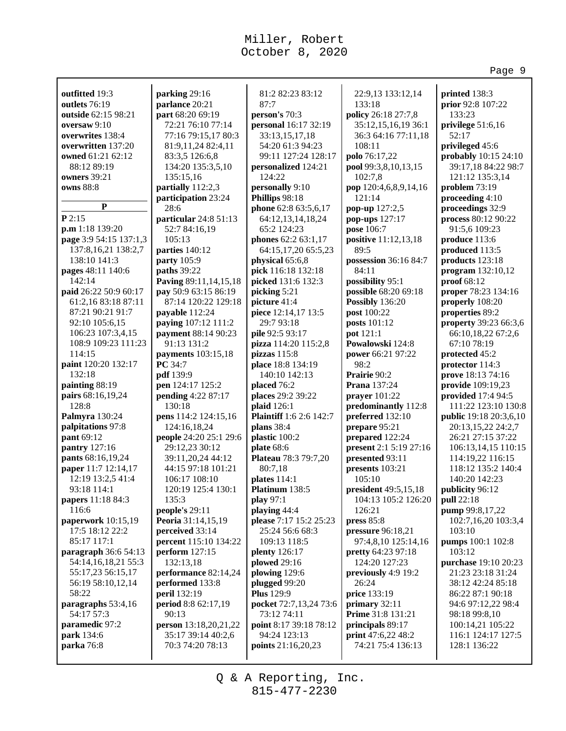81:2 82:23 83:12

33:13,15,17,18 54:20 61:3 94:23

**personalized** 124:21

64:12,13,14,18,24 65:2 124:23 **phones** 62:2 63:1,17

**physical** 65:6,8 **pick** 116:18 132:18 **picked** 131:6 132:3 **picking** 5:21 **picture** 41:4 **piece** 12:14,17 13:5 29:7 93:18 **pile** 92:5 93:17 **pizza** 114:20 115:2,8

**pizzas** 115:8 **place** 18:8 134:19 140:10 142:13 **placed** 76:2 **places** 29:2 39:22 **plaid** 126:1

**plans** 38:4 **plastic** 100:2 **plate** 68:6

80:7,18 **plates** 114:1 **Platinum** 138:5 **play** 97:1 **playing** 44:4

25:24 56:6 68:3 109:13 118:5 **plenty** 126:17 **plowed** 29:16 **plowing** 129:6 **plugged** 99:20 **Plus** 129:9

124:22 **personally** 9:10 **Phillips** 98:18

87:7 **person's** 70:3

**outfitted** 19:3 **outlets** 76:19 **outside** 62:15 98:21 **oversaw** 9:10 **overwrites** 138:4 **overwritten** 137:20 **owned** 61:21 62:12 88:12 89:19 **owners** 39:21 **owns** 88:8

**parking** 29:16 **parlance** 20:21 **part** 68:20 69:19 72:21 76:10 77:14 77:16 79:15,17 80:3 81:9,11,24 82:4,11 83:3,5 126:6,8 134:20 135:3,5,10

135:15,16 **partially** 112:2,3 **participation** 23:24

**particular** 24:8 51:13 52:7 84:16,19 105:13 **parties** 140:12 **party** 105:9 **paths** 39:22

**Paving** 89:11,14,15,18 **pay** 50:9 63:15 86:19 87:14 120:22 129:18

**payable** 112:24 **paying** 107:12 111:2 **payment** 88:14 90:23 91:13 131:2 **payments** 103:15,18

**PC** 34:7 **pdf** 139:9 **pen** 124:17 125:2 **pending** 4:22 87:17

130:18

135:3 **people's** 29:11 **Peoria** 31:14,15,19 **perceived** 33:14 **percent** 115:10 134:22 **perform** 127:15 132:13,18

90:13

**pens** 114:2 124:15,16 124:16,18,24 **people** 24:20 25:1 29:6 29:12,23 30:12 39:11,20,24 44:12 44:15 97:18 101:21 106:17 108:10 120:19 125:4 130:1

**performance** 82:14,24 **performed** 133:8 **peril** 132:19 **period** 8:8 62:17,19

**person** 13:18,20,21,22 35:17 39:14 40:2,6 70:3 74:20 78:13

28:6

**P**

**paid** 26:22 50:9 60:17 61:2,16 83:18 87:11 87:21 90:21 91:7 92:10 105:6,15 106:23 107:3,4,15 108:9 109:23 111:23

**paint** 120:20 132:17

**paperwork** 10:15,19 17:5 18:12 22:2 85:17 117:1 **paragraph** 36:6 54:13 54:14,16,18,21 55:3 55:17,23 56:15,17 56:19 58:10,12,14

**paragraphs** 53:4,16 54:17 57:3 **paramedic** 97:2 **park** 134:6 **parka** 76:8

58:22

114:15

132:18 **painting** 88:19 **pairs** 68:16,19,24 128:8 **Palmyra** 130:24 **palpitations** 97:8 **pant** 69:12 **pantry** 127:16 **pants** 68:16,19,24 **paper** 11:7 12:14,17 12:19 13:2,5 41:4 93:18 114:1 **papers** 11:18 84:3 116:6

**p.m** 1:18 139:20 **page** 3:9 54:15 137:1,3 137:8,16,21 138:2,7 138:10 141:3 **pages** 48:11 140:6 142:14

**P** 2:15

**personal** 16:17 32:19 99:11 127:24 128:17 **phone** 62:8 63:5,6,17 64:15,17,20 65:5,23 **Plaintiff** 1:6 2:6 142:7 **Plateau** 78:3 79:7,20 **please** 7:17 15:2 25:23 **pocket** 72:7,13,24 73:6 **point** 8:17 39:18 78:12 22:9,13 133:12,14 133:18 **policy** 26:18 27:7,8 35:12,15,16,19 36:1 36:3 64:16 77:11,18 108:11 **polo** 76:17,22 **pool** 99:3,8,10,13,15 102:7,8 **pop** 120:4,6,8,9,14,16 121:14 **pop-up** 127:2,5 **pop-ups** 127:17 **pose** 106:7 **positive** 11:12,13,18 89:5 **possession** 36:16 84:7 84:11 **possibility** 95:1 **possible** 68:20 69:18 **Possibly** 136:20 **post** 100:22 **posts** 101:12 **pot** 121:1 **Powalowski** 124:8 **power** 66:21 97:22 98:2 **Prairie** 90:2 **Prana** 137:24 **prayer** 101:22 **predominantly** 112:8 **preferred** 132:10 **prepare** 95:21 **prepared** 122:24 **present** 2:1 5:19 27:16 **presented** 93:11 **presents** 103:21 105:10 **president** 49:5,15,18 104:13 105:2 126:20 126:21 **press** 85:8 **pressure** 96:18,21 97:4,8,10 125:14,16 **pretty** 64:23 97:18 124:20 127:23 **previously** 4:9 19:2 26:24 **price** 133:19 **primary** 32:11 **Prime** 31:8 131:21 **principals** 89:17 **print** 47:6,22 48:2 74:21 75:4 136:13

**printed** 138:3 **prior** 92:8 107:22 133:23 **privilege** 51:6,16 52:17 **privileged** 45:6 **probably** 10:15 24:10 39:17,18 84:22 98:7 121:12 135:3,14 **problem** 73:19 **proceeding** 4:10 **proceedings** 32:9 **process** 80:12 90:22 91:5,6 109:23 **produce** 113:6 **produced** 113:5 **products** 123:18 **program** 132:10,12 **proof** 68:12 **proper** 78:23 134:16 **properly** 108:20 **properties** 89:2 **property** 39:23 66:3,6 66:10,18,22 67:2,6 67:10 78:19 **protected** 45:2 **protector** 114:3 **prove** 18:13 74:16 **provide** 109:19,23 **provided** 17:4 94:5 111:22 123:10 130:8 **public** 19:18 20:3,6,10 20:13,15,22 24:2,7 26:21 27:15 37:22 106:13,14,15 110:15 114:19,22 116:15 118:12 135:2 140:4 140:20 142:23 **publicity** 96:12 **pull** 22:18 **pump** 99:8,17,22 102:7,16,20 103:3,4 103:10 **pumps** 100:1 102:8 103:12 **purchase** 19:10 20:23 21:23 23:18 31:24 38:12 42:24 85:18 86:22 87:1 90:18 94:6 97:12,22 98:4 98:18 99:8,10 100:14,21 105:22 116:1 124:17 127:5 128:1 136:22

Page 9

815-477-2230 Q & A Reporting, Inc.

73:12 74:11

94:24 123:13 **points** 21:16,20,23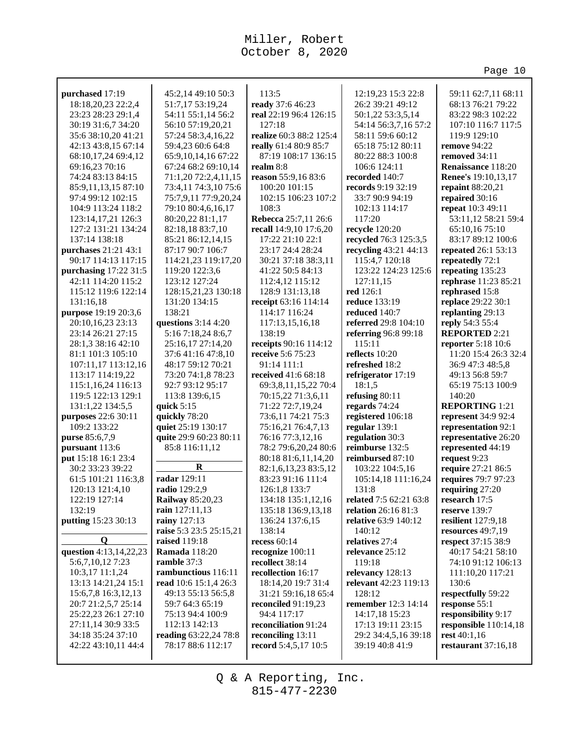Page 10

| purchased 17:19        | 45:2,14 49:10 50:3      | 113:5                   | 12:19,23 15:3 22:8            | 59:11 62:7,11 68:11        |
|------------------------|-------------------------|-------------------------|-------------------------------|----------------------------|
| 18:18,20,23 22:2,4     | 51:7,17 53:19,24        | ready 37:6 46:23        | 26:2 39:21 49:12              | 68:13 76:21 79:22          |
| 23:23 28:23 29:1,4     | 54:11 55:1,14 56:2      | real 22:19 96:4 126:15  | 50:1,22 53:3,5,14             | 83:22 98:3 102:22          |
| 30:19 31:6,7 34:20     | 56:10 57:19,20,21       | 127:18                  | 54:14 56:3,7,16 57:2          | 107:10 116:7 117:5         |
| 35:6 38:10,20 41:21    | 57:24 58:3,4,16,22      | realize 60:3 88:2 125:4 | 58:11 59:6 60:12              | 119:9 129:10               |
| 42:13 43:8,15 67:14    | 59:4,23 60:6 64:8       | really 61:4 80:9 85:7   | 65:18 75:12 80:11             | remove 94:22               |
| 68:10,17,24 69:4,12    | 65:9, 10, 14, 16 67: 22 | 87:19 108:17 136:15     | 80:22 88:3 100:8              | removed 34:11              |
| 69:16,23 70:16         | 67:24 68:2 69:10,14     | realm 8:8               | 106:6 124:11                  | Renaissance 118:20         |
| 74:24 83:13 84:15      | 71:1,20 72:2,4,11,15    | reason 55:9,16 83:6     | recorded 140:7                | <b>Renee's</b> 19:10,13,17 |
| 85:9,11,13,15 87:10    | 73:4,11 74:3,10 75:6    | 100:20 101:15           | records 9:19 32:19            | repaint 88:20,21           |
| 97:4 99:12 102:15      | 75:7,9,11 77:9,20,24    | 102:15 106:23 107:2     | 33:7 90:9 94:19               | repaired 30:16             |
| 104:9 113:24 118:2     | 79:10 80:4,6,16,17      | 108:3                   | 102:13 114:17                 | repeat 10:3 49:11          |
| 123:14,17,21 126:3     | 80:20,22 81:1,17        | Rebecca 25:7,11 26:6    | 117:20                        | 53:11,12 58:21 59:4        |
| 127:2 131:21 134:24    | 82:18,18 83:7,10        | recall 14:9,10 17:6,20  | recycle 120:20                | 65:10,16 75:10             |
| 137:14 138:18          | 85:21 86:12,14,15       | 17:22 21:10 22:1        | recycled 76:3 125:3,5         | 83:17 89:12 100:6          |
| purchases 21:21 43:1   | 87:17 90:7 106:7        | 23:17 24:4 28:24        | recycling 43:21 44:13         | repeated 26:1 53:13        |
| 90:17 114:13 117:15    | 114:21,23 119:17,20     | 30:21 37:18 38:3,11     | 115:4,7 120:18                | repeatedly 72:1            |
| purchasing 17:22 31:5  | 119:20 122:3,6          | 41:22 50:5 84:13        | 123:22 124:23 125:6           | repeating 135:23           |
| 42:11 114:20 115:2     | 123:12 127:24           | 112:4,12 115:12         | 127:11,15                     | rephrase 11:23 85:21       |
| 115:12 119:6 122:14    | 128:15,21,23 130:18     | 128:9 131:13,18         | red 126:1                     | rephrased 15:8             |
| 131:16,18              | 131:20 134:15           | receipt 63:16 114:14    | <b>reduce</b> 133:19          | replace 29:22 30:1         |
| purpose 19:19 20:3,6   | 138:21                  | 114:17 116:24           | reduced 140:7                 | replanting 29:13           |
| 20:10,16,23 23:13      | questions $3:144:20$    | 117:13,15,16,18         | referred 29:8 104:10          | reply 54:3 55:4            |
| 23:14 26:21 27:15      | 5:16 7:18,24 8:6,7      | 138:19                  | referring 96:8 99:18          | <b>REPORTED 2:21</b>       |
| 28:1,3 38:16 42:10     | 25:16,17 27:14,20       | receipts 90:16 114:12   | 115:11                        | reporter 5:18 10:6         |
| 81:1 101:3 105:10      | 37:6 41:16 47:8,10      | receive 5:6 75:23       | reflects 10:20                | 11:20 15:4 26:3 32:4       |
| 107:11,17 113:12,16    | 48:17 59:12 70:21       | 91:14 111:1             | refreshed 18:2                | 36:9 47:3 48:5,8           |
| 113:17 114:19,22       | 73:20 74:1,8 78:23      | received 41:6 68:18     | refrigerator 17:19            | 49:13 56:8 59:7            |
| 115:1,16,24 116:13     | 92:7 93:12 95:17        | 69:3,8,11,15,22 70:4    | 18:1,5                        | 65:19 75:13 100:9          |
| 119:5 122:13 129:1     | 113:8 139:6,15          | 70:15,22 71:3,6,11      | refusing 80:11                | 140:20                     |
| 131:1,22 134:5,5       | quick $5:15$            | 71:22 72:7,19,24        | regards 74:24                 | <b>REPORTING 1:21</b>      |
| purposes 22:6 30:11    | quickly 78:20           | 73:6,11 74:21 75:3      | registered 106:18             | represent 34:9 92:4        |
| 109:2 133:22           | quiet 25:19 130:17      | 75:16,21 76:4,7,13      | regular 139:1                 | representation 92:1        |
| purse 85:6,7,9         | quite 29:9 60:23 80:11  | 76:16 77:3,12,16        | regulation 30:3               | representative 26:20       |
| pursuant 113:6         | 85:8 116:11,12          | 78:2 79:6,20,24 80:6    | reimburse 132:5               | represented 44:19          |
| put 15:18 16:1 23:4    |                         | 80:18 81:6,11,14,20     | reimbursed 87:10              | request 9:23               |
| 30:2 33:23 39:22       | R                       | 82:1,6,13,23 83:5,12    | 103:22 104:5,16               | require 27:21 86:5         |
| 61:5 101:21 116:3,8    | radar 129:11            | 83:23 91:16 111:4       | 105:14,18 111:16,24           | requires 79:7 97:23        |
| 120:13 121:4,10        | radio 129:2,9           | 126:1,8 133:7           | 131:8                         | requiring 27:20            |
| 122:19 127:14          | <b>Railway</b> 85:20,23 | 134:18 135:1,12,16      | <b>related</b> 7:5 62:21 63:8 | research 17:5              |
| 132:19                 | rain 127:11,13          | 135:18 136:9,13,18      | relation 26:16 81:3           | reserve 139:7              |
| putting 15:23 30:13    | rainy 127:13            | 136:24 137:6,15         | relative 63:9 140:12          | resilient 127:9,18         |
|                        | raise 5:3 23:5 25:15,21 | 138:14                  | 140:12                        | resources 49:7,19          |
| $\mathbf Q$            | raised 119:18           | recess $60:14$          | relatives 27:4                | respect 37:15 38:9         |
| question 4:13,14,22,23 | <b>Ramada</b> 118:20    | recognize 100:11        | relevance 25:12               | 40:17 54:21 58:10          |
| 5:6,7,10,12 7:23       | ramble 37:3             | recollect 38:14         | 119:18                        | 74:10 91:12 106:13         |
| 10:3,17 11:1,24        | rambunctious 116:11     | recollection 16:17      | relevancy 128:13              | 111:10,20 117:21           |
| 13:13 14:21,24 15:1    | read 10:6 15:1,4 26:3   | 18:14,20 19:7 31:4      | relevant 42:23 119:13         | 130:6                      |
| 15:6,7,8 16:3,12,13    | 49:13 55:13 56:5,8      | 31:21 59:16,18 65:4     | 128:12                        | respectfully 59:22         |
| 20:7 21:2,5,7 25:14    | 59:7 64:3 65:19         | reconciled 91:19,23     | remember 12:3 14:14           | response 55:1              |
| 25:22,23 26:1 27:10    | 75:13 94:4 100:9        | 94:4 117:17             | 14:17,18 15:23                | responsibility 9:17        |
| 27:11,14 30:9 33:5     | 112:13 142:13           | reconciliation 91:24    | 17:13 19:11 23:15             | responsible 110:14,18      |
| 34:18 35:24 37:10      | reading 63:22,24 78:8   | reconciling 13:11       | 29:2 34:4,5,16 39:18          | rest 40:1,16               |
| 42:22 43:10,11 44:4    | 78:17 88:6 112:17       | record 5:4,5,17 10:5    | 39:19 40:8 41:9               | restaurant 37:16,18        |
|                        |                         |                         |                               |                            |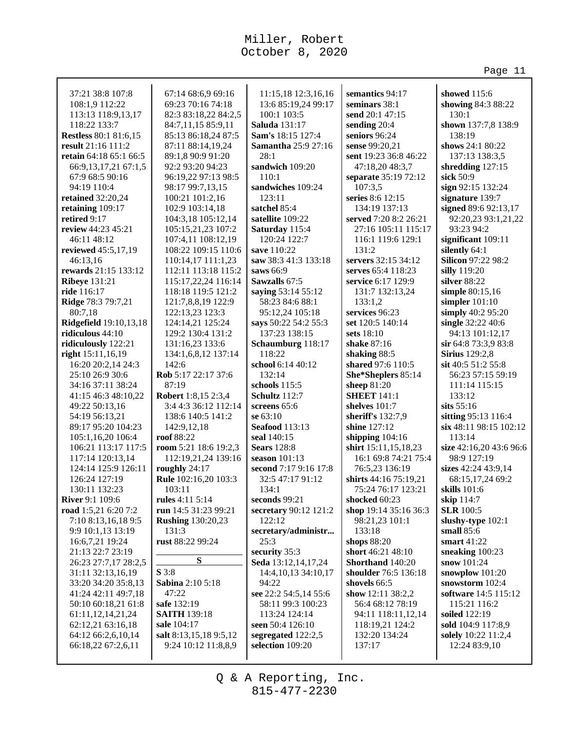94:19 110:4

46:11 48:12

46:13,16

**ride** 116:17

80:7,18

**retired** 9:17

37:21 38:8 107:8 108:1,9 112:22 113:13 118:9,13,17 118:22 133:7 **Restless** 80:1 81:6,15 **result** 21:16 111:2 **retain** 64:18 65:1 66:5 66:9,13,17,21 67:1,5 67:9 68:5 90:16 **retained** 32:20,24 **retaining** 109:17 **review** 44:23 45:21 **reviewed** 45:5,17,19 **rewards** 21:15 133:12 **Ribeye** 131:21 **Ridge** 78:3 79:7,21 **Ridgefield** 19:10,13,18 **ridiculous** 44:10 **ridiculously** 122:21 **right** 15:11,16,19 16:20 20:2,14 24:3 25:10 26:9 30:6 34:16 37:11 38:24 41:15 46:3 48:10,22 49:22 50:13,16 54:19 56:13,21 89:17 95:20 104:23 105:1,16,20 106:4 106:21 113:17 117:5 117:14 120:13,14 124:14 125:9 126:11 126:24 127:19 130:11 132:23 **River** 9:1 109:6 **road** 1:5,21 6:20 7:2 7:10 8:13,16,18 9:5 9:9 10:1,13 13:19 16:6,7,21 19:24 21:13 22:7 23:19 26:23 27:7,17 28:2,5 31:11 32:13,16,19 33:20 34:20 35:8,13 41:24 42:11 49:7,18 50:10 60:18,21 61:8 61:11,12,14,21,24 62:12,21 63:16,18 64:12 66:2,6,10,14 66:18,22 67:2,6,11 67:14 68:6,9 69:16 69:23 70:16 74:18 82:3 83:18,22 84:2,5 84:7,11,15 85:9,11 85:13 86:18,24 87:5 87:11 88:14,19,24 89:1,8 90:9 91:20 92:2 93:20 94:23 96:19,22 97:13 98:5 98:17 99:7,13,15 100:21 101:2,16 102:9 103:14,18 104:3,18 105:12,14 105:15,21,23 107:2 107:4,11 108:12,19 108:22 109:15 110:6 110:14,17 111:1,23 112:11 113:18 115:2 115:17,22,24 116:14 118:18 119:5 121:2 121:7,8,8,19 122:9 122:13,23 123:3 124:14,21 125:24 129:2 130:4 131:2 131:16,23 133:6 134:1,6,8,12 137:14 142:6 **Rob** 5:17 22:17 37:6 87:19 **Robert** 1:8,15 2:3,4 3:4 4:3 36:12 112:14 138:6 140:5 141:2 142:9,12,18 **roof** 88:22 **room** 5:21 18:6 19:2,3 112:19,21,24 139:16 **roughly** 24:17 **Rule** 102:16,20 103:3 103:11 **rules** 4:11 5:14 **run** 14:5 31:23 99:21 **Rushing** 130:20,23 131:3 **rust** 88:22 99:24 **S S** 3:8 **Sabina** 2:10 5:18 47:22 **safe** 132:19 **SAITH** 139:18 **sale** 104:17 **salt** 8:13,15,18 9:5,12 9:24 10:12 11:8,8,9 11:15,18 12:3,16,16 13:6 85:19,24 99:17 100:1 103:5 **Saluda** 131:17 **Sam's** 18:15 127:4 **Samantha** 25:9 27:16 28:1 **sandwich** 109:20 110:1 **sandwiches** 109:24 123:11 **satchel** 85:4 **satellite** 109:22 **Saturday** 115:4 120:24 122:7 **save** 110:22 **saw** 38:3 41:3 133:18 **saws** 66:9 **Sawzalls** 67:5 **saying** 53:14 55:12 58:23 84:6 88:1 95:12,24 105:18 **says** 50:22 54:2 55:3 137:23 138:15 **Schaumburg** 118:17 118:22 **school** 6:14 40:12 132:14 **schools** 115:5 **Schultz** 112:7 **screens** 65:6 **se** 63:10 **Seafood** 113:13 **seal** 140:15 **Sears** 128:8 **season** 101:13 **second** 7:17 9:16 17:8 32:5 47:17 91:12 134:1 **seconds** 99:21 **secretary** 90:12 121:2 122:12 **secretary/administr...** 25:3 **security** 35:3 **Seda** 13:12,14,17,24 14:4,10,13 34:10,17 94:22 **see** 22:2 54:5,14 55:6 58:11 99:3 100:23 113:24 124:14 **seen** 50:4 126:10 **segregated** 122:2,5 **selection** 109:20 **semantics** 94:17 **seminars** 38:1 **send** 20:1 47:15 **sending** 20:4 **seniors** 96:24 **sense** 99:20,21 **sent** 19:23 36:8 46:22 47:18,20 48:3,7 **separate** 35:19 72:12 107:3,5 **series** 8:6 12:15 134:19 137:13 **served** 7:20 8:2 26:21 27:16 105:11 115:17 116:1 119:6 129:1  $131.2$ **servers** 32:15 34:12 **serves** 65:4 118:23 **service** 6:17 129:9 131:7 132:13,24 133:1,2 **services** 96:23 **set** 120:5 140:14 **sets** 18:10 **shake** 87:16 **shaking** 88:5 **shared** 97:6 110:5 **She\*Sheplers** 85:14 **sheep** 81:20 **SHEET** 141:1 **shelves** 101:7 **sheriff's** 132:7,9 **shine** 127:12 **shipping** 104:16 **shirt** 15:11,15,18,23 16:1 69:8 74:21 75:4 76:5,23 136:19 **shirts** 44:16 75:19,21 75:24 76:17 123:21 **shocked** 60:23 **shop** 19:14 35:16 36:3 98:21,23 101:1 133:18 **shops** 88:20 **short** 46:21 48:10 **Shorthand** 140:20 **shoulder** 76:5 136:18 **shovels** 66:5 **show** 12:11 38:2,2 56:4 68:12 78:19 94:11 118:11,12,14 118:19,21 124:2 132:20 134:24 137:17 **showed** 115:6 **showing** 84:3 88:22 130:1 **shown** 137:7,8 138:9 138:19 **shows** 24:1 80:22 137:13 138:3,5 **shredding** 127:15 **sick** 50:9 **sign** 92:15 132:24 **signature** 139:7 **signed** 89:6 92:13,17 92:20,23 93:1,21,22 93:23 94:2 **significant** 109:11 **silently** 64:1 **Silicon** 97:22 98:2 **silly** 119:20 **silver** 88:22 **simple** 80:15,16 **simpler** 101:10 **simply** 40:2 95:20 **single** 32:22 40:6 94:13 101:12,17 **sir** 64:8 73:3,9 83:8 **Sirius** 129:2,8 **sit** 40:5 51:2 55:8 56:23 57:15 59:19 111:14 115:15 133:12 **sits** 55:16 **sitting** 95:13 116:4 **six** 48:11 98:15 102:12 113:14 **size** 42:16,20 43:6 96:6 98:9 127:19 **sizes** 42:24 43:9,14 68:15,17,24 69:2 **skills** 101:6 **skip** 114:7 **SLR** 100:5 **slushy-type** 102:1 **small** 85:6 **smart** 41:22 **sneaking** 100:23 **snow** 101:24 **snowplow** 101:20 **snowstorm** 102:4 **software** 14:5 115:12 115:21 116:2 **soiled** 122:19 **sold** 104:9 117:8,9 **solely** 10:22 11:2,4 12:24 83:9,10

> 815-477-2230 Q & A Reporting, Inc.

Page 11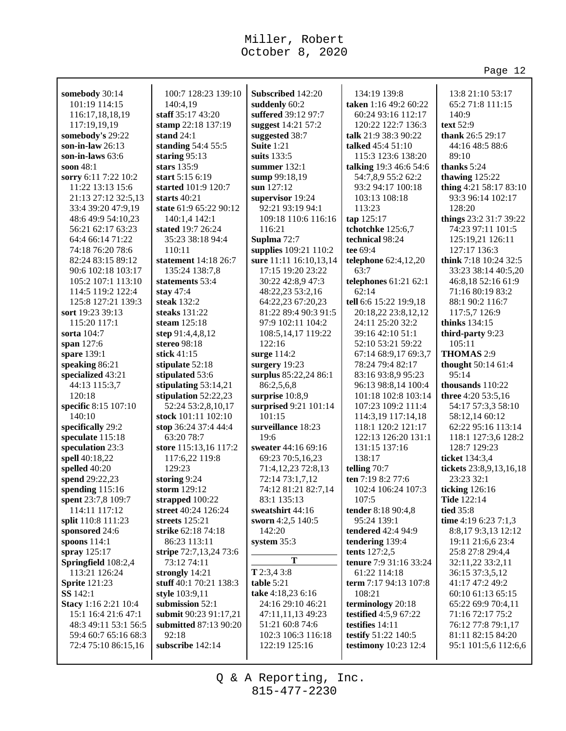|                                  |                                    |                                      |                                             | Page 12                                 |
|----------------------------------|------------------------------------|--------------------------------------|---------------------------------------------|-----------------------------------------|
|                                  | 100:7 128:23 139:10                |                                      |                                             |                                         |
| somebody 30:14                   |                                    | Subscribed 142:20                    | 134:19 139:8                                | 13:8 21:10 53:17                        |
| 101:19 114:15                    | 140:4,19<br>staff 35:17 43:20      | suddenly 60:2<br>suffered 39:12 97:7 | taken 1:16 49:2 60:22<br>60:24 93:16 112:17 | 65:2 71:8 111:15<br>140:9               |
| 116:17,18,18,19                  |                                    | suggest 14:21 57:2                   |                                             |                                         |
| 117:19,19,19<br>somebody's 29:22 | stamp 22:18 137:19<br>stand $24:1$ |                                      | 120:22 122:7 136:3<br>talk 21:9 38:3 90:22  | text 52:9<br>thank 26:5 29:17           |
| son-in-law $26:13$               | standing 54:4 55:5                 | suggested 38:7<br>Suite 1:21         | talked 45:4 51:10                           | 44:16 48:5 88:6                         |
| son-in-laws $63:6$               | staring 95:13                      | suits 133:5                          | 115:3 123:6 138:20                          | 89:10                                   |
| soon 48:1                        | stars $135:9$                      | summer $132:1$                       | talking 19:3 46:6 54:6                      | thanks 5:24                             |
| sorry 6:11 7:22 10:2             | start 5:15 6:19                    | sump 99:18,19                        | 54:7,8,9 55:2 62:2                          | thawing 125:22                          |
| 11:22 13:13 15:6                 | started 101:9 120:7                | sun 127:12                           | 93:2 94:17 100:18                           | thing 4:21 58:17 83:10                  |
| 21:13 27:12 32:5,13              | starts $40:21$                     | supervisor 19:24                     | 103:13 108:18                               | 93:3 96:14 102:17                       |
| 33:4 39:20 47:9,19               | state 61:9 65:22 90:12             | 92:21 93:19 94:1                     | 113:23                                      | 128:20                                  |
| 48:6 49:9 54:10,23               | 140:1,4 142:1                      | 109:18 110:6 116:16                  | tap 125:17                                  | things 23:2 31:7 39:22                  |
| 56:21 62:17 63:23                | stated 19:7 26:24                  | 116:21                               | tchotchke 125:6,7                           | 74:23 97:11 101:5                       |
| 64:4 66:14 71:22                 | 35:23 38:18 94:4                   | Suplma 72:7                          | technical 98:24                             | 125:19,21 126:11                        |
| 74:18 76:20 78:6                 | 110:11                             | supplies 109:21 110:2                | tee 69:4                                    | 127:17 136:3                            |
| 82:24 83:15 89:12                | statement 14:18 26:7               | sure 11:11 16:10,13,14               | telephone 62:4,12,20                        | think 7:18 10:24 32:5                   |
| 90:6 102:18 103:17               | 135:24 138:7,8                     | 17:15 19:20 23:22                    | 63:7                                        | 33:23 38:14 40:5,20                     |
| 105:2 107:1 113:10               | statements 53:4                    | 30:22 42:8,9 47:3                    | telephones $61:2162:1$                      | 46:8,18 52:16 61:9                      |
| 114:5 119:2 122:4                | stay 47:4                          | 48:22,23 53:2,16                     | 62:14                                       | 71:16 80:19 83:2                        |
| 125:8 127:21 139:3               | steak $132:2$                      | 64:22,23 67:20,23                    | tell 6:6 15:22 19:9,18                      | 88:1 90:2 116:7                         |
| sort 19:23 39:13                 | steaks $131:22$                    | 81:22 89:4 90:3 91:5                 | 20:18,22 23:8,12,12                         | 117:5,7 126:9                           |
| 115:20 117:1                     | steam 125:18                       | 97:9 102:11 104:2                    | 24:11 25:20 32:2                            | thinks 134:15                           |
| sorta 104:7                      | step $91:4,4,8,12$                 | 108:5, 14, 17 119:22                 | 39:16 42:10 51:1                            | third-party 9:23                        |
| span 127:6                       | stereo 98:18                       | 122:16                               | 52:10 53:21 59:22                           | 105:11                                  |
| spare 139:1                      | stick 41:15                        | surge $114:2$                        | 67:14 68:9,17 69:3,7                        | <b>THOMAS 2:9</b>                       |
| speaking 86:21                   | stipulate 52:18                    | surgery 19:23                        | 78:24 79:4 82:17                            | thought 50:14 61:4                      |
| specialized 43:21                | stipulated 53:6                    | surplus 85:22,24 86:1                | 83:16 93:8,9 95:23                          | 95:14                                   |
| 44:13 115:3,7                    | stipulating 53:14,21               | 86:2,5,6,8                           | 96:13 98:8,14 100:4                         | thousands 110:22                        |
| 120:18                           | stipulation 52:22,23               | surprise 10:8,9                      | 101:18 102:8 103:14                         | three 4:20 53:5,16                      |
| specific 8:15 107:10             | 52:24 53:2,8,10,17                 | surprised 9:21 101:14                | 107:23 109:2 111:4                          | 54:17 57:3,3 58:10                      |
| 140:10                           | stock 101:11 102:10                | 101:15                               | 114:3,19 117:14,18                          | 58:12,14 60:12                          |
| specifically 29:2                | stop 36:24 37:4 44:4               | surveillance 18:23                   | 118:1 120:2 121:17                          | 62:22 95:16 113:14                      |
| speculate 115:18                 | 63:20 78:7                         | 19:6                                 | 122:13 126:20 131:1                         | 118:1 127:3,6 128:2                     |
| speculation 23:3                 | store 115:13,16 117:2              | sweater 44:16 69:16                  | 131:15 137:16                               | 128:7 129:23                            |
| spell 40:18,22                   | 117:6,22 119:8                     | 69:23 70:5,16,23                     | 138:17                                      | ticket 134:3,4                          |
| spelled 40:20                    | 129:23                             | 71:4,12,23 72:8,13                   | telling 70:7                                | tickets 23:8,9,13,16,18                 |
| spend 29:22,23                   | storing 9:24                       | 72:14 73:1,7,12                      | ten 7:19 8:2 77:6                           | 23:23 32:1                              |
| spending 115:16                  | storm $129:12$                     | 74:12 81:21 82:7,14                  | 102:4 106:24 107:3                          | ticking 126:16                          |
| spent 23:7,8 109:7               | strapped 100:22                    | 83:1 135:13                          | 107:5                                       | <b>Tide 122:14</b>                      |
| 114:11 117:12                    | street 40:24 126:24                | sweatshirt 44:16                     | tender 8:18 90:4,8                          | <b>tied</b> 35:8                        |
| split 110:8 111:23               | streets 125:21                     | sworn 4:2,5 140:5                    | 95:24 139:1<br>tendered 42:4 94:9           | time 4:19 6:23 7:1,3                    |
| sponsored 24:6<br>spoons $114:1$ | strike 62:18 74:18<br>86:23 113:11 | 142:20<br>system $35:3$              | tendering 139:4                             | 8:8,179:3,13 12:12<br>19:11 21:6,6 23:4 |
| spray 125:17                     | stripe 72:7,13,24 73:6             |                                      | tents 127:2,5                               | 25:8 27:8 29:4,4                        |
| Springfield 108:2,4              | 73:12 74:11                        | T                                    | tenure 7:9 31:16 33:24                      | 32:11,22 33:2,11                        |
| 113:21 126:24                    | strongly 14:21                     | $T$ 2:3,4 3:8                        | 61:22 114:18                                | 36:15 37:3,5,12                         |
| <b>Sprite</b> 121:23             | stuff 40:1 70:21 138:3             | table 5:21                           | term 7:17 94:13 107:8                       | 41:17 47:2 49:2                         |
| <b>SS</b> 142:1                  | style 103:9,11                     | take 4:18,23 6:16                    | 108:21                                      | 60:10 61:13 65:15                       |
| <b>Stacy</b> 1:16 2:21 10:4      | submission 52:1                    | 24:16 29:10 46:21                    | terminology 20:18                           | 65:22 69:9 70:4,11                      |
| 15:1 16:4 21:6 47:1              | submit 90:23 91:17,21              | 47:11,11,13 49:23                    | testified 4:5,9 67:22                       | 71:16 72:17 75:2                        |
| 48:3 49:11 53:1 56:5             | <b>submitted 87:13 90:20</b>       | 51:21 60:8 74:6                      | testifies 14:11                             | 76:12 77:8 79:1,17                      |
| 59:4 60:7 65:16 68:3             | 92:18                              | 102:3 106:3 116:18                   | testify 51:22 140:5                         | 81:11 82:15 84:20                       |
| 72:4 75:10 86:15,16              | subscribe 142:14                   | 122:19 125:16                        | testimony 10:23 12:4                        | 95:1 101:5,6 112:6,6                    |
|                                  |                                    |                                      |                                             |                                         |

815-477-2230 Q & A Reporting, Inc.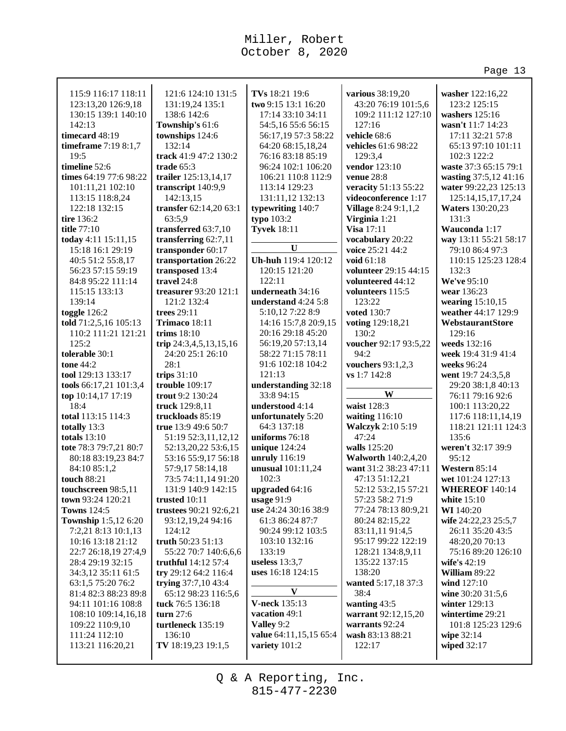> **washer** 122:16,22 123:2 125:15 **washers** 125:16 **wasn't** 11:7 14:23 17:11 32:21 57:8 65:13 97:10 101:11 102:3 122:2 **waste** 37:3 65:15 79:1 **wasting** 37:5,12 41:16 **water** 99:22,23 125:13 125:14,15,17,17,24 **Waters** 130:20,23 131:3 **Wauconda** 1:17

**way** 13:11 55:21 58:17 79:10 86:4 97:3 110:15 125:23 128:4

132:3 **We've** 95:10 **wear** 136:23 **wearing** 15:10,15 **weather** 44:17 129:9 **WebstaurantStore** 129:16 **weeds** 132:16 **week** 19:4 31:9 41:4 **weeks** 96:24 **went** 19:7 24:3,5,8 29:20 38:1,8 40:13 76:11 79:16 92:6 100:1 113:20,22 117:6 118:11,14,19 118:21 121:11 124:3

135:6

95:12 **Western** 85:14 **wet** 101:24 127:13 **WHEREOF** 140:14 **white** 15:10 **WI** 140:20

**weren't** 32:17 39:9

**wife** 24:22,23 25:5,7 26:11 35:20 43:5 48:20,20 70:13 75:16 89:20 126:10

**wife's** 42:19 **William** 89:22 **wind** 127:10 **wine** 30:20 31:5,6 **winter** 129:13 **wintertime** 29:21 101:8 125:23 129:6

**wipe** 32:14 **wiped** 32:17

Page 13

| 115:9 116:17 118:11    | 121:6 124:10 131:5     | TVs 18:21 19:6         | various 38:19,20            |
|------------------------|------------------------|------------------------|-----------------------------|
| 123:13,20 126:9,18     | 131:19,24 135:1        | two 9:15 13:1 16:20    | 43:20 76:19 101:5,6         |
| 130:15 139:1 140:10    | 138:6 142:6            | 17:14 33:10 34:11      | 109:2 111:12 127:10         |
| 142:13                 | Township's 61:6        | 54:5,16 55:6 56:15     | 127:16                      |
| timecard 48:19         | townships 124:6        | 56:17,19 57:3 58:22    | vehicle 68:6                |
| timeframe 7:19 8:1,7   | 132:14                 | 64:20 68:15,18,24      | vehicles 61:6 98:22         |
| 19:5                   | track 41:9 47:2 130:2  | 76:16 83:18 85:19      | 129:3,4                     |
| timeline 52:6          | trade $65:3$           | 96:24 102:1 106:20     | vendor 123:10               |
| times 64:19 77:6 98:22 | trailer 125:13,14,17   | 106:21 110:8 112:9     | <b>venue 28:8</b>           |
| 101:11,21 102:10       | transcript 140:9,9     | 113:14 129:23          | veracity 51:13 55:22        |
| 113:15 118:8,24        | 142:13,15              | 131:11,12 132:13       | videoconference 1:17        |
| 122:18 132:15          | transfer 62:14,20 63:1 | typewriting 140:7      | <b>Village</b> 8:24 9:1,1,2 |
| tire 136:2             | 63:5,9                 | typo 103:2             | Virginia 1:21               |
| title 77:10            | transferred 63:7,10    | <b>Tyvek 18:11</b>     | Visa 17:11                  |
| today 4:11 15:11,15    | transferring 62:7,11   |                        | vocabulary 20:22            |
| 15:18 16:1 29:19       | transponder 60:17      | U                      | voice 25:21 44:2            |
|                        |                        | Uh-huh 119:4 120:12    |                             |
| 40:5 51:2 55:8,17      | transportation 26:22   | 120:15 121:20          | void 61:18                  |
| 56:23 57:15 59:19      | transposed 13:4        |                        | volunteer 29:15 44:15       |
| 84:8 95:22 111:14      | travel 24:8            | 122:11                 | volunteered 44:12           |
| 115:15 133:13          | treasurer 93:20 121:1  | underneath 34:16       | volunteers 115:5            |
| 139:14                 | 121:2 132:4            | understand $4:24$ 5:8  | 123:22                      |
| toggle $126:2$         | trees 29:11            | 5:10,12 7:22 8:9       | voted 130:7                 |
| told 71:2,5,16 105:13  | Trimaco 18:11          | 14:16 15:7,8 20:9,15   | voting 129:18,21            |
| 110:2 111:21 121:21    | trims $18:10$          | 20:16 29:18 45:20      | 130:2                       |
| 125:2                  | trip 24:3,4,5,13,15,16 | 56:19,20 57:13,14      | voucher 92:17 93:5,22       |
| tolerable 30:1         | 24:20 25:1 26:10       | 58:22 71:15 78:11      | 94:2                        |
| tone 44:2              | 28:1                   | 91:6 102:18 104:2      | vouchers 93:1,2,3           |
| tool 129:13 133:17     | trips $31:10$          | 121:13                 | vs 1:7 142:8                |
| tools 66:17,21 101:3,4 | trouble 109:17         | understanding 32:18    |                             |
| top 10:14,17 17:19     | trout 9:2 130:24       | 33:8 94:15             | W                           |
| 18:4                   | truck 129:8,11         | understood 4:14        | waist 128:3                 |
| total 113:15 114:3     | truckloads 85:19       | unfortunately 5:20     | waiting $116:10$            |
| totally 13:3           | true 13:9 49:6 50:7    | 64:3 137:18            | Walczyk 2:10 5:19           |
| totals $13:10$         | 51:19 52:3,11,12,12    | uniforms 76:18         | 47:24                       |
| tote 78:3 79:7,21 80:7 | 52:13,20,22 53:6,15    | unique 124:24          | walls 125:20                |
| 80:18 83:19,23 84:7    | 53:16 55:9,17 56:18    | unruly 116:19          | <b>Walworth 140:2,4,20</b>  |
| 84:10 85:1,2           | 57:9,17 58:14,18       | unusual 101:11,24      | want 31:2 38:23 47:11       |
| touch 88:21            | 73:5 74:11,14 91:20    | 102:3                  | 47:13 51:12,21              |
| touchscreen 98:5,11    | 131:9 140:9 142:15     | upgraded 64:16         | 52:12 53:2,15 57:21         |
| town $93:24$ 120:21    | trusted $10:11$        | usage $91:9$           | 57:23 58:2 71:9             |
| <b>Towns</b> 124:5     | trustees 90:21 92:6,21 | use 24:24 30:16 38:9   | 77:24 78:13 80:9,21         |
| Township 1:5,12 6:20   | 93:12,19,24 94:16      | 61:3 86:24 87:7        | 80:24 82:15,22              |
| 7:2,21 8:13 10:1,13    | 124:12                 | 90:24 99:12 103:5      | 83:11,11 91:4,5             |
| 10:16 13:18 21:12      | truth 50:23 51:13      | 103:10 132:16          | 95:17 99:22 122:19          |
| 22:7 26:18,19 27:4,9   | 55:22 70:7 140:6,6,6   | 133:19                 | 128:21 134:8,9,11           |
| 28:4 29:19 32:15       | truthful $14:12\,57:4$ | useless $13:3,7$       | 135:22 137:15               |
|                        |                        |                        |                             |
| 34:3,12 35:11 61:5     | try 29:12 64:2 116:4   | uses 16:18 124:15      | 138:20                      |
| 63:1,5 75:20 76:2      | trying 37:7,10 43:4    | V                      | wanted 5:17,18 37:3         |
| 81:4 82:3 88:23 89:8   | 65:12 98:23 116:5,6    |                        | 38:4                        |
| 94:11 101:16 108:8     | tuck 76:5 136:18       | <b>V-neck 135:13</b>   | wanting 43:5                |
| 108:10 109:14,16,18    |                        |                        |                             |
|                        | turn $27:6$            | vacation 49:1          | warrant 92:12,15,20         |
| 109:22 110:9,10        | turtleneck 135:19      | Valley 9:2             | warrants 92:24              |
| 111:24 112:10          | 136:10                 | value 64:11,15,15 65:4 | wash 83:13 88:21            |
| 113:21 116:20,21       | TV 18:19,23 19:1,5     | variety 101:2          | 122:17                      |